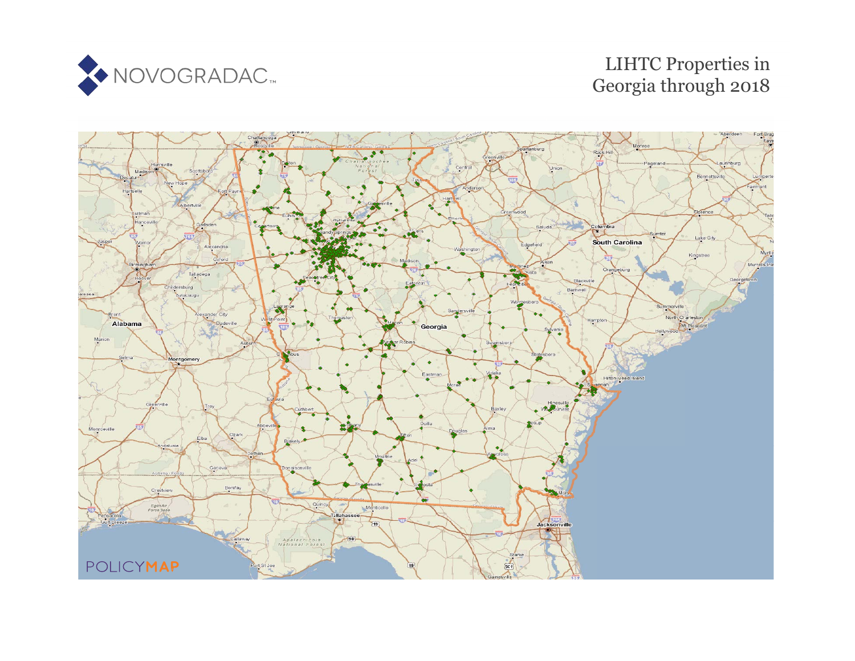

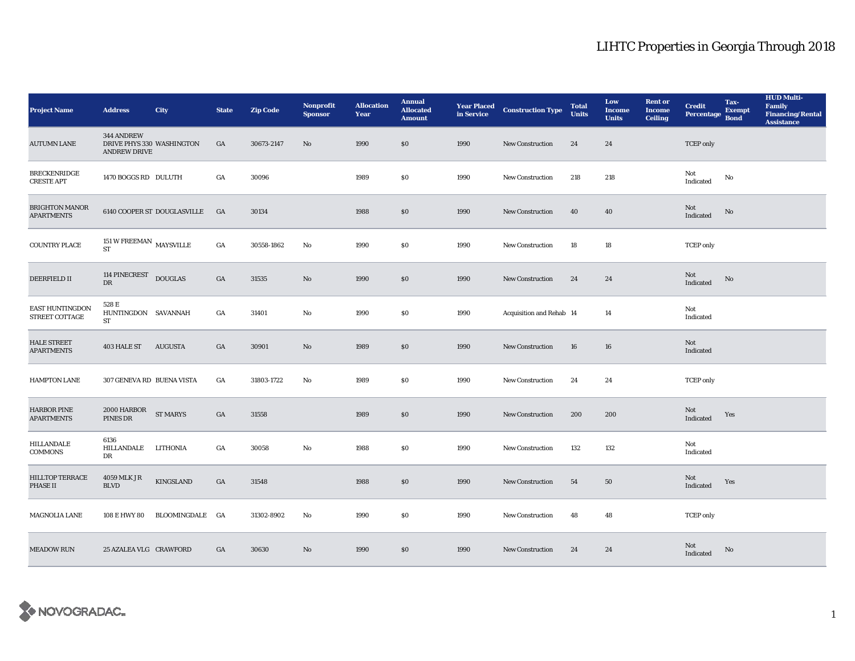| <b>Project Name</b>                        | <b>Address</b>                                                 | City                        | <b>State</b>     | <b>Zip Code</b> | <b>Nonprofit</b><br><b>Sponsor</b> | <b>Allocation</b><br>Year | <b>Annual</b><br><b>Allocated</b><br><b>Amount</b> |      | <b>Year Placed Construction Type</b><br>in Service | <b>Total</b><br><b>Units</b> | Low<br><b>Income</b><br><b>Units</b> | <b>Rent or</b><br><b>Income</b><br><b>Ceiling</b> | <b>Credit</b><br><b>Percentage</b> | Tax-<br><b>Exempt</b><br><b>Bond</b> | <b>HUD Multi-</b><br><b>Family</b><br><b>Financing/Rental</b><br><b>Assistance</b> |
|--------------------------------------------|----------------------------------------------------------------|-----------------------------|------------------|-----------------|------------------------------------|---------------------------|----------------------------------------------------|------|----------------------------------------------------|------------------------------|--------------------------------------|---------------------------------------------------|------------------------------------|--------------------------------------|------------------------------------------------------------------------------------|
| <b>AUTUMN LANE</b>                         | 344 ANDREW<br>DRIVE PHYS 330 WASHINGTON<br><b>ANDREW DRIVE</b> |                             | GA               | 30673-2147      | No                                 | 1990                      | \$0\$                                              | 1990 | <b>New Construction</b>                            | 24                           | 24                                   |                                                   | <b>TCEP</b> only                   |                                      |                                                                                    |
| <b>BRECKENRIDGE</b><br><b>CRESTE APT</b>   | 1470 BOGGS RD DULUTH                                           |                             | GA               | 30096           |                                    | 1989                      | \$0                                                | 1990 | <b>New Construction</b>                            | 218                          | 218                                  |                                                   | Not<br>Indicated                   | No                                   |                                                                                    |
| <b>BRIGHTON MANOR</b><br><b>APARTMENTS</b> |                                                                | 6140 COOPER ST DOUGLASVILLE | <b>GA</b>        | 30134           |                                    | 1988                      | $\$0$                                              | 1990 | <b>New Construction</b>                            | 40                           | 40                                   |                                                   | Not<br>Indicated                   | $\rm No$                             |                                                                                    |
| <b>COUNTRY PLACE</b>                       | 151 W FREEMAN $\,$ MAYSVILLE<br><b>ST</b>                      |                             | $_{\mathrm{GA}}$ | 30558-1862      | No                                 | 1990                      | $\bf{S0}$                                          | 1990 | <b>New Construction</b>                            | 18                           | 18                                   |                                                   | <b>TCEP</b> only                   |                                      |                                                                                    |
| DEERFIELD $\Pi$                            | 114 PINECREST DOUGLAS<br>${\rm D}{\rm R}$                      |                             | GA               | 31535           | No                                 | 1990                      | \$0                                                | 1990 | <b>New Construction</b>                            | 24                           | 24                                   |                                                   | Not<br>Indicated                   | No                                   |                                                                                    |
| EAST HUNTINGDON<br>STREET COTTAGE          | 528 E<br>HUNTINGDON SAVANNAH<br>ST                             |                             | GA               | 31401           | No                                 | 1990                      | $\$0$                                              | 1990 | Acquisition and Rehab 14                           |                              | 14                                   |                                                   | Not<br>Indicated                   |                                      |                                                                                    |
| <b>HALE STREET</b><br><b>APARTMENTS</b>    | <b>403 HALE ST</b>                                             | <b>AUGUSTA</b>              | GA               | 30901           | No                                 | 1989                      | $\$0$                                              | 1990 | <b>New Construction</b>                            | 16                           | 16                                   |                                                   | Not<br>Indicated                   |                                      |                                                                                    |
| <b>HAMPTON LANE</b>                        | 307 GENEVA RD BUENA VISTA                                      |                             | GA               | 31803-1722      | No                                 | 1989                      | \$0                                                | 1990 | <b>New Construction</b>                            | 24                           | 24                                   |                                                   | <b>TCEP</b> only                   |                                      |                                                                                    |
| <b>HARBOR PINE</b><br><b>APARTMENTS</b>    | 2000 HARBOR<br>PINES DR                                        | <b>ST MARYS</b>             | GA               | 31558           |                                    | 1989                      | $\$0$                                              | 1990 | <b>New Construction</b>                            | 200                          | 200                                  |                                                   | Not<br>Indicated                   | Yes                                  |                                                                                    |
| <b>HILLANDALE</b><br><b>COMMONS</b>        | 6136<br>HILLANDALE<br>DR                                       | LITHONIA                    | GA               | 30058           | No                                 | 1988                      | \$0                                                | 1990 | <b>New Construction</b>                            | 132                          | 132                                  |                                                   | Not<br>Indicated                   |                                      |                                                                                    |
| <b>HILLTOP TERRACE</b><br><b>PHASE II</b>  | 4059 MLK JR<br><b>BLVD</b>                                     | KINGSLAND                   | GA               | 31548           |                                    | 1988                      | \$0                                                | 1990 | <b>New Construction</b>                            | 54                           | 50                                   |                                                   | Not<br>Indicated                   | Yes                                  |                                                                                    |
| MAGNOLIA LANE                              | 108 E HWY 80                                                   | BLOOMINGDALE GA             |                  | 31302-8902      | No                                 | 1990                      | \$0                                                | 1990 | <b>New Construction</b>                            | 48                           | 48                                   |                                                   | <b>TCEP</b> only                   |                                      |                                                                                    |
| <b>MEADOW RUN</b>                          | 25 AZALEA VLG CRAWFORD                                         |                             | GA               | 30630           | No                                 | 1990                      | \$0                                                | 1990 | <b>New Construction</b>                            | 24                           | 24                                   |                                                   | Not<br>Indicated                   | $\mathbf{N}\mathbf{o}$               |                                                                                    |

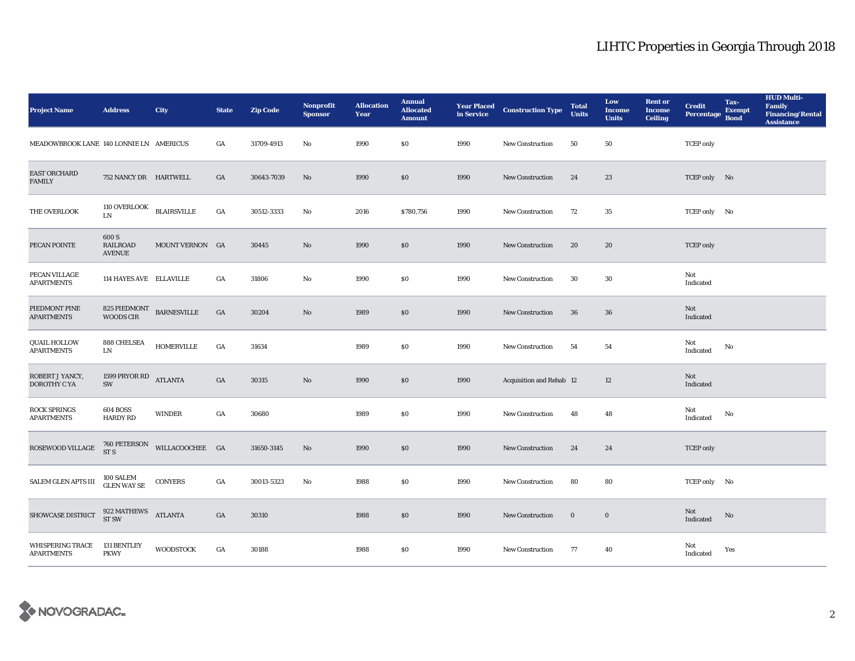| <b>Project Name</b>                          | <b>Address</b>                            | City                         | <b>State</b>     | <b>Zip Code</b> | <b>Nonprofit</b><br><b>Sponsor</b> | <b>Allocation</b><br>Year | <b>Annual</b><br><b>Allocated</b><br><b>Amount</b> | <b>Year Placed<br/>in Service</b> | <b>Construction Type</b> | <b>Total</b><br><b>Units</b> | Low<br><b>Income</b><br><b>Units</b> | <b>Rent or</b><br><b>Income</b><br><b>Ceiling</b> | <b>Credit</b><br><b>Percentage</b> | Tax-<br><b>Exempt</b><br><b>Bond</b> | <b>HUD Multi-</b><br>Family<br><b>Financing/Rental</b><br><b>Assistance</b> |
|----------------------------------------------|-------------------------------------------|------------------------------|------------------|-----------------|------------------------------------|---------------------------|----------------------------------------------------|-----------------------------------|--------------------------|------------------------------|--------------------------------------|---------------------------------------------------|------------------------------------|--------------------------------------|-----------------------------------------------------------------------------|
| MEADOWBROOK LANE 140 LONNIE LN AMERICUS      |                                           |                              | GA               | 31709-4913      | No                                 | 1990                      | \$0                                                | 1990                              | New Construction         | 50                           | 50                                   |                                                   | <b>TCEP</b> only                   |                                      |                                                                             |
| <b>EAST ORCHARD</b><br><b>FAMILY</b>         | 752 NANCY DR HARTWELL                     |                              | GA               | 30643-7039      | $\mathbf{N}\mathbf{o}$             | 1990                      | \$0                                                | 1990                              | <b>New Construction</b>  | 24                           | 23                                   |                                                   | TCEP only No                       |                                      |                                                                             |
| THE OVERLOOK                                 | <b>110 OVERLOOK</b><br>LN                 | $\operatorname{BLAIRSVILLE}$ | GA               | 30512-3333      | No                                 | 2016                      | \$780,756                                          | 1990                              | <b>New Construction</b>  | 72                           | 35                                   |                                                   | TCEP only No                       |                                      |                                                                             |
| PECAN POINTE                                 | 600 S<br><b>RAILROAD</b><br><b>AVENUE</b> | MOUNT VERNON GA              |                  | 30445           | $\mathbf{N}\mathbf{o}$             | 1990                      | \$0                                                | 1990                              | <b>New Construction</b>  | 20                           | 20                                   |                                                   | <b>TCEP</b> only                   |                                      |                                                                             |
| PECAN VILLAGE<br><b>APARTMENTS</b>           | 114 HAYES AVE ELLAVILLE                   |                              | GA               | 31806           | No                                 | 1990                      | $\$0$                                              | 1990                              | <b>New Construction</b>  | 30                           | $30\,$                               |                                                   | Not<br>Indicated                   |                                      |                                                                             |
| PIEDMONT PINE<br><b>APARTMENTS</b>           | $825$ PIEDMONT $\;$ BARNESVILLE WOODS CIR |                              | $_{\mathrm{GA}}$ | 30204           | No                                 | 1989                      | \$0                                                | 1990                              | New Construction         | 36                           | ${\bf 36}$                           |                                                   | Not<br>Indicated                   |                                      |                                                                             |
| <b>QUAIL HOLLOW</b><br><b>APARTMENTS</b>     | 888 CHELSEA<br>${\rm LN}$                 | <b>HOMERVILLE</b>            | $_{\mathrm{GA}}$ | 31634           |                                    | 1989                      | $\$0$                                              | 1990                              | New Construction         | 54                           | 54                                   |                                                   | Not<br>Indicated                   | No                                   |                                                                             |
| ROBERT J YANCY,<br>DOROTHY C YA              | $1599$ PRYOR RD<br>SW                     | <b>ATLANTA</b>               | GA               | 30315           | No                                 | 1990                      | \$0                                                | 1990                              | Acquisition and Rehab 12 |                              | 12                                   |                                                   | Not<br>Indicated                   |                                      |                                                                             |
| <b>ROCK SPRINGS</b><br><b>APARTMENTS</b>     | <b>604 BOSS</b><br><b>HARDY RD</b>        | <b>WINDER</b>                | GA               | 30680           |                                    | 1989                      | \$0                                                | 1990                              | New Construction         | 48                           | 48                                   |                                                   | Not<br>Indicated                   | No                                   |                                                                             |
| ROSEWOOD VILLAGE                             | 760 PETERSON<br>ST <sub>S</sub>           | WILLACOOCHEE GA              |                  | 31650-3145      | No                                 | 1990                      | \$0                                                | 1990                              | New Construction         | 24                           | 24                                   |                                                   | <b>TCEP</b> only                   |                                      |                                                                             |
| SALEM GLEN APTS III                          | 100 SALEM<br>GLEN WAY SE                  | <b>CONYERS</b>               | GA               | 30013-5323      | No                                 | 1988                      | \$0                                                | 1990                              | New Construction         | 80                           | 80                                   |                                                   | TCEP only No                       |                                      |                                                                             |
| SHOWCASE DISTRICT                            | 922 MATHEWS<br>ST SW                      | <b>ATLANTA</b>               | GA               | 30310           |                                    | 1988                      | \$0                                                | 1990                              | <b>New Construction</b>  | $\bf{0}$                     | $\bf{0}$                             |                                                   | Not<br>Indicated                   | $\rm No$                             |                                                                             |
| <b>WHISPERING TRACE</b><br><b>APARTMENTS</b> | <b>131 BENTLEY</b><br><b>PKWY</b>         | <b>WOODSTOCK</b>             | GA               | 30188           |                                    | 1988                      | \$0                                                | 1990                              | <b>New Construction</b>  | 77                           | 40                                   |                                                   | Not<br>Indicated                   | Yes                                  |                                                                             |

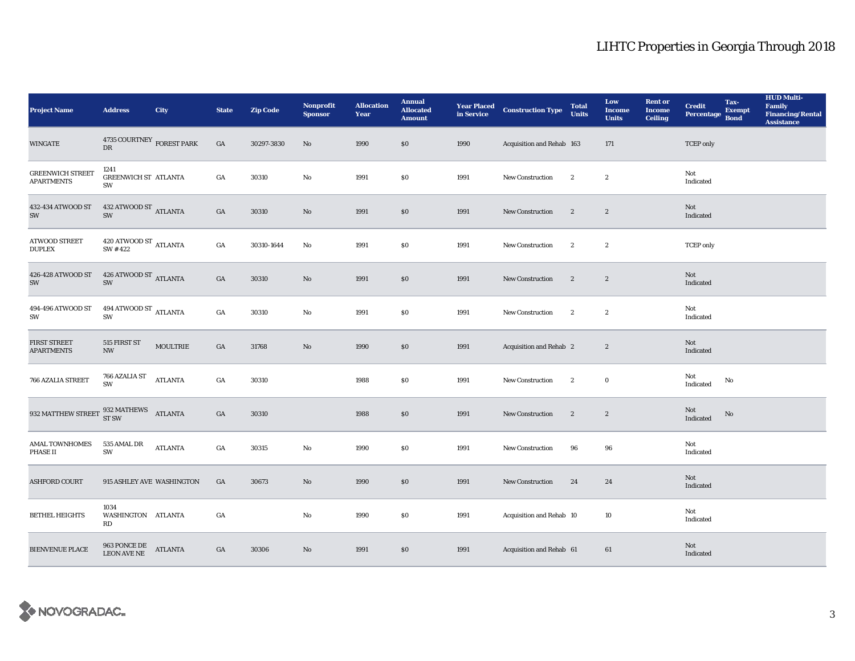| <b>Project Name</b>                                                   | <b>Address</b>                              | <b>City</b>     | <b>State</b>     | <b>Zip Code</b> | <b>Nonprofit</b><br><b>Sponsor</b> | <b>Allocation</b><br>Year | <b>Annual</b><br><b>Allocated</b><br><b>Amount</b> |      | <b>Year Placed Construction Type</b><br>in Service | <b>Total</b><br><b>Units</b> | Low<br><b>Income</b><br><b>Units</b> | <b>Rent</b> or<br><b>Income</b><br><b>Ceiling</b> | <b>Credit</b><br><b>Percentage</b>                | Tax-<br><b>Exempt</b><br><b>Bond</b> | <b>HUD Multi-</b><br>Family<br><b>Financing/Rental</b><br><b>Assistance</b> |
|-----------------------------------------------------------------------|---------------------------------------------|-----------------|------------------|-----------------|------------------------------------|---------------------------|----------------------------------------------------|------|----------------------------------------------------|------------------------------|--------------------------------------|---------------------------------------------------|---------------------------------------------------|--------------------------------------|-----------------------------------------------------------------------------|
| <b>WINGATE</b>                                                        | 4735 COURTNEY $_{\rm FOREST \, PARK}$<br>DR |                 | GA               | 30297-3830      | No                                 | 1990                      | \$0\$                                              | 1990 | Acquisition and Rehab 163                          |                              | 171                                  |                                                   | <b>TCEP</b> only                                  |                                      |                                                                             |
| <b>GREENWICH STREET</b><br><b>APARTMENTS</b>                          | 1241<br><b>GREENWICH ST ATLANTA</b><br>SW   |                 | $_{\mathrm{GA}}$ | 30310           | No                                 | 1991                      | $\$0$                                              | 1991 | New Construction                                   | $\boldsymbol{2}$             | $\boldsymbol{2}$                     |                                                   | Not<br>Indicated                                  |                                      |                                                                             |
| 432-434 ATWOOD ST<br>SW                                               | 432 ATWOOD ST $\quad$ ATLANTA<br>SW         |                 | GA               | 30310           | $\mathbf{N}\mathbf{o}$             | 1991                      | \$0                                                | 1991 | <b>New Construction</b>                            | $\boldsymbol{2}$             | $\boldsymbol{2}$                     |                                                   | Not<br>Indicated                                  |                                      |                                                                             |
| <b>ATWOOD STREET</b><br><b>DUPLEX</b>                                 | $420$ ATWOOD ST $_{\rm ATLANTA}$<br>SW #422 |                 | $_{\mathrm{GA}}$ | 30310-1644      | No                                 | 1991                      | \$0\$                                              | 1991 | New Construction                                   | $\boldsymbol{2}$             | $\boldsymbol{2}$                     |                                                   | <b>TCEP</b> only                                  |                                      |                                                                             |
| 426-428 ATWOOD ST<br>SW                                               | 426 ATWOOD ST ATLANTA<br>SW                 |                 | $_{\mathrm{GA}}$ | 30310           | $\mathbf{N}\mathbf{o}$             | 1991                      | $\$0$                                              | 1991 | New Construction                                   | $\boldsymbol{2}$             | $\boldsymbol{2}$                     |                                                   | Not<br>Indicated                                  |                                      |                                                                             |
| 494-496 ATWOOD ST<br>SW                                               | 494 ATWOOD ST $_{\rm ATLANTA}$<br>SW        |                 | GA               | 30310           | No                                 | 1991                      | \$0                                                | 1991 | New Construction                                   | $\mathbf{2}$                 | $\boldsymbol{2}$                     |                                                   | Not<br>Indicated                                  |                                      |                                                                             |
| <b>FIRST STREET</b><br><b>APARTMENTS</b>                              | 515 FIRST ST<br><b>NW</b>                   | <b>MOULTRIE</b> | GA               | 31768           | $\mathbf{N}\mathbf{o}$             | 1990                      | \$0                                                | 1991 | Acquisition and Rehab 2                            |                              | $\boldsymbol{2}$                     |                                                   | Not<br>Indicated                                  |                                      |                                                                             |
| 766 AZALIA STREET                                                     | 766 AZALIA ST<br>SW                         | <b>ATLANTA</b>  | $_{\mathrm{GA}}$ | 30310           |                                    | 1988                      | \$0\$                                              | 1991 | New Construction                                   | $\boldsymbol{2}$             | $\mathbf 0$                          |                                                   | Not<br>Indicated                                  | No                                   |                                                                             |
| 932 MATTHEW STREET $\frac{932 \text{ MATHEWS}}{\text{ST SW}}$ ATLANTA |                                             |                 | GA               | 30310           |                                    | 1988                      | \$0                                                | 1991 | New Construction                                   | $\boldsymbol{2}$             | $\boldsymbol{2}$                     |                                                   | Not<br>$\label{thm:indicated} \textbf{Indicated}$ | No                                   |                                                                             |
| <b>AMAL TOWNHOMES</b><br>PHASE II                                     | 535 AMAL DR<br>SW                           | <b>ATLANTA</b>  | GA               | 30315           | No                                 | 1990                      | \$0                                                | 1991 | <b>New Construction</b>                            | 96                           | 96                                   |                                                   | Not<br>Indicated                                  |                                      |                                                                             |
| <b>ASHFORD COURT</b>                                                  | 915 ASHLEY AVE WASHINGTON                   |                 | GA               | 30673           | No                                 | 1990                      | $\$0$                                              | 1991 | New Construction                                   | 24                           | 24                                   |                                                   | Not<br>Indicated                                  |                                      |                                                                             |
| <b>BETHEL HEIGHTS</b>                                                 | 1034<br>WASHINGTON ATLANTA<br>RD            |                 | GA               |                 | $\mathbf{No}$                      | 1990                      | \$0\$                                              | 1991 | Acquisition and Rehab 10                           |                              | 10                                   |                                                   | Not<br>Indicated                                  |                                      |                                                                             |
| <b>BIENVENUE PLACE</b>                                                | 963 PONCE DE<br>LEON AVE NE                 | <b>ATLANTA</b>  | GA               | 30306           | No                                 | 1991                      | \$0                                                | 1991 | Acquisition and Rehab 61                           |                              | 61                                   |                                                   | Not<br>Indicated                                  |                                      |                                                                             |

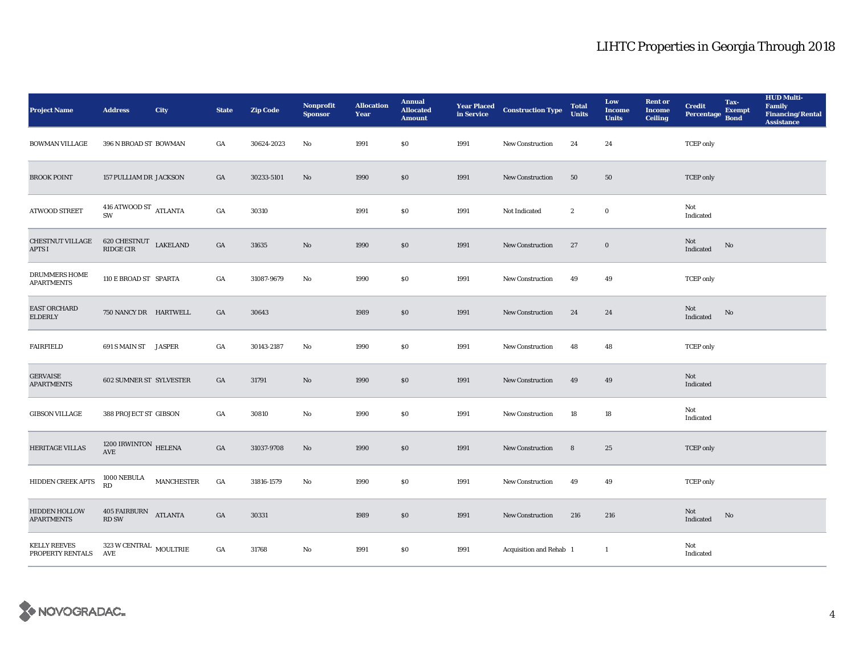| <b>Project Name</b>                       | <b>Address</b>                              | City              | <b>State</b>     | <b>Zip Code</b> | Nonprofit<br><b>Sponsor</b> | <b>Allocation</b><br>Year | <b>Annual</b><br><b>Allocated</b><br><b>Amount</b> | <b>Year Placed<br/>in Service</b> | <b>Construction Type</b> | <b>Total</b><br><b>Units</b> | Low<br><b>Income</b><br><b>Units</b> | <b>Rent or</b><br><b>Income</b><br><b>Ceiling</b> | <b>Credit</b><br><b>Percentage</b> | Tax-<br><b>Exempt</b><br><b>Bond</b> | <b>HUD Multi-</b><br>Family<br>Financing/Rental<br><b>Assistance</b> |
|-------------------------------------------|---------------------------------------------|-------------------|------------------|-----------------|-----------------------------|---------------------------|----------------------------------------------------|-----------------------------------|--------------------------|------------------------------|--------------------------------------|---------------------------------------------------|------------------------------------|--------------------------------------|----------------------------------------------------------------------|
| <b>BOWMAN VILLAGE</b>                     | 396 N BROAD ST BOWMAN                       |                   | GA               | 30624-2023      | No                          | 1991                      | \$0                                                | 1991                              | <b>New Construction</b>  | 24                           | 24                                   |                                                   | <b>TCEP</b> only                   |                                      |                                                                      |
| <b>BROOK POINT</b>                        | 157 PULLIAM DR JACKSON                      |                   | GA               | 30233-5101      | $\mathbf{No}$               | 1990                      | \$0                                                | 1991                              | New Construction         | 50                           | 50                                   |                                                   | <b>TCEP</b> only                   |                                      |                                                                      |
| <b>ATWOOD STREET</b>                      | $416$ ATWOOD ST $$\rm ATLANTA$$ SW          |                   | GA               | 30310           |                             | 1991                      | $\$0$                                              | 1991                              | Not Indicated            | $\boldsymbol{2}$             | $\bf{0}$                             |                                                   | Not<br>Indicated                   |                                      |                                                                      |
| <b>CHESTNUT VILLAGE</b><br>APTS I         | 620 CHESTNUT LAKELAND<br>RIDGE CIR          |                   | $_{\mathrm{GA}}$ | 31635           | $\mathbf{No}$               | 1990                      | $\$0$                                              | 1991                              | New Construction         | 27                           | $\mathbf 0$                          |                                                   | Not<br>Indicated                   | No                                   |                                                                      |
| <b>DRUMMERS HOME</b><br><b>APARTMENTS</b> | 110 E BROAD ST SPARTA                       |                   | $_{\mathrm{GA}}$ | 31087-9679      | No                          | 1990                      | $\$0$                                              | 1991                              | <b>New Construction</b>  | 49                           | 49                                   |                                                   | <b>TCEP</b> only                   |                                      |                                                                      |
| EAST ORCHARD<br>ELDERLY                   | 750 NANCY DR HARTWELL                       |                   | GA               | 30643           |                             | 1989                      | \$0                                                | 1991                              | <b>New Construction</b>  | 24                           | 24                                   |                                                   | Not<br>Indicated                   | No                                   |                                                                      |
| <b>FAIRFIELD</b>                          | 691 S MAIN ST JASPER                        |                   | GA               | 30143-2187      | No                          | 1990                      | $\$0$                                              | 1991                              | <b>New Construction</b>  | 48                           | 48                                   |                                                   | <b>TCEP</b> only                   |                                      |                                                                      |
| <b>GERVAISE</b><br><b>APARTMENTS</b>      | <b>602 SUMNER ST SYLVESTER</b>              |                   | GA               | 31791           | No                          | 1990                      | \$0                                                | 1991                              | <b>New Construction</b>  | 49                           | 49                                   |                                                   | Not<br>Indicated                   |                                      |                                                                      |
| <b>GIBSON VILLAGE</b>                     | 388 PROJECT ST GIBSON                       |                   | GA               | 30810           | No                          | 1990                      | \$0                                                | 1991                              | <b>New Construction</b>  | 18                           | 18                                   |                                                   | Not<br>Indicated                   |                                      |                                                                      |
| HERITAGE VILLAS                           | 1200 IRWINTON HELENA<br>AVE                 |                   | $_{\mathrm{GA}}$ | 31037-9708      | No                          | 1990                      | $\$0$                                              | 1991                              | New Construction         | 8                            | 25                                   |                                                   | <b>TCEP</b> only                   |                                      |                                                                      |
| HIDDEN CREEK APTS                         | 1000 NEBULA<br>RD                           | <b>MANCHESTER</b> | GA               | 31816-1579      | No                          | 1990                      | \$0                                                | 1991                              | <b>New Construction</b>  | 49                           | 49                                   |                                                   | <b>TCEP</b> only                   |                                      |                                                                      |
| HIDDEN HOLLOW<br><b>APARTMENTS</b>        | 405 FAIRBURN<br><b>RD SW</b>                | <b>ATLANTA</b>    | GA               | 30331           |                             | 1989                      | \$0                                                | 1991                              | <b>New Construction</b>  | 216                          | 216                                  |                                                   | Not<br>Indicated                   | No                                   |                                                                      |
| <b>KELLY REEVES</b><br>PROPERTY RENTALS   | $323\,\rm{W}\,\rm{CENTRAL}$ MOULTRIE<br>AVE |                   | GA               | 31768           | No                          | 1991                      | \$0                                                | 1991                              | Acquisition and Rehab 1  |                              | -1                                   |                                                   | Not<br>Indicated                   |                                      |                                                                      |

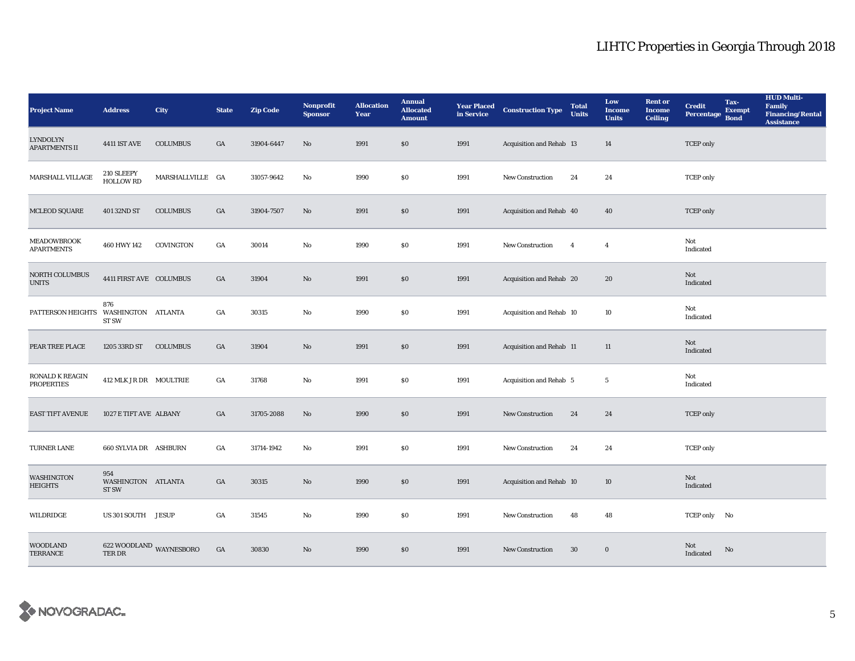| <b>Project Name</b>                     | <b>Address</b>                     | <b>City</b>             | <b>State</b>     | <b>Zip Code</b> | Nonprofit<br><b>Sponsor</b> | <b>Allocation</b><br>Year | <b>Annual</b><br><b>Allocated</b><br><b>Amount</b> | <b>Year Placed<br/>in Service</b> | <b>Construction Type</b> | <b>Total</b><br><b>Units</b> | Low<br><b>Income</b><br><b>Units</b> | <b>Rent</b> or<br><b>Income</b><br><b>Ceiling</b> | <b>Credit</b><br><b>Percentage</b> | Tax-<br><b>Exempt</b><br><b>Bond</b> | <b>HUD Multi-</b><br>Family<br><b>Financing/Rental</b><br><b>Assistance</b> |
|-----------------------------------------|------------------------------------|-------------------------|------------------|-----------------|-----------------------------|---------------------------|----------------------------------------------------|-----------------------------------|--------------------------|------------------------------|--------------------------------------|---------------------------------------------------|------------------------------------|--------------------------------------|-----------------------------------------------------------------------------|
| <b>LYNDOLYN</b><br><b>APARTMENTS II</b> | <b>4411 IST AVE</b>                | <b>COLUMBUS</b>         | GA               | 31904-6447      | No                          | 1991                      | \$0                                                | 1991                              | Acquisition and Rehab 13 |                              | 14                                   |                                                   | <b>TCEP</b> only                   |                                      |                                                                             |
| MARSHALL VILLAGE                        | 210 SLEEPY<br>HOLLOW RD            | MARSHALLVILLE GA        |                  | 31057-9642      | No                          | 1990                      | \$0                                                | 1991                              | <b>New Construction</b>  | 24                           | 24                                   |                                                   | <b>TCEP</b> only                   |                                      |                                                                             |
| <b>MCLEOD SQUARE</b>                    | 401 32ND ST                        | <b>COLUMBUS</b>         | GA               | 31904-7507      | No                          | 1991                      | $\$0$                                              | 1991                              | Acquisition and Rehab 40 |                              | 40                                   |                                                   | <b>TCEP</b> only                   |                                      |                                                                             |
| MEADOWBROOK<br><b>APARTMENTS</b>        | 460 HWY 142                        | COVINGTON               | GA               | 30014           | No                          | 1990                      | \$0                                                | 1991                              | <b>New Construction</b>  | $\overline{4}$               | $\overline{4}$                       |                                                   | Not<br>Indicated                   |                                      |                                                                             |
| NORTH COLUMBUS<br><b>UNITS</b>          | 4411 FIRST AVE COLUMBUS            |                         | $_{\mathrm{GA}}$ | 31904           | No                          | 1991                      | $\$0$                                              | 1991                              | Acquisition and Rehab 20 |                              | ${\bf 20}$                           |                                                   | Not<br>Indicated                   |                                      |                                                                             |
| PATTERSON HEIGHTS                       | 876<br>WASHINGTON ATLANTA<br>ST SW |                         | GA               | 30315           | No                          | 1990                      | \$0                                                | 1991                              | Acquisition and Rehab 10 |                              | 10                                   |                                                   | Not<br>Indicated                   |                                      |                                                                             |
| PEAR TREE PLACE                         | 1205 33RD ST                       | <b>COLUMBUS</b>         | GA               | 31904           | No                          | 1991                      | \$0                                                | 1991                              | Acquisition and Rehab 11 |                              | 11                                   |                                                   | Not<br>Indicated                   |                                      |                                                                             |
| RONALD K REAGIN<br><b>PROPERTIES</b>    | 412 MLK JR DR MOULTRIE             |                         | GA               | 31768           | No                          | 1991                      | \$0                                                | 1991                              | Acquisition and Rehab 5  |                              | $\overline{\mathbf{5}}$              |                                                   | Not<br>Indicated                   |                                      |                                                                             |
| <b>EAST TIFT AVENUE</b>                 | 1027 E TIFT AVE ALBANY             |                         | GA               | 31705-2088      | No                          | 1990                      | \$0                                                | 1991                              | <b>New Construction</b>  | 24                           | 24                                   |                                                   | <b>TCEP</b> only                   |                                      |                                                                             |
| <b>TURNER LANE</b>                      | 660 SYLVIA DR ASHBURN              |                         | GA               | 31714-1942      | No                          | 1991                      | $\$0$                                              | 1991                              | <b>New Construction</b>  | 24                           | 24                                   |                                                   | <b>TCEP</b> only                   |                                      |                                                                             |
| WASHINGTON<br><b>HEIGHTS</b>            | 954<br>WASHINGTON ATLANTA<br>ST SW |                         | GA               | 30315           | No                          | 1990                      | \$0                                                | 1991                              | Acquisition and Rehab 10 |                              | 10                                   |                                                   | Not<br>Indicated                   |                                      |                                                                             |
| WILDRIDGE                               | US 301 SOUTH JESUP                 |                         | GA               | 31545           | No                          | 1990                      | $\$0$                                              | 1991                              | <b>New Construction</b>  | 48                           | 48                                   |                                                   | TCEP only No                       |                                      |                                                                             |
| <b>WOODLAND</b><br><b>TERRANCE</b>      | <b>TER DR</b>                      | 622 WOODLAND WAYNESBORO | GA               | 30830           | No                          | 1990                      | \$0                                                | 1991                              | <b>New Construction</b>  | 30                           | $\bf{0}$                             |                                                   | <b>Not</b><br>Indicated            | No                                   |                                                                             |

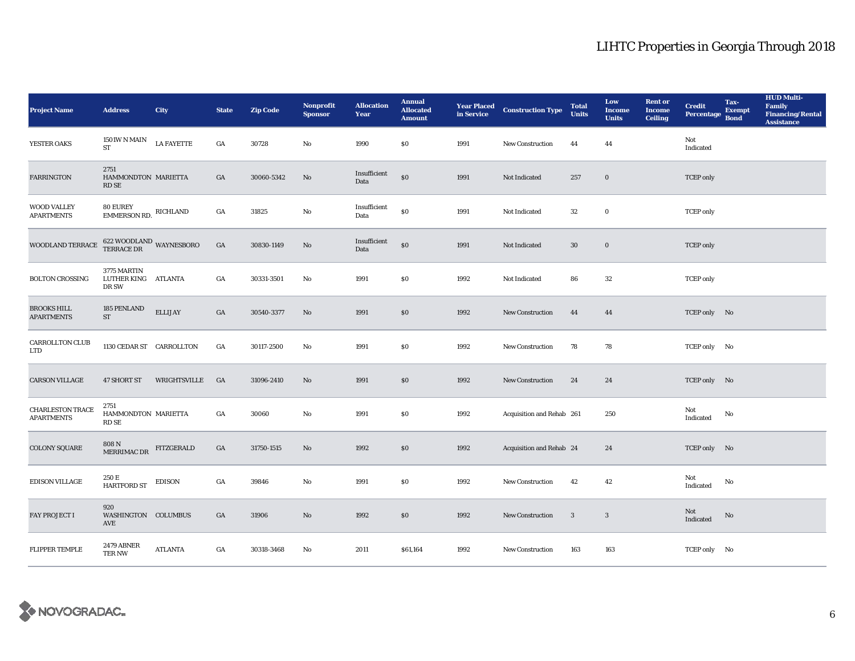| <b>Project Name</b>                          | <b>Address</b>                              | <b>City</b>       | <b>State</b>     | <b>Zip Code</b> | <b>Nonprofit</b><br><b>Sponsor</b> | <b>Allocation</b><br>Year | <b>Annual</b><br><b>Allocated</b><br><b>Amount</b> |      | <b>Year Placed Construction Type</b><br>in Service | <b>Total</b><br><b>Units</b> | Low<br><b>Income</b><br><b>Units</b> | <b>Rent or</b><br><b>Income</b><br><b>Ceiling</b> | <b>Credit</b><br><b>Percentage</b> | Tax-<br><b>Exempt</b><br><b>Bond</b> | <b>HUD Multi-</b><br>Family<br><b>Financing/Rental</b><br><b>Assistance</b> |
|----------------------------------------------|---------------------------------------------|-------------------|------------------|-----------------|------------------------------------|---------------------------|----------------------------------------------------|------|----------------------------------------------------|------------------------------|--------------------------------------|---------------------------------------------------|------------------------------------|--------------------------------------|-----------------------------------------------------------------------------|
| YESTER OAKS                                  | 1501W N MAIN<br><b>ST</b>                   | <b>LA FAYETTE</b> | GA               | 30728           | No                                 | 1990                      | \$0                                                | 1991 | New Construction                                   | 44                           | 44                                   |                                                   | Not<br>Indicated                   |                                      |                                                                             |
| <b>FARRINGTON</b>                            | 2751<br>HAMMONDTON MARIETTA<br><b>RD SE</b> |                   | GA               | 30060-5342      | No                                 | Insufficient<br>Data      | $\$0$                                              | 1991 | Not Indicated                                      | 257                          | $\mathbf 0$                          |                                                   | <b>TCEP</b> only                   |                                      |                                                                             |
| WOOD VALLEY<br><b>APARTMENTS</b>             | <b>80 EUREY</b><br>EMMERSON RD.             | RICHLAND          | $_{\mathrm{GA}}$ | 31825           | $\rm No$                           | Insufficient<br>Data      | $\$0$                                              | 1991 | Not Indicated                                      | ${\bf 32}$                   | $\mathbf 0$                          |                                                   | <b>TCEP</b> only                   |                                      |                                                                             |
| WOODLAND TERRACE                             | $622$ WOODLAND WAYNESBORO TERRACE DR        |                   | $_{\mathrm{GA}}$ | 30830-1149      | $\rm No$                           | Insufficient<br>Data      | $\$0$                                              | 1991 | Not Indicated                                      | $30\,$                       | $\mathbf 0$                          |                                                   | <b>TCEP</b> only                   |                                      |                                                                             |
| <b>BOLTON CROSSING</b>                       | 3775 MARTIN<br>LUTHER KING ATLANTA<br>DR SW |                   | GA               | 30331-3501      | $\mathbf{N}\mathbf{o}$             | 1991                      | $\$0$                                              | 1992 | Not Indicated                                      | 86                           | $32\,$                               |                                                   | <b>TCEP</b> only                   |                                      |                                                                             |
| <b>BROOKS HILL</b><br><b>APARTMENTS</b>      | 185 PENLAND<br><b>ST</b>                    | <b>ELLIJAY</b>    | GA               | 30540-3377      | No                                 | 1991                      | \$0                                                | 1992 | <b>New Construction</b>                            | 44                           | 44                                   |                                                   | TCEP only No                       |                                      |                                                                             |
| <b>CARROLLTON CLUB</b><br><b>LTD</b>         | 1130 CEDAR ST CARROLLTON                    |                   | GA               | 30117-2500      | No                                 | 1991                      | \$0                                                | 1992 | New Construction                                   | 78                           | 78                                   |                                                   | TCEP only No                       |                                      |                                                                             |
| <b>CARSON VILLAGE</b>                        | <b>47 SHORT ST</b>                          | WRIGHTSVILLE      | <b>GA</b>        | 31096-2410      | $\mathbf{N}\mathbf{o}$             | 1991                      | \$0                                                | 1992 | <b>New Construction</b>                            | 24                           | 24                                   |                                                   | TCEP only No                       |                                      |                                                                             |
| <b>CHARLESTON TRACE</b><br><b>APARTMENTS</b> | 2751<br>HAMMONDTON MARIETTA<br>RD SE        |                   | GA               | 30060           | No                                 | 1991                      | $\$0$                                              | 1992 | Acquisition and Rehab 261                          |                              | 250                                  |                                                   | Not<br>Indicated                   | $\mathbf{No}$                        |                                                                             |
| <b>COLONY SQUARE</b>                         | 808 N<br>MERRIMAC DR                        | FITZGERALD        | $_{\mathrm{GA}}$ | 31750-1515      | $\mathbf{N}\mathbf{o}$             | 1992                      | $\$0$                                              | 1992 | Acquisition and Rehab 24                           |                              | 24                                   |                                                   | TCEP only No                       |                                      |                                                                             |
| <b>EDISON VILLAGE</b>                        | 250 E<br>HARTFORD ST                        | EDISON            | $_{\mathrm{GA}}$ | 39846           | $\mathbf{N}\mathbf{o}$             | 1991                      | \$0                                                | 1992 | New Construction                                   | 42                           | 42                                   |                                                   | Not<br>Indicated                   | No                                   |                                                                             |
| FAY PROJECT I                                | 920<br>WASHINGTON COLUMBUS<br>AVE           |                   | GA               | 31906           | $\rm No$                           | 1992                      | \$0                                                | 1992 | New Construction                                   | 3                            | $\mathbf{3}$                         |                                                   | Not<br>Indicated                   | No                                   |                                                                             |
| <b>FLIPPER TEMPLE</b>                        | <b>2479 ABNER</b><br>TER NW                 | <b>ATLANTA</b>    | GA               | 30318-3468      | No                                 | 2011                      | \$61,164                                           | 1992 | <b>New Construction</b>                            | 163                          | 163                                  |                                                   | TCEP only No                       |                                      |                                                                             |

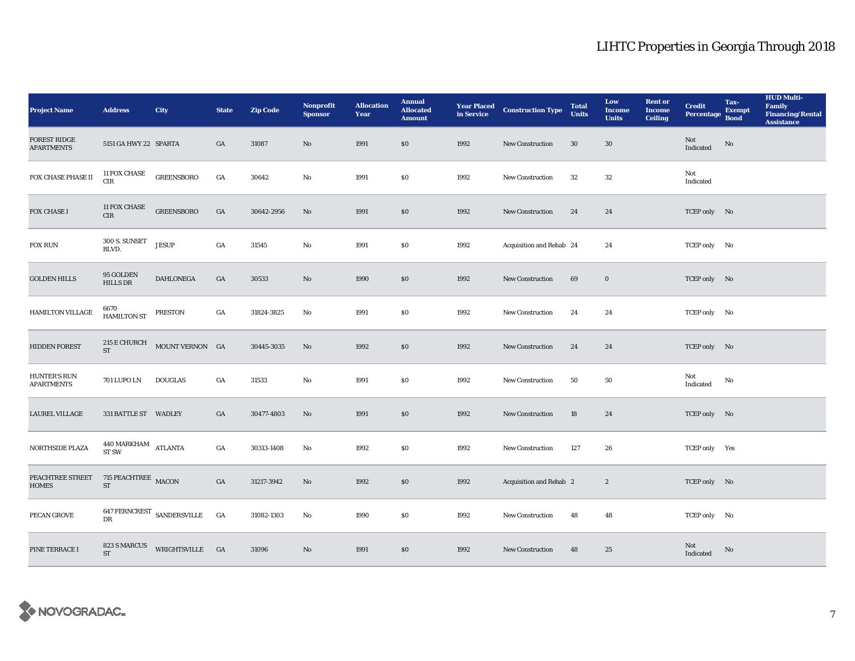| <b>Project Name</b>                      | <b>Address</b>                                    | <b>City</b>                           | <b>State</b>     | <b>Zip Code</b> | <b>Nonprofit</b><br><b>Sponsor</b> | <b>Allocation</b><br>Year | <b>Annual</b><br><b>Allocated</b><br><b>Amount</b> |      | <b>Year Placed Construction Type</b><br>in Service | <b>Total</b><br><b>Units</b> | Low<br><b>Income</b><br><b>Units</b> | <b>Rent or</b><br><b>Income</b><br><b>Ceiling</b> | <b>Credit</b><br><b>Percentage</b> | Tax-<br><b>Exempt</b><br><b>Bond</b> | <b>HUD Multi-</b><br>Family<br><b>Financing/Rental</b><br><b>Assistance</b> |
|------------------------------------------|---------------------------------------------------|---------------------------------------|------------------|-----------------|------------------------------------|---------------------------|----------------------------------------------------|------|----------------------------------------------------|------------------------------|--------------------------------------|---------------------------------------------------|------------------------------------|--------------------------------------|-----------------------------------------------------------------------------|
| <b>FOREST RIDGE</b><br><b>APARTMENTS</b> | 5151 GA HWY 22 SPARTA                             |                                       | GA               | 31087           | No                                 | 1991                      | \$0\$                                              | 1992 | New Construction                                   | 30                           | $30\,$                               |                                                   | Not<br><b>Indicated</b>            | No                                   |                                                                             |
| FOX CHASE PHASE II                       | $11\,\mathrm{FOX}$ CHASE<br>$_{\rm CIR}$          | <b>GREENSBORO</b>                     | $_{\mathrm{GA}}$ | 30642           | No                                 | 1991                      | <b>SO</b>                                          | 1992 | <b>New Construction</b>                            | 32                           | 32                                   |                                                   | Not<br>Indicated                   |                                      |                                                                             |
| FOX CHASE I                              | <b>11 FOX CHASE</b><br>CIR                        | GREENSBORO                            | $_{\mathrm{GA}}$ | 30642-2956      | $\mathbf{N}\mathbf{o}$             | 1991                      | $\$0$                                              | 1992 | <b>New Construction</b>                            | 24                           | 24                                   |                                                   | TCEP only No                       |                                      |                                                                             |
| <b>FOX RUN</b>                           | 300 S. SUNSET<br>BLVD.                            | <b>JESUP</b>                          | GA               | 31545           | No                                 | 1991                      | $\$0$                                              | 1992 | Acquisition and Rehab 24                           |                              | 24                                   |                                                   | TCEP only No                       |                                      |                                                                             |
| <b>GOLDEN HILLS</b>                      | 95 GOLDEN<br><b>HILLS DR</b>                      | <b>DAHLONEGA</b>                      | GA               | 30533           | $\mathbf{N}\mathbf{o}$             | 1990                      | $\$0$                                              | 1992 | <b>New Construction</b>                            | 69                           | $\mathbf 0$                          |                                                   | TCEP only No                       |                                      |                                                                             |
| HAMILTON VILLAGE                         | 6670<br>HAMILTON ST                               | PRESTON                               | GA               | 31824-3825      | No                                 | 1991                      | \$0\$                                              | 1992 | <b>New Construction</b>                            | 24                           | 24                                   |                                                   | TCEP only No                       |                                      |                                                                             |
| <b>HIDDEN FOREST</b>                     | ST                                                | 215 E CHURCH MOUNT VERNON GA          |                  | 30445-3035      | No                                 | 1992                      | \$0                                                | 1992 | <b>New Construction</b>                            | 24                           | 24                                   |                                                   | TCEP only No                       |                                      |                                                                             |
| <b>HUNTER'S RUN</b><br><b>APARTMENTS</b> | 701 LUPO LN                                       | <b>DOUGLAS</b>                        | GA               | 31533           | No                                 | 1991                      | $\$0$                                              | 1992 | New Construction                                   | 50                           | 50                                   |                                                   | Not<br>Indicated                   | No                                   |                                                                             |
| <b>LAUREL VILLAGE</b>                    | 331 BATTLE ST WADLEY                              |                                       | GA               | 30477-4803      | No                                 | 1991                      | \$0                                                | 1992 | <b>New Construction</b>                            | 18                           | 24                                   |                                                   | TCEP only No                       |                                      |                                                                             |
| NORTHSIDE PLAZA                          | $440$ MARKHAM $\quad$ ATLANTA<br>ST <sub>SW</sub> |                                       | GA               | 30313-1408      | No                                 | 1992                      | $\$0$                                              | 1992 | <b>New Construction</b>                            | 127                          | 26                                   |                                                   | TCEP only Yes                      |                                      |                                                                             |
| PEACHTREE STREET<br><b>HOMES</b>         | 715 PEACHTREE MACON<br>${\rm ST}$                 |                                       | GA               | 31217-3942      | No                                 | 1992                      | \$0\$                                              | 1992 | Acquisition and Rehab 2                            |                              | $\boldsymbol{2}$                     |                                                   | TCEP only No                       |                                      |                                                                             |
| PECAN GROVE                              | $_{\rm DR}$                                       | $647\, \mbox{FERNCREST}$ SANDERSVILLE | GA               | 31082-1303      | No                                 | 1990                      | \$0\$                                              | 1992 | New Construction                                   | 48                           | 48                                   |                                                   | TCEP only No                       |                                      |                                                                             |
| PINE TERRACE I                           | 823 S MARCUS<br><b>ST</b>                         | WRIGHTSVILLE GA                       |                  | 31096           | No                                 | 1991                      | \$0                                                | 1992 | <b>New Construction</b>                            | 48                           | 25                                   |                                                   | Not<br>Indicated                   | No                                   |                                                                             |

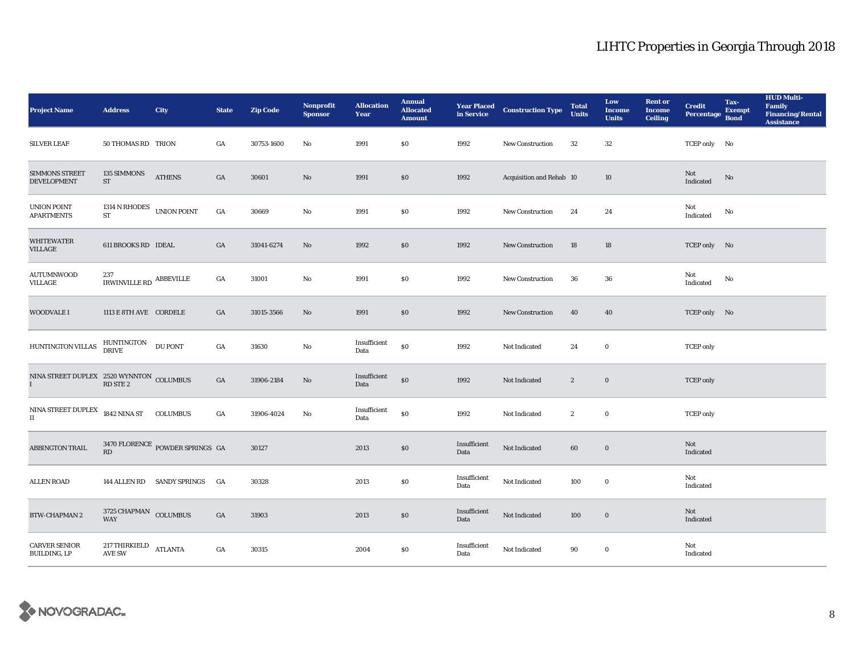| <b>Project Name</b>                                 | <b>Address</b>                         | City                            | <b>State</b> | <b>Zip Code</b> | <b>Nonprofit</b><br><b>Sponsor</b> | <b>Allocation</b><br>Year | <b>Annual</b><br><b>Allocated</b><br><b>Amount</b> | <b>Year Placed<br/>in Service</b> | <b>Construction Type</b> | <b>Total</b><br><b>Units</b> | Low<br><b>Income</b><br><b>Units</b> | <b>Rent or</b><br><b>Income</b><br><b>Ceiling</b> | <b>Credit</b><br><b>Percentage</b> | Tax-<br><b>Exempt</b><br><b>Bond</b> | <b>HUD Multi-</b><br><b>Family</b><br><b>Financing/Rental</b><br><b>Assistance</b> |
|-----------------------------------------------------|----------------------------------------|---------------------------------|--------------|-----------------|------------------------------------|---------------------------|----------------------------------------------------|-----------------------------------|--------------------------|------------------------------|--------------------------------------|---------------------------------------------------|------------------------------------|--------------------------------------|------------------------------------------------------------------------------------|
| <b>SILVER LEAF</b>                                  | 50 THOMAS RD TRION                     |                                 | GA           | 30753-1600      | No                                 | 1991                      | \$0\$                                              | 1992                              | <b>New Construction</b>  | 32                           | $32\,$                               |                                                   | TCEP only No                       |                                      |                                                                                    |
| <b>SIMMONS STREET</b><br><b>DEVELOPMENT</b>         | 135 SIMMONS<br>$ST$                    | <b>ATHENS</b>                   | GA           | 30601           | $\mathbf{N}\mathbf{o}$             | 1991                      | \$0                                                | 1992                              | Acquisition and Rehab 10 |                              | 10                                   |                                                   | Not<br>Indicated                   | No                                   |                                                                                    |
| UNION POINT<br><b>APARTMENTS</b>                    | 1314 N RHODES UNION POINT<br><b>ST</b> |                                 | GA           | 30669           | No                                 | 1991                      | \$0\$                                              | 1992                              | <b>New Construction</b>  | 24                           | 24                                   |                                                   | Not<br>Indicated                   | No                                   |                                                                                    |
| <b>WHITEWATER</b><br>VILLAGE                        | 611 BROOKS RD IDEAL                    |                                 | GA           | 31041-6274      | No                                 | 1992                      | \$0                                                | 1992                              | <b>New Construction</b>  | 18                           | 18                                   |                                                   | TCEP only No                       |                                      |                                                                                    |
| <b>AUTUMNWOOD</b><br>VILLAGE                        | 237<br>IRWINVILLE RD $\,$ ABBEVILLE    |                                 | GA           | 31001           | No                                 | 1991                      | \$0                                                | 1992                              | <b>New Construction</b>  | 36                           | 36                                   |                                                   | Not<br>$\operatorname{Indicated}$  | No                                   |                                                                                    |
| <b>WOODVALE I</b>                                   | 1113 E 8TH AVE CORDELE                 |                                 | GA           | 31015-3566      | No                                 | 1991                      | \$0\$                                              | 1992                              | <b>New Construction</b>  | 40                           | 40                                   |                                                   | TCEP only No                       |                                      |                                                                                    |
| HUNTINGTON VILLAS                                   | HUNTINGTON<br><b>DRIVE</b>             | <b>DU PONT</b>                  | GA           | 31630           | No                                 | Insufficient<br>Data      | \$0                                                | 1992                              | Not Indicated            | 24                           | $\bf{0}$                             |                                                   | <b>TCEP</b> only                   |                                      |                                                                                    |
|                                                     |                                        |                                 | GA           | 31906-2184      | No                                 | Insufficient<br>Data      | \$0                                                | 1992                              | Not Indicated            | $\boldsymbol{2}$             | $\bf{0}$                             |                                                   | <b>TCEP</b> only                   |                                      |                                                                                    |
| $\mbox{NINA}$ STREET DUPLEX<br>$\scriptstyle\rm II$ | 1842 NINA ST COLUMBUS                  |                                 | GA           | 31906-4024      | No                                 | Insufficient<br>Data      | \$0                                                | 1992                              | <b>Not Indicated</b>     | $\boldsymbol{2}$             | $\bf{0}$                             |                                                   | <b>TCEP</b> only                   |                                      |                                                                                    |
| <b>ABBINGTON TRAIL</b>                              | RD                                     | 3470 FLORENCE POWDER SPRINGS GA |              | 30127           |                                    | 2013                      | \$0\$                                              | Insufficient<br>Data              | Not Indicated            | 60                           | $\bf{0}$                             |                                                   | Not<br>Indicated                   |                                      |                                                                                    |
| <b>ALLEN ROAD</b>                                   |                                        | 144 ALLEN RD SANDY SPRINGS      | GA           | 30328           |                                    | 2013                      | $\$0$                                              | Insufficient<br>Data              | Not Indicated            | 100                          | $\bf{0}$                             |                                                   | Not<br>Indicated                   |                                      |                                                                                    |
| <b>BTW-CHAPMAN 2</b>                                | 3725 CHAPMAN COLUMBUS<br><b>WAY</b>    |                                 | GA           | 31903           |                                    | 2013                      | \$0\$                                              | Insufficient<br>Data              | Not Indicated            | 100                          | $\bf{0}$                             |                                                   | Not<br>Indicated                   |                                      |                                                                                    |
| <b>CARVER SENIOR</b><br>BUILDING, LP                | 217 THIRKIELD<br><b>AVE SW</b>         | <b>ATLANTA</b>                  | GA           | 30315           |                                    | 2004                      | \$0                                                | Insufficient<br>Data              | Not Indicated            | 90                           | $\bf{0}$                             |                                                   | Not<br>Indicated                   |                                      |                                                                                    |

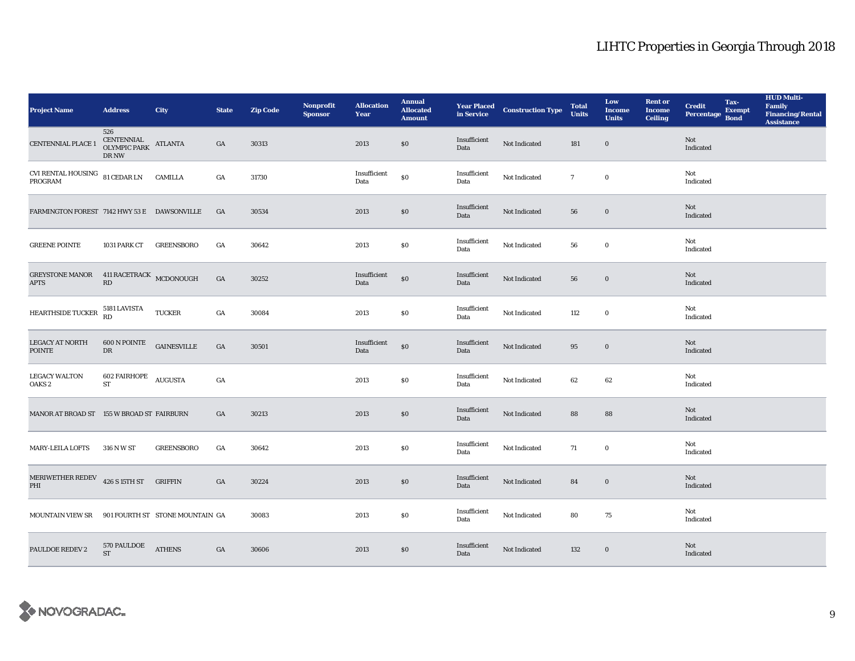| <b>Project Name</b>                                      | <b>Address</b>                                             | <b>City</b>                     | <b>State</b> | <b>Zip Code</b> | Nonprofit<br><b>Sponsor</b> | <b>Allocation</b><br>Year | <b>Annual</b><br><b>Allocated</b><br><b>Amount</b> |                      | <b>Year Placed Construction Type</b><br>in Service | <b>Total</b><br><b>Units</b> | Low<br><b>Income</b><br><b>Units</b> | <b>Rent or</b><br><b>Income</b><br><b>Ceiling</b> | <b>Credit</b><br><b>Percentage</b> | Tax-<br><b>Exempt</b><br><b>Bond</b> | <b>HUD Multi-</b><br>Family<br>Financing/Rental<br><b>Assistance</b> |
|----------------------------------------------------------|------------------------------------------------------------|---------------------------------|--------------|-----------------|-----------------------------|---------------------------|----------------------------------------------------|----------------------|----------------------------------------------------|------------------------------|--------------------------------------|---------------------------------------------------|------------------------------------|--------------------------------------|----------------------------------------------------------------------|
| <b>CENTENNIAL PLACE 1</b>                                | 526<br>CENTENNIAL ATLANTA<br>OLYMPIC PARK ATLANTA<br>DR NW |                                 | GA           | 30313           |                             | 2013                      | \$0                                                | Insufficient<br>Data | Not Indicated                                      | 181                          | $\bf{0}$                             |                                                   | Not<br>Indicated                   |                                      |                                                                      |
| CVI RENTAL HOUSING $\,$ 81 CEDAR LN $\,$ CAMILLA PROGRAM |                                                            |                                 | GA           | 31730           |                             | Insufficient<br>Data      | \$0                                                | Insufficient<br>Data | Not Indicated                                      | $7\phantom{.0}$              | $\bf{0}$                             |                                                   | Not<br>Indicated                   |                                      |                                                                      |
| FARMINGTON FOREST 7142 HWY 53 E DAWSONVILLE              |                                                            |                                 | GA           | 30534           |                             | 2013                      | $\$0$                                              | Insufficient<br>Data | Not Indicated                                      | 56                           | $\bf{0}$                             |                                                   | Not<br>Indicated                   |                                      |                                                                      |
| <b>GREENE POINTE</b>                                     | 1031 PARK CT                                               | <b>GREENSBORO</b>               | GA           | 30642           |                             | 2013                      | $\bf{S0}$                                          | Insufficient<br>Data | Not Indicated                                      | 56                           | $\mathbf 0$                          |                                                   | Not<br>Indicated                   |                                      |                                                                      |
| GREYSTONE MANOR 411 RACETRACK MCDONOUGH<br><b>APTS</b>   | $\mathbf{R}\mathbf{D}$                                     |                                 | GA           | 30252           |                             | Insufficient<br>Data      | $\$0$                                              | Insufficient<br>Data | Not Indicated                                      | 56                           | $\bf{0}$                             |                                                   | Not<br>Indicated                   |                                      |                                                                      |
| HEARTHSIDE TUCKER                                        | 5181 LAVISTA<br>RD                                         | <b>TUCKER</b>                   | GA           | 30084           |                             | 2013                      | \$0                                                | Insufficient<br>Data | Not Indicated                                      | 112                          | $\bf{0}$                             |                                                   | Not<br>Indicated                   |                                      |                                                                      |
| <b>LEGACY AT NORTH</b><br><b>POINTE</b>                  | 600 N POINTE<br>${\rm DR}$                                 | <b>GAINESVILLE</b>              | GA           | 30501           |                             | Insufficient<br>Data      | $\$0$                                              | Insufficient<br>Data | Not Indicated                                      | 95                           | $\bf{0}$                             |                                                   | Not<br>Indicated                   |                                      |                                                                      |
| <b>LEGACY WALTON</b><br>OAKS <sub>2</sub>                | 602 FAIRHOPE AUGUSTA<br><b>ST</b>                          |                                 | GA           |                 |                             | 2013                      | \$0                                                | Insufficient<br>Data | Not Indicated                                      | 62                           | 62                                   |                                                   | Not<br>Indicated                   |                                      |                                                                      |
| MANOR AT BROAD ST 155 W BROAD ST FAIRBURN                |                                                            |                                 | GA           | 30213           |                             | 2013                      | $\$0$                                              | Insufficient<br>Data | Not Indicated                                      | 88                           | 88                                   |                                                   | Not<br>Indicated                   |                                      |                                                                      |
| <b>MARY-LEILA LOFTS</b>                                  | 316 N W ST                                                 | <b>GREENSBORO</b>               | GA           | 30642           |                             | 2013                      | $\$0$                                              | Insufficient<br>Data | Not Indicated                                      | 71                           | $\bf{0}$                             |                                                   | Not<br>Indicated                   |                                      |                                                                      |
| MERIWETHER REDEV 426 S 15TH ST GRIFFIN<br>PHI            |                                                            |                                 | GA           | 30224           |                             | 2013                      | $\$0$                                              | Insufficient<br>Data | Not Indicated                                      | 84                           | $\bf{0}$                             |                                                   | Not<br>Indicated                   |                                      |                                                                      |
| <b>MOUNTAIN VIEW SR</b>                                  |                                                            | 901 FOURTH ST STONE MOUNTAIN GA |              | 30083           |                             | 2013                      | \$0                                                | Insufficient<br>Data | Not Indicated                                      | 80                           | 75                                   |                                                   | Not<br>Indicated                   |                                      |                                                                      |
| <b>PAULDOE REDEV 2</b>                                   | 570 PAULDOE<br><b>ST</b>                                   | <b>ATHENS</b>                   | GA           | 30606           |                             | 2013                      | \$0                                                | Insufficient<br>Data | Not Indicated                                      | 132                          | $\bf{0}$                             |                                                   | Not<br>Indicated                   |                                      |                                                                      |

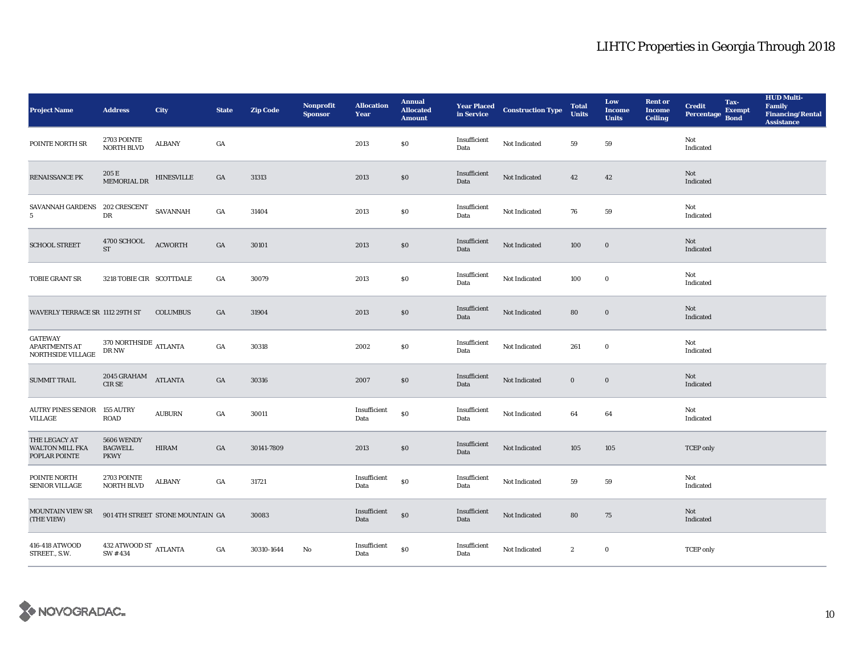| <b>Project Name</b>                                         | <b>Address</b>                                     | City                             | <b>State</b> | <b>Zip Code</b> | Nonprofit<br><b>Sponsor</b> | <b>Allocation</b><br>Year | <b>Annual</b><br><b>Allocated</b><br><b>Amount</b> |                      | <b>Year Placed Construction Type</b><br>in Service | <b>Total</b><br><b>Units</b> | Low<br><b>Income</b><br><b>Units</b> | <b>Rent or</b><br><b>Income</b><br><b>Ceiling</b> | <b>Credit</b><br><b>Percentage</b> | Tax-<br><b>Exempt</b><br><b>Bond</b> | <b>HUD Multi-</b><br>Family<br><b>Financing/Rental</b><br><b>Assistance</b> |
|-------------------------------------------------------------|----------------------------------------------------|----------------------------------|--------------|-----------------|-----------------------------|---------------------------|----------------------------------------------------|----------------------|----------------------------------------------------|------------------------------|--------------------------------------|---------------------------------------------------|------------------------------------|--------------------------------------|-----------------------------------------------------------------------------|
| POINTE NORTH SR                                             | 2703 POINTE<br><b>NORTH BLVD</b>                   | ${\bf ALBANY}$                   | GA           |                 |                             | 2013                      | $\bf{S0}$                                          | Insufficient<br>Data | Not Indicated                                      | 59                           | ${\bf 59}$                           |                                                   | Not<br>Indicated                   |                                      |                                                                             |
| RENAISSANCE PK                                              | $205\,\mathrm{E}$ MEMORIAL DR $\,$ HINESVILLE $\,$ |                                  | GA           | 31313           |                             | 2013                      | \$0                                                | Insufficient<br>Data | Not Indicated                                      | 42                           | 42                                   |                                                   | Not<br>Indicated                   |                                      |                                                                             |
| SAVANNAH GARDENS 202 CRESCENT<br>5 <sup>5</sup>             | ${\rm D}{\rm R}$                                   | SAVANNAH                         | GA           | 31404           |                             | 2013                      | $\$0$                                              | Insufficient<br>Data | Not Indicated                                      | 76                           | 59                                   |                                                   | Not<br>Indicated                   |                                      |                                                                             |
| <b>SCHOOL STREET</b>                                        | 4700 SCHOOL<br>$\operatorname{ST}$                 | <b>ACWORTH</b>                   | GA           | 30101           |                             | 2013                      | $\$0$                                              | Insufficient<br>Data | Not Indicated                                      | 100                          | $\mathbf 0$                          |                                                   | Not<br>Indicated                   |                                      |                                                                             |
| TOBIE GRANT SR                                              | 3218 TOBIE CIR SCOTTDALE                           |                                  | GA           | 30079           |                             | 2013                      | $\bf{S0}$                                          | Insufficient<br>Data | Not Indicated                                      | 100                          | $\mathbf 0$                          |                                                   | Not<br>Indicated                   |                                      |                                                                             |
| WAVERLY TERRACE SR 1112 29TH ST                             |                                                    | <b>COLUMBUS</b>                  | GA           | 31904           |                             | 2013                      | \$0                                                | Insufficient<br>Data | Not Indicated                                      | 80                           | $\bf{0}$                             |                                                   | Not<br>Indicated                   |                                      |                                                                             |
| <b>GATEWAY</b><br><b>APARTMENTS AT</b><br>NORTHSIDE VILLAGE | $370\, \mbox{NORTHSIDE}$ ATLANTA<br>DR NW          |                                  | GA           | 30318           |                             | 2002                      | \$0                                                | Insufficient<br>Data | Not Indicated                                      | 261                          | $\bf{0}$                             |                                                   | Not<br>Indicated                   |                                      |                                                                             |
| <b>SUMMIT TRAIL</b>                                         | 2045 GRAHAM<br>CIR SE                              | <b>ATLANTA</b>                   | GA           | 30316           |                             | 2007                      | $\$0$                                              | Insufficient<br>Data | Not Indicated                                      | $\bf{0}$                     | $\boldsymbol{0}$                     |                                                   | Not<br>Indicated                   |                                      |                                                                             |
| AUTRY PINES SENIOR 155 AUTRY<br>VILLAGE                     | <b>ROAD</b>                                        | <b>AUBURN</b>                    | GA           | 30011           |                             | Insufficient<br>Data      | $\$0$                                              | Insufficient<br>Data | Not Indicated                                      | 64                           | 64                                   |                                                   | Not<br>Indicated                   |                                      |                                                                             |
| THE LEGACY AT<br><b>WALTON MILL FKA</b><br>POPLAR POINTE    | 5606 WENDY<br><b>BAGWELL</b><br><b>PKWY</b>        | <b>HIRAM</b>                     | GA           | 30141-7809      |                             | 2013                      | \$0                                                | Insufficient<br>Data | Not Indicated                                      | 105                          | 105                                  |                                                   | <b>TCEP</b> only                   |                                      |                                                                             |
| POINTE NORTH<br><b>SENIOR VILLAGE</b>                       | 2703 POINTE<br><b>NORTH BLVD</b>                   | <b>ALBANY</b>                    | GA           | 31721           |                             | Insufficient<br>Data      | $\$0$                                              | Insufficient<br>Data | Not Indicated                                      | 59                           | 59                                   |                                                   | Not<br>Indicated                   |                                      |                                                                             |
| <b>MOUNTAIN VIEW SR</b><br>(THE VIEW)                       |                                                    | 901 4TH STREET STONE MOUNTAIN GA |              | 30083           |                             | Insufficient<br>Data      | $\$0$                                              | Insufficient<br>Data | Not Indicated                                      | 80                           | 75                                   |                                                   | Not<br>Indicated                   |                                      |                                                                             |
| 416-418 ATWOOD<br>STREET., S.W.                             | $432$ ATWOOD ST $\,$ ATLANTA SW $\# \, 434$        |                                  | GA           | 30310-1644      | No                          | Insufficient<br>Data      | \$0                                                | Insufficient<br>Data | Not Indicated                                      | $\boldsymbol{2}$             | $\bf{0}$                             |                                                   | <b>TCEP</b> only                   |                                      |                                                                             |

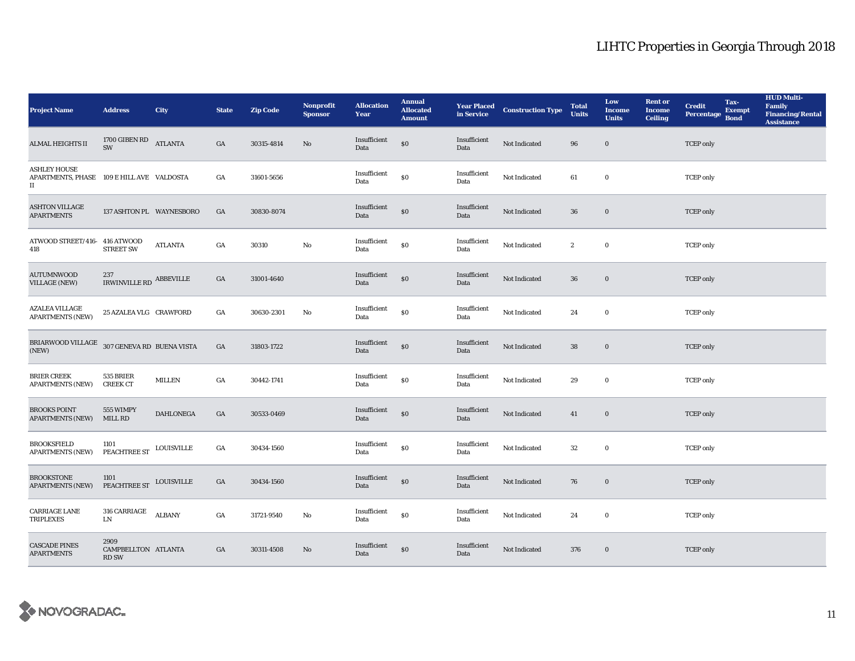| <b>Project Name</b>                                                                      | <b>Address</b>                              | City              | <b>State</b> | <b>Zip Code</b> | Nonprofit<br><b>Sponsor</b> | <b>Allocation</b><br>Year | <b>Annual</b><br><b>Allocated</b><br><b>Amount</b> |                      | <b>Year Placed Construction Type</b><br>in Service | <b>Total</b><br><b>Units</b> | Low<br><b>Income</b><br><b>Units</b> | <b>Rent or</b><br><b>Income</b><br><b>Ceiling</b> | <b>Credit</b><br><b>Percentage</b> | Tax-<br><b>Exempt</b><br><b>Bond</b> | <b>HUD Multi-</b><br>Family<br><b>Financing/Rental</b><br><b>Assistance</b> |
|------------------------------------------------------------------------------------------|---------------------------------------------|-------------------|--------------|-----------------|-----------------------------|---------------------------|----------------------------------------------------|----------------------|----------------------------------------------------|------------------------------|--------------------------------------|---------------------------------------------------|------------------------------------|--------------------------------------|-----------------------------------------------------------------------------|
| <b>ALMAL HEIGHTS II</b>                                                                  | 1700 GIBEN RD<br>ATLANTA<br>SW              |                   | GA           | 30315-4814      | $\mathbf{No}$               | Insufficient<br>Data      | $\$0$                                              | Insufficient<br>Data | Not Indicated                                      | 96                           | $\bf{0}$                             |                                                   | <b>TCEP</b> only                   |                                      |                                                                             |
| <b>ASHLEY HOUSE</b><br>APARTMENTS, PHASE 109 E HILL AVE VALDOSTA<br>$\scriptstyle\rm II$ |                                             |                   | GA           | 31601-5656      |                             | Insufficient<br>Data      | \$0                                                | Insufficient<br>Data | Not Indicated                                      | 61                           | $\bf{0}$                             |                                                   | <b>TCEP</b> only                   |                                      |                                                                             |
| <b>ASHTON VILLAGE</b><br><b>APARTMENTS</b>                                               | 137 ASHTON PL WAYNESBORO                    |                   | GA           | 30830-8074      |                             | Insufficient<br>Data      | $\boldsymbol{\mathsf{S}}\boldsymbol{\mathsf{O}}$   | Insufficient<br>Data | Not Indicated                                      | 36                           | $\boldsymbol{0}$                     |                                                   | <b>TCEP</b> only                   |                                      |                                                                             |
| ATWOOD STREET/416-416 ATWOOD<br>418                                                      | <b>STREET SW</b>                            | <b>ATLANTA</b>    | GA           | 30310           | $\mathbf{No}$               | Insufficient<br>Data      | $\$0$                                              | Insufficient<br>Data | Not Indicated                                      | $\boldsymbol{2}$             | $\boldsymbol{0}$                     |                                                   | <b>TCEP</b> only                   |                                      |                                                                             |
| <b>AUTUMNWOOD</b><br><b>VILLAGE (NEW)</b>                                                | 237<br>IRWINVILLE RD ABBEVILLE              |                   | GA           | 31001-4640      |                             | Insufficient<br>Data      | \$0                                                | Insufficient<br>Data | Not Indicated                                      | 36                           | $\bf{0}$                             |                                                   | <b>TCEP</b> only                   |                                      |                                                                             |
| <b>AZALEA VILLAGE</b><br><b>APARTMENTS (NEW)</b>                                         | 25 AZALEA VLG CRAWFORD                      |                   | GA           | 30630-2301      | No                          | Insufficient<br>Data      | \$0                                                | Insufficient<br>Data | Not Indicated                                      | 24                           | $\bf{0}$                             |                                                   | <b>TCEP</b> only                   |                                      |                                                                             |
| BRIARWOOD VILLAGE $\,$ 307 GENEVA RD $\,$ BUENA VISTA<br>(NEW)                           |                                             |                   | GA           | 31803-1722      |                             | Insufficient<br>Data      | \$0                                                | Insufficient<br>Data | Not Indicated                                      | 38                           | $\bf{0}$                             |                                                   | <b>TCEP</b> only                   |                                      |                                                                             |
| <b>BRIER CREEK</b><br><b>APARTMENTS (NEW)</b>                                            | 535 BRIER<br><b>CREEK CT</b>                | <b>MILLEN</b>     | GA           | 30442-1741      |                             | Insufficient<br>Data      | \$0                                                | Insufficient<br>Data | Not Indicated                                      | 29                           | $\bf{0}$                             |                                                   | <b>TCEP</b> only                   |                                      |                                                                             |
| <b>BROOKS POINT</b><br><b>APARTMENTS (NEW)</b>                                           | 555 WIMPY<br>MILL RD                        | <b>DAHLONEGA</b>  | GA           | 30533-0469      |                             | Insufficient<br>Data      | $\boldsymbol{\mathsf{S}}\boldsymbol{\mathsf{0}}$   | Insufficient<br>Data | Not Indicated                                      | 41                           | $\bf{0}$                             |                                                   | <b>TCEP</b> only                   |                                      |                                                                             |
| <b>BROOKSFIELD</b><br><b>APARTMENTS (NEW)</b>                                            | 1101<br>PEACHTREE ST                        | <b>LOUISVILLE</b> | GA           | 30434-1560      |                             | Insufficient<br>Data      | \$0                                                | Insufficient<br>Data | Not Indicated                                      | $32\,$                       | $\boldsymbol{0}$                     |                                                   | <b>TCEP</b> only                   |                                      |                                                                             |
| <b>BROOKSTONE</b><br><b>APARTMENTS (NEW)</b>                                             | 1101<br>PEACHTREE ST LOUISVILLE             |                   | GA           | 30434-1560      |                             | Insufficient<br>Data      | $\boldsymbol{\mathsf{S}}\boldsymbol{\mathsf{O}}$   | Insufficient<br>Data | Not Indicated                                      | 76                           | $\bf{0}$                             |                                                   | <b>TCEP</b> only                   |                                      |                                                                             |
| <b>CARRIAGE LANE</b><br><b>TRIPLEXES</b>                                                 | 316 CARRIAGE<br>LN.                         | <b>ALBANY</b>     | GA           | 31721-9540      | No                          | Insufficient<br>Data      | $\$0$                                              | Insufficient<br>Data | Not Indicated                                      | 24                           | $\boldsymbol{0}$                     |                                                   | <b>TCEP</b> only                   |                                      |                                                                             |
| <b>CASCADE PINES</b><br><b>APARTMENTS</b>                                                | 2909<br>CAMPBELLTON ATLANTA<br><b>RD SW</b> |                   | GA           | 30311-4508      | No                          | Insufficient<br>Data      | \$0                                                | Insufficient<br>Data | Not Indicated                                      | 376                          | $\bf{0}$                             |                                                   | <b>TCEP</b> only                   |                                      |                                                                             |

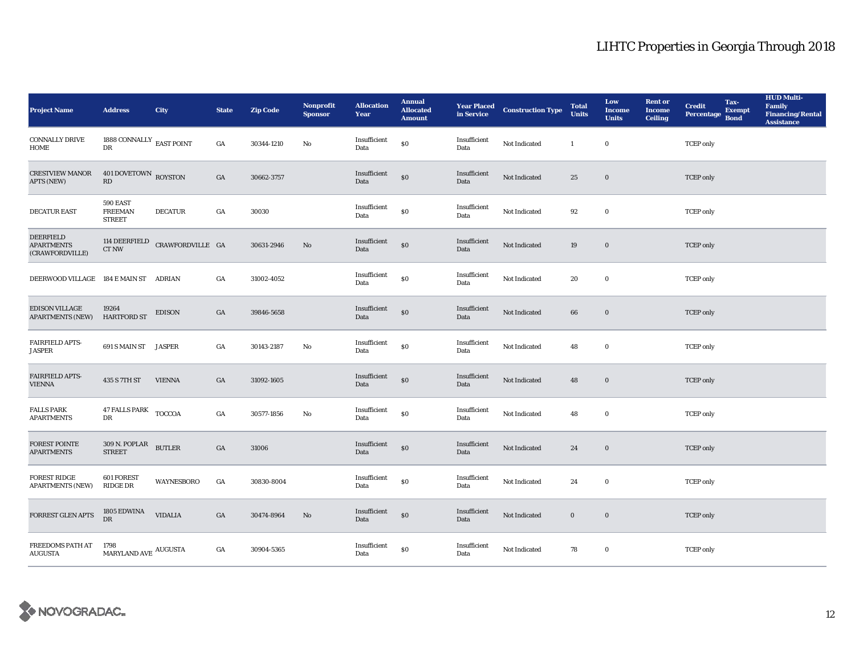| <b>Project Name</b>                                      | <b>Address</b>                                 | City             | <b>State</b>     | <b>Zip Code</b> | <b>Nonprofit</b><br><b>Sponsor</b> | <b>Allocation</b><br>Year | <b>Annual</b><br><b>Allocated</b><br><b>Amount</b> |                      | <b>Year Placed Construction Type</b><br>in Service | <b>Total</b><br><b>Units</b> | Low<br><b>Income</b><br><b>Units</b> | <b>Rent or</b><br><b>Income</b><br><b>Ceiling</b> | <b>Credit</b><br><b>Percentage</b> | Tax-<br><b>Exempt</b><br><b>Bond</b> | <b>HUD Multi-</b><br>Family<br><b>Financing/Rental</b><br><b>Assistance</b> |
|----------------------------------------------------------|------------------------------------------------|------------------|------------------|-----------------|------------------------------------|---------------------------|----------------------------------------------------|----------------------|----------------------------------------------------|------------------------------|--------------------------------------|---------------------------------------------------|------------------------------------|--------------------------------------|-----------------------------------------------------------------------------|
| <b>CONNALLY DRIVE</b><br><b>HOME</b>                     | 1888 CONNALLY $_{\rm EAST~POINT}$<br>DR        |                  | GA               | 30344-1210      | No                                 | Insufficient<br>Data      | $\$0$                                              | Insufficient<br>Data | Not Indicated                                      | $\mathbf{1}$                 | $\bf{0}$                             |                                                   | <b>TCEP</b> only                   |                                      |                                                                             |
| <b>CRESTVIEW MANOR</b><br>APTS (NEW)                     | 401 DOVETOWN ROYSTON<br>$\mathbf{R}\mathbf{D}$ |                  | $_{\mathrm{GA}}$ | 30662-3757      |                                    | Insufficient<br>Data      | $\$0$                                              | Insufficient<br>Data | Not Indicated                                      | 25                           | $\boldsymbol{0}$                     |                                                   | <b>TCEP</b> only                   |                                      |                                                                             |
| <b>DECATUR EAST</b>                                      | 590 EAST<br><b>FREEMAN</b><br><b>STREET</b>    | <b>DECATUR</b>   | $_{\mathrm{GA}}$ | 30030           |                                    | Insufficient<br>Data      | $\$0$                                              | Insufficient<br>Data | Not Indicated                                      | 92                           | $\mathbf 0$                          |                                                   | <b>TCEP</b> only                   |                                      |                                                                             |
| <b>DEERFIELD</b><br><b>APARTMENTS</b><br>(CRAWFORDVILLE) | 114 DEERFIELD<br>CT NW                         | CRAWFORDVILLE GA |                  | 30631-2946      | No                                 | Insufficient<br>Data      | $\$0$                                              | Insufficient<br>Data | Not Indicated                                      | 19                           | $\boldsymbol{0}$                     |                                                   | <b>TCEP</b> only                   |                                      |                                                                             |
| DEERWOOD VILLAGE 184 E MAIN ST ADRIAN                    |                                                |                  | GA               | 31002-4052      |                                    | Insufficient<br>Data      | $\$0$                                              | Insufficient<br>Data | Not Indicated                                      | 20                           | $\bf{0}$                             |                                                   | <b>TCEP</b> only                   |                                      |                                                                             |
| <b>EDISON VILLAGE</b><br><b>APARTMENTS (NEW)</b>         | 19264<br><b>HARTFORD ST</b>                    | <b>EDISON</b>    | GA               | 39846-5658      |                                    | Insufficient<br>Data      | $\$0$                                              | Insufficient<br>Data | Not Indicated                                      | 66                           | $\bf{0}$                             |                                                   | <b>TCEP</b> only                   |                                      |                                                                             |
| FAIRFIELD APTS-<br><b>JASPER</b>                         | 691 S MAIN ST                                  | <b>JASPER</b>    | GA               | 30143-2187      | No                                 | Insufficient<br>Data      | $\$0$                                              | Insufficient<br>Data | Not Indicated                                      | 48                           | $\bf{0}$                             |                                                   | <b>TCEP</b> only                   |                                      |                                                                             |
| <b>FAIRFIELD APTS-</b><br><b>VIENNA</b>                  | 435 S 7TH ST                                   | <b>VIENNA</b>    | GA               | 31092-1605      |                                    | Insufficient<br>Data      | $\$0$                                              | Insufficient<br>Data | Not Indicated                                      | 48                           | $\boldsymbol{0}$                     |                                                   | <b>TCEP</b> only                   |                                      |                                                                             |
| <b>FALLS PARK</b><br><b>APARTMENTS</b>                   | 47 FALLS PARK TOCCOA<br>DR                     |                  | $_{\mathrm{GA}}$ | 30577-1856      | No                                 | Insufficient<br>Data      | $\$0$                                              | Insufficient<br>Data | Not Indicated                                      | 48                           | $\bf{0}$                             |                                                   | <b>TCEP</b> only                   |                                      |                                                                             |
| <b>FOREST POINTE</b><br><b>APARTMENTS</b>                | 309 N. POPLAR<br><b>STREET</b>                 | <b>BUTLER</b>    | $_{\mathrm{GA}}$ | 31006           |                                    | Insufficient<br>Data      | $\$0$                                              | Insufficient<br>Data | Not Indicated                                      | $\bf 24$                     | $\boldsymbol{0}$                     |                                                   | <b>TCEP</b> only                   |                                      |                                                                             |
| <b>FOREST RIDGE</b><br><b>APARTMENTS (NEW)</b>           | 601 FOREST<br>RIDGE DR                         | WAYNESBORO       | $_{\mathrm{GA}}$ | 30830-8004      |                                    | Insufficient<br>Data      | $\$0$                                              | Insufficient<br>Data | Not Indicated                                      | 24                           | $\bf{0}$                             |                                                   | <b>TCEP</b> only                   |                                      |                                                                             |
| FORREST GLEN APTS                                        | 1805 EDWINA<br><b>DR</b>                       | <b>VIDALIA</b>   | GA               | 30474-8964      | No                                 | Insufficient<br>Data      | $\$0$                                              | Insufficient<br>Data | Not Indicated                                      | $\bf{0}$                     | $\boldsymbol{0}$                     |                                                   | <b>TCEP</b> only                   |                                      |                                                                             |
| FREEDOMS PATH AT<br><b>AUGUSTA</b>                       | 1798<br>$$\tt{MARYLAND}$ AUGUSTA               |                  | GA               | 30904-5365      |                                    | Insufficient<br>Data      | \$0                                                | Insufficient<br>Data | Not Indicated                                      | 78                           | $\bf{0}$                             |                                                   | <b>TCEP</b> only                   |                                      |                                                                             |

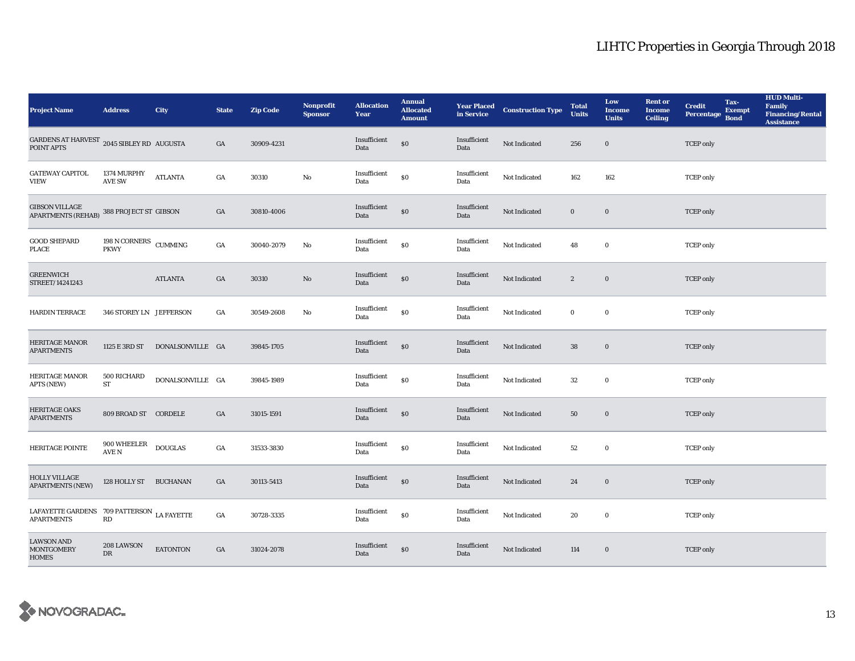| <b>Project Name</b>                                             | <b>Address</b>                    | City             | <b>State</b>     | <b>Zip Code</b> | Nonprofit<br><b>Sponsor</b> | <b>Allocation</b><br>Year | <b>Annual</b><br><b>Allocated</b><br><b>Amount</b> |                      | <b>Year Placed Construction Type</b><br>in Service | <b>Total</b><br><b>Units</b> | Low<br><b>Income</b><br><b>Units</b> | <b>Rent or</b><br>Income<br><b>Ceiling</b> | <b>Credit</b><br><b>Percentage</b> | Tax-<br><b>Exempt</b><br><b>Bond</b> | <b>HUD Multi-</b><br><b>Family</b><br><b>Financing/Rental</b><br><b>Assistance</b> |
|-----------------------------------------------------------------|-----------------------------------|------------------|------------------|-----------------|-----------------------------|---------------------------|----------------------------------------------------|----------------------|----------------------------------------------------|------------------------------|--------------------------------------|--------------------------------------------|------------------------------------|--------------------------------------|------------------------------------------------------------------------------------|
| GARDENS AT HARVEST 2045 SIBLEY RD AUGUSTA<br>POINT APTS         |                                   |                  | GA               | 30909-4231      |                             | Insufficient<br>Data      | \$0                                                | Insufficient<br>Data | Not Indicated                                      | 256                          | $\mathbf 0$                          |                                            | <b>TCEP</b> only                   |                                      |                                                                                    |
| <b>GATEWAY CAPITOL</b><br><b>VIEW</b>                           | 1374 MURPHY<br><b>AVE SW</b>      | <b>ATLANTA</b>   | $_{\mathrm{GA}}$ | 30310           | $\rm No$                    | Insufficient<br>Data      | \$0                                                | Insufficient<br>Data | Not Indicated                                      | 162                          | 162                                  |                                            | <b>TCEP</b> only                   |                                      |                                                                                    |
| <b>GIBSON VILLAGE</b><br><b>APARTMENTS (REHAB)</b>              | 388 PROJECT ST GIBSON             |                  | GA               | 30810-4006      |                             | Insufficient<br>Data      | $\$0$                                              | Insufficient<br>Data | Not Indicated                                      | $\bf{0}$                     | $\bf{0}$                             |                                            | <b>TCEP</b> only                   |                                      |                                                                                    |
| <b>GOOD SHEPARD</b><br>PLACE                                    | $198$ N CORNERS $\,$ CUMMING PKWY |                  | $_{\mathrm{GA}}$ | 30040-2079      | No                          | Insufficient<br>Data      | $\$0$                                              | Insufficient<br>Data | Not Indicated                                      | 48                           | $\bf{0}$                             |                                            | <b>TCEP</b> only                   |                                      |                                                                                    |
| <b>GREENWICH</b><br>STREET/14241243                             |                                   | <b>ATLANTA</b>   | GA               | 30310           | $\mathbf{No}$               | Insufficient<br>Data      | $\$0$                                              | Insufficient<br>Data | Not Indicated                                      | $\boldsymbol{2}$             | $\bf{0}$                             |                                            | <b>TCEP</b> only                   |                                      |                                                                                    |
| <b>HARDIN TERRACE</b>                                           | 346 STOREY LN JEFFERSON           |                  | GA               | 30549-2608      | No                          | Insufficient<br>Data      | $\$0$                                              | Insufficient<br>Data | Not Indicated                                      | $\bf{0}$                     | $\mathbf 0$                          |                                            | <b>TCEP</b> only                   |                                      |                                                                                    |
| <b>HERITAGE MANOR</b><br><b>APARTMENTS</b>                      | 1125 E 3RD ST                     | DONALSONVILLE GA |                  | 39845-1705      |                             | Insufficient<br>Data      | $\$0$                                              | Insufficient<br>Data | Not Indicated                                      | 38                           | $\mathbf 0$                          |                                            | <b>TCEP</b> only                   |                                      |                                                                                    |
| <b>HERITAGE MANOR</b><br>APTS (NEW)                             | 500 RICHARD<br>ST                 | DONALSONVILLE GA |                  | 39845-1989      |                             | Insufficient<br>Data      | \$0                                                | Insufficient<br>Data | Not Indicated                                      | $32\,$                       | $\mathbf 0$                          |                                            | <b>TCEP</b> only                   |                                      |                                                                                    |
| <b>HERITAGE OAKS</b><br><b>APARTMENTS</b>                       | 809 BROAD ST CORDELE              |                  | GA               | 31015-1591      |                             | Insufficient<br>Data      | \$0                                                | Insufficient<br>Data | Not Indicated                                      | 50                           | $\mathbf 0$                          |                                            | <b>TCEP</b> only                   |                                      |                                                                                    |
| HERITAGE POINTE                                                 | $900\rm\,WHEELER$<br>AVE N        | <b>DOUGLAS</b>   | GA               | 31533-3830      |                             | Insufficient<br>Data      | \$0                                                | Insufficient<br>Data | Not Indicated                                      | $52\,$                       | $\mathbf 0$                          |                                            | <b>TCEP</b> only                   |                                      |                                                                                    |
| <b>HOLLY VILLAGE</b><br><b>APARTMENTS (NEW)</b>                 | 128 HOLLY ST BUCHANAN             |                  | GA               | 30113-5413      |                             | Insufficient<br>Data      | \$0                                                | Insufficient<br>Data | Not Indicated                                      | 24                           | $\bf{0}$                             |                                            | <b>TCEP</b> only                   |                                      |                                                                                    |
| LAFAYETTE GARDENS 709 PATTERSON LA FAYETTE<br><b>APARTMENTS</b> | $\mathbf{R}\mathbf{D}$            |                  | GA               | 30728-3335      |                             | Insufficient<br>Data      | \$0                                                | Insufficient<br>Data | Not Indicated                                      | 20                           | $\bf{0}$                             |                                            | <b>TCEP</b> only                   |                                      |                                                                                    |
| <b>LAWSON AND</b><br><b>MONTGOMERY</b><br><b>HOMES</b>          | 208 LAWSON<br><b>DR</b>           | <b>EATONTON</b>  | GA               | 31024-2078      |                             | Insufficient<br>Data      | \$0                                                | Insufficient<br>Data | Not Indicated                                      | 114                          | $\bf{0}$                             |                                            | <b>TCEP</b> only                   |                                      |                                                                                    |

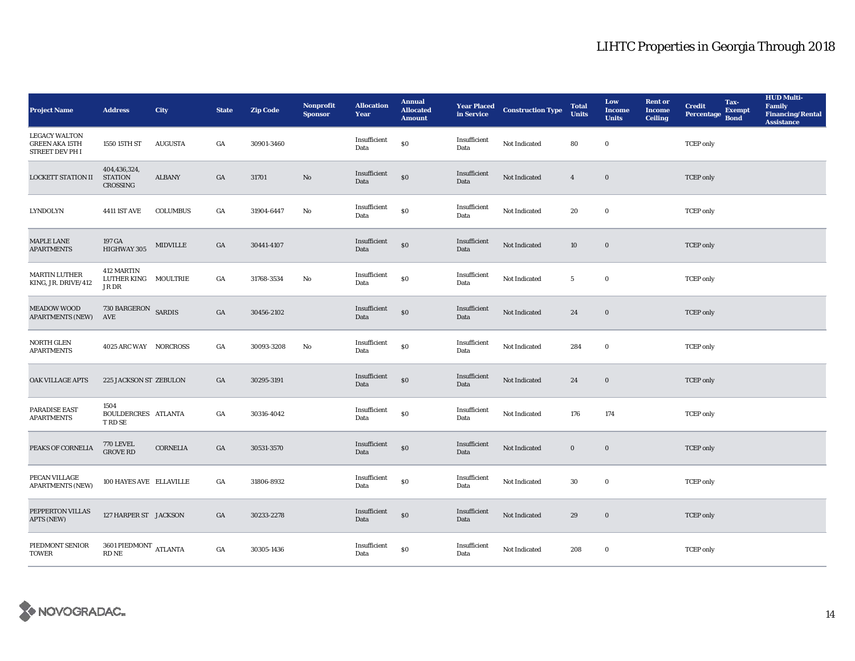| <b>Project Name</b>                                                     | <b>Address</b>                              | City            | <b>State</b>     | <b>Zip Code</b> | <b>Nonprofit</b><br><b>Sponsor</b> | <b>Allocation</b><br>Year | <b>Annual</b><br><b>Allocated</b><br><b>Amount</b> |                      | <b>Year Placed Construction Type</b><br>in Service | <b>Total</b><br><b>Units</b> | Low<br><b>Income</b><br><b>Units</b> | <b>Rent or</b><br><b>Income</b><br><b>Ceiling</b> | <b>Credit</b><br>Percentage | Tax-<br><b>Exempt</b><br><b>Bond</b> | <b>HUD Multi-</b><br>Family<br><b>Financing/Rental</b><br><b>Assistance</b> |
|-------------------------------------------------------------------------|---------------------------------------------|-----------------|------------------|-----------------|------------------------------------|---------------------------|----------------------------------------------------|----------------------|----------------------------------------------------|------------------------------|--------------------------------------|---------------------------------------------------|-----------------------------|--------------------------------------|-----------------------------------------------------------------------------|
| <b>LEGACY WALTON</b><br><b>GREEN AKA 15TH</b><br><b>STREET DEV PH I</b> | 1550 15TH ST                                | <b>AUGUSTA</b>  | GA               | 30901-3460      |                                    | Insufficient<br>Data      | $\$0$                                              | Insufficient<br>Data | Not Indicated                                      | 80                           | $\bf{0}$                             |                                                   | <b>TCEP</b> only            |                                      |                                                                             |
| <b>LOCKETT STATION II</b>                                               | 404,436,324,<br><b>STATION</b><br>CROSSING  | <b>ALBANY</b>   | GA               | 31701           | $\rm No$                           | Insufficient<br>Data      | \$0                                                | Insufficient<br>Data | Not Indicated                                      | $\overline{4}$               | $\bf{0}$                             |                                                   | <b>TCEP</b> only            |                                      |                                                                             |
| <b>LYNDOLYN</b>                                                         | <b>4411 IST AVE</b>                         | <b>COLUMBUS</b> | $_{\mathrm{GA}}$ | 31904-6447      | $\rm No$                           | Insufficient<br>Data      | \$0                                                | Insufficient<br>Data | Not Indicated                                      | 20                           | $\mathbf 0$                          |                                                   | <b>TCEP</b> only            |                                      |                                                                             |
| <b>MAPLE LANE</b><br><b>APARTMENTS</b>                                  | 197 GA<br>HIGHWAY 305                       | <b>MIDVILLE</b> | GA               | 30441-4107      |                                    | Insufficient<br>Data      | $\$0$                                              | Insufficient<br>Data | Not Indicated                                      | 10                           | $\mathbf 0$                          |                                                   | <b>TCEP</b> only            |                                      |                                                                             |
| <b>MARTIN LUTHER</b><br>KING, JR. DRIVE/412                             | 412 MARTIN<br>LUTHER KING MOULTRIE<br>JR DR |                 | GA               | 31768-3534      | $\mathbf{No}$                      | Insufficient<br>Data      | $\$0$                                              | Insufficient<br>Data | Not Indicated                                      | $5\overline{ }$              | $\mathbf 0$                          |                                                   | <b>TCEP</b> only            |                                      |                                                                             |
| <b>MEADOW WOOD</b><br><b>APARTMENTS (NEW)</b>                           | 730 BARGERON SARDIS<br>AVE                  |                 | GA               | 30456-2102      |                                    | Insufficient<br>Data      | $\$0$                                              | Insufficient<br>Data | Not Indicated                                      | 24                           | $\mathbf 0$                          |                                                   | <b>TCEP</b> only            |                                      |                                                                             |
| NORTH GLEN<br><b>APARTMENTS</b>                                         | 4025 ARC WAY NORCROSS                       |                 | $_{\mathrm{GA}}$ | 30093-3208      | No                                 | Insufficient<br>Data      | $\$0$                                              | Insufficient<br>Data | Not Indicated                                      | 284                          | $\bf{0}$                             |                                                   | <b>TCEP</b> only            |                                      |                                                                             |
| <b>OAK VILLAGE APTS</b>                                                 | 225 JACKSON ST ZEBULON                      |                 | GA               | 30295-3191      |                                    | Insufficient<br>Data      | $\$0$                                              | Insufficient<br>Data | Not Indicated                                      | 24                           | $\mathbf 0$                          |                                                   | <b>TCEP</b> only            |                                      |                                                                             |
| PARADISE EAST<br><b>APARTMENTS</b>                                      | 1504<br>BOULDERCRES ATLANTA<br>T RD SE      |                 | GA               | 30316-4042      |                                    | Insufficient<br>Data      | $\$0$                                              | Insufficient<br>Data | Not Indicated                                      | 176                          | 174                                  |                                                   | <b>TCEP</b> only            |                                      |                                                                             |
| PEAKS OF CORNELIA                                                       | <b>770 LEVEL</b><br><b>GROVE RD</b>         | <b>CORNELIA</b> | GA               | 30531-3570      |                                    | Insufficient<br>Data      | $\$0$                                              | Insufficient<br>Data | Not Indicated                                      | $\boldsymbol{0}$             | $\mathbf 0$                          |                                                   | <b>TCEP</b> only            |                                      |                                                                             |
| PECAN VILLAGE<br><b>APARTMENTS (NEW)</b>                                | 100 HAYES AVE ELLAVILLE                     |                 | GA               | 31806-8932      |                                    | Insufficient<br>Data      | $\$0$                                              | Insufficient<br>Data | Not Indicated                                      | 30                           | $\bf{0}$                             |                                                   | <b>TCEP</b> only            |                                      |                                                                             |
| PEPPERTON VILLAS<br>APTS (NEW)                                          | 127 HARPER ST JACKSON                       |                 | GA               | 30233-2278      |                                    | Insufficient<br>Data      | $\$0$                                              | Insufficient<br>Data | Not Indicated                                      | 29                           | $\mathbf 0$                          |                                                   | <b>TCEP</b> only            |                                      |                                                                             |
| PIEDMONT SENIOR<br><b>TOWER</b>                                         | 3601 PIEDMONT $\,$ ATLANTA<br><b>RD NE</b>  |                 | $_{\mathrm{GA}}$ | 30305-1436      |                                    | Insufficient<br>Data      | \$0                                                | Insufficient<br>Data | Not Indicated                                      | 208                          | $\bf{0}$                             |                                                   | <b>TCEP</b> only            |                                      |                                                                             |

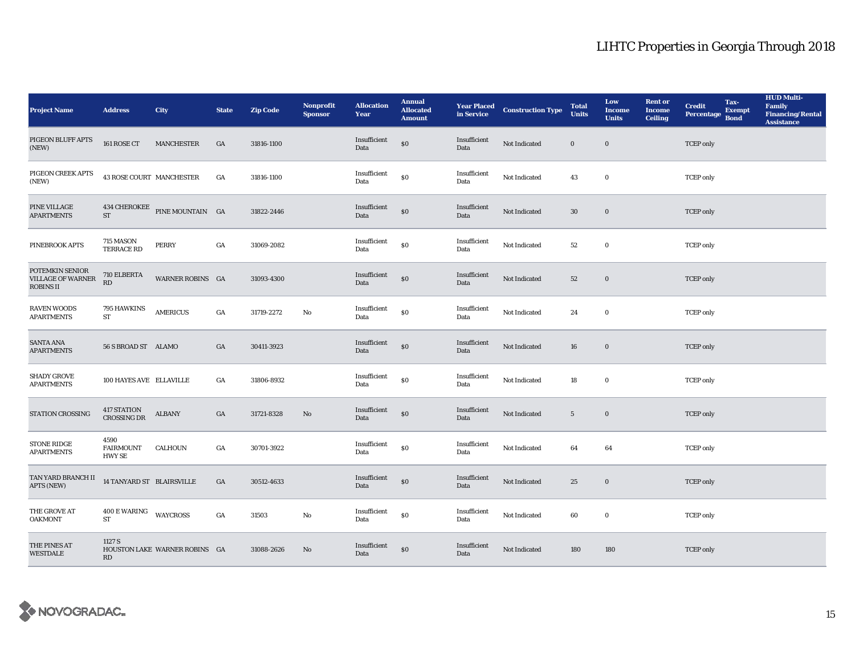| <b>Project Name</b>                                             | <b>Address</b>                                      | <b>City</b>                   | <b>State</b>     | <b>Zip Code</b> | <b>Nonprofit</b><br><b>Sponsor</b> | <b>Allocation</b><br>Year | <b>Annual</b><br><b>Allocated</b><br><b>Amount</b> |                      | <b>Year Placed Construction Type</b><br>in Service | <b>Total</b><br><b>Units</b> | Low<br><b>Income</b><br><b>Units</b> | <b>Rent or</b><br><b>Income</b><br><b>Ceiling</b> | <b>Credit</b><br><b>Percentage</b> | Tax-<br><b>Exempt</b><br><b>Bond</b> | <b>HUD Multi-</b><br>Family<br><b>Financing/Rental</b><br><b>Assistance</b> |
|-----------------------------------------------------------------|-----------------------------------------------------|-------------------------------|------------------|-----------------|------------------------------------|---------------------------|----------------------------------------------------|----------------------|----------------------------------------------------|------------------------------|--------------------------------------|---------------------------------------------------|------------------------------------|--------------------------------------|-----------------------------------------------------------------------------|
| PIGEON BLUFF APTS<br>(NEW)                                      | 161 ROSE CT                                         | <b>MANCHESTER</b>             | GA               | 31816-1100      |                                    | Insufficient<br>Data      | $\$0$                                              | Insufficient<br>Data | Not Indicated                                      | $\bf{0}$                     | $\bf{0}$                             |                                                   | <b>TCEP</b> only                   |                                      |                                                                             |
| PIGEON CREEK APTS<br>(NEW)                                      | 43 ROSE COURT MANCHESTER                            |                               | GA               | 31816-1100      |                                    | Insufficient<br>Data      | \$0                                                | Insufficient<br>Data | Not Indicated                                      | 43                           | $\bf{0}$                             |                                                   | <b>TCEP</b> only                   |                                      |                                                                             |
| PINE VILLAGE<br><b>APARTMENTS</b>                               | ST                                                  | 434 CHEROKEE PINE MOUNTAIN GA |                  | 31822-2446      |                                    | Insufficient<br>Data      | \$0                                                | Insufficient<br>Data | Not Indicated                                      | $30\,$                       | $\bf{0}$                             |                                                   | <b>TCEP</b> only                   |                                      |                                                                             |
| PINEBROOK APTS                                                  | 715 MASON<br><b>TERRACE RD</b>                      | <b>PERRY</b>                  | $_{\mathrm{GA}}$ | 31069-2082      |                                    | Insufficient<br>Data      | $\boldsymbol{\mathsf{S}}\boldsymbol{\mathsf{O}}$   | Insufficient<br>Data | Not Indicated                                      | $^{\rm 52}$                  | $\bf{0}$                             |                                                   | <b>TCEP</b> only                   |                                      |                                                                             |
| POTEMKIN SENIOR<br><b>VILLAGE OF WARNER</b><br><b>ROBINS II</b> | $710 \; \mathrm{ELBERTA}$<br>$\mathbf{R}\mathbf{D}$ | WARNER ROBINS GA              |                  | 31093-4300      |                                    | Insufficient<br>Data      | \$0                                                | Insufficient<br>Data | Not Indicated                                      | 52                           | $\bf{0}$                             |                                                   | <b>TCEP</b> only                   |                                      |                                                                             |
| <b>RAVEN WOODS</b><br><b>APARTMENTS</b>                         | 795 HAWKINS<br>ST                                   | <b>AMERICUS</b>               | $_{\mathrm{GA}}$ | 31719-2272      | No                                 | Insufficient<br>Data      | $\boldsymbol{\mathsf{S}}\boldsymbol{\mathsf{O}}$   | Insufficient<br>Data | Not Indicated                                      | 24                           | $\bf{0}$                             |                                                   | <b>TCEP</b> only                   |                                      |                                                                             |
| <b>SANTA ANA</b><br><b>APARTMENTS</b>                           | 56 S BROAD ST ALAMO                                 |                               | GA               | 30411-3923      |                                    | Insufficient<br>Data      | $\$0$                                              | Insufficient<br>Data | Not Indicated                                      | ${\bf 16}$                   | $\bf{0}$                             |                                                   | <b>TCEP</b> only                   |                                      |                                                                             |
| <b>SHADY GROVE</b><br><b>APARTMENTS</b>                         | 100 HAYES AVE ELLAVILLE                             |                               | GA               | 31806-8932      |                                    | Insufficient<br>Data      | \$0                                                | Insufficient<br>Data | Not Indicated                                      | 18                           | $\bf{0}$                             |                                                   | <b>TCEP</b> only                   |                                      |                                                                             |
| STATION CROSSING                                                | 417 STATION<br><b>CROSSING DR</b>                   | <b>ALBANY</b>                 | $_{\mathrm{GA}}$ | 31721-8328      | No                                 | Insufficient<br>Data      | \$0                                                | Insufficient<br>Data | Not Indicated                                      | $5\overline{ }$              | $\bf{0}$                             |                                                   | <b>TCEP</b> only                   |                                      |                                                                             |
| <b>STONE RIDGE</b><br><b>APARTMENTS</b>                         | 4590<br><b>FAIRMOUNT</b><br><b>HWY SE</b>           | CALHOUN                       | GA               | 30701-3922      |                                    | Insufficient<br>Data      | \$0                                                | Insufficient<br>Data | Not Indicated                                      | 64                           | 64                                   |                                                   | <b>TCEP</b> only                   |                                      |                                                                             |
| TAN YARD BRANCH II<br>APTS (NEW)                                | 14 TANYARD ST BLAIRSVILLE                           |                               | GA               | 30512-4633      |                                    | Insufficient<br>Data      | \$0                                                | Insufficient<br>Data | Not Indicated                                      | 25                           | $\bf{0}$                             |                                                   | <b>TCEP</b> only                   |                                      |                                                                             |
| THE GROVE AT<br><b>OAKMONT</b>                                  | 400 E WARING<br><b>ST</b>                           | <b>WAYCROSS</b>               | GA               | 31503           | No                                 | Insufficient<br>Data      | \$0                                                | Insufficient<br>Data | Not Indicated                                      | 60                           | $\bf{0}$                             |                                                   | <b>TCEP</b> only                   |                                      |                                                                             |
| THE PINES AT<br><b>WESTDALE</b>                                 | 1127 S<br>RD                                        | HOUSTON LAKE WARNER ROBINS GA |                  | 31088-2626      | No                                 | Insufficient<br>Data      | \$0                                                | Insufficient<br>Data | Not Indicated                                      | 180                          | 180                                  |                                                   | <b>TCEP</b> only                   |                                      |                                                                             |

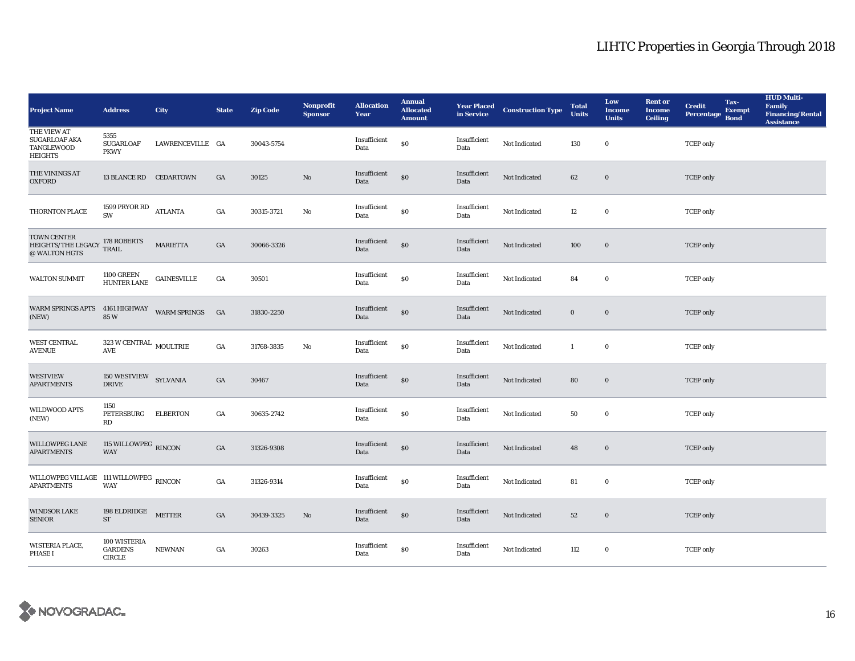| <b>Project Name</b>                                          | <b>Address</b>                                                        | City               | <b>State</b>     | <b>Zip Code</b> | Nonprofit<br><b>Sponsor</b> | <b>Allocation</b><br>Year | <b>Annual</b><br><b>Allocated</b><br><b>Amount</b> |                      | <b>Year Placed Construction Type</b><br>in Service <b>Construction</b> Type | <b>Total</b><br><b>Units</b> | Low<br><b>Income</b><br><b>Units</b> | <b>Rent or</b><br><b>Income</b><br><b>Ceiling</b> | <b>Credit</b><br><b>Percentage</b> | Tax-<br><b>Exempt</b><br><b>Bond</b> | <b>HUD Multi-</b><br>Family<br><b>Financing/Rental</b><br><b>Assistance</b> |
|--------------------------------------------------------------|-----------------------------------------------------------------------|--------------------|------------------|-----------------|-----------------------------|---------------------------|----------------------------------------------------|----------------------|-----------------------------------------------------------------------------|------------------------------|--------------------------------------|---------------------------------------------------|------------------------------------|--------------------------------------|-----------------------------------------------------------------------------|
| THE VIEW AT<br>SUGARLOAF AKA<br>TANGLEWOOD<br><b>HEIGHTS</b> | 5355<br><b>SUGARLOAF</b><br><b>PKWY</b>                               | LAWRENCEVILLE GA   |                  | 30043-5754      |                             | Insufficient<br>Data      | $\$0$                                              | Insufficient<br>Data | Not Indicated                                                               | 130                          | $\bf{0}$                             |                                                   | <b>TCEP</b> only                   |                                      |                                                                             |
| THE VININGS AT<br><b>OXFORD</b>                              | 13 BLANCE RD CEDARTOWN                                                |                    | $_{\mathrm{GA}}$ | 30125           | $\rm No$                    | Insufficient<br>Data      | $\$0$                                              | Insufficient<br>Data | Not Indicated                                                               | 62                           | $\bf{0}$                             |                                                   | <b>TCEP</b> only                   |                                      |                                                                             |
| THORNTON PLACE                                               | 1599 PRYOR RD<br>SW                                                   | <b>ATLANTA</b>     | $_{\mathrm{GA}}$ | 30315-3721      | $\rm No$                    | Insufficient<br>Data      | $\$0$                                              | Insufficient<br>Data | Not Indicated                                                               | 12                           | $\bf{0}$                             |                                                   | <b>TCEP</b> only                   |                                      |                                                                             |
| TOWN CENTER<br>HEIGHTS/THE LEGACY<br>@ WALTON HGTS           | 178 ROBERTS<br>TRAIL                                                  | MARIETTA           | $_{\mathrm{GA}}$ | 30066-3326      |                             | Insufficient<br>Data      | $\$0$                                              | Insufficient<br>Data | Not Indicated                                                               | 100                          | $\bf{0}$                             |                                                   | <b>TCEP</b> only                   |                                      |                                                                             |
| <b>WALTON SUMMIT</b>                                         | 1100 GREEN<br>HUNTER LANE                                             | <b>GAINESVILLE</b> | $_{\mathrm{GA}}$ | 30501           |                             | Insufficient<br>Data      | $\$0$                                              | Insufficient<br>Data | Not Indicated                                                               | 84                           | $\bf{0}$                             |                                                   | <b>TCEP</b> only                   |                                      |                                                                             |
| WARM SPRINGS APTS 4161 HIGHWAY WARM SPRINGS<br>(NEW)         | 85W                                                                   |                    | G A              | 31830-2250      |                             | Insufficient<br>Data      | $\$0$                                              | Insufficient<br>Data | Not Indicated                                                               | $\bf{0}$                     | $\bf{0}$                             |                                                   | <b>TCEP</b> only                   |                                      |                                                                             |
| <b>WEST CENTRAL</b><br><b>AVENUE</b>                         | $323\,\rm{W}\,\rm{CENTRAL}$ MOULTRIE<br>$\operatorname{\mathsf{AVE}}$ |                    | $_{\mathrm{GA}}$ | 31768-3835      | No                          | Insufficient<br>Data      | $\$0$                                              | Insufficient<br>Data | Not Indicated                                                               | $\mathbf{1}$                 | $\bf{0}$                             |                                                   | <b>TCEP</b> only                   |                                      |                                                                             |
| <b>WESTVIEW</b><br><b>APARTMENTS</b>                         | $150\text{ WESTVIEW} \quad \text{SYLVANIA}$<br><b>DRIVE</b>           |                    | $_{\mathrm{GA}}$ | 30467           |                             | Insufficient<br>Data      | $\$0$                                              | Insufficient<br>Data | Not Indicated                                                               | 80                           | $\bf{0}$                             |                                                   | <b>TCEP</b> only                   |                                      |                                                                             |
| WILDWOOD APTS<br>(NEW)                                       | 1150<br>PETERSBURG<br>$\mathbf{R}\mathbf{D}$                          | <b>ELBERTON</b>    | GA               | 30635-2742      |                             | Insufficient<br>Data      | $\$0$                                              | Insufficient<br>Data | Not Indicated                                                               | 50                           | $\mathbf 0$                          |                                                   | <b>TCEP</b> only                   |                                      |                                                                             |
| <b>WILLOWPEG LANE</b><br><b>APARTMENTS</b>                   | 115 WILLOWPEG RINCON<br><b>WAY</b>                                    |                    | $_{\mathrm{GA}}$ | 31326-9308      |                             | Insufficient<br>Data      | $\$0$                                              | Insufficient<br>Data | Not Indicated                                                               | 48                           | $\bf{0}$                             |                                                   | <b>TCEP</b> only                   |                                      |                                                                             |
| WILLOWPEG VILLAGE 111 WILLOWPEG RINCON<br><b>APARTMENTS</b>  | <b>WAY</b>                                                            |                    | GA               | 31326-9314      |                             | Insufficient<br>Data      | $\$0$                                              | Insufficient<br>Data | Not Indicated                                                               | 81                           | $\bf{0}$                             |                                                   | <b>TCEP</b> only                   |                                      |                                                                             |
| <b>WINDSOR LAKE</b><br><b>SENIOR</b>                         | 198 ELDRIDGE METTER<br>$\operatorname{ST}$                            |                    | GA               | 30439-3325      | No                          | Insufficient<br>Data      | $\$0$                                              | Insufficient<br>Data | Not Indicated                                                               | 52                           | $\bf{0}$                             |                                                   | <b>TCEP</b> only                   |                                      |                                                                             |
| WISTERIA PLACE,<br><b>PHASE I</b>                            | 100 WISTERIA<br><b>GARDENS</b><br>CIRCLE                              | <b>NEWNAN</b>      | GA               | 30263           |                             | Insufficient<br>Data      | $\$0$                                              | Insufficient<br>Data | Not Indicated                                                               | 112                          | $\bf{0}$                             |                                                   | <b>TCEP</b> only                   |                                      |                                                                             |

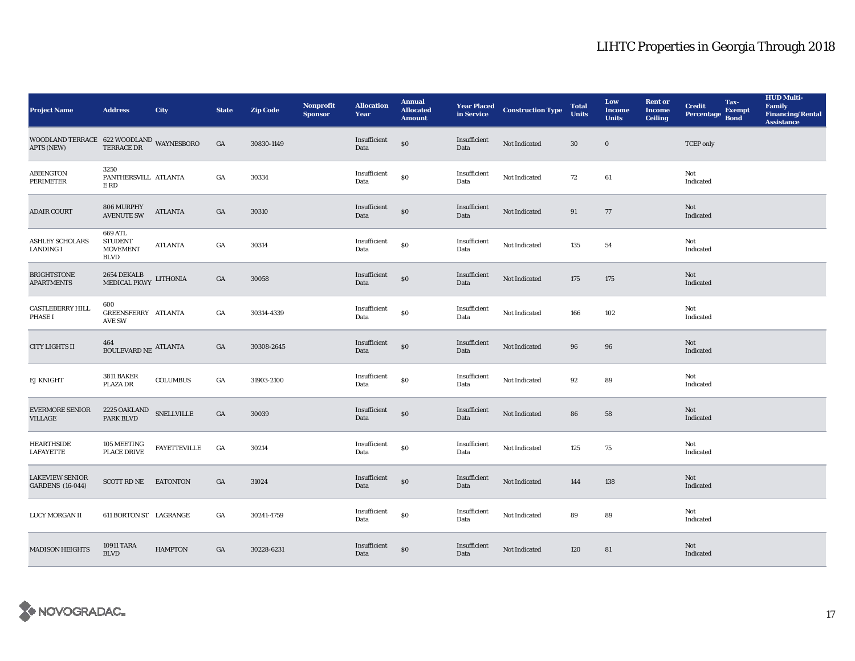| <b>Project Name</b>                                                                                                                                                            | <b>Address</b>                                              | <b>City</b>         | <b>State</b>     | <b>Zip Code</b> | Nonprofit<br><b>Sponsor</b> | <b>Allocation</b><br>Year | <b>Annual</b><br><b>Allocated</b><br><b>Amount</b> |                      | <b>Year Placed Construction Type</b><br>in Service | <b>Total</b><br><b>Units</b> | Low<br><b>Income</b><br><b>Units</b> | <b>Rent or</b><br><b>Income</b><br><b>Ceiling</b> | <b>Credit</b><br><b>Percentage</b> | Tax-<br><b>Exempt</b><br><b>Bond</b> | <b>HUD Multi-</b><br>Family<br><b>Financing/Rental</b><br><b>Assistance</b> |
|--------------------------------------------------------------------------------------------------------------------------------------------------------------------------------|-------------------------------------------------------------|---------------------|------------------|-----------------|-----------------------------|---------------------------|----------------------------------------------------|----------------------|----------------------------------------------------|------------------------------|--------------------------------------|---------------------------------------------------|------------------------------------|--------------------------------------|-----------------------------------------------------------------------------|
| $\begin{array}{lll} \text{WOODLAND TERRACE} & 622 \text{ WOODLAND} & \text{WAYNESBORO} \\ \text{APTS (NEW)} & \text{TERRACE DR} & \text{WAYNESBORO} \end{array}$<br>APTS (NEW) |                                                             |                     | GA               | 30830-1149      |                             | Insufficient<br>Data      | $\$0$                                              | Insufficient<br>Data | Not Indicated                                      | 30                           | $\bf{0}$                             |                                                   | <b>TCEP</b> only                   |                                      |                                                                             |
| <b>ABBINGTON</b><br>PERIMETER                                                                                                                                                  | 3250<br>PANTHERSVILL ATLANTA<br>E RD                        |                     | GA               | 30334           |                             | Insufficient<br>Data      | \$0                                                | Insufficient<br>Data | Not Indicated                                      | 72                           | 61                                   |                                                   | Not<br>Indicated                   |                                      |                                                                             |
| <b>ADAIR COURT</b>                                                                                                                                                             | 806 MURPHY<br><b>AVENUTE SW</b>                             | <b>ATLANTA</b>      | GA               | 30310           |                             | Insufficient<br>Data      | $\$0$                                              | Insufficient<br>Data | Not Indicated                                      | 91                           | 77                                   |                                                   | Not<br>Indicated                   |                                      |                                                                             |
| <b>ASHLEY SCHOLARS</b><br><b>LANDING I</b>                                                                                                                                     | 669 ATL<br><b>STUDENT</b><br><b>MOVEMENT</b><br><b>BLVD</b> | <b>ATLANTA</b>      | GA               | 30314           |                             | Insufficient<br>Data      | ${\bf S0}$                                         | Insufficient<br>Data | Not Indicated                                      | 135                          | 54                                   |                                                   | Not<br>Indicated                   |                                      |                                                                             |
| <b>BRIGHTSTONE</b><br><b>APARTMENTS</b>                                                                                                                                        | $2654$ DEKALB $$\tt LITHONIA$$ MEDICAL PKWY                 |                     | GA               | 30058           |                             | Insufficient<br>Data      | $\$0$                                              | Insufficient<br>Data | Not Indicated                                      | 175                          | 175                                  |                                                   | Not<br>Indicated                   |                                      |                                                                             |
| <b>CASTLEBERRY HILL</b><br><b>PHASE I</b>                                                                                                                                      | 600<br>GREENSFERRY ATLANTA<br>AVE SW                        |                     | GA               | 30314-4339      |                             | Insufficient<br>Data      | $\$0$                                              | Insufficient<br>Data | Not Indicated                                      | 166                          | 102                                  |                                                   | Not<br>Indicated                   |                                      |                                                                             |
| <b>CITY LIGHTS II</b>                                                                                                                                                          | 464<br>BOULEVARD NE $\,$ ATLANTA                            |                     | GA               | 30308-2645      |                             | Insufficient<br>Data      | $\$0$                                              | Insufficient<br>Data | Not Indicated                                      | 96                           | 96                                   |                                                   | Not<br>Indicated                   |                                      |                                                                             |
| EJ KNIGHT                                                                                                                                                                      | 3811 BAKER<br>PLAZA DR                                      | <b>COLUMBUS</b>     | GA               | 31903-2100      |                             | Insufficient<br>Data      | $\$0$                                              | Insufficient<br>Data | Not Indicated                                      | 92                           | 89                                   |                                                   | Not<br>Indicated                   |                                      |                                                                             |
| <b>EVERMORE SENIOR</b><br><b>VILLAGE</b>                                                                                                                                       | $2225$ OAKLAND $$\sf{SNELLVILLE}$$ PARK BLVD                |                     | GA               | 30039           |                             | Insufficient<br>Data      | $\$0$                                              | Insufficient<br>Data | Not Indicated                                      | 86                           | 58                                   |                                                   | Not<br>Indicated                   |                                      |                                                                             |
| <b>HEARTHSIDE</b><br><b>LAFAYETTE</b>                                                                                                                                          | 105 MEETING<br><b>PLACE DRIVE</b>                           | <b>FAYETTEVILLE</b> | $_{\mathrm{GA}}$ | 30214           |                             | Insufficient<br>Data      | $\$0$                                              | Insufficient<br>Data | Not Indicated                                      | 125                          | 75                                   |                                                   | Not<br>Indicated                   |                                      |                                                                             |
| <b>LAKEVIEW SENIOR</b><br><b>GARDENS</b> (16-044)                                                                                                                              | SCOTT RD NE EATONTON                                        |                     | GA               | 31024           |                             | Insufficient<br>Data      | \$0                                                | Insufficient<br>Data | Not Indicated                                      | 144                          | 138                                  |                                                   | Not<br>Indicated                   |                                      |                                                                             |
| LUCY MORGAN II                                                                                                                                                                 | <b>611 BORTON ST LAGRANGE</b>                               |                     | GA               | 30241-4759      |                             | Insufficient<br>Data      | ${\bf S0}$                                         | Insufficient<br>Data | Not Indicated                                      | 89                           | 89                                   |                                                   | Not<br>Indicated                   |                                      |                                                                             |
| <b>MADISON HEIGHTS</b>                                                                                                                                                         | 10911 TARA<br><b>BLVD</b>                                   | <b>HAMPTON</b>      | GA               | 30228-6231      |                             | Insufficient<br>Data      | \$0                                                | Insufficient<br>Data | Not Indicated                                      | 120                          | 81                                   |                                                   | Not<br>Indicated                   |                                      |                                                                             |

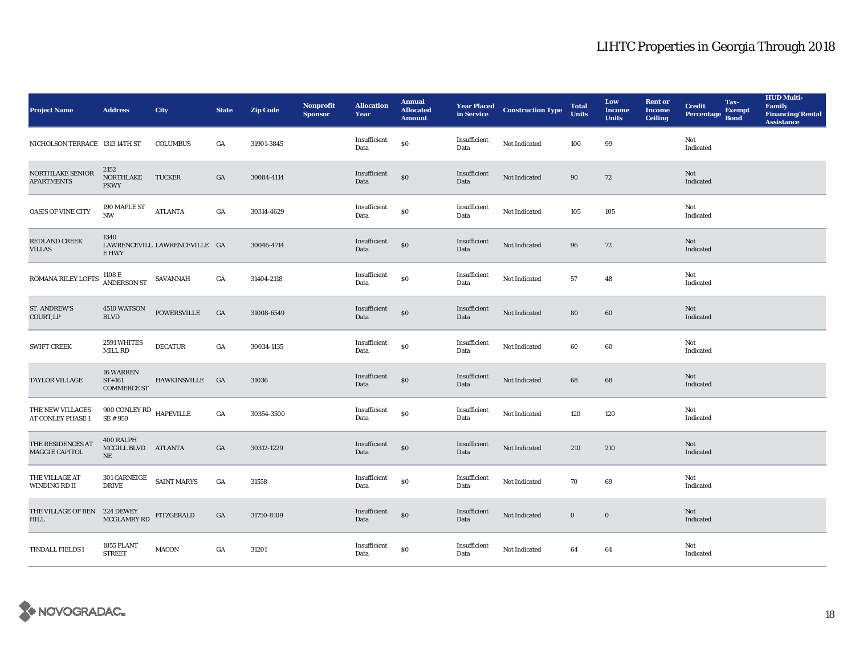| <b>Project Name</b>                         | <b>Address</b>                                        | City                          | <b>State</b> | <b>Zip Code</b> | Nonprofit<br><b>Sponsor</b> | <b>Allocation</b><br>Year | <b>Annual</b><br><b>Allocated</b><br><b>Amount</b> |                      | <b>Year Placed Construction Type</b><br>in Service | <b>Total</b><br><b>Units</b> | Low<br><b>Income</b><br><b>Units</b> | <b>Rent or</b><br><b>Income</b><br><b>Ceiling</b> | <b>Credit</b><br><b>Percentage</b> | Tax-<br><b>Exempt</b><br><b>Bond</b> | <b>HUD Multi-</b><br><b>Family</b><br><b>Financing/Rental</b><br><b>Assistance</b> |
|---------------------------------------------|-------------------------------------------------------|-------------------------------|--------------|-----------------|-----------------------------|---------------------------|----------------------------------------------------|----------------------|----------------------------------------------------|------------------------------|--------------------------------------|---------------------------------------------------|------------------------------------|--------------------------------------|------------------------------------------------------------------------------------|
| NICHOLSON TERRACE 1313 14TH ST              |                                                       | <b>COLUMBUS</b>               | GA           | 31901-3845      |                             | Insufficient<br>Data      | \$0                                                | Insufficient<br>Data | Not Indicated                                      | 100                          | 99                                   |                                                   | Not<br>Indicated                   |                                      |                                                                                    |
| NORTHLAKE SENIOR<br><b>APARTMENTS</b>       | 2152<br>NORTHLAKE<br><b>PKWY</b>                      | <b>TUCKER</b>                 | GA           | 30084-4114      |                             | Insufficient<br>Data      | \$0                                                | Insufficient<br>Data | Not Indicated                                      | 90                           | 72                                   |                                                   | Not<br>Indicated                   |                                      |                                                                                    |
| <b>OASIS OF VINE CITY</b>                   | 190 MAPLE ST<br><b>NW</b>                             | <b>ATLANTA</b>                | GA           | 30314-4629      |                             | Insufficient<br>Data      | $\$0$                                              | Insufficient<br>Data | <b>Not Indicated</b>                               | 105                          | 105                                  |                                                   | Not<br>Indicated                   |                                      |                                                                                    |
| REDLAND CREEK<br><b>VILLAS</b>              | 1340<br>E HWY                                         | LAWRENCEVILL LAWRENCEVILLE GA |              | 30046-4714      |                             | Insufficient<br>Data      | \$0                                                | Insufficient<br>Data | Not Indicated                                      | 96                           | 72                                   |                                                   | <b>Not</b><br>Indicated            |                                      |                                                                                    |
| ROMANA RILEY LOFTS                          | 1108 E<br>ANDERSON ST<br>SAVANNAH                     |                               | GA           | 31404-2118      |                             | Insufficient<br>Data      | \$0                                                | Insufficient<br>Data | Not Indicated                                      | 57                           | 48                                   |                                                   | Not<br>Indicated                   |                                      |                                                                                    |
| ST. ANDREW'S<br>COURT,LP                    | 4510 WATSON<br><b>BLVD</b>                            | <b>POWERSVILLE</b>            | GA           | 31008-6549      |                             | Insufficient<br>Data      | $\$0$                                              | Insufficient<br>Data | Not Indicated                                      | 80                           | 60                                   |                                                   | Not<br>Indicated                   |                                      |                                                                                    |
| <b>SWIFT CREEK</b>                          | 2591 WHITES<br>MILL RD                                | <b>DECATUR</b>                | GA           | 30034-1135      |                             | Insufficient<br>Data      | \$0                                                | Insufficient<br>Data | Not Indicated                                      | 60                           | 60                                   |                                                   | Not<br>Indicated                   |                                      |                                                                                    |
| TAYLOR VILLAGE                              | <b>16 WARREN</b><br>$ST+161$<br><b>COMMERCE ST</b>    | HAWKINSVILLE GA               |              | 31036           |                             | Insufficient<br>Data      | \$0                                                | Insufficient<br>Data | Not Indicated                                      | 68                           | 68                                   |                                                   | Not<br>Indicated                   |                                      |                                                                                    |
| THE NEW VILLAGES<br>AT CONLEY PHASE 1       | 900 CONLEY RD HAPEVILLE<br>SE # 950                   |                               | GA           | 30354-3500      |                             | Insufficient<br>Data      | \$0                                                | Insufficient<br>Data | Not Indicated                                      | 120                          | 120                                  |                                                   | Not<br>Indicated                   |                                      |                                                                                    |
| THE RESIDENCES AT<br>MAGGIE CAPITOL         | 400 RALPH<br>MCGILL BLVD ATLANTA<br>NE                |                               | GA           | 30312-1229      |                             | Insufficient<br>Data      | \$0                                                | Insufficient<br>Data | Not Indicated                                      | 210                          | 210                                  |                                                   | <b>Not</b><br>Indicated            |                                      |                                                                                    |
| THE VILLAGE AT<br>WINDING RD II             | $301$ CARNEIGE $$\sf SAINT \, MARYS$$<br><b>DRIVE</b> |                               | GA           | 31558           |                             | Insufficient<br>Data      | $\$0$                                              | Insufficient<br>Data | Not Indicated                                      | 70                           | 69                                   |                                                   | Not<br>Indicated                   |                                      |                                                                                    |
| THE VILLAGE OF BEN 224 DEWEY<br><b>HILL</b> | MCGLAMRY RD                                           | <b>FITZGERALD</b>             | GA           | 31750-8109      |                             | Insufficient<br>Data      | \$0                                                | Insufficient<br>Data | Not Indicated                                      | $\mathbf{0}$                 | $\bf{0}$                             |                                                   | Not<br>Indicated                   |                                      |                                                                                    |
| <b>TINDALL FIELDS I</b>                     | 1855 PLANT<br><b>STREET</b>                           | <b>MACON</b>                  | GA           | 31201           |                             | Insufficient<br>Data      | \$0                                                | Insufficient<br>Data | Not Indicated                                      | 64                           | 64                                   |                                                   | Not<br>Indicated                   |                                      |                                                                                    |

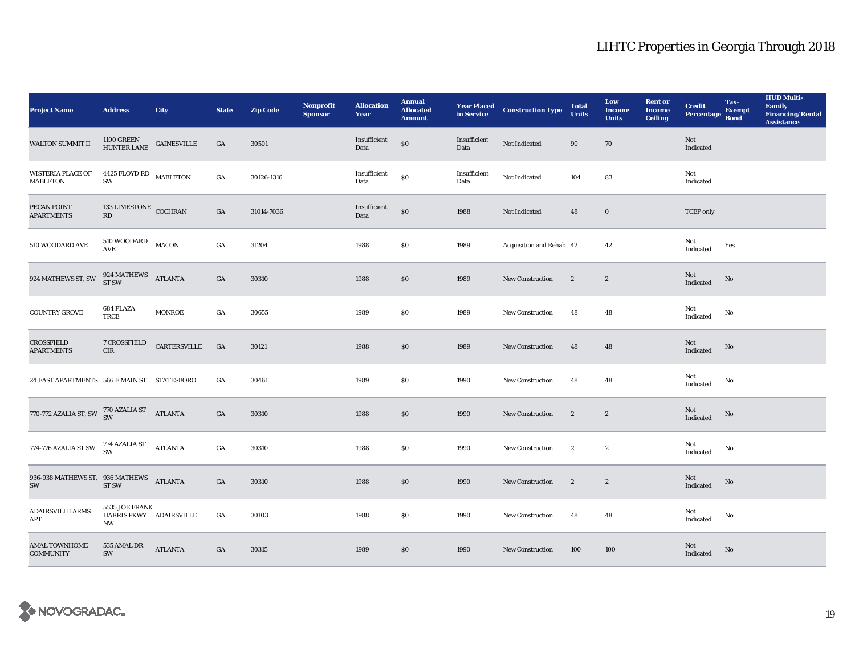| <b>Project Name</b>                                                     | <b>Address</b>                                                   | City           | <b>State</b>     | <b>Zip Code</b> | <b>Nonprofit</b><br><b>Sponsor</b> | <b>Allocation</b><br>Year | <b>Annual</b><br><b>Allocated</b><br><b>Amount</b> |                      | <b>Year Placed Construction Type</b><br>in Service | <b>Total</b><br><b>Units</b> | Low<br><b>Income</b><br><b>Units</b> | <b>Rent or</b><br><b>Income</b><br><b>Ceiling</b> | <b>Credit</b><br>Percentage | Tax-<br><b>Exempt</b><br><b>Bond</b> | <b>HUD Multi-</b><br>Family<br><b>Financing/Rental</b><br><b>Assistance</b> |
|-------------------------------------------------------------------------|------------------------------------------------------------------|----------------|------------------|-----------------|------------------------------------|---------------------------|----------------------------------------------------|----------------------|----------------------------------------------------|------------------------------|--------------------------------------|---------------------------------------------------|-----------------------------|--------------------------------------|-----------------------------------------------------------------------------|
| <b>WALTON SUMMIT II</b>                                                 | $1100$ GREEN $$\sf GAINESVILLE$$ HUNTER LANE $$\sf GAINESVILLE$$ |                | GA               | 30501           |                                    | Insufficient<br>Data      | $\$0$                                              | Insufficient<br>Data | Not Indicated                                      | 90                           | 70                                   |                                                   | Not<br>Indicated            |                                      |                                                                             |
| <b>WISTERIA PLACE OF</b><br>MABLETON                                    | 4425 FLOYD RD MABLETON<br>SW                                     |                | $_{\mathrm{GA}}$ | 30126-1316      |                                    | Insufficient<br>Data      | \$0                                                | Insufficient<br>Data | Not Indicated                                      | 104                          | 83                                   |                                                   | Not<br>Indicated            |                                      |                                                                             |
| PECAN POINT<br><b>APARTMENTS</b>                                        | 133 LIMESTONE COCHRAN<br>RD                                      |                | GA               | 31014-7036      |                                    | Insufficient<br>Data      | $\$0$                                              | 1988                 | Not Indicated                                      | 48                           | $\boldsymbol{0}$                     |                                                   | <b>TCEP</b> only            |                                      |                                                                             |
| 510 WOODARD AVE                                                         | $510$ WOODARD $$\tt MACON$$                                      |                | GA               | 31204           |                                    | 1988                      | $\$0$                                              | 1989                 | Acquisition and Rehab 42                           |                              | 42                                   |                                                   | Not<br>Indicated            | Yes                                  |                                                                             |
| 924 MATHEWS ST, SW                                                      | $924~\mathrm{MATHEWS} \newline \hspace*{1.5em}\text{ATLANTA}$    |                | GA               | 30310           |                                    | 1988                      | \$0                                                | 1989                 | New Construction                                   | $\mathbf{2}$                 | $\boldsymbol{2}$                     |                                                   | Not<br>Indicated            | $\rm No$                             |                                                                             |
| <b>COUNTRY GROVE</b>                                                    | 684 PLAZA<br>TRCE                                                | <b>MONROE</b>  | GA               | 30655           |                                    | 1989                      | \$0\$                                              | 1989                 | <b>New Construction</b>                            | 48                           | 48                                   |                                                   | Not<br>Indicated            | No                                   |                                                                             |
| <b>CROSSFIELD</b><br><b>APARTMENTS</b>                                  | 7 CROSSFIELD<br>CIR                                              | CARTERSVILLE   | GA               | 30121           |                                    | 1988                      | \$0                                                | 1989                 | <b>New Construction</b>                            | 48                           | 48                                   |                                                   | Not<br>Indicated            | $\rm No$                             |                                                                             |
| 24 EAST APARTMENTS 566 E MAIN ST STATESBORO                             |                                                                  |                | GA               | 30461           |                                    | 1989                      | \$0                                                | 1990                 | New Construction                                   | 48                           | 48                                   |                                                   | Not<br>Indicated            | No                                   |                                                                             |
| 770-772 AZALIA ST, SW $\frac{770 \text{ AZALIA ST}}{\text{SW}}$ ATLANTA |                                                                  |                | GA               | 30310           |                                    | 1988                      | $\$0$                                              | 1990                 | <b>New Construction</b>                            | $\mathbf{2}$                 | $\boldsymbol{2}$                     |                                                   | Not<br>Indicated            | $\rm No$                             |                                                                             |
| 774-776 AZALIA ST SW $\frac{774}{\text{SW}}$                            |                                                                  | <b>ATLANTA</b> | GA               | 30310           |                                    | 1988                      | \$0\$                                              | 1990                 | <b>New Construction</b>                            | $\mathbf{2}$                 | $\boldsymbol{2}$                     |                                                   | Not<br>Indicated            | No                                   |                                                                             |
| 936-938 MATHEWS ST, 936 MATHEWS ATLANTA<br>SW                           | ST <sub>SW</sub>                                                 |                | GA               | 30310           |                                    | 1988                      | \$0                                                | 1990                 | New Construction                                   | $\mathbf{2}$                 | $\boldsymbol{2}$                     |                                                   | Not<br>Indicated            | No                                   |                                                                             |
| <b>ADAIRSVILLE ARMS</b><br>APT                                          | 5535 JOE FRANK<br>HARRIS PKWY ADAIRSVILLE<br>NW                  |                | GA               | 30103           |                                    | 1988                      | \$0\$                                              | 1990                 | <b>New Construction</b>                            | 48                           | 48                                   |                                                   | Not<br>Indicated            | No                                   |                                                                             |
| <b>AMAL TOWNHOME</b><br><b>COMMUNITY</b>                                | 535 AMAL DR<br>SW                                                | <b>ATLANTA</b> | GA               | 30315           |                                    | 1989                      | \$0\$                                              | 1990                 | <b>New Construction</b>                            | 100                          | 100                                  |                                                   | Not<br>Indicated            | No                                   |                                                                             |

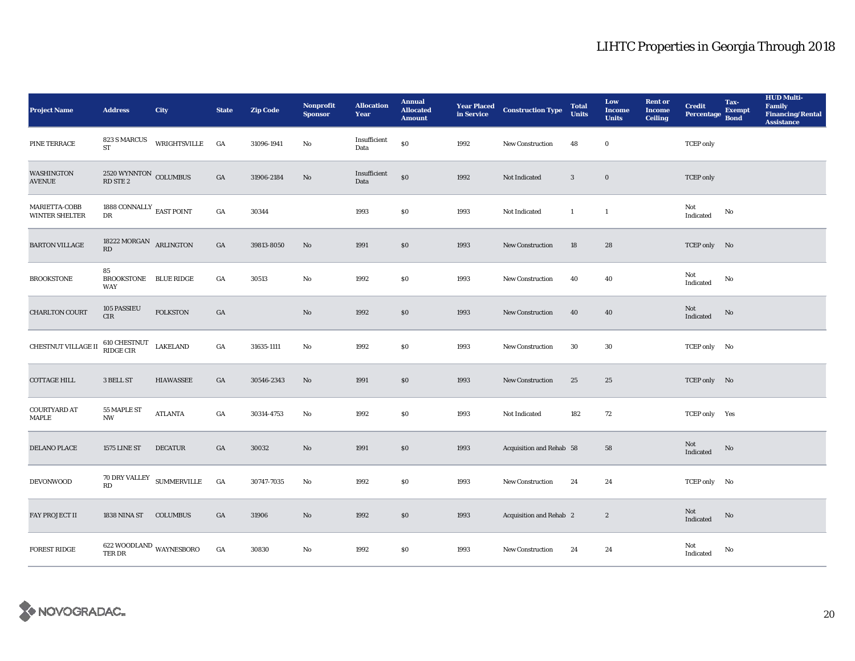| <b>Project Name</b>             | <b>Address</b>                            | City             | <b>State</b>     | <b>Zip Code</b> | Nonprofit<br><b>Sponsor</b> | <b>Allocation</b><br>Year | <b>Annual</b><br><b>Allocated</b><br><b>Amount</b> | <b>Year Placed<br/>in Service</b> | <b>Construction Type</b> | <b>Total</b><br><b>Units</b> | Low<br><b>Income</b><br><b>Units</b> | <b>Rent or</b><br><b>Income</b><br><b>Ceiling</b> | <b>Credit</b><br><b>Percentage</b> | Tax-<br><b>Exempt</b><br><b>Bond</b> | <b>HUD Multi-</b><br>Family<br><b>Financing/Rental</b><br><b>Assistance</b> |
|---------------------------------|-------------------------------------------|------------------|------------------|-----------------|-----------------------------|---------------------------|----------------------------------------------------|-----------------------------------|--------------------------|------------------------------|--------------------------------------|---------------------------------------------------|------------------------------------|--------------------------------------|-----------------------------------------------------------------------------|
| PINE TERRACE                    | 823 S MARCUS<br>ST                        | WRIGHTSVILLE     | GA               | 31096-1941      | No                          | Insufficient<br>Data      | $\$0$                                              | 1992                              | New Construction         | 48                           | $\bf{0}$                             |                                                   | <b>TCEP</b> only                   |                                      |                                                                             |
| WASHINGTON<br><b>AVENUE</b>     | $2520$ WYNNTON $\,$ COLUMBUS RD STE $2$   |                  | GA               | 31906-2184      | $\mathbf{N}\mathbf{o}$      | Insufficient<br>Data      | \$0                                                | 1992                              | Not Indicated            | $\mathbf{3}$                 | $\bf{0}$                             |                                                   | <b>TCEP</b> only                   |                                      |                                                                             |
| MARIETTA-COBB<br>WINTER SHELTER | 1888 CONNALLY $_{\rm EAST~POINT}$<br>DR   |                  | GA               | 30344           |                             | 1993                      | \$0                                                | 1993                              | Not Indicated            | $\mathbf{1}$                 | $\overline{1}$                       |                                                   | Not<br>Indicated                   | No                                   |                                                                             |
| <b>BARTON VILLAGE</b>           | 18222 MORGAN ARLINGTON<br>RD              |                  | GA               | 39813-8050      | No                          | 1991                      | \$0                                                | 1993                              | <b>New Construction</b>  | 18                           | 28                                   |                                                   | TCEP only No                       |                                      |                                                                             |
| <b>BROOKSTONE</b>               | 85<br>BROOKSTONE BLUE RIDGE<br><b>WAY</b> |                  | GA               | 30513           | No                          | 1992                      | \$0\$                                              | 1993                              | New Construction         | 40                           | 40                                   |                                                   | Not<br>Indicated                   | No                                   |                                                                             |
| <b>CHARLTON COURT</b>           | 105 PASSIEU<br>CIR                        | <b>FOLKSTON</b>  | GA               |                 | No                          | 1992                      | \$0                                                | 1993                              | <b>New Construction</b>  | 40                           | 40                                   |                                                   | Not<br>Indicated                   | No                                   |                                                                             |
| CHESTNUT VILLAGE II             | 610 CHESTNUT<br>RIDGE CIR                 | <b>LAKELAND</b>  | GA               | 31635-1111      | No                          | 1992                      | $\$0$                                              | 1993                              | <b>New Construction</b>  | 30                           | 30                                   |                                                   | TCEP only No                       |                                      |                                                                             |
| <b>COTTAGE HILL</b>             | 3 BELL ST                                 | <b>HIAWASSEE</b> | GA               | 30546-2343      | No                          | 1991                      | \$0\$                                              | 1993                              | New Construction         | 25                           | 25                                   |                                                   | TCEP only No                       |                                      |                                                                             |
| <b>COURTYARD AT</b><br>MAPLE    | 55 MAPLE ST<br>NW                         | <b>ATLANTA</b>   | GA               | 30314-4753      | No                          | 1992                      | \$0\$                                              | 1993                              | Not Indicated            | 182                          | 72                                   |                                                   | TCEP only Yes                      |                                      |                                                                             |
| DELANO PLACE                    | <b>1575 LINE ST</b>                       | <b>DECATUR</b>   | GA               | 30032           | No                          | 1991                      | \$0                                                | 1993                              | Acquisition and Rehab 58 |                              | 58                                   |                                                   | Not<br>Indicated                   | No                                   |                                                                             |
| <b>DEVONWOOD</b>                | 70 DRY VALLEY SUMMERVILLE<br>RD           |                  | $_{\mathrm{GA}}$ | 30747-7035      | No                          | 1992                      | $\$0$                                              | 1993                              | New Construction         | 24                           | 24                                   |                                                   | TCEP only No                       |                                      |                                                                             |
| FAY PROJECT II                  | 1838 NINA ST                              | <b>COLUMBUS</b>  | GA               | 31906           | No                          | 1992                      | \$0\$                                              | 1993                              | Acquisition and Rehab 2  |                              | $\boldsymbol{2}$                     |                                                   | Not<br>Indicated                   | No                                   |                                                                             |
| <b>FOREST RIDGE</b>             | 622 WOODLAND WAYNESBORO<br>TER DR         |                  | GA               | 30830           | No                          | 1992                      | \$0\$                                              | 1993                              | <b>New Construction</b>  | 24                           | 24                                   |                                                   | Not<br>Indicated                   | No                                   |                                                                             |

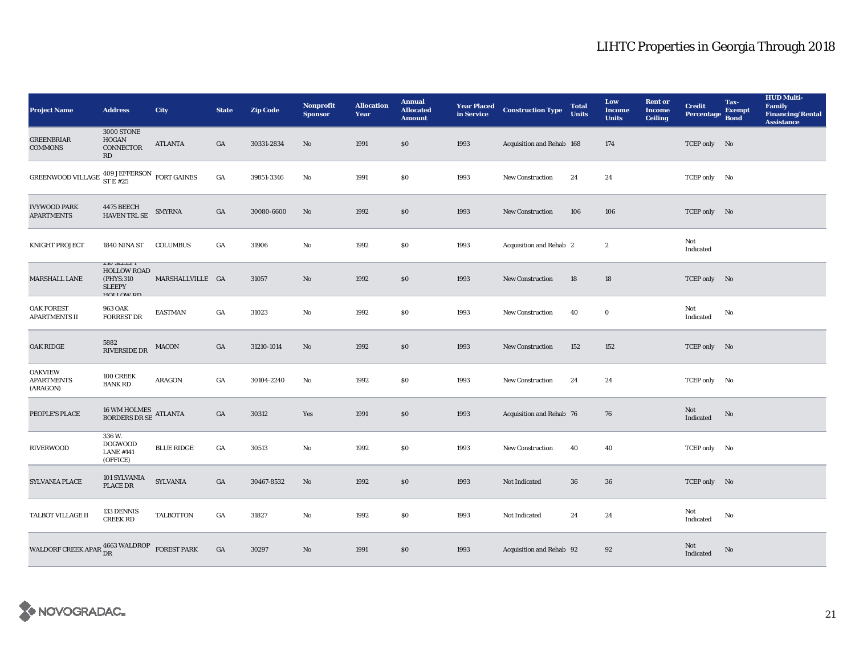| <b>Project Name</b>                                                                    | <b>Address</b>                                                                             | <b>City</b>        | <b>State</b>     | <b>Zip Code</b> | <b>Nonprofit</b><br><b>Sponsor</b> | <b>Allocation</b><br>Year | <b>Annual</b><br><b>Allocated</b><br><b>Amount</b> | <b>Year Placed<br/>in Service</b> | <b>Construction Type</b>  | <b>Total</b><br><b>Units</b> | Low<br><b>Income</b><br><b>Units</b> | <b>Rent</b> or<br><b>Income</b><br><b>Ceiling</b> | <b>Credit</b><br><b>Percentage</b> | Tax-<br><b>Exempt</b><br><b>Bond</b> | <b>HUD Multi-</b><br>Family<br><b>Financing/Rental</b><br><b>Assistance</b> |
|----------------------------------------------------------------------------------------|--------------------------------------------------------------------------------------------|--------------------|------------------|-----------------|------------------------------------|---------------------------|----------------------------------------------------|-----------------------------------|---------------------------|------------------------------|--------------------------------------|---------------------------------------------------|------------------------------------|--------------------------------------|-----------------------------------------------------------------------------|
| <b>GREENBRIAR</b><br><b>COMMONS</b>                                                    | 3000 STONE<br>HOGAN<br>CONNECTOR<br>RD                                                     | <b>ATLANTA</b>     | GA               | 30331-2834      | $\mathbf{N}\mathbf{o}$             | 1991                      | \$0                                                | 1993                              | Acquisition and Rehab 168 |                              | 174                                  |                                                   | TCEP only No                       |                                      |                                                                             |
| GREENWOOD VILLAGE $\genfrac{}{}{0pt}{}{409 \text{ JEFFERSON}}{ST E\ \#25}$ FORT GAINES |                                                                                            |                    | GA               | 39851-3346      | No                                 | 1991                      | \$0                                                | 1993                              | <b>New Construction</b>   | 24                           | 24                                   |                                                   | TCEP only No                       |                                      |                                                                             |
| <b>IVYWOOD PARK</b><br><b>APARTMENTS</b>                                               | 4475 BEECH<br>HAVEN TRL SE                                                                 | <b>SMYRNA</b>      | $_{\mathrm{GA}}$ | 30080-6600      | No                                 | 1992                      | $\$0$                                              | 1993                              | <b>New Construction</b>   | 106                          | 106                                  |                                                   | TCEP only No                       |                                      |                                                                             |
| <b>KNIGHT PROJECT</b>                                                                  | 1840 NINA ST                                                                               | <b>COLUMBUS</b>    | GA               | 31906           | No                                 | 1992                      | \$0                                                | 1993                              | Acquisition and Rehab 2   |                              | $\boldsymbol{2}$                     |                                                   | Not<br>Indicated                   |                                      |                                                                             |
| MARSHALL LANE                                                                          | <b><i>LIU SLEEPT</i></b><br><b>HOLLOW ROAD</b><br>(PHYS:310)<br><b>SLEEPY</b><br>HOLLOW RD | MARSHALLVILLE GA   |                  | 31057           | No                                 | 1992                      | \$0                                                | 1993                              | <b>New Construction</b>   | 18                           | 18                                   |                                                   | TCEP only No                       |                                      |                                                                             |
| OAK FOREST<br><b>APARTMENTS II</b>                                                     | 963 OAK<br><b>FORREST DR</b>                                                               | <b>EASTMAN</b>     | $_{\mathrm{GA}}$ | 31023           | No                                 | 1992                      | $\$0$                                              | 1993                              | New Construction          | 40                           | $\mathbf 0$                          |                                                   | Not<br>Indicated                   | No                                   |                                                                             |
| <b>OAK RIDGE</b>                                                                       | 5882<br><b>RIVERSIDE DR</b>                                                                | <b>MACON</b>       | GA               | 31210-1014      | No                                 | 1992                      | \$0                                                | 1993                              | <b>New Construction</b>   | 152                          | 152                                  |                                                   | TCEP only No                       |                                      |                                                                             |
| <b>OAKVIEW</b><br><b>APARTMENTS</b><br>(ARAGON)                                        | 100 CREEK<br><b>BANK RD</b>                                                                | <b>ARAGON</b>      | GA               | 30104-2240      | No                                 | 1992                      | \$0\$                                              | 1993                              | <b>New Construction</b>   | 24                           | 24                                   |                                                   | TCEP only No                       |                                      |                                                                             |
| PEOPLE'S PLACE                                                                         | $16$ WM HOLMES $\,$ ATLANTA BORDERS DR SE                                                  |                    | GA               | 30312           | Yes                                | 1991                      | \$0                                                | 1993                              | Acquisition and Rehab 76  |                              | 76                                   |                                                   | Not<br>Indicated                   | No                                   |                                                                             |
| <b>RIVERWOOD</b>                                                                       | 336 W.<br><b>DOGWOOD</b><br><b>LANE #141</b><br>(OFFICE)                                   | <b>BLUE RIDGE</b>  | GA               | 30513           | No                                 | 1992                      | \$0                                                | 1993                              | New Construction          | 40                           | 40                                   |                                                   | TCEP only No                       |                                      |                                                                             |
| SYLVANIA PLACE                                                                         | 101 SYLVANIA<br>PLACE DR                                                                   | <b>SYLVANIA</b>    | GA               | 30467-8532      | No                                 | 1992                      | \$0                                                | 1993                              | Not Indicated             | 36                           | 36                                   |                                                   | TCEP only No                       |                                      |                                                                             |
| TALBOT VILLAGE II                                                                      | 133 DENNIS<br><b>CREEK RD</b>                                                              | <b>TALBOTTON</b>   | GA               | 31827           | No                                 | 1992                      | $\$0$                                              | 1993                              | Not Indicated             | 24                           | 24                                   |                                                   | Not<br>Indicated                   | No                                   |                                                                             |
| WALDORF CREEK APAR $\frac{4663}{\text{DR}}$ WALDROP                                    |                                                                                            | <b>FOREST PARK</b> | GA               | 30297           | No                                 | 1991                      | \$0                                                | 1993                              | Acquisition and Rehab 92  |                              | 92                                   |                                                   | Not<br>Indicated                   | No                                   |                                                                             |

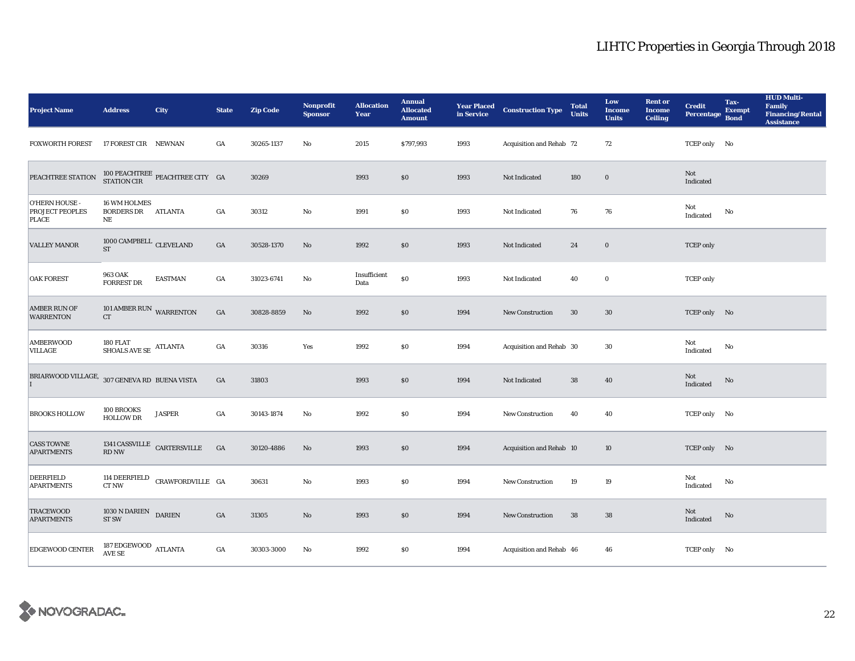| <b>Project Name</b>                          | <b>Address</b>                                        | City                                                         | <b>State</b>     | <b>Zip Code</b> | Nonprofit<br><b>Sponsor</b> | <b>Allocation</b><br>Year | <b>Annual</b><br><b>Allocated</b><br><b>Amount</b> |      | <b>Year Placed Construction Type</b><br>in Service <b>Construction</b> Type | <b>Total</b><br><b>Units</b> | Low<br><b>Income</b><br><b>Units</b> | <b>Rent or</b><br><b>Income</b><br><b>Ceiling</b> | <b>Credit</b><br><b>Percentage</b> | Tax-<br><b>Exempt</b><br><b>Bond</b> | <b>HUD Multi-</b><br><b>Family</b><br><b>Financing/Rental</b><br><b>Assistance</b> |
|----------------------------------------------|-------------------------------------------------------|--------------------------------------------------------------|------------------|-----------------|-----------------------------|---------------------------|----------------------------------------------------|------|-----------------------------------------------------------------------------|------------------------------|--------------------------------------|---------------------------------------------------|------------------------------------|--------------------------------------|------------------------------------------------------------------------------------|
| <b>FOXWORTH FOREST</b>                       | 17 FOREST CIR NEWNAN                                  |                                                              | GA               | 30265-1137      | No                          | 2015                      | \$797,993                                          | 1993 | Acquisition and Rehab 72                                                    |                              | 72                                   |                                                   | TCEP only No                       |                                      |                                                                                    |
| PEACHTREE STATION                            |                                                       | $100$ PEACHTREE $\,$ PEACHTREE CITY $\,$ GA STATION CIR $\,$ |                  | 30269           |                             | 1993                      | \$0                                                | 1993 | Not Indicated                                                               | 180                          | $\bf{0}$                             |                                                   | Not<br>Indicated                   |                                      |                                                                                    |
| O'HERN HOUSE -<br>PROJECT PEOPLES<br>PLACE   | 16 WM HOLMES<br><b>BORDERS DR ATLANTA</b><br>$\rm NE$ |                                                              | GA               | 30312           | $_{\rm No}$                 | 1991                      | $\$0$                                              | 1993 | Not Indicated                                                               | 76                           | 76                                   |                                                   | Not<br>Indicated                   | No                                   |                                                                                    |
| <b>VALLEY MANOR</b>                          | $1000$ CAMPBELL $\,$ CLEVELAND<br><b>ST</b>           |                                                              | GA               | 30528-1370      | No                          | 1992                      | \$0                                                | 1993 | Not Indicated                                                               | 24                           | $\bf{0}$                             |                                                   | <b>TCEP</b> only                   |                                      |                                                                                    |
| <b>OAK FOREST</b>                            | 963 OAK<br><b>FORREST DR</b>                          | <b>EASTMAN</b>                                               | $_{\mathrm{GA}}$ | 31023-6741      | No                          | Insufficient<br>Data      | \$0                                                | 1993 | Not Indicated                                                               | 40                           | $\bf{0}$                             |                                                   | <b>TCEP</b> only                   |                                      |                                                                                    |
| <b>AMBER RUN OF</b><br><b>WARRENTON</b>      | 101 AMBER RUN WARRENTON<br>${\cal C}{\cal T}$         |                                                              | GA               | 30828-8859      | No                          | 1992                      | \$0                                                | 1994 | New Construction                                                            | $30\,$                       | 30                                   |                                                   | TCEP only No                       |                                      |                                                                                    |
| <b>AMBERWOOD</b><br>VILLAGE                  | 180 FLAT<br>SHOALS AVE SE $\,$ ATLANTA                |                                                              | GA               | 30316           | Yes                         | 1992                      | \$0                                                | 1994 | Acquisition and Rehab 30                                                    |                              | 30                                   |                                                   | Not<br>Indicated                   | No                                   |                                                                                    |
| BRIARWOOD VILLAGE, 307 GENEVA RD BUENA VISTA |                                                       |                                                              | $_{\mathrm{GA}}$ | 31803           |                             | 1993                      | \$0\$                                              | 1994 | Not Indicated                                                               | ${\bf 38}$                   | 40                                   |                                                   | Not<br>Indicated                   | No                                   |                                                                                    |
| <b>BROOKS HOLLOW</b>                         | 100 BROOKS<br><b>HOLLOW DR</b>                        | <b>JASPER</b>                                                | GA               | 30143-1874      | No                          | 1992                      | \$0\$                                              | 1994 | New Construction                                                            | 40                           | 40                                   |                                                   | TCEP only No                       |                                      |                                                                                    |
| <b>CASS TOWNE</b><br><b>APARTMENTS</b>       | RD NW                                                 | 1341 CASSVILLE $\hbox{CARTERSVILLE}$                         | GA               | 30120-4886      | No                          | 1993                      | $\$0$                                              | 1994 | Acquisition and Rehab 10                                                    |                              | 10                                   |                                                   | TCEP only No                       |                                      |                                                                                    |
| <b>DEERFIELD</b><br><b>APARTMENTS</b>        | CT NW                                                 | 114 DEERFIELD CRAWFORDVILLE GA                               |                  | 30631           | $\mathbf{No}$               | 1993                      | \$0\$                                              | 1994 | New Construction                                                            | 19                           | 19                                   |                                                   | Not<br>Indicated                   | No                                   |                                                                                    |
| <b>TRACEWOOD</b><br><b>APARTMENTS</b>        | 1030 N DARIEN DARIEN<br>ST <sub>SW</sub>              |                                                              | GA               | 31305           | $\mathbf{No}$               | 1993                      | \$0                                                | 1994 | <b>New Construction</b>                                                     | 38                           | 38                                   |                                                   | Not<br>Indicated                   | $\rm No$                             |                                                                                    |
| EDGEWOOD CENTER                              | $187$ EDGEWOOD $\,$ ATLANTA AVE SE                    |                                                              | GA               | 30303-3000      | No                          | 1992                      | \$0                                                | 1994 | Acquisition and Rehab 46                                                    |                              | 46                                   |                                                   | TCEP only No                       |                                      |                                                                                    |

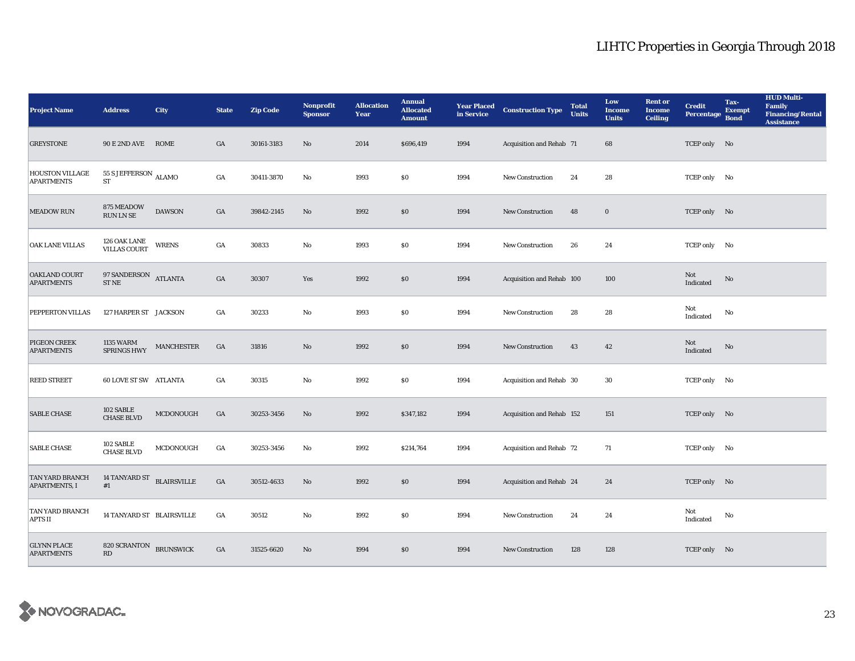| <b>Project Name</b>                            | <b>Address</b>                                | <b>City</b>       | <b>State</b>     | <b>Zip Code</b> | <b>Nonprofit</b><br><b>Sponsor</b> | <b>Allocation</b><br>Year | <b>Annual</b><br><b>Allocated</b><br><b>Amount</b> |      | <b>Year Placed Construction Type</b><br>in Service <b>Construction</b> Type | <b>Total</b><br><b>Units</b> | Low<br><b>Income</b><br><b>Units</b> | <b>Rent or</b><br><b>Income</b><br><b>Ceiling</b> | <b>Credit</b><br><b>Percentage</b> | Tax-<br><b>Exempt</b><br><b>Bond</b> | <b>HUD Multi-</b><br><b>Family</b><br><b>Financing/Rental</b><br><b>Assistance</b> |
|------------------------------------------------|-----------------------------------------------|-------------------|------------------|-----------------|------------------------------------|---------------------------|----------------------------------------------------|------|-----------------------------------------------------------------------------|------------------------------|--------------------------------------|---------------------------------------------------|------------------------------------|--------------------------------------|------------------------------------------------------------------------------------|
| <b>GREYSTONE</b>                               | 90 E 2ND AVE ROME                             |                   | GA               | 30161-3183      | No                                 | 2014                      | \$696,419                                          | 1994 | Acquisition and Rehab 71                                                    |                              | 68                                   |                                                   | TCEP only No                       |                                      |                                                                                    |
| <b>HOUSTON VILLAGE</b><br><b>APARTMENTS</b>    | $55$ S JEFFERSON $\,$ ALAMO $\,$<br><b>ST</b> |                   | $_{\mathrm{GA}}$ | 30411-3870      | No                                 | 1993                      | \$0                                                | 1994 | New Construction                                                            | 24                           | 28                                   |                                                   | TCEP only No                       |                                      |                                                                                    |
| <b>MEADOW RUN</b>                              | 875 MEADOW<br>RUN LN SE                       | <b>DAWSON</b>     | GA               | 39842-2145      | No                                 | 1992                      | \$0                                                | 1994 | <b>New Construction</b>                                                     | 48                           | $\bf{0}$                             |                                                   | TCEP only No                       |                                      |                                                                                    |
| OAK LANE VILLAS                                | 126 OAK LANE<br><b>VILLAS COURT</b>           | <b>WRENS</b>      | $_{\mathrm{GA}}$ | 30833           | $\rm\thinspace No$                 | 1993                      | \$0                                                | 1994 | New Construction                                                            | 26                           | 24                                   |                                                   | TCEP only No                       |                                      |                                                                                    |
| <b>OAKLAND COURT</b><br><b>APARTMENTS</b>      | $97$ SANDERSON $\quad$ ATLANTA ST NE          |                   | $_{\mathrm{GA}}$ | 30307           | Yes                                | 1992                      | $\$0$                                              | 1994 | Acquisition and Rehab 100                                                   |                              | 100                                  |                                                   | Not<br>Indicated                   | No                                   |                                                                                    |
| PEPPERTON VILLAS                               | 127 HARPER ST JACKSON                         |                   | GA               | 30233           | $\mathbf{N}\mathbf{o}$             | 1993                      | \$0                                                | 1994 | <b>New Construction</b>                                                     | 28                           | 28                                   |                                                   | Not<br>Indicated                   | No                                   |                                                                                    |
| <b>PIGEON CREEK</b><br><b>APARTMENTS</b>       | 1135 WARM<br><b>SPRINGS HWY</b>               | <b>MANCHESTER</b> | GA               | 31816           | No                                 | 1992                      | \$0                                                | 1994 | <b>New Construction</b>                                                     | 43                           | $42\,$                               |                                                   | Not<br>Indicated                   | No                                   |                                                                                    |
| <b>REED STREET</b>                             | <b>60 LOVE ST SW ATLANTA</b>                  |                   | $_{\mathrm{GA}}$ | 30315           | $\mathbf{N}\mathbf{o}$             | 1992                      | \$0                                                | 1994 | Acquisition and Rehab 30                                                    |                              | 30                                   |                                                   | TCEP only No                       |                                      |                                                                                    |
| <b>SABLE CHASE</b>                             | 102 SABLE<br><b>CHASE BLVD</b>                | MCDONOUGH         | $_{\mathrm{GA}}$ | 30253-3456      | No                                 | 1992                      | \$347,182                                          | 1994 | Acquisition and Rehab 152                                                   |                              | 151                                  |                                                   | TCEP only No                       |                                      |                                                                                    |
| <b>SABLE CHASE</b>                             | 102 SABLE<br><b>CHASE BLVD</b>                | MCDONOUGH         | GA               | 30253-3456      | No                                 | 1992                      | \$214,764                                          | 1994 | Acquisition and Rehab 72                                                    |                              | 71                                   |                                                   | TCEP only No                       |                                      |                                                                                    |
| <b>TAN YARD BRANCH</b><br><b>APARTMENTS, I</b> | 14 TANYARD ST BLAIRSVILLE<br>#1               |                   | $_{\mathrm{GA}}$ | 30512-4633      | $\rm No$                           | 1992                      | \$0                                                | 1994 | Acquisition and Rehab 24                                                    |                              | 24                                   |                                                   | TCEP only No                       |                                      |                                                                                    |
| TAN YARD BRANCH<br><b>APTS II</b>              | 14 TANYARD ST BLAIRSVILLE                     |                   | GA               | 30512           | $\mathbf{N}\mathbf{o}$             | 1992                      | \$0                                                | 1994 | New Construction                                                            | 24                           | 24                                   |                                                   | Not<br>Indicated                   | No                                   |                                                                                    |
| <b>GLYNN PLACE</b><br><b>APARTMENTS</b>        | 820 SCRANTON BRUNSWICK<br>RD                  |                   | GA               | 31525-6620      | No                                 | 1994                      | \$0                                                | 1994 | <b>New Construction</b>                                                     | 128                          | 128                                  |                                                   | TCEP only No                       |                                      |                                                                                    |

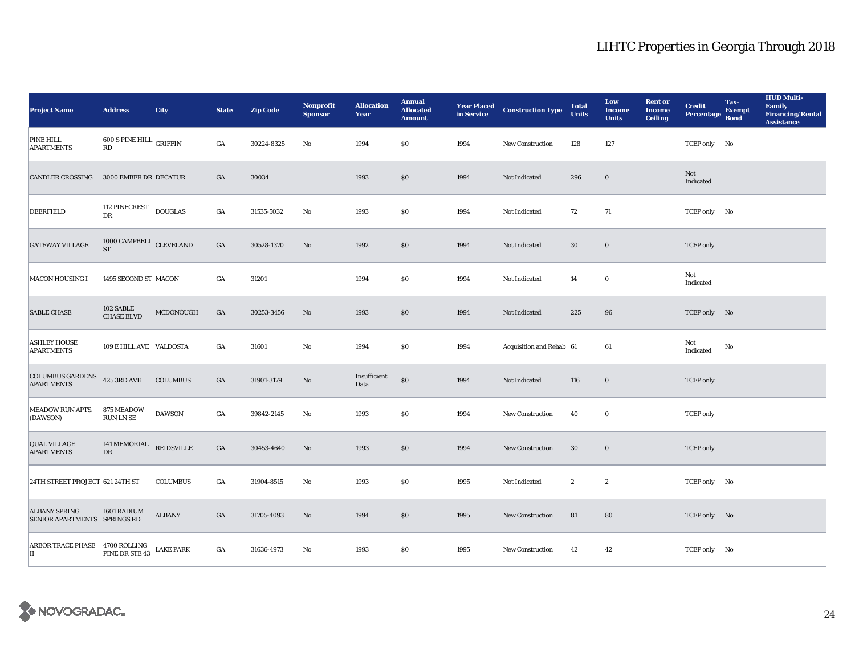| <b>Project Name</b>                                                                                                        | <b>Address</b>                              | <b>City</b>       | <b>State</b>     | <b>Zip Code</b> | <b>Nonprofit</b><br><b>Sponsor</b> | <b>Allocation</b><br>Year | <b>Annual</b><br><b>Allocated</b><br><b>Amount</b> |      | <b>Year Placed Construction Type</b><br>in Service | <b>Total</b><br><b>Units</b> | Low<br><b>Income</b><br><b>Units</b> | <b>Rent or</b><br><b>Income</b><br><b>Ceiling</b> | <b>Credit</b><br><b>Percentage</b> | Tax-<br><b>Exempt</b><br><b>Bond</b> | <b>HUD Multi-</b><br>Family<br><b>Financing/Rental</b><br><b>Assistance</b> |
|----------------------------------------------------------------------------------------------------------------------------|---------------------------------------------|-------------------|------------------|-----------------|------------------------------------|---------------------------|----------------------------------------------------|------|----------------------------------------------------|------------------------------|--------------------------------------|---------------------------------------------------|------------------------------------|--------------------------------------|-----------------------------------------------------------------------------|
| <b>PINE HILL</b><br><b>APARTMENTS</b>                                                                                      | 600 S PINE HILL GRIFFIN<br>RD               |                   | GA               | 30224-8325      | No                                 | 1994                      | \$0                                                | 1994 | <b>New Construction</b>                            | 128                          | 127                                  |                                                   | TCEP only No                       |                                      |                                                                             |
| <b>CANDLER CROSSING</b>                                                                                                    | 3000 EMBER DR DECATUR                       |                   | GA               | 30034           |                                    | 1993                      | \$0                                                | 1994 | Not Indicated                                      | 296                          | $\bf{0}$                             |                                                   | Not<br>Indicated                   |                                      |                                                                             |
| DEERFIELD                                                                                                                  | 112 PINECREST<br>DR                         | <b>DOUGLAS</b>    | GA               | 31535-5032      | $\mathbf{No}$                      | 1993                      | $\$0$                                              | 1994 | Not Indicated                                      | 72                           | 71                                   |                                                   | TCEP only No                       |                                      |                                                                             |
| <b>GATEWAY VILLAGE</b>                                                                                                     | $1000$ CAMPBELL $\,$ CLEVELAND<br><b>ST</b> |                   | $_{\mathrm{GA}}$ | 30528-1370      | $\mathbf{No}$                      | 1992                      | \$0                                                | 1994 | Not Indicated                                      | 30                           | $\mathbf 0$                          |                                                   | <b>TCEP</b> only                   |                                      |                                                                             |
| <b>MACON HOUSING I</b>                                                                                                     | 1495 SECOND ST MACON                        |                   | $_{\mathrm{GA}}$ | 31201           |                                    | 1994                      | $\$0$                                              | 1994 | Not Indicated                                      | 14                           | $\mathbf 0$                          |                                                   | Not<br>Indicated                   |                                      |                                                                             |
| <b>SABLE CHASE</b>                                                                                                         | 102 SABLE<br><b>CHASE BLVD</b>              | MCDONOUGH         | $_{\mathrm{GA}}$ | 30253-3456      | $\mathbf{No}$                      | 1993                      | \$0                                                | 1994 | Not Indicated                                      | 225                          | 96                                   |                                                   | TCEP only No                       |                                      |                                                                             |
| <b>ASHLEY HOUSE</b><br><b>APARTMENTS</b>                                                                                   | 109 E HILL AVE VALDOSTA                     |                   | $_{\mathrm{GA}}$ | 31601           | No                                 | 1994                      | $\$0$                                              | 1994 | Acquisition and Rehab 61                           |                              | 61                                   |                                                   | Not<br>Indicated                   | No                                   |                                                                             |
| COLUMBUS GARDENS<br><b>APARTMENTS</b>                                                                                      | <b>425 3RD AVE</b>                          | <b>COLUMBUS</b>   | $_{\mathrm{GA}}$ | 31901-3179      | No                                 | Insufficient<br>Data      | \$0                                                | 1994 | Not Indicated                                      | 116                          | $\mathbf 0$                          |                                                   | <b>TCEP</b> only                   |                                      |                                                                             |
| <b>MEADOW RUN APTS.</b><br>(DAWSON)                                                                                        | 875 MEADOW<br>RUN LN SE                     | <b>DAWSON</b>     | $_{\mathrm{GA}}$ | 39842-2145      | No                                 | 1993                      | $\$0$                                              | 1994 | <b>New Construction</b>                            | 40                           | $\bf{0}$                             |                                                   | <b>TCEP</b> only                   |                                      |                                                                             |
| <b>QUAL VILLAGE</b><br><b>APARTMENTS</b>                                                                                   | 141 MEMORIAL<br><b>DR</b>                   | <b>REIDSVILLE</b> | $_{\mathrm{GA}}$ | 30453-4640      | $\mathbf{No}$                      | 1993                      | \$0                                                | 1994 | New Construction                                   | 30                           | $\mathbf 0$                          |                                                   | <b>TCEP</b> only                   |                                      |                                                                             |
| 24TH STREET PROJECT 621 24TH ST                                                                                            |                                             | <b>COLUMBUS</b>   | $_{\mathrm{GA}}$ | 31904-8515      | No                                 | 1993                      | \$0\$                                              | 1995 | Not Indicated                                      | $\boldsymbol{2}$             | $\boldsymbol{2}$                     |                                                   | TCEP only No                       |                                      |                                                                             |
| <b>ALBANY SPRING</b><br>SENIOR APARTMENTS SPRINGS RD                                                                       | 1601 RADIUM                                 | <b>ALBANY</b>     | GA               | 31705-4093      | No                                 | 1994                      | \$0                                                | 1995 | <b>New Construction</b>                            | 81                           | 80                                   |                                                   | TCEP only No                       |                                      |                                                                             |
| $\begin{array}{ll} \textbf{ARBOR TRACE PHASE} & \textbf{4700 ROLLING} \\ \textbf{II} & \textbf{PINE DRSTE 43} \end{array}$ |                                             | <b>LAKE PARK</b>  | GA               | 31636-4973      | No                                 | 1993                      | \$0                                                | 1995 | <b>New Construction</b>                            | 42                           | 42                                   |                                                   | TCEP only No                       |                                      |                                                                             |

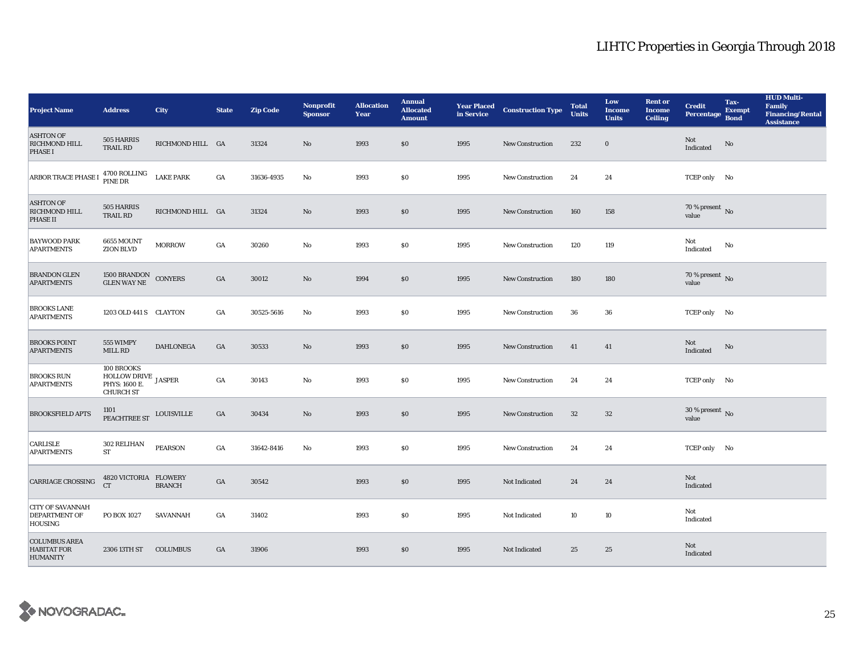| <b>Project Name</b>                                               | <b>Address</b>                                                         | <b>City</b>      | <b>State</b> | <b>Zip Code</b> | Nonprofit<br><b>Sponsor</b> | <b>Allocation</b><br>Year | <b>Annual</b><br><b>Allocated</b><br><b>Amount</b> |      | <b>Year Placed Construction Type</b><br>in Service | <b>Total</b><br><b>Units</b> | Low<br><b>Income</b><br><b>Units</b> | <b>Rent or</b><br><b>Income</b><br><b>Ceiling</b> | <b>Credit</b><br><b>Percentage</b>     | Tax-<br><b>Exempt</b><br><b>Bond</b> | <b>HUD Multi-</b><br>Family<br><b>Financing/Rental</b><br><b>Assistance</b> |
|-------------------------------------------------------------------|------------------------------------------------------------------------|------------------|--------------|-----------------|-----------------------------|---------------------------|----------------------------------------------------|------|----------------------------------------------------|------------------------------|--------------------------------------|---------------------------------------------------|----------------------------------------|--------------------------------------|-----------------------------------------------------------------------------|
| <b>ASHTON OF</b><br><b>RICHMOND HILL</b><br><b>PHASE I</b>        | 505 HARRIS<br><b>TRAIL RD</b>                                          | RICHMOND HILL GA |              | 31324           | No                          | 1993                      | \$0                                                | 1995 | <b>New Construction</b>                            | 232                          | $\bf{0}$                             |                                                   | Not<br>Indicated                       | $\rm No$                             |                                                                             |
| <b>ARBOR TRACE PHASE I</b>                                        | 4700 ROLLING<br>PINE DR                                                | <b>LAKE PARK</b> | GA           | 31636-4935      | No                          | 1993                      | <b>SO</b>                                          | 1995 | <b>New Construction</b>                            | 24                           | 24                                   |                                                   | TCEP only No                           |                                      |                                                                             |
| <b>ASHTON OF</b><br><b>RICHMOND HILL</b><br><b>PHASE II</b>       | 505 HARRIS<br>TRAIL RD                                                 | RICHMOND HILL GA |              | 31324           | $\mathbf{N}\mathbf{o}$      | 1993                      | \$0                                                | 1995 | <b>New Construction</b>                            | 160                          | 158                                  |                                                   | 70 % present $\overline{N_0}$<br>value |                                      |                                                                             |
| <b>BAYWOOD PARK</b><br><b>APARTMENTS</b>                          | <b>6655 MOUNT</b><br><b>ZION BLVD</b>                                  | <b>MORROW</b>    | GA           | 30260           | No                          | 1993                      | \$0                                                | 1995 | <b>New Construction</b>                            | 120                          | 119                                  |                                                   | Not<br>Indicated                       | No                                   |                                                                             |
| <b>BRANDON GLEN</b><br><b>APARTMENTS</b>                          | 1500 BRANDON<br>GLEN WAY NE                                            | <b>CONYERS</b>   | GA           | 30012           | No                          | 1994                      | \$0                                                | 1995 | <b>New Construction</b>                            | 180                          | 180                                  |                                                   | $70\,\%$ present $\,$ No value         |                                      |                                                                             |
| <b>BROOKS LANE</b><br><b>APARTMENTS</b>                           | 1203 OLD 441 S CLAYTON                                                 |                  | GA           | 30525-5616      | No                          | 1993                      | \$0                                                | 1995 | <b>New Construction</b>                            | 36                           | ${\bf 36}$                           |                                                   | TCEP only No                           |                                      |                                                                             |
| <b>BROOKS POINT</b><br><b>APARTMENTS</b>                          | 555 WIMPY<br>MILL RD                                                   | <b>DAHLONEGA</b> | GA           | 30533           | No                          | 1993                      | \$0                                                | 1995 | New Construction                                   | 41                           | 41                                   |                                                   | Not<br>Indicated                       | $\rm No$                             |                                                                             |
| <b>BROOKS RUN</b><br><b>APARTMENTS</b>                            | 100 BROOKS<br>HOLLOW DRIVE JASPER<br>PHYS: 1600 E.<br><b>CHURCH ST</b> |                  | GA           | 30143           | $\mathbf {No}$              | 1993                      | <b>SO</b>                                          | 1995 | New Construction                                   | 24                           | 24                                   |                                                   | TCEP only No                           |                                      |                                                                             |
| <b>BROOKSFIELD APTS</b>                                           | 1101<br>PEACHTREE ST LOUISVILLE                                        |                  | GA           | 30434           | No                          | 1993                      | \$0                                                | 1995 | New Construction                                   | $32\,$                       | $32\phantom{.0}$                     |                                                   | 30 % present $\,$ No $\,$<br>value     |                                      |                                                                             |
| CARLISLE<br><b>APARTMENTS</b>                                     | 302 RELIHAN<br><b>ST</b>                                               | <b>PEARSON</b>   | GA           | 31642-8416      | No                          | 1993                      | \$0                                                | 1995 | New Construction                                   | 24                           | 24                                   |                                                   | TCEP only No                           |                                      |                                                                             |
| <b>CARRIAGE CROSSING</b>                                          | 4820 VICTORIA FLOWERY<br><b>CT</b>                                     | <b>BRANCH</b>    | GA           | 30542           |                             | 1993                      | \$0                                                | 1995 | Not Indicated                                      | 24                           | 24                                   |                                                   | Not<br>Indicated                       |                                      |                                                                             |
| <b>CITY OF SAVANNAH</b><br><b>DEPARTMENT OF</b><br><b>HOUSING</b> | PO BOX 1027                                                            | <b>SAVANNAH</b>  | GA           | 31402           |                             | 1993                      | \$0                                                | 1995 | Not Indicated                                      | 10                           | 10                                   |                                                   | Not<br>Indicated                       |                                      |                                                                             |
| <b>COLUMBUS AREA</b><br><b>HABITAT FOR</b><br><b>HUMANITY</b>     | 2306 13TH ST                                                           | <b>COLUMBUS</b>  | GA           | 31906           |                             | 1993                      | \$0                                                | 1995 | Not Indicated                                      | 25                           | 25                                   |                                                   | Not<br>Indicated                       |                                      |                                                                             |

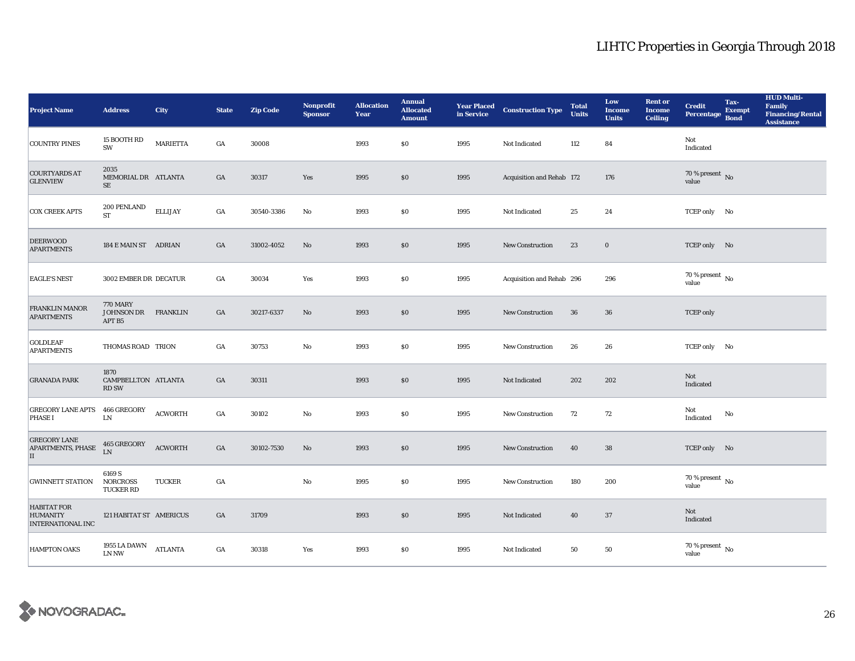| <b>Project Name</b>                                               | <b>Address</b>                                | City            | <b>State</b>     | <b>Zip Code</b> | <b>Nonprofit</b><br><b>Sponsor</b> | <b>Allocation</b><br>Year | <b>Annual</b><br><b>Allocated</b><br><b>Amount</b> |      | <b>Year Placed Construction Type</b><br>in Service | <b>Total</b><br><b>Units</b> | Low<br><b>Income</b><br><b>Units</b> | <b>Rent or</b><br><b>Income</b><br><b>Ceiling</b> | <b>Credit</b><br><b>Percentage</b>   | Tax-<br><b>Exempt</b><br><b>Bond</b> | <b>HUD Multi-</b><br>Family<br><b>Financing/Rental</b><br><b>Assistance</b> |
|-------------------------------------------------------------------|-----------------------------------------------|-----------------|------------------|-----------------|------------------------------------|---------------------------|----------------------------------------------------|------|----------------------------------------------------|------------------------------|--------------------------------------|---------------------------------------------------|--------------------------------------|--------------------------------------|-----------------------------------------------------------------------------|
| <b>COUNTRY PINES</b>                                              | 15 BOOTH RD<br>SW                             | <b>MARIETTA</b> | GA               | 30008           |                                    | 1993                      | \$0                                                | 1995 | Not Indicated                                      | 112                          | 84                                   |                                                   | Not<br>Indicated                     |                                      |                                                                             |
| <b>COURTYARDS AT</b><br><b>GLENVIEW</b>                           | 2035<br>MEMORIAL DR ATLANTA<br>$\rm SE$       |                 | GA               | 30317           | Yes                                | 1995                      | \$0                                                | 1995 | Acquisition and Rehab 172                          |                              | 176                                  |                                                   | $70\,\%$ present $\,$ No value       |                                      |                                                                             |
| <b>COX CREEK APTS</b>                                             | 200 PENLAND<br><b>ST</b>                      | <b>ELLIJAY</b>  | GA               | 30540-3386      | $\rm No$                           | 1993                      | \$0                                                | 1995 | Not Indicated                                      | $25\,$                       | 24                                   |                                                   | TCEP only No                         |                                      |                                                                             |
| <b>DEERWOOD</b><br><b>APARTMENTS</b>                              | 184 E MAIN ST ADRIAN                          |                 | GA               | 31002-4052      | No                                 | 1993                      | \$0\$                                              | 1995 | New Construction                                   | 23                           | $\mathbf 0$                          |                                                   | TCEP only No                         |                                      |                                                                             |
| <b>EAGLE'S NEST</b>                                               | 3002 EMBER DR DECATUR                         |                 | GA               | 30034           | Yes                                | 1993                      | $\$0$                                              | 1995 | Acquisition and Rehab 296                          |                              | 296                                  |                                                   | $70$ % present $\,$ No value         |                                      |                                                                             |
| FRANKLIN MANOR<br><b>APARTMENTS</b>                               | <b>770 MARY</b><br>JOHNSON DR<br>APT B5       | <b>FRANKLIN</b> | GA               | 30217-6337      | $\rm No$                           | 1993                      | \$0\$                                              | 1995 | <b>New Construction</b>                            | 36                           | ${\bf 36}$                           |                                                   | <b>TCEP</b> only                     |                                      |                                                                             |
| <b>GOLDLEAF</b><br><b>APARTMENTS</b>                              | THOMAS ROAD TRION                             |                 | GA               | 30753           | No                                 | 1993                      | \$0                                                | 1995 | New Construction                                   | 26                           | 26                                   |                                                   | TCEP only No                         |                                      |                                                                             |
| <b>GRANADA PARK</b>                                               | 1870<br>CAMPBELLTON ATLANTA<br><b>RD SW</b>   |                 | GA               | 30311           |                                    | 1993                      | \$0                                                | 1995 | Not Indicated                                      | 202                          | 202                                  |                                                   | Not<br>Indicated                     |                                      |                                                                             |
| <b>GREGORY LANE APTS</b><br><b>PHASE I</b>                        | <b>466 GREGORY</b><br>${\rm LN}$              | <b>ACWORTH</b>  | $_{\mathrm{GA}}$ | 30102           | No                                 | 1993                      | \$0\$                                              | 1995 | <b>New Construction</b>                            | 72                           | 72                                   |                                                   | Not<br>Indicated                     | No                                   |                                                                             |
| <b>GREGORY LANE</b><br><b>APARTMENTS, PHASE</b><br>П              | 465 GREGORY<br>LN                             | <b>ACWORTH</b>  | GA               | 30102-7530      | No                                 | 1993                      | \$0                                                | 1995 | New Construction                                   | 40                           | 38                                   |                                                   | TCEP only No                         |                                      |                                                                             |
| <b>GWINNETT STATION</b>                                           | 6169 S<br><b>NORCROSS</b><br><b>TUCKER RD</b> | <b>TUCKER</b>   | $_{\mathrm{GA}}$ |                 | $\mathbf{N}\mathbf{o}$             | 1995                      | $\$0$                                              | 1995 | New Construction                                   | 180                          | 200                                  |                                                   | $70$ % present $\,$ No $\,$<br>value |                                      |                                                                             |
| <b>HABITAT FOR</b><br><b>HUMANITY</b><br><b>INTERNATIONAL INC</b> | 121 HABITAT ST AMERICUS                       |                 | GA               | 31709           |                                    | 1993                      | \$0                                                | 1995 | Not Indicated                                      | 40                           | 37                                   |                                                   | Not<br>Indicated                     |                                      |                                                                             |
| <b>HAMPTON OAKS</b>                                               | 1955 LA DAWN<br>LN NW                         | <b>ATLANTA</b>  | GA               | 30318           | Yes                                | 1993                      | <b>SO</b>                                          | 1995 | Not Indicated                                      | 50                           | 50                                   |                                                   | $70$ % present $\,$ No value         |                                      |                                                                             |

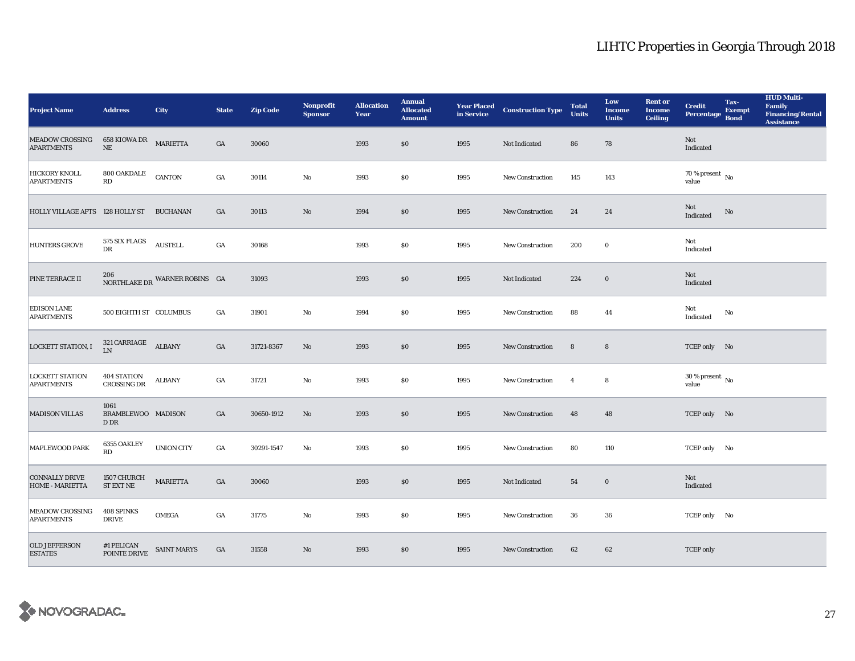| <b>Project Name</b>                         | <b>Address</b>                                   | <b>City</b>                   | <b>State</b>     | <b>Zip Code</b> | Nonprofit<br><b>Sponsor</b> | <b>Allocation</b><br>Year | <b>Annual</b><br><b>Allocated</b><br><b>Amount</b> |      | <b>Year Placed Construction Type</b><br>in Service | <b>Total</b><br><b>Units</b> | Low<br><b>Income</b><br><b>Units</b> | <b>Rent or</b><br><b>Income</b><br><b>Ceiling</b> | <b>Credit</b><br><b>Percentage</b>       | Tax-<br><b>Exempt</b><br><b>Bond</b> | <b>HUD Multi-</b><br>Family<br><b>Financing/Rental</b><br><b>Assistance</b> |
|---------------------------------------------|--------------------------------------------------|-------------------------------|------------------|-----------------|-----------------------------|---------------------------|----------------------------------------------------|------|----------------------------------------------------|------------------------------|--------------------------------------|---------------------------------------------------|------------------------------------------|--------------------------------------|-----------------------------------------------------------------------------|
| <b>MEADOW CROSSING</b><br><b>APARTMENTS</b> | 658 KIOWA DR MARIETTA<br>$\rm NE$                |                               | GA               | 30060           |                             | 1993                      | \$0                                                | 1995 | Not Indicated                                      | 86                           | 78                                   |                                                   | Not<br>Indicated                         |                                      |                                                                             |
| <b>HICKORY KNOLL</b><br><b>APARTMENTS</b>   | $800$ OAKDALE<br>RD                              | <b>CANTON</b>                 | $_{\mathrm{GA}}$ | 30114           | No                          | 1993                      | \$0                                                | 1995 | <b>New Construction</b>                            | 145                          | 143                                  |                                                   | $70$ % present $\,$ No $\,$<br>value     |                                      |                                                                             |
| HOLLY VILLAGE APTS 128 HOLLY ST BUCHANAN    |                                                  |                               | $_{\mathrm{GA}}$ | 30113           | $\rm No$                    | 1994                      | $\$0$                                              | 1995 | <b>New Construction</b>                            | 24                           | 24                                   |                                                   | Not<br>Indicated                         | $\rm No$                             |                                                                             |
| <b>HUNTERS GROVE</b>                        | 575 SIX FLAGS<br>DR                              | $\operatorname{AUSTELL}$      | $_{\mathrm{GA}}$ | 30168           |                             | 1993                      | \$0                                                | 1995 | New Construction                                   | 200                          | $\bf{0}$                             |                                                   | Not<br>Indicated                         |                                      |                                                                             |
| PINE TERRACE II                             |                                                  | NORTHLAKE DR WARNER ROBINS GA |                  | 31093           |                             | 1993                      | \$0                                                | 1995 | Not Indicated                                      | 224                          | $\bf{0}$                             |                                                   | Not<br>Indicated                         |                                      |                                                                             |
| <b>EDISON LANE</b><br><b>APARTMENTS</b>     | 500 EIGHTH ST COLUMBUS                           |                               | $_{\mathrm{GA}}$ | 31901           | $\rm No$                    | 1994                      | \$0                                                | 1995 | New Construction                                   | 88                           | 44                                   |                                                   | Not<br>Indicated                         | No                                   |                                                                             |
| <b>LOCKETT STATION, I</b>                   | $321 \text{ CARRIAGE} \quad \text{ALBANY}$<br>LN |                               | $_{\mathrm{GA}}$ | 31721-8367      | No                          | 1993                      | \$0                                                | 1995 | New Construction                                   | $\bf 8$                      | $\bf8$                               |                                                   | TCEP only No                             |                                      |                                                                             |
| <b>LOCKETT STATION</b><br><b>APARTMENTS</b> | <b>404 STATION</b><br><b>CROSSING DR</b>         | <b>ALBANY</b>                 | GA               | 31721           | No                          | 1993                      | \$0                                                | 1995 | <b>New Construction</b>                            | $\overline{\mathbf{4}}$      | 8                                    |                                                   | $30\,\%$ present $_{\, \rm No}$<br>value |                                      |                                                                             |
| <b>MADISON VILLAS</b>                       | 1061<br>BRAMBLEWOO MADISON<br>D DR               |                               | GA               | 30650-1912      | $\rm No$                    | 1993                      | \$0                                                | 1995 | New Construction                                   | 48                           | 48                                   |                                                   | TCEP only No                             |                                      |                                                                             |
| MAPLEWOOD PARK                              | 6355 OAKLEY<br>RD                                | <b>UNION CITY</b>             | GA               | 30291-1547      | No                          | 1993                      | $\$0$                                              | 1995 | <b>New Construction</b>                            | 80                           | 110                                  |                                                   | TCEP only No                             |                                      |                                                                             |
| <b>CONNALLY DRIVE</b><br>HOME - MARIETTA    | 1507 CHURCH<br>${\rm ST}$ EXT ${\rm NE}$         | <b>MARIETTA</b>               | GA               | 30060           |                             | 1993                      | \$0                                                | 1995 | Not Indicated                                      | 54                           | $\bf{0}$                             |                                                   | Not<br>Indicated                         |                                      |                                                                             |
| <b>MEADOW CROSSING</b><br><b>APARTMENTS</b> | 408 SPINKS<br><b>DRIVE</b>                       | <b>OMEGA</b>                  | $_{\mathrm{GA}}$ | 31775           | $\rm\, No$                  | 1993                      | \$0                                                | 1995 | New Construction                                   | 36                           | 36                                   |                                                   | TCEP only No                             |                                      |                                                                             |
| <b>OLD JEFFERSON</b><br><b>ESTATES</b>      | $\#1$ PELICAN<br>POINTE DRIVE                    | <b>SAINT MARYS</b>            | GA               | 31558           | $\rm No$                    | 1993                      | \$0                                                | 1995 | <b>New Construction</b>                            | 62                           | 62                                   |                                                   | <b>TCEP</b> only                         |                                      |                                                                             |

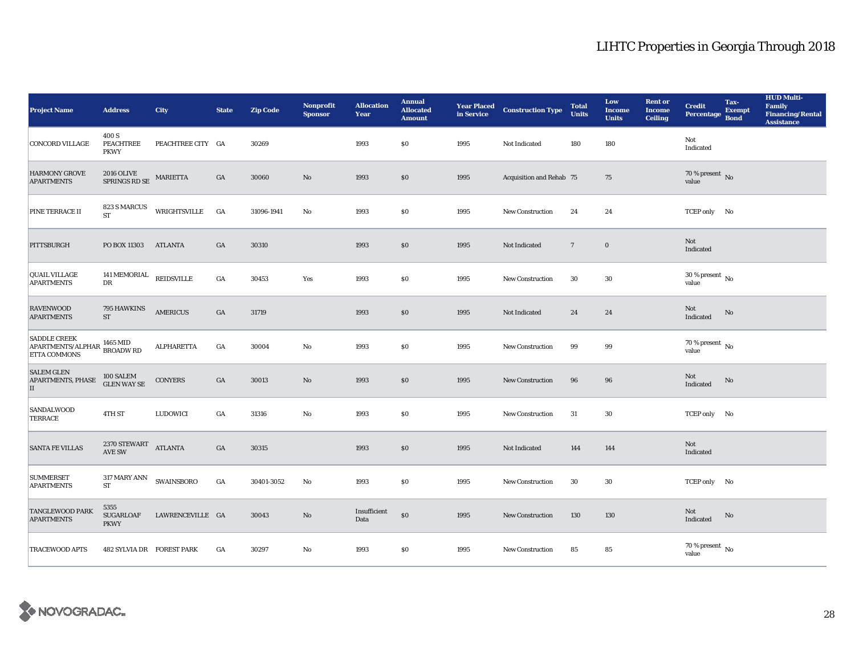| <b>Project Name</b>                                                                                                                                                               | <b>Address</b>                                         | <b>City</b>       | <b>State</b>     | <b>Zip Code</b> | <b>Nonprofit</b><br><b>Sponsor</b> | <b>Allocation</b><br>Year | <b>Annual</b><br><b>Allocated</b><br><b>Amount</b> |      | <b>Year Placed Construction Type</b><br>in Service <b>Construction</b> Type | <b>Total</b><br><b>Units</b> | Low<br><b>Income</b><br><b>Units</b> | <b>Rent or</b><br><b>Income</b><br><b>Ceiling</b> | <b>Credit</b><br><b>Percentage</b> | Tax-<br><b>Exempt</b><br><b>Bond</b> | <b>HUD Multi-</b><br>Family<br><b>Financing/Rental</b><br><b>Assistance</b> |
|-----------------------------------------------------------------------------------------------------------------------------------------------------------------------------------|--------------------------------------------------------|-------------------|------------------|-----------------|------------------------------------|---------------------------|----------------------------------------------------|------|-----------------------------------------------------------------------------|------------------------------|--------------------------------------|---------------------------------------------------|------------------------------------|--------------------------------------|-----------------------------------------------------------------------------|
| <b>CONCORD VILLAGE</b>                                                                                                                                                            | 400 S<br>PEACHTREE<br><b>PKWY</b>                      | PEACHTREE CITY GA |                  | 30269           |                                    | 1993                      | <b>SO</b>                                          | 1995 | Not Indicated                                                               | 180                          | 180                                  |                                                   | Not<br>Indicated                   |                                      |                                                                             |
| <b>HARMONY GROVE</b><br><b>APARTMENTS</b>                                                                                                                                         | 2016 OLIVE<br>SPRINGS RD SE                            | MARIETTA          | GA               | 30060           | $\rm No$                           | 1993                      | \$0                                                | 1995 | Acquisition and Rehab 75                                                    |                              | 75                                   |                                                   | $70\,\%$ present $\,$ No value     |                                      |                                                                             |
| PINE TERRACE II                                                                                                                                                                   | 823 S MARCUS<br><b>ST</b>                              | WRIGHTSVILLE GA   |                  | 31096-1941      | $_{\rm No}$                        | 1993                      | $\$0$                                              | 1995 | <b>New Construction</b>                                                     | 24                           | 24                                   |                                                   | TCEP only No                       |                                      |                                                                             |
| PITTSBURGH                                                                                                                                                                        | PO BOX 11303                                           | ATLANTA           | GA               | 30310           |                                    | 1993                      | \$0                                                | 1995 | Not Indicated                                                               | $7\phantom{.0}$              | $\mathbf 0$                          |                                                   | Not<br>Indicated                   |                                      |                                                                             |
| <b>QUAIL VILLAGE</b><br><b>APARTMENTS</b>                                                                                                                                         | 141 MEMORIAL<br>DR                                     | REIDSVILLE        | $_{\mathrm{GA}}$ | 30453           | Yes                                | 1993                      | $\$0$                                              | 1995 | <b>New Construction</b>                                                     | 30                           | 30                                   |                                                   | 30 % present $\,$ No $\,$<br>value |                                      |                                                                             |
| <b>RAVENWOOD</b><br><b>APARTMENTS</b>                                                                                                                                             | 795 HAWKINS<br><b>ST</b>                               | <b>AMERICUS</b>   | GA               | 31719           |                                    | 1993                      | \$0                                                | 1995 | Not Indicated                                                               | 24                           | 24                                   |                                                   | Not<br>Indicated                   | No                                   |                                                                             |
| <b>SADDLE CREEK</b><br>${\bf A} {\bf P} {\bf A} {\bf R} {\bf T} {\bf M} {\bf E} {\bf N} {\bf T} {\bf S} / {\bf A} {\bf L} {\bf P} {\bf H} {\bf A} {\bf R}$<br><b>ETTA COMMONS</b> | 1465 MID<br><b>BROADWRD</b>                            | <b>ALPHARETTA</b> | GA               | 30004           | No                                 | 1993                      | \$0                                                | 1995 | New Construction                                                            | 99                           | 99                                   |                                                   | 70 % present $\,$ No $\,$<br>value |                                      |                                                                             |
| <b>SALEM GLEN</b><br><b>APARTMENTS, PHASE</b><br>$\vert$ II                                                                                                                       | $100$ SALEM GLEN WAY SE                                | <b>CONYERS</b>    | GA               | 30013           | $\mathbf{N}\mathbf{o}$             | 1993                      | \$0                                                | 1995 | <b>New Construction</b>                                                     | 96                           | 96                                   |                                                   | Not<br>Indicated                   | No                                   |                                                                             |
| SANDALWOOD<br><b>TERRACE</b>                                                                                                                                                      | 4TH ST                                                 | LUDOWICI          | GA               | 31316           | $\mathbf{N}\mathbf{o}$             | 1993                      | $\$0$                                              | 1995 | New Construction                                                            | 31                           | 30                                   |                                                   | TCEP only No                       |                                      |                                                                             |
| <b>SANTA FE VILLAS</b>                                                                                                                                                            | 2370 STEWART<br><b>AVE SW</b>                          | <b>ATLANTA</b>    | GA               | 30315           |                                    | 1993                      | $\$0$                                              | 1995 | Not Indicated                                                               | 144                          | 144                                  |                                                   | Not<br>Indicated                   |                                      |                                                                             |
| <b>SUMMERSET</b><br><b>APARTMENTS</b>                                                                                                                                             | $317\, \mathrm{MARY}$ ANN $\_$ SWAINSBORO<br><b>ST</b> |                   | $_{\mathrm{GA}}$ | 30401-3052      | No                                 | 1993                      | \$0                                                | 1995 | New Construction                                                            | 30                           | 30                                   |                                                   | TCEP only No                       |                                      |                                                                             |
| <b>TANGLEWOOD PARK</b><br><b>APARTMENTS</b>                                                                                                                                       | 5355<br><b>SUGARLOAF</b><br><b>PKWY</b>                | LAWRENCEVILLE GA  |                  | 30043           | $\mathbf{No}$                      | Insufficient<br>Data      | $\$0$                                              | 1995 | New Construction                                                            | 130                          | 130                                  |                                                   | Not<br>Indicated                   | No                                   |                                                                             |
| <b>TRACEWOOD APTS</b>                                                                                                                                                             | 482 SYLVIA DR FOREST PARK                              |                   | GA               | 30297           | No                                 | 1993                      | \$0                                                | 1995 | <b>New Construction</b>                                                     | 85                           | 85                                   |                                                   | $70\,\%$ present $\,$ No value     |                                      |                                                                             |

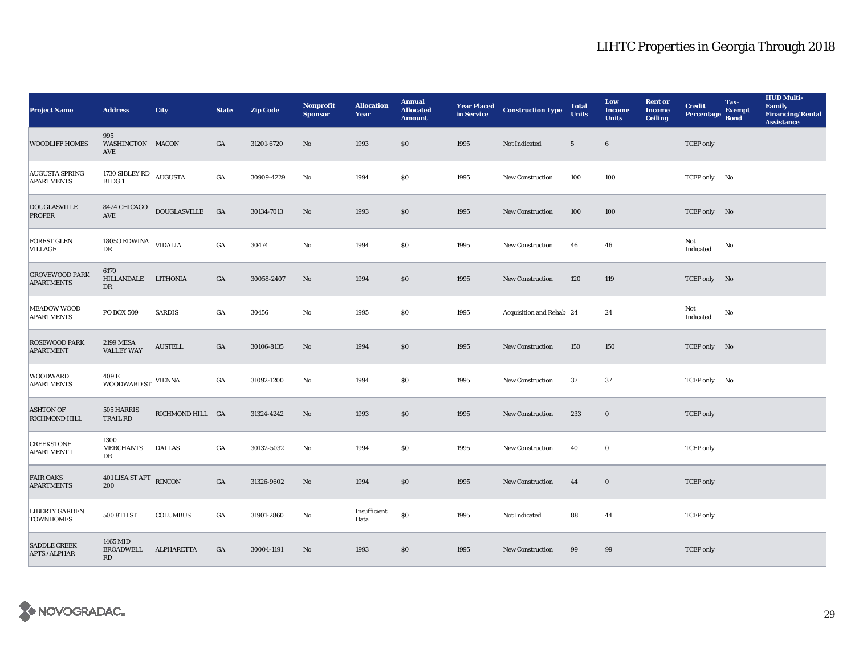| <b>Project Name</b>                        | <b>Address</b>                                 | <b>City</b>                   | <b>State</b>     | <b>Zip Code</b> | <b>Nonprofit</b><br><b>Sponsor</b> | <b>Allocation</b><br>Year | <b>Annual</b><br><b>Allocated</b><br><b>Amount</b> | <b>Year Placed<br/>in Service</b> | <b>Construction Type</b> | <b>Total</b><br><b>Units</b> | Low<br><b>Income</b><br><b>Units</b> | <b>Rent or</b><br><b>Income</b><br><b>Ceiling</b> | <b>Credit</b><br><b>Percentage</b> | Tax-<br><b>Exempt</b><br><b>Bond</b> | <b>HUD Multi-</b><br>Family<br><b>Financing/Rental</b><br><b>Assistance</b> |
|--------------------------------------------|------------------------------------------------|-------------------------------|------------------|-----------------|------------------------------------|---------------------------|----------------------------------------------------|-----------------------------------|--------------------------|------------------------------|--------------------------------------|---------------------------------------------------|------------------------------------|--------------------------------------|-----------------------------------------------------------------------------|
| <b>WOODLIFF HOMES</b>                      | 995<br>WASHINGTON MACON<br>AVE                 |                               | GA               | 31201-6720      | No                                 | 1993                      | \$0                                                | 1995                              | Not Indicated            | $5\phantom{.0}$              | $\bf{6}$                             |                                                   | <b>TCEP</b> only                   |                                      |                                                                             |
| <b>AUGUSTA SPRING</b><br><b>APARTMENTS</b> | 1730 SIBLEY RD AUGUSTA<br>BLDG <sub>1</sub>    |                               | GA               | 30909-4229      | No                                 | 1994                      | <b>SO</b>                                          | 1995                              | <b>New Construction</b>  | 100                          | 100                                  |                                                   | TCEP only No                       |                                      |                                                                             |
| <b>DOUGLASVILLE</b><br><b>PROPER</b>       | 8424 CHICAGO<br>$\operatorname{AVE}$           | $\operatorname{DOUGLASVILLE}$ | <b>GA</b>        | 30134-7013      | No                                 | 1993                      | $\$0$                                              | 1995                              | <b>New Construction</b>  | 100                          | 100                                  |                                                   | TCEP only No                       |                                      |                                                                             |
| FOREST GLEN<br>VILLAGE                     | 1805<br>O $\rm{EDWINA}$ VIDALIA<br>$_{\rm DR}$ |                               | GA               | 30474           | No                                 | 1994                      | $\$0$                                              | 1995                              | New Construction         | 46                           | 46                                   |                                                   | Not<br>Indicated                   | No                                   |                                                                             |
| <b>GROVEWOOD PARK</b><br><b>APARTMENTS</b> | 6170<br>HILLANDALE LITHONIA<br>$_{\rm DR}$     |                               | GA               | 30058-2407      | No                                 | 1994                      | \$0                                                | 1995                              | <b>New Construction</b>  | 120                          | 119                                  |                                                   | TCEP only No                       |                                      |                                                                             |
| <b>MEADOW WOOD</b><br><b>APARTMENTS</b>    | PO BOX 509                                     | <b>SARDIS</b>                 | GA               | 30456           | $_{\rm No}$                        | 1995                      | \$0                                                | 1995                              | Acquisition and Rehab 24 |                              | 24                                   |                                                   | Not<br>Indicated                   | No                                   |                                                                             |
| <b>ROSEWOOD PARK</b><br><b>APARTMENT</b>   | <b>2199 MESA</b><br><b>VALLEY WAY</b>          | <b>AUSTELL</b>                | GA               | 30106-8135      | $\mathbf{N}\mathbf{o}$             | 1994                      | \$0                                                | 1995                              | New Construction         | 150                          | 150                                  |                                                   | TCEP only No                       |                                      |                                                                             |
| <b>WOODWARD</b><br><b>APARTMENTS</b>       | 409 E<br>WOODWARD ST $\,$ VIENNA               |                               | GA               | 31092-1200      | No                                 | 1994                      | <b>SO</b>                                          | 1995                              | <b>New Construction</b>  | 37                           | 37                                   |                                                   | TCEP only No                       |                                      |                                                                             |
| <b>ASHTON OF</b><br>RICHMOND HILL          | 505 HARRIS<br>TRAIL RD                         | RICHMOND HILL GA              |                  | 31324-4242      | No                                 | 1993                      | \$0                                                | 1995                              | <b>New Construction</b>  | 233                          | $\bf{0}$                             |                                                   | <b>TCEP</b> only                   |                                      |                                                                             |
| <b>CREEKSTONE</b><br><b>APARTMENT I</b>    | 1300<br><b>MERCHANTS</b><br>DR                 | <b>DALLAS</b>                 | $_{\mathrm{GA}}$ | 30132-5032      | No                                 | 1994                      | $\$0$                                              | 1995                              | <b>New Construction</b>  | 40                           | $\bf{0}$                             |                                                   | <b>TCEP</b> only                   |                                      |                                                                             |
| <b>FAIR OAKS</b><br><b>APARTMENTS</b>      | 401 LISA ST APT RINCON<br>200                  |                               | GA               | 31326-9602      | No                                 | 1994                      | \$0                                                | 1995                              | New Construction         | 44                           | $\bf{0}$                             |                                                   | <b>TCEP</b> only                   |                                      |                                                                             |
| <b>LIBERTY GARDEN</b><br><b>TOWNHOMES</b>  | 500 8TH ST                                     | <b>COLUMBUS</b>               | GA               | 31901-2860      | No                                 | Insufficient<br>Data      | $\$0$                                              | 1995                              | Not Indicated            | 88                           | 44                                   |                                                   | <b>TCEP</b> only                   |                                      |                                                                             |
| <b>SADDLE CREEK</b><br>APTS./ALPHAR        | 1465 MID<br>BROADWELL ALPHARETTA<br>RD         |                               | GA               | 30004-1191      | No                                 | 1993                      | \$0                                                | 1995                              | <b>New Construction</b>  | 99                           | 99                                   |                                                   | <b>TCEP</b> only                   |                                      |                                                                             |

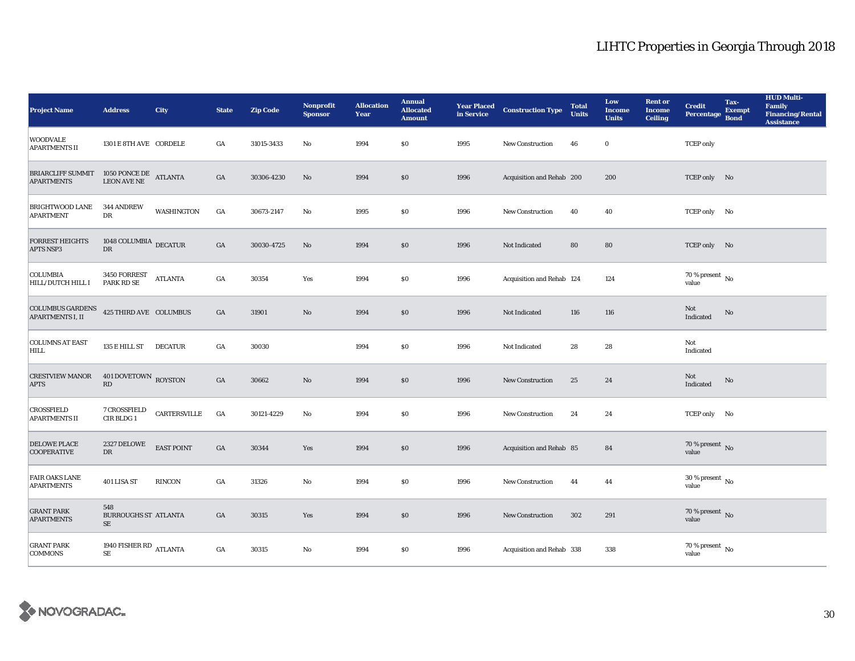| <b>Project Name</b>                                | <b>Address</b>                                   | <b>City</b>       | <b>State</b>     | <b>Zip Code</b> | Nonprofit<br><b>Sponsor</b> | <b>Allocation</b><br>Year | <b>Annual</b><br><b>Allocated</b><br><b>Amount</b> | <b>Year Placed</b><br>in Service | <b>Construction Type</b>  | <b>Total</b><br><b>Units</b> | Low<br><b>Income</b><br><b>Units</b> | <b>Rent or</b><br><b>Income</b><br><b>Ceiling</b> | <b>Credit</b><br><b>Percentage</b>   | Tax-<br><b>Exempt</b><br><b>Bond</b> | <b>HUD Multi-</b><br><b>Family</b><br><b>Financing/Rental</b><br><b>Assistance</b> |
|----------------------------------------------------|--------------------------------------------------|-------------------|------------------|-----------------|-----------------------------|---------------------------|----------------------------------------------------|----------------------------------|---------------------------|------------------------------|--------------------------------------|---------------------------------------------------|--------------------------------------|--------------------------------------|------------------------------------------------------------------------------------|
| <b>WOODVALE</b><br><b>APARTMENTS II</b>            | 1301 E 8TH AVE CORDELE                           |                   | GA               | 31015-3433      | No                          | 1994                      | \$0\$                                              | 1995                             | <b>New Construction</b>   | 46                           | $\bf{0}$                             |                                                   | <b>TCEP</b> only                     |                                      |                                                                                    |
| <b>BRIARCLIFF SUMMIT</b><br><b>APARTMENTS</b>      | $1050$ PONCE DE<br>$\;$ ATLANTA LEON AVE NE $\;$ |                   | GA               | 30306-4230      | No                          | 1994                      | \$0                                                | 1996                             | Acquisition and Rehab 200 |                              | 200                                  |                                                   | TCEP only No                         |                                      |                                                                                    |
| <b>BRIGHTWOOD LANE</b><br><b>APARTMENT</b>         | <b>344 ANDREW</b><br>DR                          | <b>WASHINGTON</b> | GA               | 30673-2147      | $\rm No$                    | 1995                      | \$0                                                | 1996                             | New Construction          | 40                           | 40                                   |                                                   | TCEP only No                         |                                      |                                                                                    |
| <b>FORREST HEIGHTS</b><br><b>APTS NSP3</b>         | 1048 COLUMBIA $_{\rm DECATUR}$<br>${\rm DR}$     |                   | $_{\mathrm{GA}}$ | 30030-4725      | $\mathbf{N}\mathbf{o}$      | 1994                      | \$0                                                | 1996                             | Not Indicated             | 80                           | 80                                   |                                                   | TCEP only No                         |                                      |                                                                                    |
| <b>COLUMBIA</b><br>HILL/DUTCH HILL I               | 3450 FORREST<br>PARK RD SE                       | <b>ATLANTA</b>    | GA               | 30354           | Yes                         | 1994                      | $\$0$                                              | 1996                             | Acquisition and Rehab 124 |                              | 124                                  |                                                   | 70 % present $\,$ No $\,$<br>value   |                                      |                                                                                    |
| <b>COLUMBUS GARDENS</b><br><b>APARTMENTS I, II</b> | 425 THIRD AVE COLUMBUS                           |                   | GA               | 31901           | $\rm No$                    | 1994                      | \$0                                                | 1996                             | Not Indicated             | 116                          | 116                                  |                                                   | Not<br>Indicated                     | No                                   |                                                                                    |
| <b>COLUMNS AT EAST</b><br>HILL                     | 135 E HILL ST                                    | <b>DECATUR</b>    | GA               | 30030           |                             | 1994                      | \$0\$                                              | 1996                             | Not Indicated             | 28                           | 28                                   |                                                   | Not<br>Indicated                     |                                      |                                                                                    |
| <b>CRESTVIEW MANOR</b><br><b>APTS</b>              | 401 DOVETOWN ROYSTON<br>$\mathbf{R}\mathbf{D}$   |                   | GA               | 30662           | $\rm No$                    | 1994                      | \$0                                                | 1996                             | New Construction          | 25                           | 24                                   |                                                   | Not<br>Indicated                     | No                                   |                                                                                    |
| CROSSFIELD<br><b>APARTMENTS II</b>                 | 7 CROSSFIELD<br>CIR BLDG 1                       | CARTERSVILLE      | $_{\mathrm{GA}}$ | 30121-4229      | $\mathbf{No}$               | 1994                      | $\$0$                                              | 1996                             | <b>New Construction</b>   | 24                           | 24                                   |                                                   | TCEP only No                         |                                      |                                                                                    |
| <b>DELOWE PLACE</b><br><b>COOPERATIVE</b>          | 2327 DELOWE<br><b>DR</b>                         | <b>EAST POINT</b> | GA               | 30344           | Yes                         | 1994                      | \$0                                                | 1996                             | Acquisition and Rehab 85  |                              | 84                                   |                                                   | 70 % present $\overline{N}$<br>value |                                      |                                                                                    |
| <b>FAIR OAKS LANE</b><br><b>APARTMENTS</b>         | 401 LISA ST                                      | <b>RINCON</b>     | GA               | 31326           | $\mathbf{No}$               | 1994                      | \$0                                                | 1996                             | New Construction          | 44                           | 44                                   |                                                   | $30$ % present $\,$ No $\,$<br>value |                                      |                                                                                    |
| <b>GRANT PARK</b><br><b>APARTMENTS</b>             | 548<br><b>BURROUGHS ST ATLANTA</b><br>$\rm SE$   |                   | GA               | 30315           | Yes                         | 1994                      | \$0                                                | 1996                             | <b>New Construction</b>   | 302                          | 291                                  |                                                   | 70 % present $\,$ No $\,$<br>value   |                                      |                                                                                    |
| <b>GRANT PARK</b><br><b>COMMONS</b>                | 1940 FISHER RD ATLANTA<br><b>SE</b>              |                   | GA               | 30315           | No                          | 1994                      | \$0                                                | 1996                             | Acquisition and Rehab 338 |                              | 338                                  |                                                   | $70$ % present $\,$ No $\,$<br>value |                                      |                                                                                    |

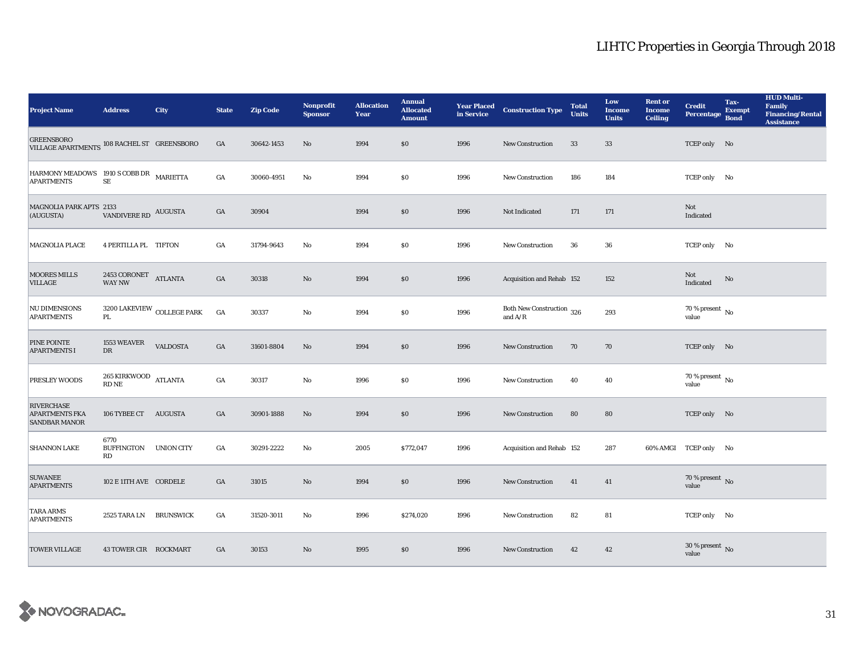| <b>Project Name</b>                                              | <b>Address</b>                                                             | <b>City</b>                       | <b>State</b> | <b>Zip Code</b> | <b>Nonprofit</b><br><b>Sponsor</b> | <b>Allocation</b><br>Year | <b>Annual</b><br><b>Allocated</b><br><b>Amount</b> |      | <b>Year Placed Construction Type</b><br>in Service                                 | <b>Total</b><br><b>Units</b> | Low<br><b>Income</b><br><b>Units</b> | <b>Rent or</b><br><b>Income</b><br><b>Ceiling</b> | <b>Credit</b><br><b>Percentage</b> | Tax-<br><b>Exempt</b><br><b>Bond</b> | <b>HUD Multi-</b><br>Family<br><b>Financing/Rental</b><br><b>Assistance</b> |
|------------------------------------------------------------------|----------------------------------------------------------------------------|-----------------------------------|--------------|-----------------|------------------------------------|---------------------------|----------------------------------------------------|------|------------------------------------------------------------------------------------|------------------------------|--------------------------------------|---------------------------------------------------|------------------------------------|--------------------------------------|-----------------------------------------------------------------------------|
| <b>GREENSBORO</b><br>VILLAGE APARTMENTS 108 RACHEL ST GREENSBORO |                                                                            |                                   | GA           | 30642-1453      | No                                 | 1994                      | \$0\$                                              | 1996 | New Construction                                                                   | 33                           | $33\,$                               |                                                   | TCEP only No                       |                                      |                                                                             |
| HARMONY MEADOWS 1910 S COBB DR MARIETTA<br><b>APARTMENTS</b>     | $\rm SE$                                                                   |                                   | GA           | 30060-4951      | No                                 | 1994                      | \$0                                                | 1996 | <b>New Construction</b>                                                            | 186                          | 184                                  |                                                   | TCEP only No                       |                                      |                                                                             |
| MAGNOLIA PARK APTS 2133<br>(AUGUSTA)                             | VANDIVERE RD AUGUSTA                                                       |                                   | GA           | 30904           |                                    | 1994                      | $\$0$                                              | 1996 | Not Indicated                                                                      | 171                          | 171                                  |                                                   | Not<br>Indicated                   |                                      |                                                                             |
| MAGNOLIA PLACE                                                   | 4 PERTILLA PL TIFTON                                                       |                                   | GA           | 31794-9643      | No                                 | 1994                      | \$0\$                                              | 1996 | New Construction                                                                   | 36                           | 36                                   |                                                   | TCEP only No                       |                                      |                                                                             |
| <b>MOORES MILLS</b><br>VILLAGE                                   | $2453$ CORONET $\quad$ ATLANTA WAY NW                                      |                                   | GA           | 30318           | No                                 | 1994                      | \$0                                                | 1996 | Acquisition and Rehab 152                                                          |                              | 152                                  |                                                   | Not<br>Indicated                   | No                                   |                                                                             |
| NU DIMENSIONS<br><b>APARTMENTS</b>                               | PL                                                                         | $3200$ LAKEVIEW $\,$ COLLEGE PARK | GA           | 30337           | $\mathbf {No}$                     | 1994                      | \$0\$                                              | 1996 | Both New Construction 326<br>and $\ensuremath{\mathrm{A}}/\ensuremath{\mathrm{R}}$ |                              | 293                                  |                                                   | 70 % present $\,$ No $\,$<br>value |                                      |                                                                             |
| PINE POINTE<br><b>APARTMENTS I</b>                               | 1553 WEAVER<br>DR                                                          | <b>VALDOSTA</b>                   | GA           | 31601-8804      | No                                 | 1994                      | \$0                                                | 1996 | New Construction                                                                   | 70                           | 70                                   |                                                   | TCEP only No                       |                                      |                                                                             |
| PRESLEY WOODS                                                    | 265 KIRKWOOD ATLANTA<br>$\mathop{\rm RD}\nolimits\mathop{\rm NE}\nolimits$ |                                   | GA           | 30317           | No                                 | 1996                      | \$0                                                | 1996 | <b>New Construction</b>                                                            | 40                           | 40                                   |                                                   | 70 % present $\,$ No $\,$<br>value |                                      |                                                                             |
| <b>RIVERCHASE</b><br>APARTMENTS FKA<br><b>SANDBAR MANOR</b>      | 106 TYBEE CT AUGUSTA                                                       |                                   | GA           | 30901-1888      | $\mathbf{N}\mathbf{o}$             | 1994                      | \$0                                                | 1996 | New Construction                                                                   | 80                           | 80                                   |                                                   | TCEP only No                       |                                      |                                                                             |
| <b>SHANNON LAKE</b>                                              | 6770<br><b>BUFFINGTON</b><br>RD                                            | UNION CITY                        | GA           | 30291-2222      | No                                 | 2005                      | \$772,047                                          | 1996 | Acquisition and Rehab 152                                                          |                              | 287                                  |                                                   | 60% AMGI TCEP only No              |                                      |                                                                             |
| <b>SUWANEE</b><br><b>APARTMENTS</b>                              | 102 E 11TH AVE CORDELE                                                     |                                   | GA           | 31015           | No                                 | 1994                      | \$0                                                | 1996 | <b>New Construction</b>                                                            | 41                           | 41                                   |                                                   | 70 % present No<br>value           |                                      |                                                                             |
| <b>TARA ARMS</b><br><b>APARTMENTS</b>                            | 2525 TARA LN                                                               | <b>BRUNSWICK</b>                  | GA           | 31520-3011      | No                                 | 1996                      | \$274,020                                          | 1996 | <b>New Construction</b>                                                            | 82                           | 81                                   |                                                   | TCEP only No                       |                                      |                                                                             |
| <b>TOWER VILLAGE</b>                                             | 43 TOWER CIR ROCKMART                                                      |                                   | GA           | 30153           | No                                 | 1995                      | \$0                                                | 1996 | <b>New Construction</b>                                                            | 42                           | 42                                   |                                                   | $30\,\%$ present $\,$ No value     |                                      |                                                                             |

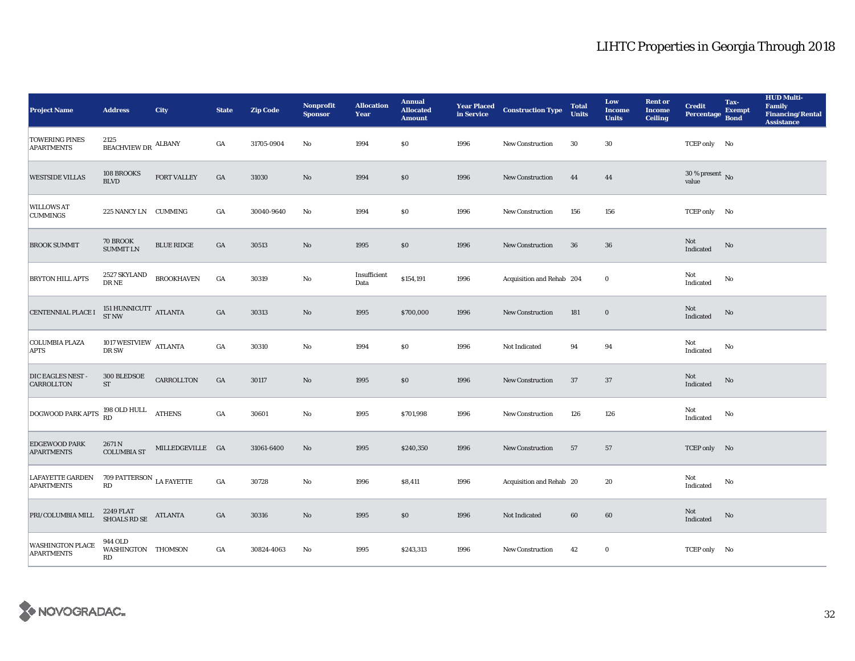| <b>Project Name</b>                          | <b>Address</b>                                               | <b>City</b>       | <b>State</b>     | <b>Zip Code</b> | Nonprofit<br><b>Sponsor</b> | <b>Allocation</b><br>Year | <b>Annual</b><br><b>Allocated</b><br><b>Amount</b> |      | <b>Year Placed Construction Type</b><br>in Service <b>Construction</b> Type | <b>Total</b><br><b>Units</b> | Low<br><b>Income</b><br><b>Units</b> | <b>Rent or</b><br><b>Income</b><br><b>Ceiling</b> | <b>Credit</b><br><b>Percentage</b> | Tax-<br><b>Exempt</b><br><b>Bond</b> | <b>HUD Multi-</b><br><b>Family</b><br><b>Financing/Rental</b><br><b>Assistance</b> |
|----------------------------------------------|--------------------------------------------------------------|-------------------|------------------|-----------------|-----------------------------|---------------------------|----------------------------------------------------|------|-----------------------------------------------------------------------------|------------------------------|--------------------------------------|---------------------------------------------------|------------------------------------|--------------------------------------|------------------------------------------------------------------------------------|
| <b>TOWERING PINES</b><br><b>APARTMENTS</b>   | 2125<br>$\operatorname{\textsc{BEACHVIEW\,DR}}$ ALBANY       |                   | GA               | 31705-0904      | No                          | 1994                      | \$0\$                                              | 1996 | <b>New Construction</b>                                                     | 30                           | 30                                   |                                                   | TCEP only No                       |                                      |                                                                                    |
| <b>WESTSIDE VILLAS</b>                       | 108 BROOKS<br><b>BLVD</b>                                    | FORT VALLEY       | $_{\mathrm{GA}}$ | 31030           | No                          | 1994                      | \$0                                                | 1996 | New Construction                                                            | 44                           | 44                                   |                                                   | $30$ % present $\,$ No value       |                                      |                                                                                    |
| <b>WILLOWS AT</b><br><b>CUMMINGS</b>         | 225 NANCY LN CUMMING                                         |                   | GA               | 30040-9640      | No                          | 1994                      | $\$0$                                              | 1996 | New Construction                                                            | 156                          | 156                                  |                                                   | TCEP only No                       |                                      |                                                                                    |
| <b>BROOK SUMMIT</b>                          | 70 BROOK<br><b>SUMMIT LN</b>                                 | <b>BLUE RIDGE</b> | GA               | 30513           | $\mathbf{N}\mathbf{o}$      | 1995                      | $\$0$                                              | 1996 | New Construction                                                            | 36                           | $36\,$                               |                                                   | Not<br>Indicated                   | No                                   |                                                                                    |
| <b>BRYTON HILL APTS</b>                      | 2527 SKYLAND<br>$\rm DR\,NE$                                 | <b>BROOKHAVEN</b> | $_{\mathrm{GA}}$ | 30319           | $\mathbf{N}\mathbf{o}$      | Insufficient<br>Data      | \$154,191                                          | 1996 | Acquisition and Rehab 204                                                   |                              | $\bf{0}$                             |                                                   | Not<br>Indicated                   | No                                   |                                                                                    |
| CENTENNIAL PLACE I                           | 151 HUNNICUTT $\,$ ATLANTA ST NW                             |                   | $_{\mathrm{GA}}$ | 30313           | $\rm No$                    | 1995                      | \$700,000                                          | 1996 | <b>New Construction</b>                                                     | 181                          | $\mathbf 0$                          |                                                   | Not<br>Indicated                   | No                                   |                                                                                    |
| <b>COLUMBIA PLAZA</b><br><b>APTS</b>         | 1017 WESTVIEW $_{\rm{ATLANTA}}$<br>DR SW                     |                   | $_{\mathrm{GA}}$ | 30310           | No                          | 1994                      | $\boldsymbol{\mathsf{S}}\boldsymbol{\mathsf{0}}$   | 1996 | Not Indicated                                                               | 94                           | 94                                   |                                                   | Not<br>Indicated                   | $\mathbf{No}$                        |                                                                                    |
| DIC EAGLES NEST -<br><b>CARROLLTON</b>       | 300 BLEDSOE<br>${\rm ST}$                                    | CARROLLTON        | $_{\mathrm{GA}}$ | 30117           | $\rm No$                    | 1995                      | \$0                                                | 1996 | New Construction                                                            | 37                           | 37                                   |                                                   | Not<br>Indicated                   | No                                   |                                                                                    |
| DOGWOOD PARK APTS                            | 198 OLD HULL ATHENS RD                                       |                   | $_{\mathrm{GA}}$ | 30601           | $\rm No$                    | 1995                      | \$701,998                                          | 1996 | <b>New Construction</b>                                                     | 126                          | 126                                  |                                                   | Not<br>Indicated                   | $\rm No$                             |                                                                                    |
| <b>EDGEWOOD PARK</b><br><b>APARTMENTS</b>    | 2671 N<br><b>COLUMBIA ST</b>                                 | MILLEDGEVILLE GA  |                  | 31061-6400      | $\rm No$                    | 1995                      | \$240,350                                          | 1996 | New Construction                                                            | 57                           | 57                                   |                                                   | TCEP only No                       |                                      |                                                                                    |
| <b>LAFAYETTE GARDEN</b><br><b>APARTMENTS</b> | 709 PATTERSON $_{\rm LA\ FAYETTE}$<br>$\mathbf{R}\mathbf{D}$ |                   | $_{\mathrm{GA}}$ | 30728           | $\mathbf{N}\mathbf{o}$      | 1996                      | \$8,411                                            | 1996 | Acquisition and Rehab 20                                                    |                              | 20                                   |                                                   | Not<br>Indicated                   | No                                   |                                                                                    |
| PRI/COLUMBIA MILL                            | $2249$ FLAT $$\rm{ATLANTA}$$                                 |                   | GA               | 30316           | No                          | 1995                      | \$0                                                | 1996 | Not Indicated                                                               | 60                           | 60                                   |                                                   | Not<br>Indicated                   | No                                   |                                                                                    |
| <b>WASHINGTON PLACE</b><br><b>APARTMENTS</b> | 944 OLD<br>WASHINGTON THOMSON<br>$\mathbf{R}\mathbf{D}$      |                   | GA               | 30824-4063      | No                          | 1995                      | \$243,313                                          | 1996 | <b>New Construction</b>                                                     | 42                           | $\bf{0}$                             |                                                   | TCEP only No                       |                                      |                                                                                    |

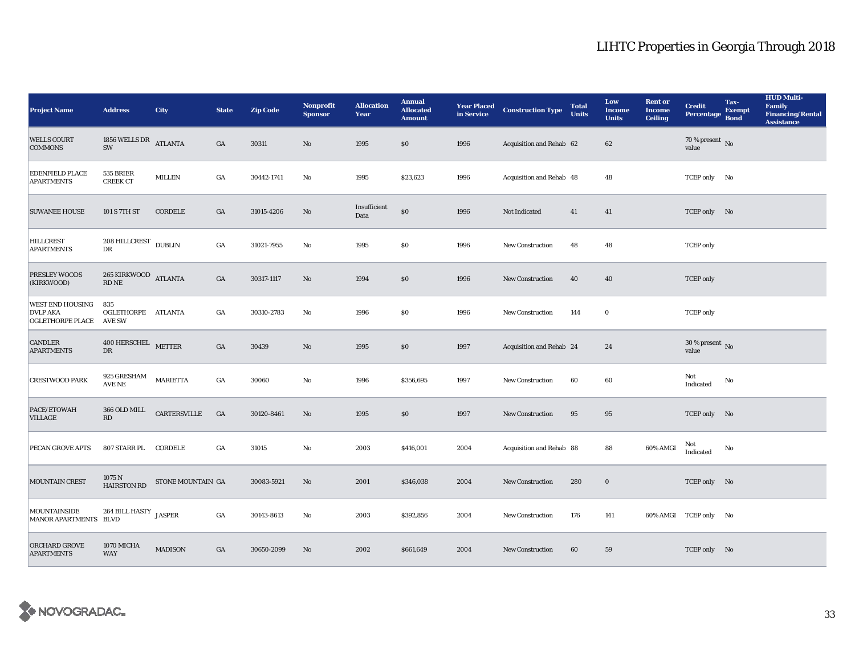| <b>Project Name</b>                                                   | <b>Address</b>                                                             | <b>City</b>       | <b>State</b>     | <b>Zip Code</b> | Nonprofit<br><b>Sponsor</b> | <b>Allocation</b><br>Year | <b>Annual</b><br><b>Allocated</b><br><b>Amount</b> | <b>Year Placed<br/>in Service</b> | <b>Construction Type</b> | <b>Total</b><br><b>Units</b> | Low<br><b>Income</b><br><b>Units</b> | <b>Rent or</b><br><b>Income</b><br><b>Ceiling</b> | <b>Credit</b><br><b>Percentage</b>   | Tax-<br><b>Exempt</b><br><b>Bond</b> | <b>HUD Multi-</b><br>Family<br><b>Financing/Rental</b><br><b>Assistance</b> |
|-----------------------------------------------------------------------|----------------------------------------------------------------------------|-------------------|------------------|-----------------|-----------------------------|---------------------------|----------------------------------------------------|-----------------------------------|--------------------------|------------------------------|--------------------------------------|---------------------------------------------------|--------------------------------------|--------------------------------------|-----------------------------------------------------------------------------|
| <b>WELLS COURT</b><br><b>COMMONS</b>                                  | 1856 WELLS DR ATLANTA<br>SW                                                |                   | GA               | 30311           | No                          | 1995                      | \$0                                                | 1996                              | Acquisition and Rehab 62 |                              | 62                                   |                                                   | 70 % present $\hbox{~No}$<br>value   |                                      |                                                                             |
| <b>EDENFIELD PLACE</b><br><b>APARTMENTS</b>                           | 535 BRIER<br><b>CREEK CT</b>                                               | <b>MILLEN</b>     | GA               | 30442-1741      | No                          | 1995                      | \$23,623                                           | 1996                              | Acquisition and Rehab 48 |                              | 48                                   |                                                   | TCEP only No                         |                                      |                                                                             |
| <b>SUWANEE HOUSE</b>                                                  | 101 S 7TH ST                                                               | CORDELE           | GA               | 31015-4206      | $\mathbf{No}$               | Insufficient<br>Data      | $\$0$                                              | 1996                              | Not Indicated            | 41                           | 41                                   |                                                   | TCEP only No                         |                                      |                                                                             |
| <b>HILLCREST</b><br><b>APARTMENTS</b>                                 | $208$ HILLCREST $\,$ DUBLIN<br>DR                                          |                   | $_{\mathrm{GA}}$ | 31021-7955      | No                          | 1995                      | $\$0$                                              | 1996                              | New Construction         | 48                           | 48                                   |                                                   | <b>TCEP</b> only                     |                                      |                                                                             |
| PRESLEY WOODS<br>(KIRKWOOD)                                           | 265 KIRKWOOD ATLANTA<br>$\mathop{\rm RD}\nolimits\mathop{\rm NE}\nolimits$ |                   | $_{\mathrm{GA}}$ | 30317-1117      | $\mathbf{N}\mathbf{o}$      | 1994                      | \$0                                                | 1996                              | <b>New Construction</b>  | 40                           | 40                                   |                                                   | <b>TCEP</b> only                     |                                      |                                                                             |
| <b>WEST END HOUSING</b><br><b>DVLP AKA</b><br><b>OGLETHORPE PLACE</b> | 835<br>OGLETHORPE ATLANTA<br><b>AVE SW</b>                                 |                   | GA               | 30310-2783      | No                          | 1996                      | $\$0$                                              | 1996                              | New Construction         | 144                          | $\bf{0}$                             |                                                   | <b>TCEP</b> only                     |                                      |                                                                             |
| <b>CANDLER</b><br><b>APARTMENTS</b>                                   | $400$ HERSCHEL $$\tt METTER$$<br>DR                                        |                   | $_{\mathrm{GA}}$ | 30439           | No                          | 1995                      | \$0                                                | 1997                              | Acquisition and Rehab 24 |                              | 24                                   |                                                   | $30$ % present $\,$ No $\,$<br>value |                                      |                                                                             |
| <b>CRESTWOOD PARK</b>                                                 | 925 GRESHAM<br>$\operatorname{AVE}$ NE                                     | <b>MARIETTA</b>   | GA               | 30060           | $\mathbf{N}\mathbf{o}$      | 1996                      | \$356,695                                          | 1997                              | New Construction         | 60                           | 60                                   |                                                   | Not<br>Indicated                     | No                                   |                                                                             |
| PACE/ETOWAH<br><b>VILLAGE</b>                                         | 366 OLD MILL<br>RD                                                         | CARTERSVILLE      | GA               | 30120-8461      | $\mathbf{N}\mathbf{o}$      | 1995                      | $\$0$                                              | 1997                              | New Construction         | 95                           | 95                                   |                                                   | TCEP only No                         |                                      |                                                                             |
| PECAN GROVE APTS                                                      | 807 STARR PL CORDELE                                                       |                   | GA               | 31015           | No                          | 2003                      | \$416,001                                          | 2004                              | Acquisition and Rehab 88 |                              | 88                                   | 60% AMGI                                          | Not<br>Indicated                     | No                                   |                                                                             |
| <b>MOUNTAIN CREST</b>                                                 | 1075 N<br><b>HAIRSTON RD</b>                                               | STONE MOUNTAIN GA |                  | 30083-5921      | $\mathbf{N}\mathbf{o}$      | 2001                      | \$346,038                                          | 2004                              | New Construction         | 280                          | $\mathbf 0$                          |                                                   | TCEP only No                         |                                      |                                                                             |
| <b>MOUNTAINSIDE</b><br>MANOR APARTMENTS BLVD                          | 264 BILL HASTY                                                             | <b>JASPER</b>     | GA               | 30143-8613      | No                          | 2003                      | \$392,856                                          | 2004                              | New Construction         | 176                          | 141                                  |                                                   | 60% AMGI TCEP only No                |                                      |                                                                             |
| <b>ORCHARD GROVE</b><br><b>APARTMENTS</b>                             | 1070 MICHA<br><b>WAY</b>                                                   | <b>MADISON</b>    | GA               | 30650-2099      | No                          | 2002                      | \$661,649                                          | 2004                              | <b>New Construction</b>  | 60                           | 59                                   |                                                   | TCEP only No                         |                                      |                                                                             |

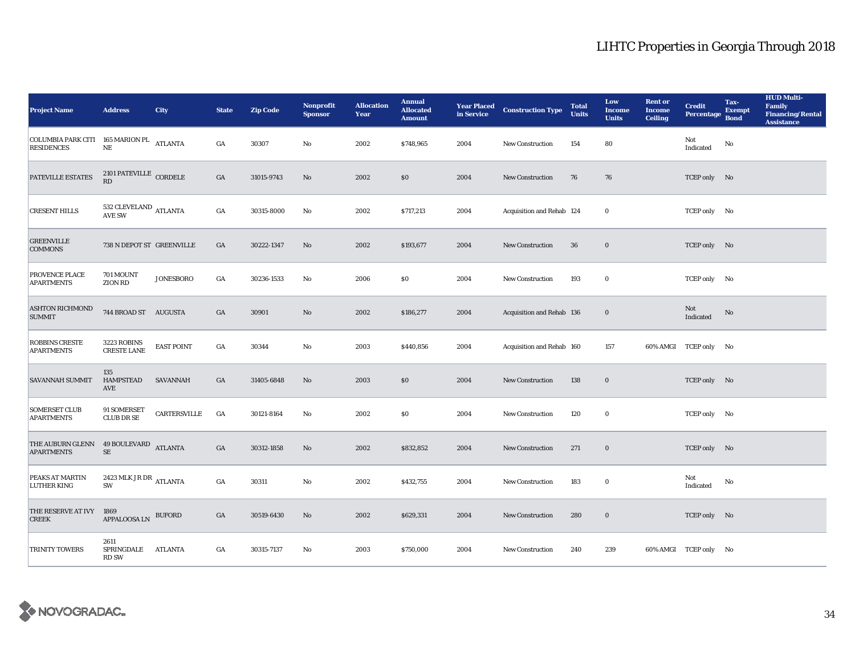| <b>Project Name</b>                                           | <b>Address</b>                                     | <b>City</b>       | <b>State</b>     | <b>Zip Code</b> | Nonprofit<br><b>Sponsor</b> | <b>Allocation</b><br>Year | <b>Annual</b><br><b>Allocated</b><br><b>Amount</b> | <b>Year Placed</b><br>in Service | <b>Construction Type</b>  | <b>Total</b><br><b>Units</b> | Low<br><b>Income</b><br><b>Units</b> | <b>Rent or</b><br><b>Income</b><br><b>Ceiling</b> | <b>Credit</b><br><b>Percentage</b> | Tax-<br><b>Exempt</b><br><b>Bond</b> | <b>HUD Multi-</b><br><b>Family</b><br><b>Financing/Rental</b><br><b>Assistance</b> |
|---------------------------------------------------------------|----------------------------------------------------|-------------------|------------------|-----------------|-----------------------------|---------------------------|----------------------------------------------------|----------------------------------|---------------------------|------------------------------|--------------------------------------|---------------------------------------------------|------------------------------------|--------------------------------------|------------------------------------------------------------------------------------|
| COLUMBIA PARK CITI 165 MARION PL ATLANTA<br><b>RESIDENCES</b> | NE                                                 |                   | GA               | 30307           | No                          | 2002                      | \$748,965                                          | 2004                             | <b>New Construction</b>   | 154                          | 80                                   |                                                   | Not<br>$\operatorname{Indicated}$  | No                                   |                                                                                    |
| PATEVILLE ESTATES                                             | $2101\,\ensuremath{\mathsf{PATEVILLE}}$ CORDELE RD |                   | $_{\mathrm{GA}}$ | 31015-9743      | No                          | 2002                      | \$0                                                | 2004                             | New Construction          | 76                           | 76                                   |                                                   | TCEP only No                       |                                      |                                                                                    |
| <b>CRESENT HILLS</b>                                          | 532 CLEVELAND ATLANTA<br><b>AVE SW</b>             |                   | $_{\mathrm{GA}}$ | 30315-8000      | No                          | 2002                      | \$717,213                                          | 2004                             | Acquisition and Rehab 124 |                              | $\bf{0}$                             |                                                   | TCEP only No                       |                                      |                                                                                    |
| <b>GREENVILLE</b><br><b>COMMONS</b>                           | 738 N DEPOT ST GREENVILLE                          |                   | GA               | 30222-1347      | No                          | 2002                      | \$193,677                                          | 2004                             | New Construction          | 36                           | $\mathbf 0$                          |                                                   | TCEP only No                       |                                      |                                                                                    |
| PROVENCE PLACE<br><b>APARTMENTS</b>                           | 701 MOUNT<br><b>ZION RD</b>                        | <b>JONESBORO</b>  | $_{\mathrm{GA}}$ | 30236-1533      | No                          | 2006                      | $\boldsymbol{\mathsf{S}}\boldsymbol{\mathsf{O}}$   | 2004                             | New Construction          | 193                          | $\bf{0}$                             |                                                   | TCEP only No                       |                                      |                                                                                    |
| <b>ASHTON RICHMOND</b><br><b>SUMMIT</b>                       | 744 BROAD ST AUGUSTA                               |                   | GA               | 30901           | $\mathbf{N}\mathbf{o}$      | 2002                      | \$186,277                                          | 2004                             | Acquisition and Rehab 136 |                              | $\mathbf 0$                          |                                                   | Not<br>Indicated                   | No                                   |                                                                                    |
| <b>ROBBINS CRESTE</b><br><b>APARTMENTS</b>                    | 3223 ROBINS<br><b>CRESTE LANE</b>                  | <b>EAST POINT</b> | GA               | 30344           | No                          | 2003                      | \$440,856                                          | 2004                             | Acquisition and Rehab 160 |                              | 157                                  | 60% AMGI                                          | TCEP only No                       |                                      |                                                                                    |
| <b>SAVANNAH SUMMIT</b>                                        | 135<br>HAMPSTEAD<br>AVE                            | SAVANNAH          | GA               | 31405-6848      | $\mathbf{N}\mathbf{o}$      | 2003                      | \$0                                                | 2004                             | New Construction          | 138                          | $\mathbf 0$                          |                                                   | TCEP only No                       |                                      |                                                                                    |
| <b>SOMERSET CLUB</b><br><b>APARTMENTS</b>                     | 91 SOMERSET<br>CLUB DR SE                          | CARTERSVILLE      | GA               | 30121-8164      | $\rm No$                    | 2002                      | $\$0$                                              | 2004                             | New Construction          | 120                          | $\mathbf 0$                          |                                                   | TCEP only No                       |                                      |                                                                                    |
| THE AUBURN GLENN 49 BOULEVARD ATLANTA<br><b>APARTMENTS</b>    | $\rm SE$                                           |                   | GA               | 30312-1858      | $\mathbf{No}$               | 2002                      | \$832,852                                          | 2004                             | <b>New Construction</b>   | 271                          | $\mathbf 0$                          |                                                   | TCEP only No                       |                                      |                                                                                    |
| PEAKS AT MARTIN<br><b>LUTHER KING</b>                         | 2423 MLK JR DR $\,$ ATLANTA<br>SW                  |                   | GA               | 30311           | No                          | 2002                      | \$432,755                                          | 2004                             | <b>New Construction</b>   | 183                          | $\bf{0}$                             |                                                   | Not<br>Indicated                   | No                                   |                                                                                    |
| THE RESERVE AT IVY<br><b>CREEK</b>                            | 1869<br>APPALOOSA LN                               | <b>BUFORD</b>     | GA               | 30519-6430      | No                          | 2002                      | \$629,331                                          | 2004                             | <b>New Construction</b>   | 280                          | $\bf{0}$                             |                                                   | TCEP only No                       |                                      |                                                                                    |
| <b>TRINITY TOWERS</b>                                         | 2611<br>SPRINGDALE<br><b>RD SW</b>                 | ATLANTA           | GA               | 30315-7137      | No                          | 2003                      | \$750,000                                          | 2004                             | <b>New Construction</b>   | 240                          | 239                                  |                                                   | 60% AMGI TCEP only No              |                                      |                                                                                    |

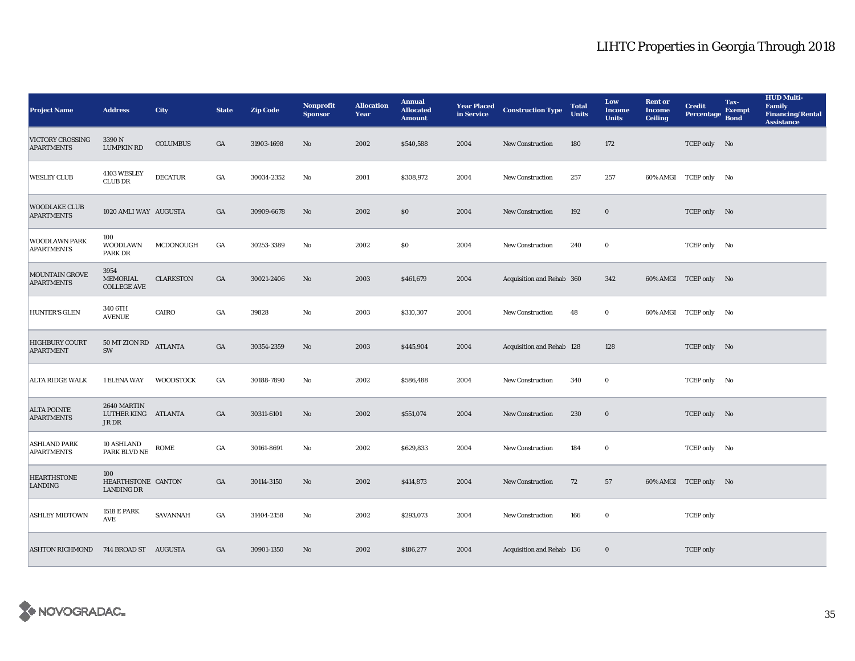| <b>Project Name</b>                        | <b>Address</b>                                 | <b>City</b>      | <b>State</b>     | <b>Zip Code</b> | Nonprofit<br><b>Sponsor</b> | <b>Allocation</b><br>Year | <b>Annual</b><br><b>Allocated</b><br><b>Amount</b> | <b>Year Placed</b><br>in Service | <b>Construction Type</b>  | <b>Total</b><br><b>Units</b> | Low<br><b>Income</b><br><b>Units</b> | <b>Rent or</b><br><b>Income</b><br><b>Ceiling</b> | <b>Credit</b><br><b>Percentage</b> | Tax-<br><b>Exempt</b><br><b>Bond</b> | <b>HUD Multi-</b><br><b>Family</b><br><b>Financing/Rental</b><br><b>Assistance</b> |
|--------------------------------------------|------------------------------------------------|------------------|------------------|-----------------|-----------------------------|---------------------------|----------------------------------------------------|----------------------------------|---------------------------|------------------------------|--------------------------------------|---------------------------------------------------|------------------------------------|--------------------------------------|------------------------------------------------------------------------------------|
| VICTORY CROSSING<br><b>APARTMENTS</b>      | 3390 N<br><b>LUMPKIN RD</b>                    | <b>COLUMBUS</b>  | $_{\mathrm{GA}}$ | 31903-1698      | No                          | 2002                      | \$540,588                                          | 2004                             | New Construction          | 180                          | 172                                  |                                                   | TCEP only No                       |                                      |                                                                                    |
| <b>WESLEY CLUB</b>                         | 4103 WESLEY<br><b>CLUB DR</b>                  | <b>DECATUR</b>   | GA               | 30034-2352      | No                          | 2001                      | \$308,972                                          | 2004                             | New Construction          | 257                          | 257                                  |                                                   | 60% AMGI TCEP only No              |                                      |                                                                                    |
| <b>WOODLAKE CLUB</b><br><b>APARTMENTS</b>  | 1020 AMLI WAY AUGUSTA                          |                  | $_{\mathrm{GA}}$ | 30909-6678      | No                          | 2002                      | $\$0$                                              | 2004                             | <b>New Construction</b>   | 192                          | $\mathbf 0$                          |                                                   | TCEP only No                       |                                      |                                                                                    |
| WOODLAWN PARK<br><b>APARTMENTS</b>         | 100<br>WOODLAWN<br>PARK DR                     | MCDONOUGH        | GA               | 30253-3389      | No                          | 2002                      | \$0\$                                              | 2004                             | <b>New Construction</b>   | 240                          | $\bf{0}$                             |                                                   | TCEP only No                       |                                      |                                                                                    |
| <b>MOUNTAIN GROVE</b><br><b>APARTMENTS</b> | 3954<br>MEMORIAL<br><b>COLLEGE AVE</b>         | <b>CLARKSTON</b> | $_{\mathrm{GA}}$ | 30021-2406      | No                          | 2003                      | \$461,679                                          | 2004                             | Acquisition and Rehab 360 |                              | 342                                  |                                                   | 60% AMGI TCEP only No              |                                      |                                                                                    |
| <b>HUNTER'S GLEN</b>                       | 340 6TH<br><b>AVENUE</b>                       | CAIRO            | $_{\mathrm{GA}}$ | 39828           | $\mathbf{N}\mathbf{o}$      | 2003                      | \$310,307                                          | 2004                             | <b>New Construction</b>   | 48                           | $\bf{0}$                             |                                                   | 60% AMGI TCEP only No              |                                      |                                                                                    |
| <b>HIGHBURY COURT</b><br><b>APARTMENT</b>  | 50 MT ZION RD<br>SW                            | <b>ATLANTA</b>   | $_{\mathrm{GA}}$ | 30354-2359      | No                          | 2003                      | \$445,904                                          | 2004                             | Acquisition and Rehab 128 |                              | 128                                  |                                                   | TCEP only No                       |                                      |                                                                                    |
| <b>ALTA RIDGE WALK</b>                     | 1 ELENA WAY                                    | <b>WOODSTOCK</b> | GA               | 30188-7890      | No                          | 2002                      | \$586,488                                          | 2004                             | New Construction          | 340                          | $\bf{0}$                             |                                                   | TCEP only No                       |                                      |                                                                                    |
| <b>ALTA POINTE</b><br><b>APARTMENTS</b>    | 2640 MARTIN<br>LUTHER KING<br>JR DR            | ATLANTA          | GA               | 30311-6101      | No                          | 2002                      | \$551,074                                          | 2004                             | <b>New Construction</b>   | 230                          | $\bf{0}$                             |                                                   | TCEP only No                       |                                      |                                                                                    |
| <b>ASHLAND PARK</b><br><b>APARTMENTS</b>   | 10 ASHLAND<br>PARK BLVD NE                     | ROME             | GA               | 30161-8691      | No                          | 2002                      | \$629,833                                          | 2004                             | <b>New Construction</b>   | 184                          | $\bf{0}$                             |                                                   | TCEP only No                       |                                      |                                                                                    |
| <b>HEARTHSTONE</b><br>LANDING              | 100<br>HEARTHSTONE CANTON<br><b>LANDING DR</b> |                  | $_{\mathrm{GA}}$ | 30114-3150      | No                          | 2002                      | \$414,873                                          | 2004                             | <b>New Construction</b>   | 72                           | 57                                   |                                                   | 60% AMGI TCEP only No              |                                      |                                                                                    |
| <b>ASHLEY MIDTOWN</b>                      | <b>1518 E PARK</b><br><b>AVE</b>               | SAVANNAH         | GA               | 31404-2158      | No                          | 2002                      | \$293,073                                          | 2004                             | New Construction          | 166                          | $\bf{0}$                             |                                                   | <b>TCEP</b> only                   |                                      |                                                                                    |
| <b>ASHTON RICHMOND</b>                     | 744 BROAD ST AUGUSTA                           |                  | GA               | 30901-1350      | No                          | 2002                      | \$186,277                                          | 2004                             | Acquisition and Rehab 136 |                              | $\bf{0}$                             |                                                   | <b>TCEP</b> only                   |                                      |                                                                                    |

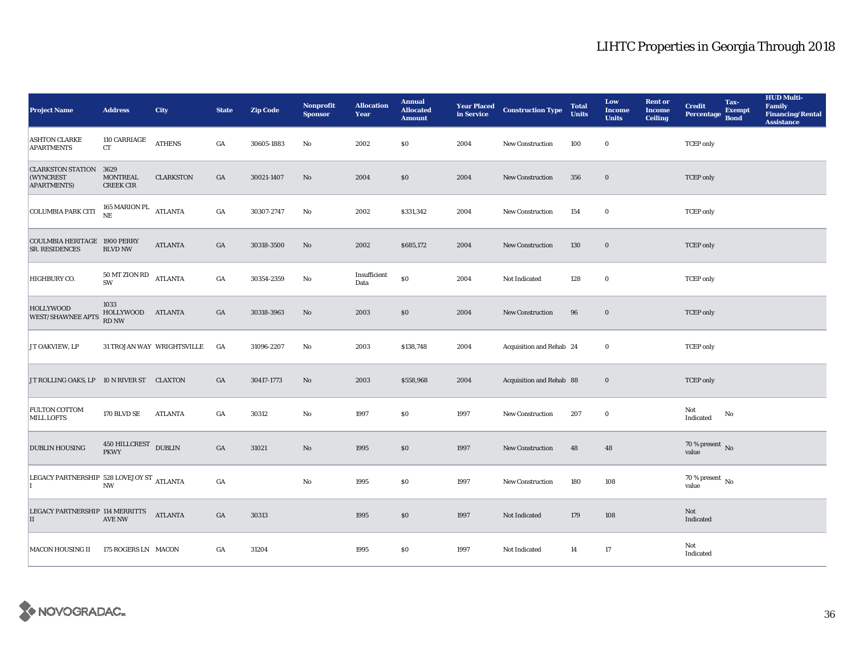| <b>Project Name</b>                                              | <b>Address</b>                            | <b>City</b>                | <b>State</b>     | <b>Zip Code</b> | <b>Nonprofit</b><br><b>Sponsor</b> | <b>Allocation</b><br>Year | <b>Annual</b><br><b>Allocated</b><br><b>Amount</b> |      | <b>Year Placed Construction Type</b><br>in Service | <b>Total</b><br><b>Units</b> | Low<br><b>Income</b><br><b>Units</b> | <b>Rent or</b><br><b>Income</b><br><b>Ceiling</b> | Tax-<br><b>Credit</b><br><b>Exempt</b><br>Percentage<br><b>Bond</b> | <b>HUD Multi-</b><br>Family<br><b>Financing/Rental</b><br><b>Assistance</b> |
|------------------------------------------------------------------|-------------------------------------------|----------------------------|------------------|-----------------|------------------------------------|---------------------------|----------------------------------------------------|------|----------------------------------------------------|------------------------------|--------------------------------------|---------------------------------------------------|---------------------------------------------------------------------|-----------------------------------------------------------------------------|
| <b>ASHTON CLARKE</b><br><b>APARTMENTS</b>                        | 110 CARRIAGE<br>CT                        | <b>ATHENS</b>              | GA               | 30605-1883      | No                                 | 2002                      | \$0\$                                              | 2004 | <b>New Construction</b>                            | 100                          | $\bf{0}$                             |                                                   | <b>TCEP</b> only                                                    |                                                                             |
| <b>CLARKSTON STATION 3629</b><br>(WYNCREST<br><b>APARTMENTS)</b> | <b>MONTREAL</b><br><b>CREEK CIR</b>       | <b>CLARKSTON</b>           | GA               | 30021-1407      | No                                 | 2004                      | \$0                                                | 2004 | New Construction                                   | 356                          | $\bf{0}$                             |                                                   | <b>TCEP</b> only                                                    |                                                                             |
| <b>COLUMBIA PARK CITI</b>                                        | 165 MARION PL<br>NE                       | <b>ATLANTA</b>             | GA               | 30307-2747      | $\rm No$                           | 2002                      | \$331,342                                          | 2004 | <b>New Construction</b>                            | 154                          | $\mathbf 0$                          |                                                   | <b>TCEP</b> only                                                    |                                                                             |
| <b>COULMBIA HERITAGE 1900 PERRY</b><br>SR. RESIDENCES            | <b>BLVD NW</b>                            | <b>ATLANTA</b>             | $_{\mathrm{GA}}$ | 30318-3500      | $\mathbf{No}$                      | 2002                      | \$685,172                                          | 2004 | New Construction                                   | 130                          | $\bf{0}$                             |                                                   | <b>TCEP</b> only                                                    |                                                                             |
| HIGHBURY CO.                                                     | $50\,\mathrm{MT}$ ZION RD<br>SW           | <b>ATLANTA</b>             | $_{\mathrm{GA}}$ | 30354-2359      | No                                 | Insufficient<br>Data      | \$0                                                | 2004 | Not Indicated                                      | 128                          | $\mathbf 0$                          |                                                   | <b>TCEP</b> only                                                    |                                                                             |
| <b>HOLLYWOOD</b><br><b>WEST/SHAWNEE APTS</b>                     | 1033<br>HOLLYWOOD ATLANTA<br><b>RD NW</b> |                            | $_{\mathrm{GA}}$ | 30318-3963      | $\mathbf{No}$                      | 2003                      | \$0                                                | 2004 | <b>New Construction</b>                            | 96                           | $\mathbf 0$                          |                                                   | <b>TCEP</b> only                                                    |                                                                             |
| JT OAKVIEW, LP                                                   |                                           | 31 TROJAN WAY WRIGHTSVILLE | GA               | 31096-2207      | No                                 | 2003                      | \$138,748                                          | 2004 | Acquisition and Rehab 24                           |                              | $\bf{0}$                             |                                                   | <b>TCEP</b> only                                                    |                                                                             |
| JT ROLLING OAKS, LP 10 N RIVER ST CLAXTON                        |                                           |                            | GA               | 30417-1773      | No                                 | 2003                      | \$558,968                                          | 2004 | Acquisition and Rehab 88                           |                              | $\mathbf 0$                          |                                                   | <b>TCEP</b> only                                                    |                                                                             |
| FULTON COTTOM<br>MILL LOFTS                                      | 170 BLVD SE                               | ATLANTA                    | GA               | 30312           | No                                 | 1997                      | \$0                                                | 1997 | <b>New Construction</b>                            | 207                          | $\bf{0}$                             |                                                   | Not<br>$\mathbf{No}$<br>Indicated                                   |                                                                             |
| <b>DUBLIN HOUSING</b>                                            | 450 HILLCREST<br><b>PKWY</b>              | <b>DUBLIN</b>              | $_{\mathrm{GA}}$ | 31021           | $\rm No$                           | 1995                      | \$0                                                | 1997 | New Construction                                   | 48                           | 48                                   |                                                   | 70 % present $\,$ No $\,$<br>value                                  |                                                                             |
| LEGACY PARTNERSHIP 528 LOVEJOY ST ATLANTA                        | $\mathbf{N}\mathbf{W}$                    |                            | $_{\mathrm{GA}}$ |                 | No                                 | 1995                      | $\$0$                                              | 1997 | <b>New Construction</b>                            | 180                          | 108                                  |                                                   | 70 % present $\hbox{~No}$<br>value                                  |                                                                             |
| LEGACY PARTNERSHIP 114 MERRITTS<br>II                            | <b>AVE NW</b>                             | <b>ATLANTA</b>             | GA               | 30313           |                                    | 1995                      | \$0                                                | 1997 | Not Indicated                                      | 179                          | 108                                  |                                                   | Not<br>Indicated                                                    |                                                                             |
| <b>MACON HOUSING II</b>                                          | 175 ROGERS LN MACON                       |                            | GA               | 31204           |                                    | 1995                      | \$0                                                | 1997 | Not Indicated                                      | 14                           | 17                                   |                                                   | Not<br>Indicated                                                    |                                                                             |

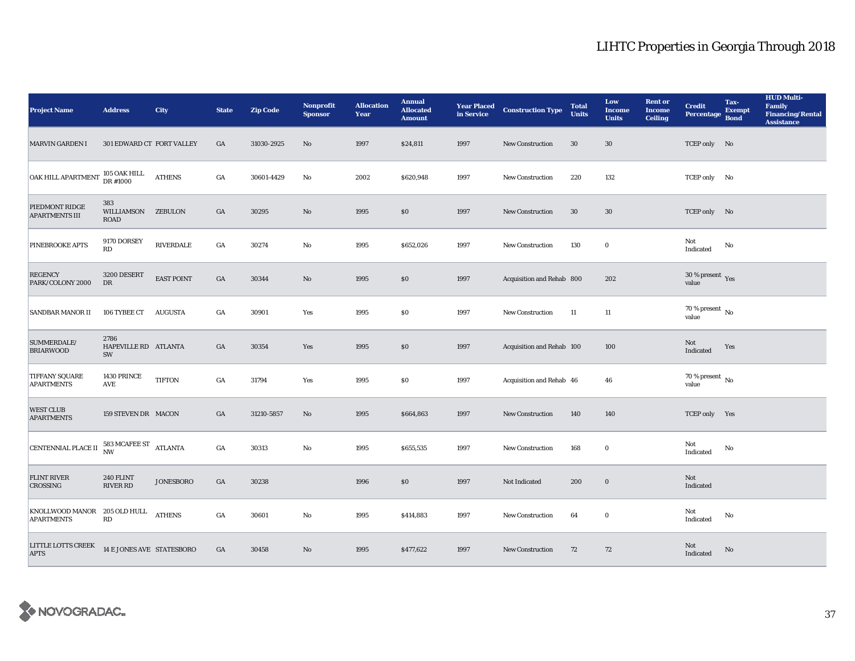| <b>Project Name</b>                               | <b>Address</b>                                 | <b>City</b>       | <b>State</b> | <b>Zip Code</b> | <b>Nonprofit</b><br><b>Sponsor</b> | <b>Allocation</b><br>Year | <b>Annual</b><br><b>Allocated</b><br><b>Amount</b> | <b>Year Placed<br/>in Service</b> | <b>Construction Type</b>  | <b>Total</b><br><b>Units</b> | Low<br><b>Income</b><br><b>Units</b> | <b>Rent or</b><br><b>Income</b><br><b>Ceiling</b> | <b>Credit</b><br><b>Percentage</b> | Tax-<br><b>Exempt</b><br><b>Bond</b> | <b>HUD Multi-</b><br><b>Family</b><br><b>Financing/Rental</b><br><b>Assistance</b> |
|---------------------------------------------------|------------------------------------------------|-------------------|--------------|-----------------|------------------------------------|---------------------------|----------------------------------------------------|-----------------------------------|---------------------------|------------------------------|--------------------------------------|---------------------------------------------------|------------------------------------|--------------------------------------|------------------------------------------------------------------------------------|
| <b>MARVIN GARDEN I</b>                            | 301 EDWARD CT FORT VALLEY                      |                   | GA           | 31030-2925      | No                                 | 1997                      | \$24,811                                           | 1997                              | <b>New Construction</b>   | 30                           | $30\,$                               |                                                   | TCEP only No                       |                                      |                                                                                    |
| <b>OAK HILL APARTMENT</b>                         | $105$ OAK HILL DR $\#1000$                     | <b>ATHENS</b>     | GA           | 30601-4429      | No                                 | 2002                      | \$620,948                                          | 1997                              | <b>New Construction</b>   | 220                          | 132                                  |                                                   | TCEP only No                       |                                      |                                                                                    |
| PIEDMONT RIDGE<br><b>APARTMENTS III</b>           | 383<br>WILLIAMSON ZEBULON<br>ROAD              |                   | GA           | 30295           | $\mathbf{No}$                      | 1995                      | \$0\$                                              | 1997                              | <b>New Construction</b>   | 30                           | $30\,$                               |                                                   | TCEP only No                       |                                      |                                                                                    |
| PINEBROOKE APTS                                   | 9170 DORSEY<br>RD                              | RIVERDALE         | GA           | 30274           | No                                 | 1995                      | \$652,026                                          | 1997                              | <b>New Construction</b>   | 130                          | $\bf{0}$                             |                                                   | Not<br>Indicated                   | No                                   |                                                                                    |
| <b>REGENCY</b><br>PARK/COLONY 2000                | 3200 DESERT<br>DR                              | <b>EAST POINT</b> | GA           | 30344           | No                                 | 1995                      | \$0                                                | 1997                              | Acquisition and Rehab 800 |                              | 202                                  |                                                   | $30\,\%$ present $\,$ Yes value    |                                      |                                                                                    |
| <b>SANDBAR MANOR II</b>                           | 106 TYBEE CT                                   | <b>AUGUSTA</b>    | GA           | 30901           | Yes                                | 1995                      | \$0                                                | 1997                              | <b>New Construction</b>   | 11                           | 11                                   |                                                   | 70 % present $\,$ No $\,$<br>value |                                      |                                                                                    |
| SUMMERDALE/<br><b>BRIARWOOD</b>                   | 2786<br>HAPEVILLE RD ATLANTA<br>SW             |                   | GA           | 30354           | Yes                                | 1995                      | \$0                                                | 1997                              | Acquisition and Rehab 100 |                              | 100                                  |                                                   | Not<br>Indicated                   | Yes                                  |                                                                                    |
| TIFFANY SQUARE<br><b>APARTMENTS</b>               | 1430 PRINCE<br>AVE                             | <b>TIFTON</b>     | GA           | 31794           | Yes                                | 1995                      | \$0                                                | 1997                              | Acquisition and Rehab 46  |                              | 46                                   |                                                   | 70 % present $\,$ No $\,$<br>value |                                      |                                                                                    |
| <b>WEST CLUB</b><br><b>APARTMENTS</b>             | 159 STEVEN DR MACON                            |                   | GA           | 31210-5857      | No                                 | 1995                      | \$664,863                                          | 1997                              | <b>New Construction</b>   | 140                          | 140                                  |                                                   | TCEP only Yes                      |                                      |                                                                                    |
| CENTENNIAL PLACE II                               | $583\, {\rm MCAFEE\, ST}$ ATLANTA<br><b>NW</b> |                   | GA           | 30313           | No                                 | 1995                      | \$655,535                                          | 1997                              | <b>New Construction</b>   | 168                          | $\bf{0}$                             |                                                   | Not<br>Indicated                   | No                                   |                                                                                    |
| <b>FLINT RIVER</b><br>CROSSING                    | 240 FLINT<br><b>RIVER RD</b>                   | <b>JONESBORO</b>  | GA           | 30238           |                                    | 1996                      | \$0                                                | 1997                              | Not Indicated             | 200                          | $\bf{0}$                             |                                                   | Not<br>Indicated                   |                                      |                                                                                    |
| KNOLLWOOD MANOR 205 OLD HULL<br><b>APARTMENTS</b> | RD                                             | <b>ATHENS</b>     | GA           | 30601           | No                                 | 1995                      | \$414,883                                          | 1997                              | <b>New Construction</b>   | 64                           | $\bf{0}$                             |                                                   | Not<br>Indicated                   | No                                   |                                                                                    |
| LITTLE LOTTS CREEK<br><b>APTS</b>                 | 14 E JONES AVE STATESBORO                      |                   | GA           | 30458           | No                                 | 1995                      | \$477,622                                          | 1997                              | <b>New Construction</b>   | 72                           | 72                                   |                                                   | Not<br>Indicated                   | No                                   |                                                                                    |

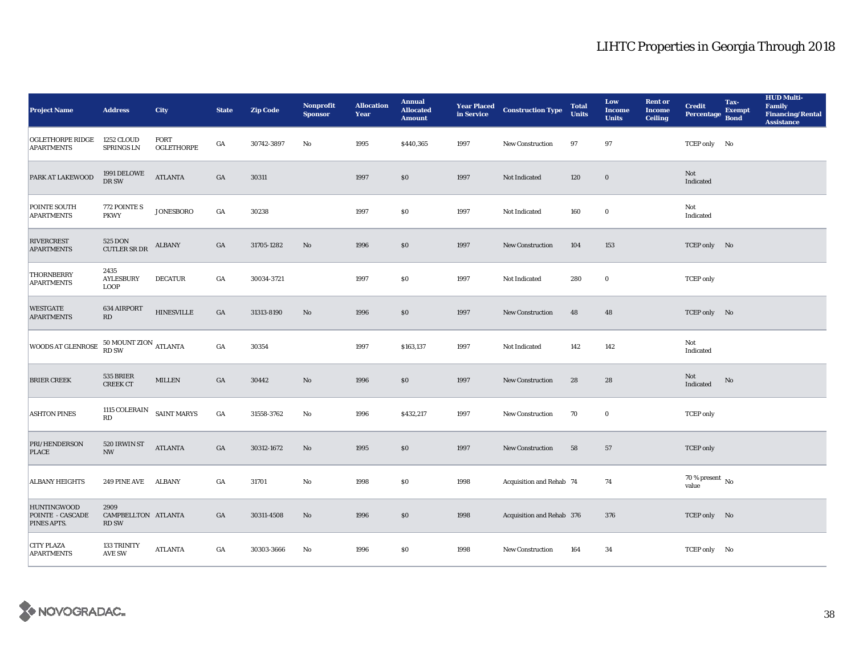| <b>Project Name</b>                                          | <b>Address</b>                              | <b>City</b>               | <b>State</b>     | <b>Zip Code</b> | <b>Nonprofit</b><br><b>Sponsor</b> | <b>Allocation</b><br>Year | <b>Annual</b><br><b>Allocated</b><br><b>Amount</b> |      | <b>Year Placed Construction Type</b><br>in Service <b>Construction</b> Type | <b>Total</b><br><b>Units</b> | Low<br><b>Income</b><br><b>Units</b> | <b>Rent or</b><br><b>Income</b><br><b>Ceiling</b> | <b>Credit</b><br><b>Percentage</b> | Tax-<br><b>Exempt</b><br><b>Bond</b> | <b>HUD Multi-</b><br>Family<br><b>Financing/Rental</b><br><b>Assistance</b> |
|--------------------------------------------------------------|---------------------------------------------|---------------------------|------------------|-----------------|------------------------------------|---------------------------|----------------------------------------------------|------|-----------------------------------------------------------------------------|------------------------------|--------------------------------------|---------------------------------------------------|------------------------------------|--------------------------------------|-----------------------------------------------------------------------------|
| OGLETHORPE RIDGE<br><b>APARTMENTS</b>                        | <b>1252 CLOUD</b><br>SPRINGS LN             | <b>FORT</b><br>OGLETHORPE | GA               | 30742-3897      | No                                 | 1995                      | \$440,365                                          | 1997 | <b>New Construction</b>                                                     | 97                           | 97                                   |                                                   | TCEP only No                       |                                      |                                                                             |
| PARK AT LAKEWOOD                                             | 1991 DELOWE<br>DR SW                        | <b>ATLANTA</b>            | $_{\mathrm{GA}}$ | 30311           |                                    | 1997                      | \$0                                                | 1997 | Not Indicated                                                               | 120                          | $\mathbf 0$                          |                                                   | Not<br>Indicated                   |                                      |                                                                             |
| POINTE SOUTH<br><b>APARTMENTS</b>                            | 772 POINTE S<br><b>PKWY</b>                 | <b>JONESBORO</b>          | GA               | 30238           |                                    | 1997                      | $\$0$                                              | 1997 | Not Indicated                                                               | 160                          | $\mathbf 0$                          |                                                   | Not<br>Indicated                   |                                      |                                                                             |
| <b>RIVERCREST</b><br><b>APARTMENTS</b>                       | 525 DON<br><b>CUTLER SR DR</b>              | <b>ALBANY</b>             | $_{\mathrm{GA}}$ | 31705-1282      | $\mathbf{No}$                      | 1996                      | \$0                                                | 1997 | New Construction                                                            | 104                          | 153                                  |                                                   | TCEP only No                       |                                      |                                                                             |
| THORNBERRY<br><b>APARTMENTS</b>                              | 2435<br><b>AYLESBURY</b><br><b>LOOP</b>     | <b>DECATUR</b>            | $_{\mathrm{GA}}$ | 30034-3721      |                                    | 1997                      | $\$0$                                              | 1997 | Not Indicated                                                               | 280                          | $\bf{0}$                             |                                                   | <b>TCEP</b> only                   |                                      |                                                                             |
| <b>WESTGATE</b><br><b>APARTMENTS</b>                         | 634 AIRPORT<br>RD                           | <b>HINESVILLE</b>         | $_{\mathrm{GA}}$ | 31313-8190      | $\rm No$                           | 1996                      | $\$0$                                              | 1997 | <b>New Construction</b>                                                     | 48                           | 48                                   |                                                   | TCEP only No                       |                                      |                                                                             |
| WOODS AT GLENROSE                                            | $50$ MOUNT ZION $_{\rm{ATLANTA}}$ RD SW     |                           | $_{\mathrm{GA}}$ | 30354           |                                    | 1997                      | \$163,137                                          | 1997 | Not Indicated                                                               | 142                          | 142                                  |                                                   | Not<br>Indicated                   |                                      |                                                                             |
| <b>BRIER CREEK</b>                                           | 535 BRIER<br><b>CREEK CT</b>                | <b>MILLEN</b>             | $_{\mathrm{GA}}$ | 30442           | $\rm No$                           | 1996                      | $\$0$                                              | 1997 | New Construction                                                            | 28                           | 28                                   |                                                   | Not<br>Indicated                   | No                                   |                                                                             |
| <b>ASHTON PINES</b>                                          | 1115 COLERAIN<br>$\mathbf{R}\mathbf{D}$     | <b>SAINT MARYS</b>        | $_{\mathrm{GA}}$ | 31558-3762      | No                                 | 1996                      | \$432,217                                          | 1997 | <b>New Construction</b>                                                     | 70                           | $\mathbf 0$                          |                                                   | <b>TCEP</b> only                   |                                      |                                                                             |
| PRI/HENDERSON<br><b>PLACE</b>                                | 520 IRWIN ST<br><b>NW</b>                   | <b>ATLANTA</b>            | $_{\mathrm{GA}}$ | 30312-1672      | $\mathbf{No}$                      | 1995                      | $\$0$                                              | 1997 | New Construction                                                            | 58                           | 57                                   |                                                   | <b>TCEP</b> only                   |                                      |                                                                             |
| <b>ALBANY HEIGHTS</b>                                        | 249 PINE AVE ALBANY                         |                           | GA               | 31701           | $\mathbf{N}\mathbf{o}$             | 1998                      | \$0                                                | 1998 | Acquisition and Rehab 74                                                    |                              | 74                                   |                                                   | 70 % present $\,$ No $\,$<br>value |                                      |                                                                             |
| <b>HUNTINGWOOD</b><br><b>POINTE - CASCADE</b><br>PINES APTS. | 2909<br>CAMPBELLTON ATLANTA<br><b>RD SW</b> |                           | GA               | 30311-4508      | No                                 | 1996                      | \$0                                                | 1998 | Acquisition and Rehab 376                                                   |                              | 376                                  |                                                   | TCEP only No                       |                                      |                                                                             |
| <b>CITY PLAZA</b><br><b>APARTMENTS</b>                       | 133 TRINITY<br><b>AVE SW</b>                | <b>ATLANTA</b>            | GA               | 30303-3666      | No                                 | 1996                      | \$0                                                | 1998 | <b>New Construction</b>                                                     | 164                          | 34                                   |                                                   | TCEP only No                       |                                      |                                                                             |

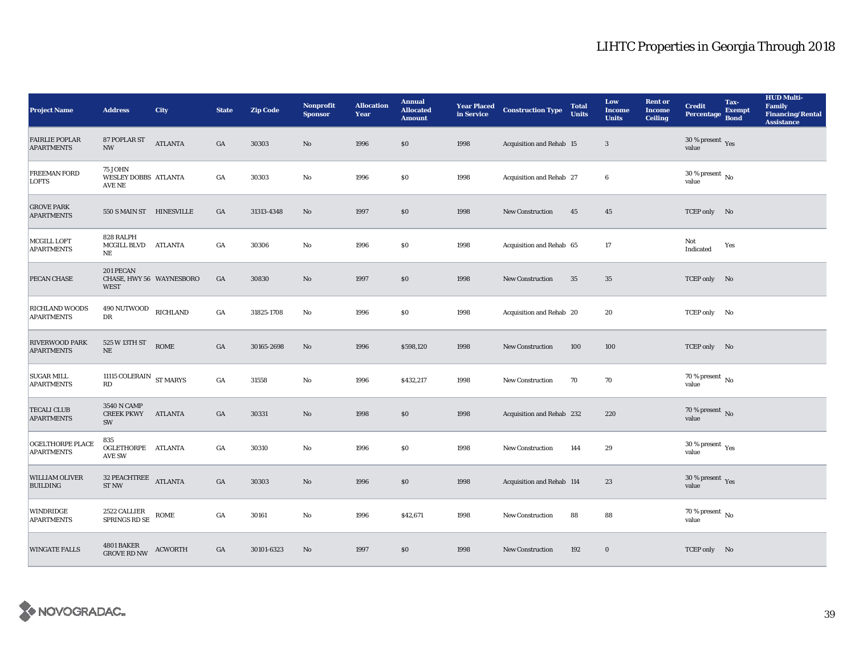| <b>Project Name</b>                        | <b>Address</b>                                       | <b>City</b>    | <b>State</b> | <b>Zip Code</b> | <b>Nonprofit</b><br><b>Sponsor</b> | <b>Allocation</b><br>Year | <b>Annual</b><br><b>Allocated</b><br><b>Amount</b> |      | <b>Year Placed Construction Type</b><br>in Service | <b>Total</b><br><b>Units</b> | Low<br><b>Income</b><br><b>Units</b> | <b>Rent</b> or<br><b>Income</b><br><b>Ceiling</b> | <b>Credit</b><br>Percentage                     | Tax-<br><b>Exempt</b><br><b>Bond</b> | <b>HUD Multi-</b><br>Family<br><b>Financing/Rental</b><br><b>Assistance</b> |
|--------------------------------------------|------------------------------------------------------|----------------|--------------|-----------------|------------------------------------|---------------------------|----------------------------------------------------|------|----------------------------------------------------|------------------------------|--------------------------------------|---------------------------------------------------|-------------------------------------------------|--------------------------------------|-----------------------------------------------------------------------------|
| <b>FAIRLIE POPLAR</b><br><b>APARTMENTS</b> | 87 POPLAR ST<br><b>NW</b>                            | <b>ATLANTA</b> | GA           | 30303           | $\rm No$                           | 1996                      | \$0                                                | 1998 | Acquisition and Rehab 15                           |                              | $\mathbf{3}$                         |                                                   | 30 % present $\sqrt{\gamma_{\rm{ES}}}$<br>value |                                      |                                                                             |
| <b>FREEMAN FORD</b><br><b>LOFTS</b>        | <b>75 JOHN</b><br>WESLEY DOBBS ATLANTA<br>AVE NE     |                | GA           | 30303           | $\rm No$                           | 1996                      | \$0                                                | 1998 | Acquisition and Rehab 27                           |                              | $6\phantom{1}6$                      |                                                   | $30\ \%$ present $\mbox{ No}$ value             |                                      |                                                                             |
| <b>GROVE PARK</b><br><b>APARTMENTS</b>     | 550 S MAIN ST HINESVILLE                             |                | GA           | 31313-4348      | $\rm No$                           | 1997                      | \$0\$                                              | 1998 | New Construction                                   | 45                           | ${\bf 45}$                           |                                                   | TCEP only No                                    |                                      |                                                                             |
| MCGILL LOFT<br><b>APARTMENTS</b>           | 828 RALPH<br><b>MCGILL BLVD</b><br>NE                | ATLANTA        | GA           | 30306           | No                                 | 1996                      | \$0                                                | 1998 | Acquisition and Rehab 65                           |                              | 17                                   |                                                   | Not<br>Indicated                                | Yes                                  |                                                                             |
| PECAN CHASE                                | 201 PECAN<br>CHASE, HWY 56 WAYNESBORO<br><b>WEST</b> |                | GA           | 30830           | $\rm\thinspace No$                 | 1997                      | \$0                                                | 1998 | New Construction                                   | $35\,$                       | $35\,$                               |                                                   | TCEP only No                                    |                                      |                                                                             |
| RICHLAND WOODS<br><b>APARTMENTS</b>        | 490 NUTWOOD<br>${\rm DR}$                            | RICHLAND       | GA           | 31825-1708      | No                                 | 1996                      | \$0                                                | 1998 | Acquisition and Rehab 20                           |                              | 20                                   |                                                   | TCEP only No                                    |                                      |                                                                             |
| <b>RIVERWOOD PARK</b><br><b>APARTMENTS</b> | 525 W 13TH ST<br>$\rm NE$                            |                | GA           | 30165-2698      | $\mathbf{N}\mathbf{o}$             | 1996                      | \$598,120                                          | 1998 | New Construction                                   | 100                          | 100                                  |                                                   | TCEP only No                                    |                                      |                                                                             |
| <b>SUGAR MILL</b><br><b>APARTMENTS</b>     | 11115 COLERAIN $\,$ ST MARYS<br>RD                   |                | GA           | 31558           | $\mathbf {No}$                     | 1996                      | \$432,217                                          | 1998 | <b>New Construction</b>                            | 70                           | 70                                   |                                                   | $70$ % present $\,$ No $\,$<br>value            |                                      |                                                                             |
| <b>TECALI CLUB</b><br><b>APARTMENTS</b>    | 3540 N CAMP<br><b>CREEK PKWY</b><br>SW               | ATLANTA        | GA           | 30331           | $\rm\thinspace No$                 | 1998                      | \$0\$                                              | 1998 | Acquisition and Rehab 232                          |                              | 220                                  |                                                   | 70 % present $\overline{N}$<br>value            |                                      |                                                                             |
| OGELTHORPE PLACE<br><b>APARTMENTS</b>      | 835<br>OGLETHORPE ATLANTA<br><b>AVE SW</b>           |                | GA           | 30310           | No                                 | 1996                      | \$0                                                | 1998 | <b>New Construction</b>                            | 144                          | 29                                   |                                                   | 30 % present $\rm \gamma_{\rm es}$<br>value     |                                      |                                                                             |
| WILLIAM OLIVER<br><b>BUILDING</b>          | 32 PEACHTREE ATLANTA<br><b>ST NW</b>                 |                | GA           | 30303           | $\rm No$                           | 1996                      | \$0\$                                              | 1998 | Acquisition and Rehab 114                          |                              | 23                                   |                                                   | 30 % present $\gamma_{\rm{es}}$<br>value        |                                      |                                                                             |
| WINDRIDGE<br><b>APARTMENTS</b>             | 2522 CALLIER<br>SPRINGS RD SE                        | <b>ROME</b>    | GA           | 30161           | $\mathbf{N}\mathbf{o}$             | 1996                      | \$42,671                                           | 1998 | <b>New Construction</b>                            | 88                           | 88                                   |                                                   | $70$ % present $\,$ No $\,$<br>value            |                                      |                                                                             |
| <b>WINGATE FALLS</b>                       | 4801 BAKER<br>GROVE RD NW                            | <b>ACWORTH</b> | GA           | 30101-6323      | $\rm No$                           | 1997                      | \$0                                                | 1998 | New Construction                                   | 192                          | $\bf{0}$                             |                                                   | TCEP only No                                    |                                      |                                                                             |

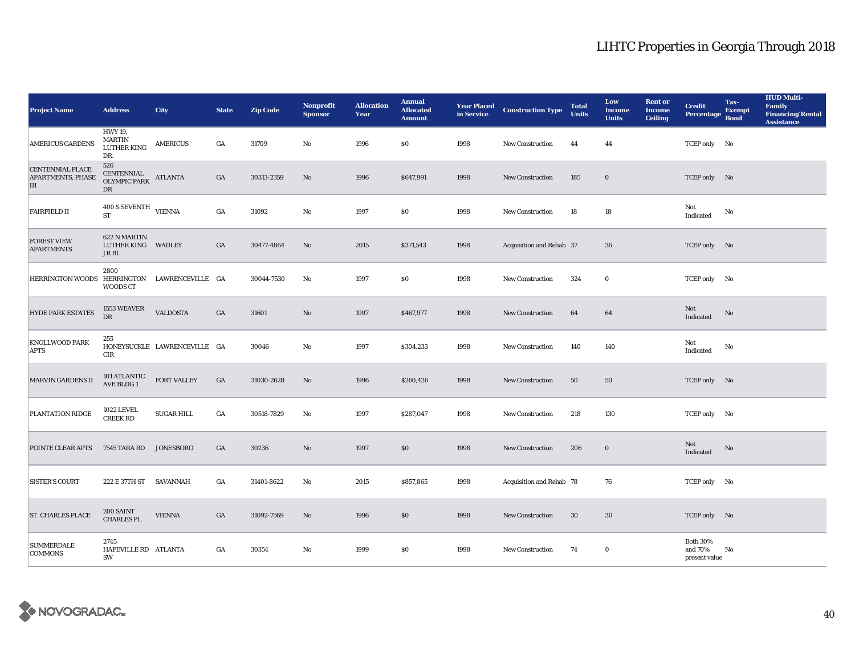| <b>Project Name</b>                               | <b>Address</b>                                               | <b>City</b>                  | <b>State</b> | <b>Zip Code</b> | Nonprofit<br><b>Sponsor</b> | <b>Allocation</b><br>Year | <b>Annual</b><br><b>Allocated</b><br><b>Amount</b> | in Service | Year Placed Construction Type | <b>Total</b><br><b>Units</b> | Low<br><b>Income</b><br><b>Units</b> | <b>Rent or</b><br><b>Income</b><br><b>Ceiling</b> | <b>Credit</b><br>Percentage                 | Tax-<br><b>Exempt</b><br><b>Bond</b> | <b>HUD Multi-</b><br><b>Family</b><br><b>Financing/Rental</b><br><b>Assistance</b> |
|---------------------------------------------------|--------------------------------------------------------------|------------------------------|--------------|-----------------|-----------------------------|---------------------------|----------------------------------------------------|------------|-------------------------------|------------------------------|--------------------------------------|---------------------------------------------------|---------------------------------------------|--------------------------------------|------------------------------------------------------------------------------------|
| <b>AMERICUS GARDENS</b>                           | <b>HWY 19.</b><br><b>MARTIN</b><br><b>LUTHER KING</b><br>DR. | <b>AMERICUS</b>              | GA           | 31709           | No                          | 1996                      | \$0                                                | 1998       | <b>New Construction</b>       | 44                           | 44                                   |                                                   | TCEP only No                                |                                      |                                                                                    |
| <b>CENTENNIAL PLACE</b><br>APARTMENTS, PHASE<br>Ш | 526<br>CENTENNIAL<br>OLYMPIC PARK<br>DR                      | <b>ATLANTA</b>               | GA           | 30313-2359      | No                          | 1996                      | \$647,991                                          | 1998       | <b>New Construction</b>       | 185                          | $\bf{0}$                             |                                                   | TCEP only No                                |                                      |                                                                                    |
| <b>FAIRFIELD II</b>                               | $400$ S SEVENTH $$\rm{VIFNNA}$$<br><b>ST</b>                 |                              | GA           | 31092           | No                          | 1997                      | \$0                                                | 1998       | <b>New Construction</b>       | 18                           | 18                                   |                                                   | Not<br>Indicated                            | No                                   |                                                                                    |
| <b>FOREST VIEW</b><br><b>APARTMENTS</b>           | 622 N MARTIN<br><b>LUTHER KING</b><br>JR BL                  | <b>WADLEY</b>                | GA           | 30477-4864      | No                          | 2015                      | \$371,543                                          | 1998       | Acquisition and Rehab 37      |                              | 36                                   |                                                   | TCEP only No                                |                                      |                                                                                    |
| HERRINGTON WOODS HERRINGTON LAWRENCEVILLE GA      | 2800<br>WOODS CT                                             |                              |              | 30044-7530      | No                          | 1997                      | <b>SO</b>                                          | 1998       | <b>New Construction</b>       | 324                          | $\bf{0}$                             |                                                   | TCEP only No                                |                                      |                                                                                    |
| <b>HYDE PARK ESTATES</b>                          | 1553 WEAVER<br>DR                                            | <b>VALDOSTA</b>              | GA           | 31601           | No                          | 1997                      | \$467,977                                          | 1998       | <b>New Construction</b>       | 64                           | 64                                   |                                                   | Not<br>Indicated                            | No                                   |                                                                                    |
| <b>KNOLLWOOD PARK</b><br><b>APTS</b>              | 255<br>CIR                                                   | HONEYSUCKLE LAWRENCEVILLE GA |              | 30046           | No                          | 1997                      | \$304,233                                          | 1998       | <b>New Construction</b>       | 140                          | 140                                  |                                                   | Not<br>Indicated                            | No                                   |                                                                                    |
| <b>MARVIN GARDENS II</b>                          | 101 ATLANTIC<br>AVE BLDG 1                                   | <b>FORT VALLEY</b>           | GA           | 31030-2628      | No                          | 1996                      | \$260,426                                          | 1998       | New Construction              | 50                           | 50                                   |                                                   | TCEP only No                                |                                      |                                                                                    |
| <b>PLANTATION RIDGE</b>                           | <b>1022 LEVEL</b><br><b>CREEK RD</b>                         | <b>SUGAR HILL</b>            | GA           | 30518-7829      | No                          | 1997                      | \$287,047                                          | 1998       | <b>New Construction</b>       | 218                          | 130                                  |                                                   | TCEP only No                                |                                      |                                                                                    |
| POINTE CLEAR APTS                                 | 7545 TARA RD                                                 | <b>JONESBORO</b>             | GA           | 30236           | No                          | 1997                      | \$0                                                | 1998       | <b>New Construction</b>       | 206                          | $\bf{0}$                             |                                                   | Not<br>Indicated                            | No                                   |                                                                                    |
| <b>SISTER'S COURT</b>                             | 222 E 37TH ST SAVANNAH                                       |                              | GA           | 31401-8622      | No                          | 2015                      | \$857,865                                          | 1998       | Acquisition and Rehab 78      |                              | 76                                   |                                                   | TCEP only No                                |                                      |                                                                                    |
| <b>ST. CHARLES PLACE</b>                          | 200 SAINT<br><b>CHARLES PL</b>                               | <b>VIENNA</b>                | GA           | 31092-7569      | No                          | 1996                      | \$0                                                | 1998       | <b>New Construction</b>       | 30                           | 30                                   |                                                   | TCEP only No                                |                                      |                                                                                    |
| <b>SUMMERDALE</b><br><b>COMMONS</b>               | 2745<br>HAPEVILLE RD ATLANTA<br>SW                           |                              | GA           | 30354           | No                          | 1999                      | <b>SO</b>                                          | 1998       | <b>New Construction</b>       | 74                           | $\bf{0}$                             |                                                   | <b>Both 30%</b><br>and 70%<br>present value | No                                   |                                                                                    |

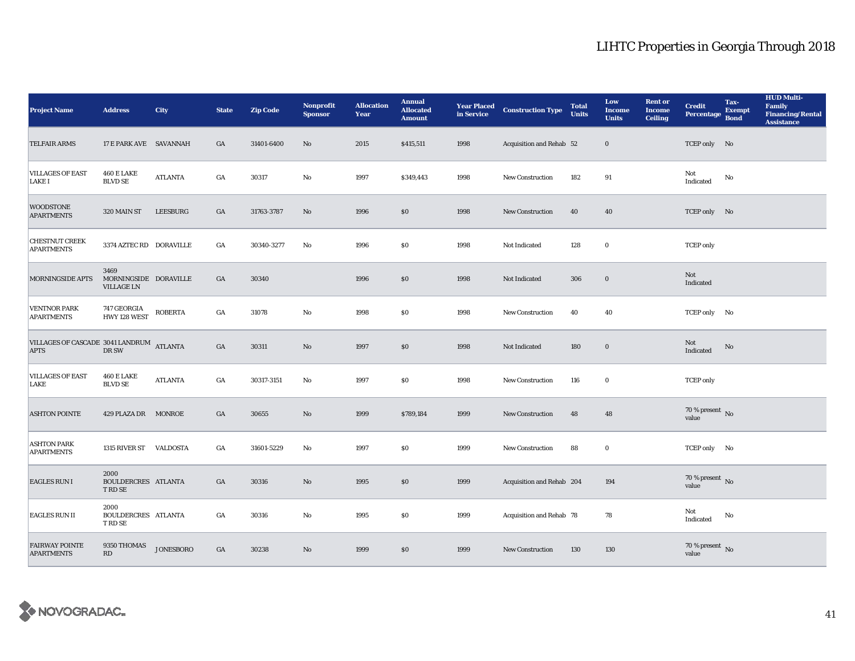| <b>Project Name</b>                                     | <b>Address</b>                                     | <b>City</b>      | <b>State</b> | <b>Zip Code</b> | <b>Nonprofit</b><br><b>Sponsor</b> | <b>Allocation</b><br>Year | <b>Annual</b><br><b>Allocated</b><br><b>Amount</b> |      | <b>Year Placed Construction Type</b><br>in Service | <b>Total</b><br><b>Units</b> | Low<br><b>Income</b><br><b>Units</b> | <b>Rent or</b><br><b>Income</b><br><b>Ceiling</b> | <b>Credit</b><br><b>Percentage</b> | Tax-<br><b>Exempt</b><br><b>Bond</b> | <b>HUD Multi-</b><br><b>Family</b><br><b>Financing/Rental</b><br><b>Assistance</b> |
|---------------------------------------------------------|----------------------------------------------------|------------------|--------------|-----------------|------------------------------------|---------------------------|----------------------------------------------------|------|----------------------------------------------------|------------------------------|--------------------------------------|---------------------------------------------------|------------------------------------|--------------------------------------|------------------------------------------------------------------------------------|
| <b>TELFAIR ARMS</b>                                     | 17 E PARK AVE SAVANNAH                             |                  | GA           | 31401-6400      | No                                 | 2015                      | \$415,511                                          | 1998 | Acquisition and Rehab 52                           |                              | $\bf{0}$                             |                                                   | TCEP only No                       |                                      |                                                                                    |
| <b>VILLAGES OF EAST</b><br><b>LAKE I</b>                | <b>460 E LAKE</b><br><b>BLVD SE</b>                | <b>ATLANTA</b>   | GA           | 30317           | $\rm No$                           | 1997                      | \$349,443                                          | 1998 | New Construction                                   | 182                          | 91                                   |                                                   | Not<br>Indicated                   | No                                   |                                                                                    |
| <b>WOODSTONE</b><br><b>APARTMENTS</b>                   | 320 MAIN ST                                        | LEESBURG         | GA           | 31763-3787      | No                                 | 1996                      | $\$0$                                              | 1998 | <b>New Construction</b>                            | 40                           | 40                                   |                                                   | TCEP only No                       |                                      |                                                                                    |
| <b>CHESTNUT CREEK</b><br><b>APARTMENTS</b>              | 3374 AZTEC RD DORAVILLE                            |                  | GA           | 30340-3277      | No                                 | 1996                      | \$0                                                | 1998 | Not Indicated                                      | 128                          | $\bf{0}$                             |                                                   | <b>TCEP</b> only                   |                                      |                                                                                    |
| MORNINGSIDE APTS                                        | 3469<br>MORNINGSIDE DORAVILLE<br><b>VILLAGE LN</b> |                  | GA           | 30340           |                                    | 1996                      | \$0                                                | 1998 | Not Indicated                                      | 306                          | $\boldsymbol{0}$                     |                                                   | Not<br>Indicated                   |                                      |                                                                                    |
| <b>VENTNOR PARK</b><br><b>APARTMENTS</b>                | 747 GEORGIA<br>HWY 128 WEST                        | <b>ROBERTA</b>   | GA           | 31078           | No                                 | 1998                      | <b>SO</b>                                          | 1998 | <b>New Construction</b>                            | 40                           | 40                                   |                                                   | TCEP only No                       |                                      |                                                                                    |
| VILLAGES OF CASCADE 3041 LANDRUM ATLANTA<br><b>APTS</b> | DR SW                                              |                  | GA           | 30311           | $\rm No$                           | 1997                      | \$0                                                | 1998 | Not Indicated                                      | 180                          | $\bf{0}$                             |                                                   | Not<br>Indicated                   | No                                   |                                                                                    |
| <b>VILLAGES OF EAST</b><br>LAKE                         | <b>460 E LAKE</b><br><b>BLVD SE</b>                | <b>ATLANTA</b>   | GA           | 30317-3151      | No                                 | 1997                      | <b>SO</b>                                          | 1998 | <b>New Construction</b>                            | 116                          | $\bf{0}$                             |                                                   | <b>TCEP</b> only                   |                                      |                                                                                    |
| <b>ASHTON POINTE</b>                                    | 429 PLAZA DR MONROE                                |                  | GA           | 30655           | $\mathbf{No}$                      | 1999                      | \$789,184                                          | 1999 | New Construction                                   | 48                           | 48                                   |                                                   | 70 % present $\,$ No $\,$<br>value |                                      |                                                                                    |
| <b>ASHTON PARK</b><br><b>APARTMENTS</b>                 | 1315 RIVER ST VALDOSTA                             |                  | GA           | 31601-5229      | $\mathbf{No}$                      | 1997                      | $\$0$                                              | 1999 | <b>New Construction</b>                            | 88                           | $\bf{0}$                             |                                                   | TCEP only No                       |                                      |                                                                                    |
| <b>EAGLES RUN I</b>                                     | 2000<br>BOULDERCRES ATLANTA<br><b>T RD SE</b>      |                  | GA           | 30316           | $\rm No$                           | 1995                      | \$0                                                | 1999 | Acquisition and Rehab 204                          |                              | 194                                  |                                                   | 70 % present $\bar{N}$ o<br>value  |                                      |                                                                                    |
| <b>EAGLES RUN II</b>                                    | 2000<br>BOULDERCRES ATLANTA<br><b>TRD SE</b>       |                  | GA           | 30316           | $\mathbf{No}$                      | 1995                      | \$0                                                | 1999 | Acquisition and Rehab 78                           |                              | 78                                   |                                                   | Not<br>Indicated                   | No                                   |                                                                                    |
| <b>FAIRWAY POINTE</b><br><b>APARTMENTS</b>              | 9350 THOMAS<br>RD                                  | <b>JONESBORO</b> | GA           | 30238           | No                                 | 1999                      | \$0                                                | 1999 | <b>New Construction</b>                            | 130                          | 130                                  |                                                   | $70\,\%$ present $\,$ No value     |                                      |                                                                                    |

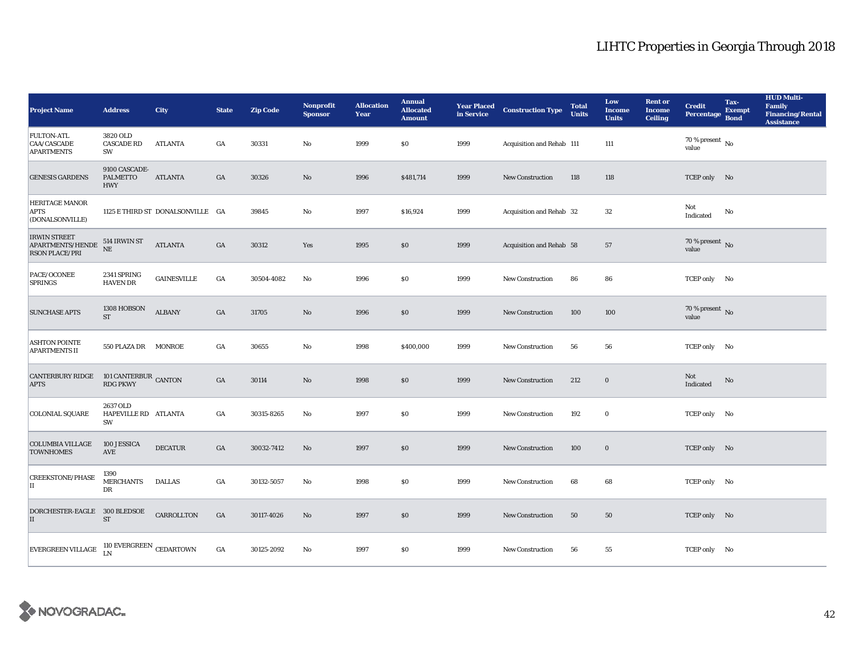| <b>Project Name</b>                                                                         | <b>Address</b>                                 | <b>City</b>                      | <b>State</b>     | <b>Zip Code</b> | <b>Nonprofit</b><br><b>Sponsor</b> | <b>Allocation</b><br>Year | <b>Annual</b><br><b>Allocated</b><br><b>Amount</b> | in Service | <b>Year Placed Construction Type</b> | <b>Total</b><br><b>Units</b> | Low<br><b>Income</b><br><b>Units</b> | <b>Rent or</b><br><b>Income</b><br><b>Ceiling</b> | <b>Credit</b><br>Percentage          | Tax-<br><b>Exempt</b><br><b>Bond</b> | <b>HUD Multi-</b><br><b>Family</b><br><b>Financing/Rental</b><br><b>Assistance</b> |
|---------------------------------------------------------------------------------------------|------------------------------------------------|----------------------------------|------------------|-----------------|------------------------------------|---------------------------|----------------------------------------------------|------------|--------------------------------------|------------------------------|--------------------------------------|---------------------------------------------------|--------------------------------------|--------------------------------------|------------------------------------------------------------------------------------|
| <b>FULTON-ATL</b><br>CAA/CASCADE<br><b>APARTMENTS</b>                                       | 3820 OLD<br><b>CASCADE RD</b><br>SW            | ATLANTA                          | GA               | 30331           | No                                 | 1999                      | \$0                                                | 1999       | Acquisition and Rehab 111            |                              | 111                                  |                                                   | 70 % present $\hbox{~No}$<br>value   |                                      |                                                                                    |
| <b>GENESIS GARDENS</b>                                                                      | 9100 CASCADE-<br><b>PALMETTO</b><br><b>HWY</b> | <b>ATLANTA</b>                   | GA               | 30326           | $\rm\thinspace No$                 | 1996                      | \$481,714                                          | 1999       | New Construction                     | 118                          | 118                                  |                                                   | TCEP only No                         |                                      |                                                                                    |
| <b>HERITAGE MANOR</b><br>APTS<br>(DONALSONVILLE)                                            |                                                | 1125 E THIRD ST DONALSONVILLE GA |                  | 39845           | No                                 | 1997                      | \$16,924                                           | 1999       | Acquisition and Rehab 32             |                              | $32\,$                               |                                                   | Not<br>Indicated                     | No                                   |                                                                                    |
| <b>IRWIN STREET</b><br>${\mbox{\bf A}P\mbox{\bf A}R}$ TMENTS/HENDE<br><b>RSON PLACE/PRI</b> | 514 IRWIN ST<br>$_{\rm NE}$                    | <b>ATLANTA</b>                   | GA               | 30312           | Yes                                | 1995                      | \$0\$                                              | 1999       | Acquisition and Rehab 58             |                              | 57                                   |                                                   | 70 % present $\,$ No $\,$<br>value   |                                      |                                                                                    |
| PACE/OCONEE<br><b>SPRINGS</b>                                                               | 2341 SPRING<br><b>HAVEN DR</b>                 | $\mbox{GAINESVILLE}$             | $_{\mathrm{GA}}$ | 30504-4082      | No                                 | 1996                      | $\$0$                                              | 1999       | New Construction                     | 86                           | 86                                   |                                                   | TCEP only No                         |                                      |                                                                                    |
| <b>SUNCHASE APTS</b>                                                                        | 1308 HOBSON<br><b>ST</b>                       | <b>ALBANY</b>                    | GA               | 31705           | $\mathbf{N}\mathbf{o}$             | 1996                      | \$0                                                | 1999       | <b>New Construction</b>              | 100                          | 100                                  |                                                   | 70 % present $\overline{N}$<br>value |                                      |                                                                                    |
| <b>ASHTON POINTE</b><br><b>APARTMENTS II</b>                                                | 550 PLAZA DR MONROE                            |                                  | GA               | 30655           | No                                 | 1998                      | \$400,000                                          | 1999       | <b>New Construction</b>              | 56                           | 56                                   |                                                   | TCEP only No                         |                                      |                                                                                    |
| <b>CANTERBURY RIDGE</b><br><b>APTS</b>                                                      | 101 CANTERBUR CANTON<br><b>RDG PKWY</b>        |                                  | GA               | 30114           | $\rm No$                           | 1998                      | \$0\$                                              | 1999       | New Construction                     | 212                          | $\bf{0}$                             |                                                   | Not<br>Indicated                     | No                                   |                                                                                    |
| <b>COLONIAL SQUARE</b>                                                                      | 2637 OLD<br>HAPEVILLE RD ATLANTA<br>SW         |                                  | GA               | 30315-8265      | No                                 | 1997                      | \$0                                                | 1999       | New Construction                     | 192                          | $\bf{0}$                             |                                                   | TCEP only No                         |                                      |                                                                                    |
| <b>COLUMBIA VILLAGE</b><br><b>TOWNHOMES</b>                                                 | 100 JESSICA<br>AVE                             | <b>DECATUR</b>                   | GA               | 30032-7412      | No                                 | 1997                      | \$0                                                | 1999       | <b>New Construction</b>              | 100                          | $\bf{0}$                             |                                                   | TCEP only No                         |                                      |                                                                                    |
| <b>CREEKSTONE/PHASE</b><br>$\scriptstyle\rm II$                                             | 1390<br><b>MERCHANTS</b><br>DR                 | <b>DALLAS</b>                    | GA               | 30132-5057      | $\mathbf{No}$                      | 1998                      | \$0\$                                              | 1999       | <b>New Construction</b>              | 68                           | 68                                   |                                                   | TCEP only No                         |                                      |                                                                                    |
| DORCHESTER-EAGLE 300 BLEDSOE<br>II                                                          | $\operatorname{ST}$                            | CARROLLTON                       | GA               | 30117-4026      | No                                 | 1997                      | \$0\$                                              | 1999       | New Construction                     | 50                           | 50                                   |                                                   | TCEP only No                         |                                      |                                                                                    |
| EVERGREEN VILLAGE                                                                           | 110 EVERGREEN CEDARTOWN<br>LN                  |                                  | GA               | 30125-2092      | No                                 | 1997                      | $\$0$                                              | 1999       | <b>New Construction</b>              | 56                           | 55                                   |                                                   | TCEP only No                         |                                      |                                                                                    |

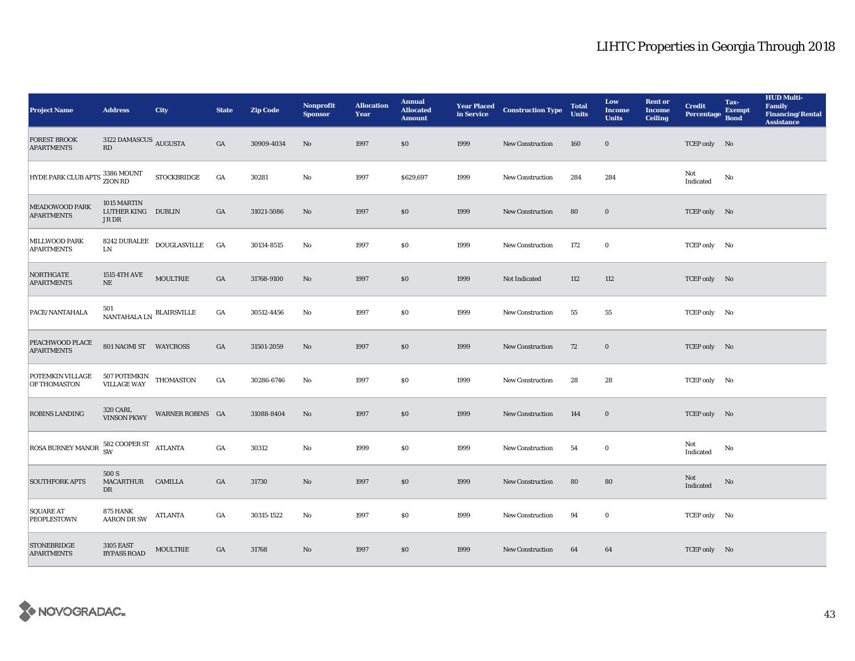| <b>Project Name</b>                                                                                                                                                                                            | <b>Address</b>                                       | <b>City</b>                                                                         | <b>State</b>     | <b>Zip Code</b> | <b>Nonprofit</b><br><b>Sponsor</b> | <b>Allocation</b><br>Year | <b>Annual</b><br><b>Allocated</b><br><b>Amount</b> |      | <b>Year Placed Construction Type</b><br>in Service | <b>Total</b><br><b>Units</b> | Low<br><b>Income</b><br><b>Units</b> | <b>Rent or</b><br><b>Income</b><br><b>Ceiling</b> | <b>Credit</b><br><b>Percentage</b> | Tax-<br><b>Exempt</b><br><b>Bond</b> | <b>HUD Multi-</b><br>Family<br><b>Financing/Rental</b><br><b>Assistance</b> |
|----------------------------------------------------------------------------------------------------------------------------------------------------------------------------------------------------------------|------------------------------------------------------|-------------------------------------------------------------------------------------|------------------|-----------------|------------------------------------|---------------------------|----------------------------------------------------|------|----------------------------------------------------|------------------------------|--------------------------------------|---------------------------------------------------|------------------------------------|--------------------------------------|-----------------------------------------------------------------------------|
| <b>FOREST BROOK</b><br><b>APARTMENTS</b>                                                                                                                                                                       | 3122 DAMASCUS $\,$ AUGUSTA<br>$\mathbf{R}\mathbf{D}$ |                                                                                     | GA               | 30909-4034      | $\mathbf{No}$                      | 1997                      | \$0                                                | 1999 | New Construction                                   | 160                          | $\bf{0}$                             |                                                   | TCEP only No                       |                                      |                                                                             |
| HYDE PARK CLUB APTS 3386 MOUNT                                                                                                                                                                                 |                                                      | <b>STOCKBRIDGE</b>                                                                  | GA               | 30281           | No                                 | 1997                      | \$629,697                                          | 1999 | <b>New Construction</b>                            | 284                          | 284                                  |                                                   | Not<br>Indicated                   | No                                   |                                                                             |
| <b>MEADOWOOD PARK</b><br><b>APARTMENTS</b>                                                                                                                                                                     | 1015 MARTIN<br>LUTHER KING DUBLIN<br>JR DR           |                                                                                     | GA               | 31021-5086      | No                                 | 1997                      | \$0                                                | 1999 | <b>New Construction</b>                            | 80                           | $\mathbf 0$                          |                                                   | TCEP only No                       |                                      |                                                                             |
| MILLWOOD PARK<br><b>APARTMENTS</b>                                                                                                                                                                             | <b>LN</b>                                            | $\begin{tabular}{ll} \bf 8242 \; DURALEE & \tt DOUGLASVILLE & \tt GA \end{tabular}$ |                  | 30134-8515      | No                                 | 1997                      | $\$0$                                              | 1999 | New Construction                                   | 172                          | $\bf{0}$                             |                                                   | TCEP only No                       |                                      |                                                                             |
| <b>NORTHGATE</b><br><b>APARTMENTS</b>                                                                                                                                                                          | <b>1515 4TH AVE</b><br>$\rm NE$                      | MOULTRIE                                                                            | $_{\mathrm{GA}}$ | 31768-9100      | $\mathbf{N}\mathbf{o}$             | 1997                      | \$0                                                | 1999 | Not Indicated                                      | 112                          | 112                                  |                                                   | TCEP only No                       |                                      |                                                                             |
| PACE/NANTAHALA                                                                                                                                                                                                 | $501$ NANTAHALA LN $\,$ BLAIRSVILLE                  |                                                                                     | GA               | 30512-4456      | No                                 | 1997                      | \$0                                                | 1999 | <b>New Construction</b>                            | 55                           | 55                                   |                                                   | TCEP only No                       |                                      |                                                                             |
| PEACHWOOD PLACE<br><b>APARTMENTS</b>                                                                                                                                                                           | 801 NAOMI ST WAYCROSS                                |                                                                                     | GA               | 31501-2059      | No                                 | 1997                      | \$0                                                | 1999 | <b>New Construction</b>                            | 72                           | $\bf{0}$                             |                                                   | TCEP only No                       |                                      |                                                                             |
| POTEMKIN VILLAGE<br>OF THOMASTON                                                                                                                                                                               | 507 POTEMKIN<br>VILLAGE WAY THOMASTON                |                                                                                     | GA               | 30286-6746      | No                                 | 1997                      | $\$0$                                              | 1999 | New Construction                                   | 28                           | 28                                   |                                                   | TCEP only No                       |                                      |                                                                             |
| <b>ROBINS LANDING</b>                                                                                                                                                                                          | <b>320 CARL</b><br><b>VINSON PKWY</b>                | WARNER ROBINS GA                                                                    |                  | 31088-8404      | No                                 | 1997                      | \$0                                                | 1999 | <b>New Construction</b>                            | 144                          | $\bf{0}$                             |                                                   | TCEP only No                       |                                      |                                                                             |
| $\begin{array}{ l } \hline \text{ROS }A \text{ BURNEY } \text{MANOR} \begin{array}{ll} \text{582 } \text{COOPER } \text{ST} \\ \text{SW} \end{array} \end{array} \begin{array}{ll} \text{ATLANTA} \end{array}$ |                                                      |                                                                                     | GA               | 30312           | No                                 | 1999                      | \$0                                                | 1999 | <b>New Construction</b>                            | 54                           | $\bf{0}$                             |                                                   | Not<br>Indicated                   | No                                   |                                                                             |
| <b>SOUTHFORK APTS</b>                                                                                                                                                                                          | 500 S<br>MACARTHUR CAMILLA<br>DR                     |                                                                                     | GA               | 31730           | $\mathbf{No}$                      | 1997                      | \$0                                                | 1999 | <b>New Construction</b>                            | 80                           | 80                                   |                                                   | Not<br>Indicated                   | No                                   |                                                                             |
| <b>SQUARE AT</b><br><b>PEOPLESTOWN</b>                                                                                                                                                                         | 875 HANK<br><b>AARON DR SW</b>                       | ATLANTA                                                                             | GA               | 30315-1522      | No                                 | 1997                      | \$0                                                | 1999 | New Construction                                   | 94                           | $\bf{0}$                             |                                                   | TCEP only No                       |                                      |                                                                             |
| <b>STONEBRIDGE</b><br><b>APARTMENTS</b>                                                                                                                                                                        | <b>3105 EAST</b><br><b>BYPASS ROAD</b>               | <b>MOULTRIE</b>                                                                     | GA               | 31768           | No                                 | 1997                      | \$0                                                | 1999 | <b>New Construction</b>                            | 64                           | 64                                   |                                                   | TCEP only No                       |                                      |                                                                             |

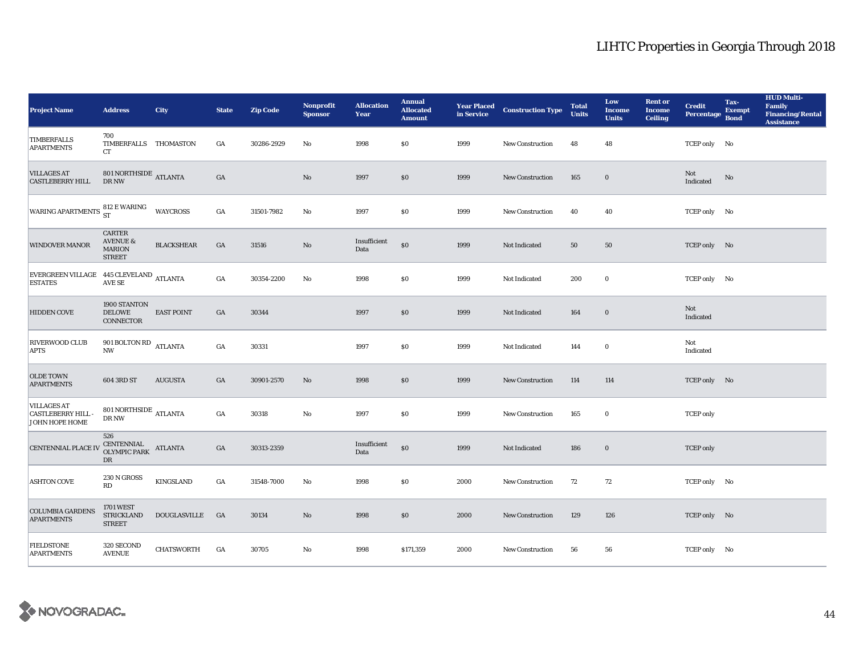| <b>Project Name</b>                                                                                                               | <b>Address</b>                                                  | <b>City</b>       | <b>State</b>     | <b>Zip Code</b> | <b>Nonprofit</b><br><b>Sponsor</b> | <b>Allocation</b><br>Year | <b>Annual</b><br><b>Allocated</b><br><b>Amount</b> |      | <b>Year Placed Construction Type</b><br>in Service | <b>Total</b><br><b>Units</b> | Low<br><b>Income</b><br><b>Units</b> | <b>Rent or</b><br><b>Income</b><br><b>Ceiling</b> | <b>Credit</b><br><b>Percentage</b> | Tax-<br><b>Exempt</b><br><b>Bond</b> | <b>HUD Multi-</b><br>Family<br><b>Financing/Rental</b><br><b>Assistance</b> |
|-----------------------------------------------------------------------------------------------------------------------------------|-----------------------------------------------------------------|-------------------|------------------|-----------------|------------------------------------|---------------------------|----------------------------------------------------|------|----------------------------------------------------|------------------------------|--------------------------------------|---------------------------------------------------|------------------------------------|--------------------------------------|-----------------------------------------------------------------------------|
| TIMBERFALLS<br><b>APARTMENTS</b>                                                                                                  | 700<br>TIMBERFALLS THOMASTON<br>CT                              |                   | GA               | 30286-2929      | $\mathbf{No}$                      | 1998                      | \$0\$                                              | 1999 | New Construction                                   | 48                           | 48                                   |                                                   | TCEP only No                       |                                      |                                                                             |
| <b>VILLAGES AT</b><br><b>CASTLEBERRY HILL</b>                                                                                     | $801 \, \mbox{NORTHSIDE}$ ATLANTA DR NW                         |                   | $_{\mathrm{GA}}$ |                 | No                                 | 1997                      | \$0                                                | 1999 | New Construction                                   | 165                          | $\bf{0}$                             |                                                   | Not<br>Indicated                   | No                                   |                                                                             |
| WARING APARTMENTS $^{812}_{ST}$ E WARING                                                                                          |                                                                 | <b>WAYCROSS</b>   | $_{\mathrm{GA}}$ | 31501-7982      | $\mathbf{No}$                      | 1997                      | \$0\$                                              | 1999 | <b>New Construction</b>                            | 40                           | 40                                   |                                                   | TCEP only No                       |                                      |                                                                             |
| <b>WINDOVER MANOR</b>                                                                                                             | CARTER<br><b>AVENUE &amp;</b><br><b>MARION</b><br><b>STREET</b> | <b>BLACKSHEAR</b> | GA               | 31516           | $\rm No$                           | Insufficient<br>Data      | $\$0$                                              | 1999 | Not Indicated                                      | 50                           | 50                                   |                                                   | TCEP only No                       |                                      |                                                                             |
| $\begin{array}{ll} \text{EVERGREEN VILLAGE} & 445 \text{ CLEVELAND} \\ \text{ESTATES} & \text{AVE SE} \end{array} \text{ATLANTA}$ |                                                                 |                   | $_{\mathrm{GA}}$ | 30354-2200      | No                                 | 1998                      | \$0\$                                              | 1999 | Not Indicated                                      | 200                          | $\bf{0}$                             |                                                   | TCEP only No                       |                                      |                                                                             |
| <b>HIDDEN COVE</b>                                                                                                                | 1900 STANTON<br><b>DELOWE</b><br><b>CONNECTOR</b>               | <b>EAST POINT</b> | GA               | 30344           |                                    | 1997                      | \$0                                                | 1999 | Not Indicated                                      | 164                          | $\bf{0}$                             |                                                   | Not<br>Indicated                   |                                      |                                                                             |
| RIVERWOOD CLUB<br>APTS                                                                                                            | 901 BOLTON RD $_{\rm ATLANTA}$<br>$\mathbf{N}\mathbf{W}$        |                   | $_{\mathrm{GA}}$ | 30331           |                                    | 1997                      | \$0                                                | 1999 | Not Indicated                                      | 144                          | $\bf{0}$                             |                                                   | Not<br>Indicated                   |                                      |                                                                             |
| <b>OLDE TOWN</b><br><b>APARTMENTS</b>                                                                                             | 604 3RD ST                                                      | <b>AUGUSTA</b>    | GA               | 30901-2570      | No                                 | 1998                      | \$0                                                | 1999 | <b>New Construction</b>                            | 114                          | 114                                  |                                                   | TCEP only No                       |                                      |                                                                             |
| <b>VILLAGES AT</b><br><b>CASTLEBERRY HILL</b><br>JOHN HOPE HOME                                                                   | 801 NORTHSIDE $_{\rm{ATLANTA}}$<br>${\rm DR}$ NW                |                   | $_{\mathrm{GA}}$ | 30318           | $\mathbf{N}\mathbf{o}$             | 1997                      | \$0                                                | 1999 | New Construction                                   | 165                          | $\bf{0}$                             |                                                   | <b>TCEP</b> only                   |                                      |                                                                             |
| <b>CENTENNIAL PLACE IV</b>                                                                                                        | 526<br><b>CENTENNIAL</b><br>OLYMPIC PARK<br>DR                  | <b>ATLANTA</b>    | $_{\mathrm{GA}}$ | 30313-2359      |                                    | Insufficient<br>Data      | $\$0$                                              | 1999 | Not Indicated                                      | 186                          | $\boldsymbol{0}$                     |                                                   | <b>TCEP</b> only                   |                                      |                                                                             |
| <b>ASHTON COVE</b>                                                                                                                | 230 N GROSS<br>RD                                               | KINGSLAND         | GA               | 31548-7000      | No                                 | 1998                      | $\$0$                                              | 2000 | New Construction                                   | 72                           | 72                                   |                                                   | TCEP only No                       |                                      |                                                                             |
| <b>COLUMBIA GARDENS</b><br><b>APARTMENTS</b>                                                                                      | <b>1701 WEST</b><br><b>STRICKLAND</b><br><b>STREET</b>          | DOUGLASVILLE      | GA               | 30134           | No                                 | 1998                      | \$0                                                | 2000 | <b>New Construction</b>                            | 129                          | 126                                  |                                                   | TCEP only No                       |                                      |                                                                             |
| <b>FIELDSTONE</b><br><b>APARTMENTS</b>                                                                                            | 320 SECOND<br><b>AVENUE</b>                                     | <b>CHATSWORTH</b> | GA               | 30705           | $\mathbf{N}\mathbf{o}$             | 1998                      | \$171,359                                          | 2000 | New Construction                                   | 56                           | 56                                   |                                                   | TCEP only No                       |                                      |                                                                             |

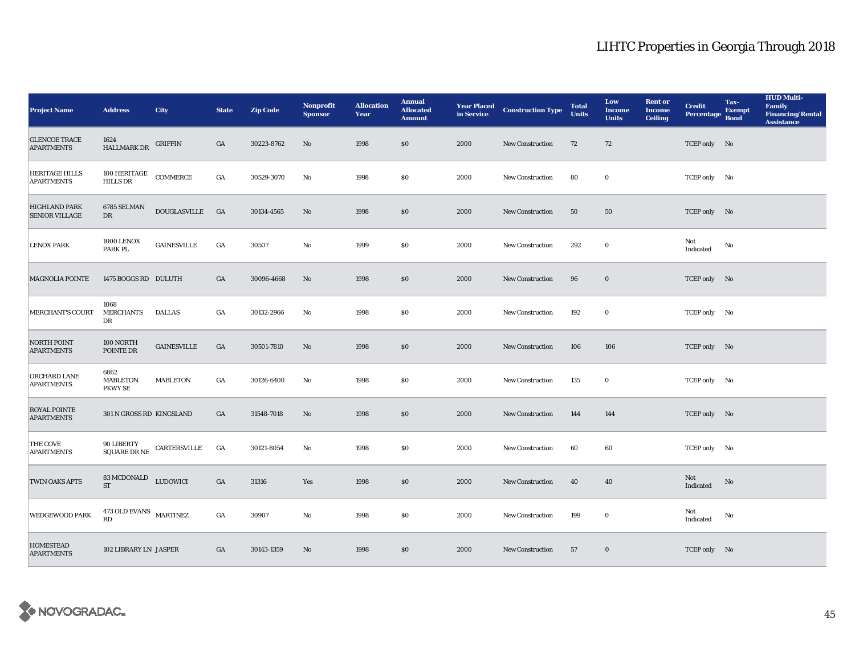| <b>Project Name</b>                           | <b>Address</b>                                 | <b>City</b>                                                                                  | <b>State</b>     | <b>Zip Code</b> | <b>Nonprofit</b><br><b>Sponsor</b> | <b>Allocation</b><br>Year | <b>Annual</b><br><b>Allocated</b><br><b>Amount</b> |      | <b>Year Placed Construction Type</b><br>in Service <b>Construction</b> Type | <b>Total</b><br><b>Units</b> | Low<br><b>Income</b><br><b>Units</b> | <b>Rent or</b><br><b>Income</b><br><b>Ceiling</b> | <b>Credit</b><br><b>Percentage</b> | Tax-<br><b>Exempt</b><br><b>Bond</b> | <b>HUD Multi-</b><br>Family<br><b>Financing/Rental</b><br><b>Assistance</b> |
|-----------------------------------------------|------------------------------------------------|----------------------------------------------------------------------------------------------|------------------|-----------------|------------------------------------|---------------------------|----------------------------------------------------|------|-----------------------------------------------------------------------------|------------------------------|--------------------------------------|---------------------------------------------------|------------------------------------|--------------------------------------|-----------------------------------------------------------------------------|
| <b>GLENCOE TRACE</b><br><b>APARTMENTS</b>     | 1624<br>HALLMARK DR                            | <b>GRIFFIN</b>                                                                               | GA               | 30223-8762      | No                                 | 1998                      | \$0                                                | 2000 | New Construction                                                            | 72                           | 72                                   |                                                   | TCEP only No                       |                                      |                                                                             |
| HERITAGE HILLS<br><b>APARTMENTS</b>           | 100 HERITAGE<br>HILLS DR                       | COMMERCE                                                                                     | $_{\mathrm{GA}}$ | 30529-3070      | No                                 | 1998                      | \$0                                                | 2000 | <b>New Construction</b>                                                     | 80                           | $\bf{0}$                             |                                                   | TCEP only No                       |                                      |                                                                             |
| <b>HIGHLAND PARK</b><br><b>SENIOR VILLAGE</b> | 6785 SELMAN<br>DR                              | DOUGLASVILLE GA                                                                              |                  | 30134-4565      | $\rm No$                           | 1998                      | $\$0$                                              | 2000 | <b>New Construction</b>                                                     | 50                           | ${\bf 50}$                           |                                                   | TCEP only No                       |                                      |                                                                             |
| <b>LENOX PARK</b>                             | 1000 LENOX<br>PARK PL                          | <b>GAINESVILLE</b>                                                                           | $_{\mathrm{GA}}$ | 30507           | $\mathbf{N}\mathbf{o}$             | 1999                      | \$0                                                | 2000 | New Construction                                                            | 292                          | $\bf{0}$                             |                                                   | Not<br>Indicated                   | No                                   |                                                                             |
| <b>MAGNOLIA POINTE</b>                        | 1475 BOGGS RD DULUTH                           |                                                                                              | GA               | 30096-4668      | No                                 | 1998                      | \$0                                                | 2000 | <b>New Construction</b>                                                     | 96                           | $\bf{0}$                             |                                                   | TCEP only No                       |                                      |                                                                             |
| <b>MERCHANT'S COURT</b>                       | 1068<br><b>MERCHANTS</b><br>DR                 | <b>DALLAS</b>                                                                                | $_{\mathrm{GA}}$ | 30132-2966      | No                                 | 1998                      | \$0                                                | 2000 | New Construction                                                            | 192                          | $\bf{0}$                             |                                                   | TCEP only No                       |                                      |                                                                             |
| <b>NORTH POINT</b><br><b>APARTMENTS</b>       | 100 NORTH<br>POINTE DR                         | <b>GAINESVILLE</b>                                                                           | GA               | 30501-7810      | No                                 | 1998                      | \$0                                                | 2000 | New Construction                                                            | 106                          | 106                                  |                                                   | TCEP only No                       |                                      |                                                                             |
| ORCHARD LANE<br><b>APARTMENTS</b>             | 6862<br><b>MABLETON</b><br><b>PKWY SE</b>      | <b>MABLETON</b>                                                                              | GA               | 30126-6400      | No                                 | 1998                      | \$0                                                | 2000 | <b>New Construction</b>                                                     | 135                          | 0                                    |                                                   | TCEP only No                       |                                      |                                                                             |
| <b>ROYAL POINTE</b><br><b>APARTMENTS</b>      | 301 N GROSS RD KINGSLAND                       |                                                                                              | GA               | 31548-7018      | $\rm No$                           | 1998                      | \$0                                                | 2000 | New Construction                                                            | 144                          | 144                                  |                                                   | TCEP only No                       |                                      |                                                                             |
| THE COVE<br><b>APARTMENTS</b>                 | 90 LIBERTY                                     | $\begin{tabular}{ll} & $\cdots$ \\\ \text{SQUARE DR NE} & \text{CARTERSVILLE} \end{tabular}$ | GA               | 30121-8054      | No                                 | 1998                      | \$0                                                | 2000 | <b>New Construction</b>                                                     | 60                           | 60                                   |                                                   | TCEP only No                       |                                      |                                                                             |
| TWIN OAKS APTS                                | 83 MCDONALD LUDOWICI<br><b>ST</b>              |                                                                                              | GA               | 31316           | Yes                                | 1998                      | \$0                                                | 2000 | New Construction                                                            | 40                           | 40                                   |                                                   | Not<br>Indicated                   | No                                   |                                                                             |
| WEDGEWOOD PARK                                | $473$ OLD EVANS $$\tt{MARTINEZ}$$<br><b>RD</b> |                                                                                              | GA               | 30907           | No                                 | 1998                      | \$0                                                | 2000 | <b>New Construction</b>                                                     | 199                          | $\bf{0}$                             |                                                   | Not<br>Indicated                   | No                                   |                                                                             |
| <b>HOMESTEAD</b><br><b>APARTMENTS</b>         | 102 LIBRARY LN JASPER                          |                                                                                              | $_{\mathrm{GA}}$ | 30143-1359      | No                                 | 1998                      | \$0                                                | 2000 | <b>New Construction</b>                                                     | 57                           | $\bf{0}$                             |                                                   | TCEP only No                       |                                      |                                                                             |

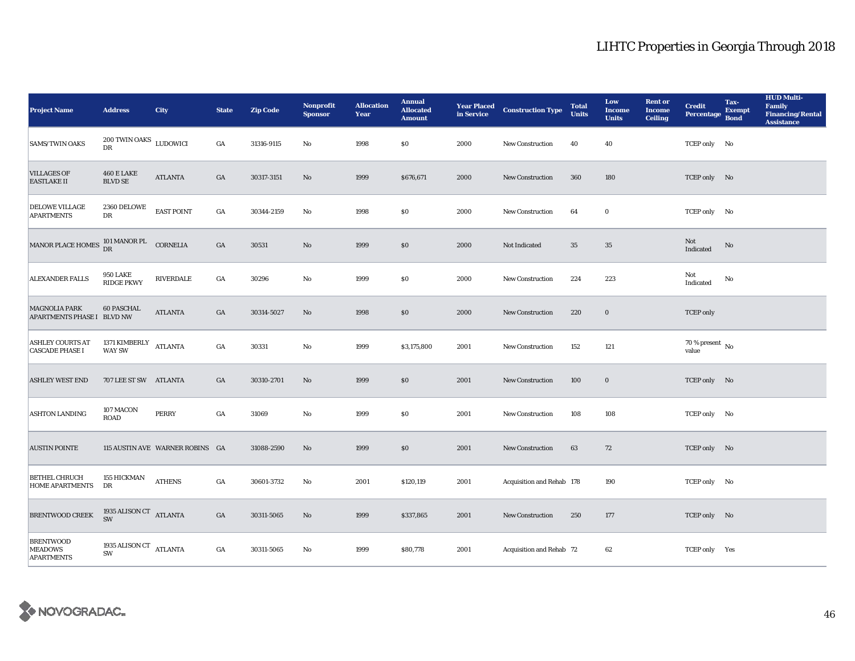| <b>Project Name</b>                                      | <b>Address</b>                         | City                            | <b>State</b>     | <b>Zip Code</b> | <b>Nonprofit</b><br><b>Sponsor</b> | <b>Allocation</b><br>Year | <b>Annual</b><br><b>Allocated</b><br><b>Amount</b> |      | <b>Year Placed Construction Type</b><br>in Service | <b>Total</b><br><b>Units</b> | Low<br><b>Income</b><br><b>Units</b> | <b>Rent</b> or<br><b>Income</b><br><b>Ceiling</b> | <b>Credit</b><br><b>Percentage</b> | Tax-<br><b>Exempt</b><br><b>Bond</b> | <b>HUD Multi-</b><br>Family<br><b>Financing/Rental</b><br><b>Assistance</b> |
|----------------------------------------------------------|----------------------------------------|---------------------------------|------------------|-----------------|------------------------------------|---------------------------|----------------------------------------------------|------|----------------------------------------------------|------------------------------|--------------------------------------|---------------------------------------------------|------------------------------------|--------------------------------------|-----------------------------------------------------------------------------|
| <b>SAMS/TWIN OAKS</b>                                    | $200$ TWIN OAKS $\,$ LUDOWICI<br>DR    |                                 | GA               | 31316-9115      | No                                 | 1998                      | \$0\$                                              | 2000 | <b>New Construction</b>                            | 40                           | 40                                   |                                                   | TCEP only No                       |                                      |                                                                             |
| <b>VILLAGES OF</b><br><b>EASTLAKE II</b>                 | <b>460 E LAKE</b><br><b>BLVD SE</b>    | <b>ATLANTA</b>                  | GA               | 30317-3151      | $\rm No$                           | 1999                      | \$676,671                                          | 2000 | New Construction                                   | 360                          | 180                                  |                                                   | TCEP only No                       |                                      |                                                                             |
| <b>DELOWE VILLAGE</b><br><b>APARTMENTS</b>               | 2360 DELOWE<br>DR                      | <b>EAST POINT</b>               | GA               | 30344-2159      | No                                 | 1998                      | $\$0$                                              | 2000 | New Construction                                   | 64                           | $\bf{0}$                             |                                                   | TCEP only No                       |                                      |                                                                             |
| MANOR PLACE HOMES $_{\text{DR}}^{101}$ MANOR PL CORNELIA |                                        |                                 | $_{\mathrm{GA}}$ | 30531           | $\mathbf{No}$                      | 1999                      | \$0                                                | 2000 | Not Indicated                                      | $35\,$                       | $35\,$                               |                                                   | Not<br>Indicated                   | No                                   |                                                                             |
| ALEXANDER FALLS                                          | <b>950 LAKE</b><br><b>RIDGE PKWY</b>   | RIVERDALE                       | $_{\mathrm{GA}}$ | 30296           | $\mathbf{N}\mathbf{o}$             | 1999                      | \$0\$                                              | 2000 | New Construction                                   | 224                          | 223                                  |                                                   | Not<br>Indicated                   | No                                   |                                                                             |
| <b>MAGNOLIA PARK</b><br>APARTMENTS PHASE I BLVD NW       | <b>60 PASCHAL</b>                      | <b>ATLANTA</b>                  | $_{\mathrm{GA}}$ | 30314-5027      | $\mathbf{N}\mathbf{o}$             | 1998                      | $\$0$                                              | 2000 | <b>New Construction</b>                            | 220                          | $\mathbf 0$                          |                                                   | <b>TCEP</b> only                   |                                      |                                                                             |
| <b>ASHLEY COURTS AT</b><br><b>CASCADE PHASE I</b>        | 1371 KIMBERLY ATLANTA<br><b>WAY SW</b> |                                 | GA               | 30331           | No                                 | 1999                      | \$3,175,800                                        | 2001 | <b>New Construction</b>                            | 152                          | 121                                  |                                                   | $70$ % present $\,$ No value       |                                      |                                                                             |
| <b>ASHLEY WEST END</b>                                   | 707 LEE ST SW ATLANTA                  |                                 | GA               | 30310-2701      | $\mathbf{N}\mathbf{o}$             | 1999                      | $\$0$                                              | 2001 | New Construction                                   | 100                          | $\bf{0}$                             |                                                   | TCEP only No                       |                                      |                                                                             |
| <b>ASHTON LANDING</b>                                    | 107 MACON<br><b>ROAD</b>               | <b>PERRY</b>                    | $_{\mathrm{GA}}$ | 31069           | $\rm No$                           | 1999                      | \$0                                                | 2001 | <b>New Construction</b>                            | 108                          | 108                                  |                                                   | TCEP only No                       |                                      |                                                                             |
| <b>AUSTIN POINTE</b>                                     |                                        | 115 AUSTIN AVE WARNER ROBINS GA |                  | 31088-2590      | $\mathbf{No}$                      | 1999                      | $\$0$                                              | 2001 | New Construction                                   | 63                           | 72                                   |                                                   | TCEP only No                       |                                      |                                                                             |
| <b>BETHEL CHRUCH</b><br><b>HOME APARTMENTS</b>           | 155 HICKMAN<br>DR                      | <b>ATHENS</b>                   | GA               | 30601-3732      | No                                 | 2001                      | \$120,119                                          | 2001 | Acquisition and Rehab 178                          |                              | 190                                  |                                                   | TCEP only No                       |                                      |                                                                             |
| <b>BRENTWOOD CREEK</b>                                   | 1935<br>ALISON CT $$\rm ATLANTA$$      |                                 | GA               | 30311-5065      | No                                 | 1999                      | \$337,865                                          | 2001 | <b>New Construction</b>                            | 250                          | 177                                  |                                                   | TCEP only No                       |                                      |                                                                             |
| <b>BRENTWOOD</b><br><b>MEADOWS</b><br><b>APARTMENTS</b>  | 1935 ALISON CT ATLANTA<br>SW           |                                 | GA               | 30311-5065      | No                                 | 1999                      | \$80,778                                           | 2001 | Acquisition and Rehab 72                           |                              | 62                                   |                                                   | TCEP only Yes                      |                                      |                                                                             |

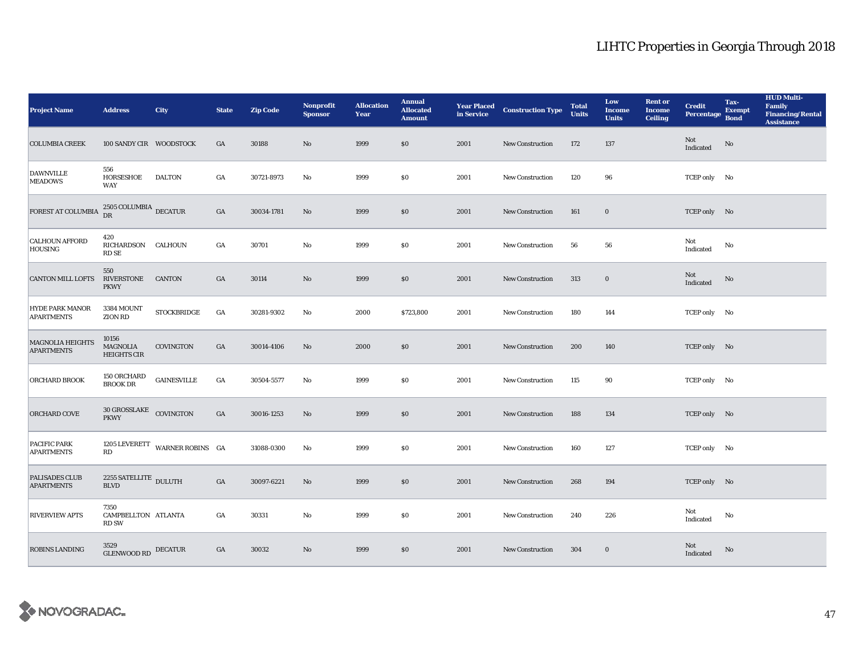| <b>Project Name</b>                          | <b>Address</b>                              | <b>City</b>                         | <b>State</b>     | <b>Zip Code</b> | <b>Nonprofit</b><br><b>Sponsor</b> | <b>Allocation</b><br>Year | <b>Annual</b><br><b>Allocated</b><br><b>Amount</b> |      | <b>Year Placed Construction Type</b><br>in Service <b>Construction</b> Type | <b>Total</b><br><b>Units</b> | Low<br><b>Income</b><br><b>Units</b> | <b>Rent or</b><br><b>Income</b><br><b>Ceiling</b> | <b>Credit</b><br><b>Percentage</b> | Tax-<br><b>Exempt</b><br><b>Bond</b> | <b>HUD Multi-</b><br>Family<br><b>Financing/Rental</b><br><b>Assistance</b> |
|----------------------------------------------|---------------------------------------------|-------------------------------------|------------------|-----------------|------------------------------------|---------------------------|----------------------------------------------------|------|-----------------------------------------------------------------------------|------------------------------|--------------------------------------|---------------------------------------------------|------------------------------------|--------------------------------------|-----------------------------------------------------------------------------|
| <b>COLUMBIA CREEK</b>                        | 100 SANDY CIR WOODSTOCK                     |                                     | GA               | 30188           | No                                 | 1999                      | \$0                                                | 2001 | New Construction                                                            | 172                          | 137                                  |                                                   | Not<br>Indicated                   | No                                   |                                                                             |
| <b>DAWNVILLE</b><br><b>MEADOWS</b>           | 556<br>HORSESHOE<br>WAY                     | DALTON                              | GA               | 30721-8973      | No                                 | 1999                      | \$0                                                | 2001 | <b>New Construction</b>                                                     | 120                          | 96                                   |                                                   | TCEP only No                       |                                      |                                                                             |
| FOREST AT COLUMBIA                           | $2505$ COLUMBIA $_{\rm DECATUR}$            |                                     | $_{\mathrm{GA}}$ | 30034-1781      | $\rm No$                           | 1999                      | $\$0$                                              | 2001 | <b>New Construction</b>                                                     | 161                          | $\bf{0}$                             |                                                   | TCEP only No                       |                                      |                                                                             |
| <b>CALHOUN AFFORD</b><br><b>HOUSING</b>      | 420<br>RICHARDSON CALHOUN<br>RD SE          |                                     | GA               | 30701           | $\mathbf{N}\mathbf{o}$             | 1999                      | \$0                                                | 2001 | New Construction                                                            | 56                           | 56                                   |                                                   | Not<br>Indicated                   | No                                   |                                                                             |
| <b>CANTON MILL LOFTS</b>                     | 550<br>RIVERSTONE CANTON<br><b>PKWY</b>     |                                     | GA               | 30114           | No                                 | 1999                      | \$0                                                | 2001 | <b>New Construction</b>                                                     | 313                          | $\bf{0}$                             |                                                   | Not<br>$\operatorname{Indicated}$  | No                                   |                                                                             |
| <b>HYDE PARK MANOR</b><br><b>APARTMENTS</b>  | 3384 MOUNT<br>ZION RD                       | <b>STOCKBRIDGE</b>                  | GA               | 30281-9302      | No                                 | 2000                      | \$723,800                                          | 2001 | New Construction                                                            | 180                          | 144                                  |                                                   | TCEP only No                       |                                      |                                                                             |
| <b>MAGNOLIA HEIGHTS</b><br><b>APARTMENTS</b> | 10156<br>MAGNOLIA<br><b>HEIGHTS CIR</b>     | COVINGTON                           | $_{\mathrm{GA}}$ | 30014-4106      | No                                 | 2000                      | \$0                                                | 2001 | New Construction                                                            | 200                          | 140                                  |                                                   | TCEP only No                       |                                      |                                                                             |
| <b>ORCHARD BROOK</b>                         | 150 ORCHARD<br><b>BROOK DR</b>              | <b>GAINESVILLE</b>                  | GA               | 30504-5577      | No                                 | 1999                      | \$0                                                | 2001 | <b>New Construction</b>                                                     | 115                          | 90                                   |                                                   | TCEP only No                       |                                      |                                                                             |
| <b>ORCHARD COVE</b>                          | 30 GROSSLAKE COVINGTON<br><b>PKWY</b>       |                                     | GA               | 30016-1253      | $\rm No$                           | 1999                      | \$0                                                | 2001 | New Construction                                                            | 188                          | 134                                  |                                                   | TCEP only No                       |                                      |                                                                             |
| PACIFIC PARK<br><b>APARTMENTS</b>            | RD                                          | 1205 LEVERETT WARNER ROBINS $\;$ GA |                  | 31088-0300      | No                                 | 1999                      | \$0                                                | 2001 | New Construction                                                            | 160                          | 127                                  |                                                   | TCEP only No                       |                                      |                                                                             |
| <b>PALISADES CLUB</b><br><b>APARTMENTS</b>   | 2255 SATELLITE DULUTH<br><b>BLVD</b>        |                                     | $_{\mathrm{GA}}$ | 30097-6221      | No                                 | 1999                      | \$0                                                | 2001 | <b>New Construction</b>                                                     | 268                          | 194                                  |                                                   | TCEP only No                       |                                      |                                                                             |
| <b>RIVERVIEW APTS</b>                        | 7350<br>CAMPBELLTON ATLANTA<br><b>RD SW</b> |                                     | GA               | 30331           | $\mathbf{No}$                      | 1999                      | \$0\$                                              | 2001 | <b>New Construction</b>                                                     | 240                          | 226                                  |                                                   | Not<br>Indicated                   | No                                   |                                                                             |
| <b>ROBINS LANDING</b>                        | 3529<br>GLENWOOD RD DECATUR                 |                                     | GA               | 30032           | No                                 | 1999                      | \$0                                                | 2001 | <b>New Construction</b>                                                     | 304                          | $\bf{0}$                             |                                                   | Not<br>Indicated                   | No                                   |                                                                             |

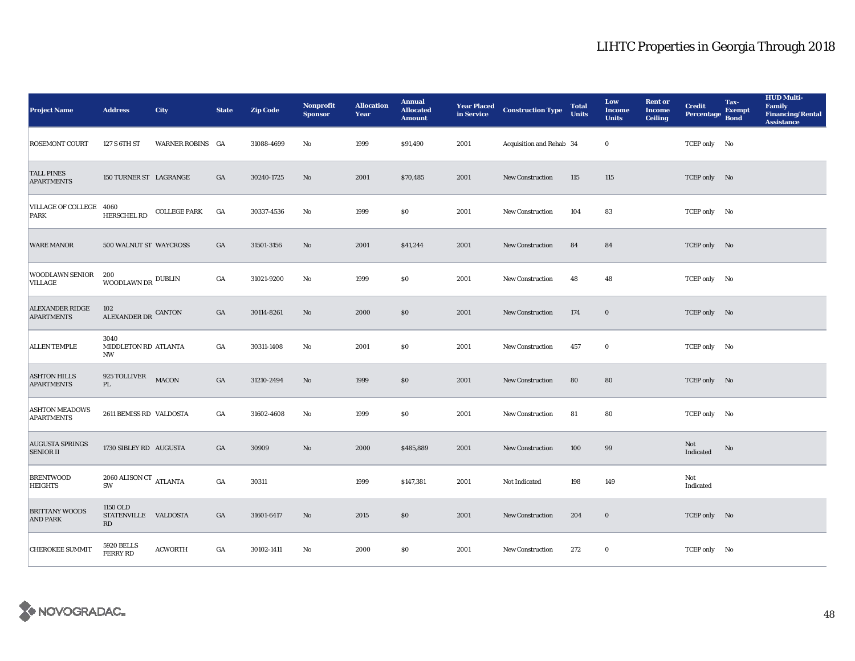| <b>Project Name</b>                         | <b>Address</b>                         | <b>City</b>             | <b>State</b> | <b>Zip Code</b> | Nonprofit<br><b>Sponsor</b> | <b>Allocation</b><br>Year | <b>Annual</b><br><b>Allocated</b><br><b>Amount</b> |      | <b>Year Placed Construction Type</b><br>in Service <b>Construction</b> Type | <b>Total</b><br><b>Units</b> | Low<br><b>Income</b><br><b>Units</b> | <b>Rent</b> or<br><b>Income</b><br><b>Ceiling</b> | <b>Credit</b><br><b>Percentage</b> | Tax-<br><b>Exempt</b><br><b>Bond</b> | <b>HUD Multi-</b><br>Family<br><b>Financing/Rental</b><br><b>Assistance</b> |
|---------------------------------------------|----------------------------------------|-------------------------|--------------|-----------------|-----------------------------|---------------------------|----------------------------------------------------|------|-----------------------------------------------------------------------------|------------------------------|--------------------------------------|---------------------------------------------------|------------------------------------|--------------------------------------|-----------------------------------------------------------------------------|
| <b>ROSEMONT COURT</b>                       | 127 S 6TH ST                           | <b>WARNER ROBINS GA</b> |              | 31088-4699      | No                          | 1999                      | \$91,490                                           | 2001 | Acquisition and Rehab 34                                                    |                              | $\bf{0}$                             |                                                   | TCEP only No                       |                                      |                                                                             |
| <b>TALL PINES</b><br><b>APARTMENTS</b>      | 150 TURNER ST LAGRANGE                 |                         | GA           | 30240-1725      | No                          | 2001                      | \$70,485                                           | 2001 | New Construction                                                            | 115                          | 115                                  |                                                   | TCEP only No                       |                                      |                                                                             |
| VILLAGE OF COLLEGE 4060<br>PARK             | HERSCHEL RD                            | <b>COLLEGE PARK</b>     | GA           | 30337-4536      | No                          | 1999                      | \$0\$                                              | 2001 | New Construction                                                            | 104                          | 83                                   |                                                   | TCEP only No                       |                                      |                                                                             |
| <b>WARE MANOR</b>                           | 500 WALNUT ST WAYCROSS                 |                         | GA           | 31501-3156      | No                          | 2001                      | \$41,244                                           | 2001 | New Construction                                                            | 84                           | 84                                   |                                                   | TCEP only No                       |                                      |                                                                             |
| WOODLAWN SENIOR<br>VILLAGE                  | 200<br>WOODLAWN DR $^{\rm DUBLIN}$     |                         | GA           | 31021-9200      | No                          | 1999                      | \$0                                                | 2001 | New Construction                                                            | 48                           | 48                                   |                                                   | TCEP only No                       |                                      |                                                                             |
| <b>ALEXANDER RIDGE</b><br><b>APARTMENTS</b> | 102<br>ALEXANDER DR CANTON             |                         | GA           | 30114-8261      | No                          | 2000                      | $\$0$                                              | 2001 | <b>New Construction</b>                                                     | 174                          | $\mathbf 0$                          |                                                   | TCEP only No                       |                                      |                                                                             |
| <b>ALLEN TEMPLE</b>                         | 3040<br>MIDDLETON RD ATLANTA<br>NW     |                         | GA           | 30311-1408      | No                          | 2001                      | \$0\$                                              | 2001 | <b>New Construction</b>                                                     | 457                          | $\bf{0}$                             |                                                   | TCEP only No                       |                                      |                                                                             |
| <b>ASHTON HILLS</b><br><b>APARTMENTS</b>    | 925 TOLLIVER<br>PL                     | <b>MACON</b>            | GA           | 31210-2494      | No                          | 1999                      | \$0                                                | 2001 | New Construction                                                            | 80                           | 80                                   |                                                   | TCEP only No                       |                                      |                                                                             |
| <b>ASHTON MEADOWS</b><br><b>APARTMENTS</b>  | 2611 BEMISS RD VALDOSTA                |                         | GA           | 31602-4608      | No                          | 1999                      | \$0                                                | 2001 | <b>New Construction</b>                                                     | 81                           | 80                                   |                                                   | TCEP only No                       |                                      |                                                                             |
| <b>AUGUSTA SPRINGS</b><br><b>SENIOR II</b>  | 1730 SIBLEY RD AUGUSTA                 |                         | GA           | 30909           | $\rm No$                    | 2000                      | \$485,889                                          | 2001 | New Construction                                                            | 100                          | 99                                   |                                                   | Not<br>Indicated                   | No                                   |                                                                             |
| <b>BRENTWOOD</b><br><b>HEIGHTS</b>          | 2060 ALISON CT $_{\rm{ATLANTA}}$<br>SW |                         | GA           | 30311           |                             | 1999                      | \$147,381                                          | 2001 | Not Indicated                                                               | 198                          | 149                                  |                                                   | Not<br>Indicated                   |                                      |                                                                             |
| <b>BRITTANY WOODS</b><br><b>AND PARK</b>    | 1150 OLD<br>STATENVILLE VALDOSTA<br>RD |                         | GA           | 31601-6417      | No                          | 2015                      | \$0                                                | 2001 | <b>New Construction</b>                                                     | 204                          | $\bf{0}$                             |                                                   | TCEP only No                       |                                      |                                                                             |
| <b>CHEROKEE SUMMIT</b>                      | 5920 BELLS<br><b>FERRY RD</b>          | <b>ACWORTH</b>          | GA           | 30102-1411      | No                          | 2000                      | \$0                                                | 2001 | <b>New Construction</b>                                                     | 272                          | $\bf{0}$                             |                                                   | TCEP only No                       |                                      |                                                                             |

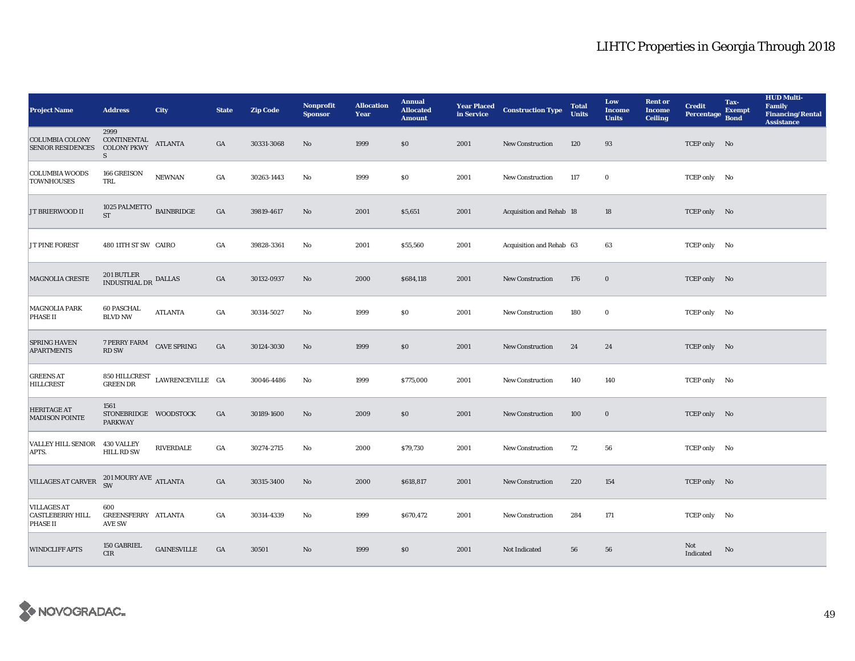| <b>Project Name</b>                                              | <b>Address</b>                                         | <b>City</b>                                           | <b>State</b>     | <b>Zip Code</b> | <b>Nonprofit</b><br><b>Sponsor</b> | <b>Allocation</b><br>Year | <b>Annual</b><br><b>Allocated</b><br><b>Amount</b> |      | <b>Year Placed Construction Type</b><br>in Service | <b>Total</b><br><b>Units</b> | Low<br><b>Income</b><br><b>Units</b> | <b>Rent or</b><br><b>Income</b><br><b>Ceiling</b> | <b>Credit</b><br>Percentage Bond | Tax-<br><b>Exempt</b> | <b>HUD Multi-</b><br>Family<br><b>Financing/Rental</b><br><b>Assistance</b> |
|------------------------------------------------------------------|--------------------------------------------------------|-------------------------------------------------------|------------------|-----------------|------------------------------------|---------------------------|----------------------------------------------------|------|----------------------------------------------------|------------------------------|--------------------------------------|---------------------------------------------------|----------------------------------|-----------------------|-----------------------------------------------------------------------------|
| <b>COLUMBIA COLONY</b><br><b>SENIOR RESIDENCES</b>               | 2999<br>CONTINENTAL ATLANTA<br><b>COLONY PKWY</b><br>S |                                                       | GA               | 30331-3068      | No                                 | 1999                      | \$0                                                | 2001 | New Construction                                   | 120                          | 93                                   |                                                   | TCEP only No                     |                       |                                                                             |
| <b>COLUMBIA WOODS</b><br><b>TOWNHOUSES</b>                       | 166 GREISON<br>TRL                                     | <b>NEWNAN</b>                                         | $_{\mathrm{GA}}$ | 30263-1443      | No                                 | 1999                      | \$0                                                | 2001 | New Construction                                   | 117                          | $\bf{0}$                             |                                                   | TCEP only No                     |                       |                                                                             |
| JT BRIERWOOD II                                                  | 1025 PALMETTO $_{\rm~BAINBRIDGE}$<br><b>ST</b>         |                                                       | $_{\mathrm{GA}}$ | 39819-4617      | No                                 | 2001                      | \$5,651                                            | 2001 | Acquisition and Rehab 18                           |                              | 18                                   |                                                   | TCEP only No                     |                       |                                                                             |
| JT PINE FOREST                                                   | 480 11TH ST SW CAIRO                                   |                                                       | GA               | 39828-3361      | $\mathbf{N}\mathbf{o}$             | 2001                      | \$55,560                                           | 2001 | Acquisition and Rehab 63                           |                              | 63                                   |                                                   | TCEP only No                     |                       |                                                                             |
| <b>MAGNOLIA CRESTE</b>                                           | $201\, \mathrm{BUTLER}$ DALLAS INDUSTRIAL DR           |                                                       | $_{\mathrm{GA}}$ | 30132-0937      | No                                 | 2000                      | \$684,118                                          | 2001 | New Construction                                   | 176                          | $\bf{0}$                             |                                                   | TCEP only No                     |                       |                                                                             |
| <b>MAGNOLIA PARK</b><br><b>PHASE II</b>                          | <b>60 PASCHAL</b><br><b>BLVD NW</b>                    | <b>ATLANTA</b>                                        | GA               | 30314-5027      | $\mathbf{N}\mathbf{o}$             | 1999                      | \$0                                                | 2001 | <b>New Construction</b>                            | 180                          | $\bf{0}$                             |                                                   | TCEP only No                     |                       |                                                                             |
| <b>SPRING HAVEN</b><br><b>APARTMENTS</b>                         | 7 PERRY FARM<br><b>RD SW</b>                           | <b>CAVE SPRING</b>                                    | GA               | 30124-3030      | No                                 | 1999                      | \$0                                                | 2001 | New Construction                                   | 24                           | 24                                   |                                                   | TCEP only No                     |                       |                                                                             |
| <b>GREENS AT</b><br><b>HILLCREST</b>                             |                                                        | $850\,$ HILLCREST $\,$ LAWRENCEVILLE $\,$ GA GREEN DR |                  | 30046-4486      | No                                 | 1999                      | \$775,000                                          | 2001 | <b>New Construction</b>                            | 140                          | 140                                  |                                                   | TCEP only No                     |                       |                                                                             |
| <b>HERITAGE AT</b><br><b>MADISON POINTE</b>                      | 1561<br>STONEBRIDGE WOODSTOCK<br><b>PARKWAY</b>        |                                                       | GA               | 30189-1600      | No                                 | 2009                      | \$0                                                | 2001 | New Construction                                   | 100                          | $\bf{0}$                             |                                                   | TCEP only No                     |                       |                                                                             |
| VALLEY HILL SENIOR 430 VALLEY<br>APTS.                           | <b>HILL RD SW</b>                                      | RIVERDALE                                             | GA               | 30274-2715      | No                                 | 2000                      | \$79,730                                           | 2001 | <b>New Construction</b>                            | 72                           | 56                                   |                                                   | TCEP only No                     |                       |                                                                             |
| <b>VILLAGES AT CARVER</b>                                        | $201\,\mbox{MOURY\,AVE}$ ATLANTA $\mbox{SW}$           |                                                       | $_{\mathrm{GA}}$ | 30315-3400      | $\rm No$                           | 2000                      | \$618,817                                          | 2001 | <b>New Construction</b>                            | 220                          | 154                                  |                                                   | TCEP only No                     |                       |                                                                             |
| <b>VILLAGES AT</b><br><b>CASTLEBERRY HILL</b><br><b>PHASE II</b> | 600<br>GREENSFERRY ATLANTA<br><b>AVE SW</b>            |                                                       | GA               | 30314-4339      | No                                 | 1999                      | \$670,472                                          | 2001 | New Construction                                   | 284                          | 171                                  |                                                   | TCEP only No                     |                       |                                                                             |
| <b>WINDCLIFF APTS</b>                                            | 150 GABRIEL<br><b>CIR</b>                              | <b>GAINESVILLE</b>                                    | GA               | 30501           | No                                 | 1999                      | \$0                                                | 2001 | Not Indicated                                      | 56                           | 56                                   |                                                   | Not<br>Indicated                 | No                    |                                                                             |

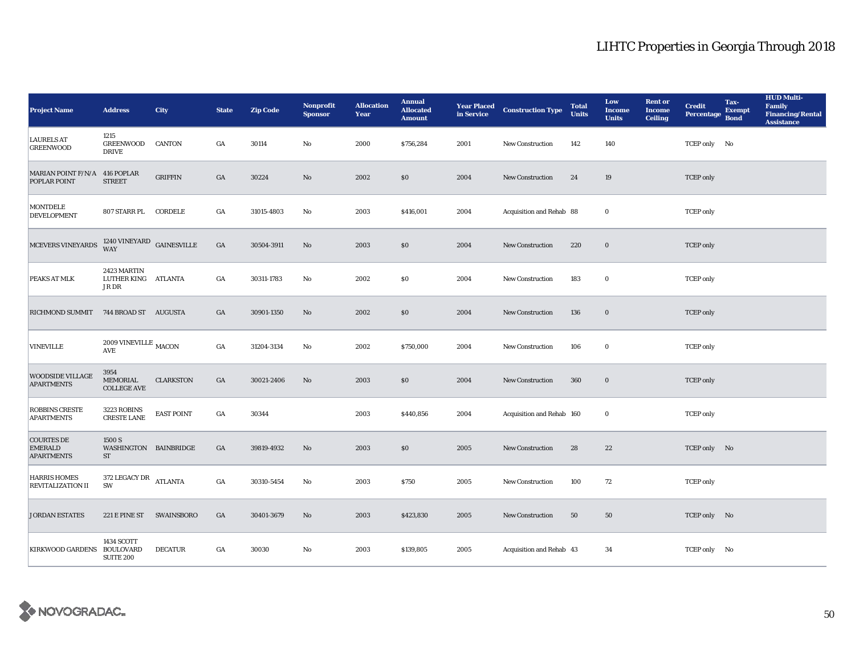| <b>Project Name</b>                                      | <b>Address</b>                                     | City              | <b>State</b>     | <b>Zip Code</b> | <b>Nonprofit</b><br><b>Sponsor</b> | <b>Allocation</b><br>Year | <b>Annual</b><br><b>Allocated</b><br><b>Amount</b> |      | <b>Year Placed Construction Type</b><br>in Service <b>Construction</b> Type | <b>Total</b><br><b>Units</b> | Low<br><b>Income</b><br><b>Units</b> | <b>Rent</b> or<br><b>Income</b><br><b>Ceiling</b> | <b>Credit</b><br><b>Percentage</b> | Tax-<br><b>Exempt</b><br><b>Bond</b> | <b>HUD Multi-</b><br>Family<br><b>Financing/Rental</b><br><b>Assistance</b> |
|----------------------------------------------------------|----------------------------------------------------|-------------------|------------------|-----------------|------------------------------------|---------------------------|----------------------------------------------------|------|-----------------------------------------------------------------------------|------------------------------|--------------------------------------|---------------------------------------------------|------------------------------------|--------------------------------------|-----------------------------------------------------------------------------|
| <b>LAURELS AT</b><br><b>GREENWOOD</b>                    | 1215<br><b>GREENWOOD</b><br><b>DRIVE</b>           | <b>CANTON</b>     | GA               | 30114           | No                                 | 2000                      | \$756,284                                          | 2001 | <b>New Construction</b>                                                     | 142                          | 140                                  |                                                   | TCEP only No                       |                                      |                                                                             |
| MARIAN POINT F/N/A<br>POPLAR POINT                       | 416 POPLAR<br><b>STREET</b>                        | <b>GRIFFIN</b>    | GA               | 30224           | No                                 | 2002                      | \$0                                                | 2004 | New Construction                                                            | 24                           | 19                                   |                                                   | <b>TCEP</b> only                   |                                      |                                                                             |
| MONTDELE<br><b>DEVELOPMENT</b>                           | 807 STARR PL CORDELE                               |                   | GA               | 31015-4803      | $\rm No$                           | 2003                      | \$416,001                                          | 2004 | Acquisition and Rehab 88                                                    |                              | $\bf{0}$                             |                                                   | <b>TCEP</b> only                   |                                      |                                                                             |
| MCEVERS VINEYARDS                                        | $1240$ VINEYARD $\,$ GAINESVILLE WAY               |                   | $_{\mathrm{GA}}$ | 30504-3911      | $\mathbf{N}\mathbf{o}$             | 2003                      | \$0                                                | 2004 | New Construction                                                            | 220                          | $\mathbf 0$                          |                                                   | <b>TCEP</b> only                   |                                      |                                                                             |
| PEAKS AT MLK                                             | 2423 MARTIN<br>LUTHER KING ATLANTA<br>JR DR        |                   | GA               | 30311-1783      | No                                 | 2002                      | \$0\$                                              | 2004 | New Construction                                                            | 183                          | $\mathbf 0$                          |                                                   | <b>TCEP</b> only                   |                                      |                                                                             |
| RICHMOND SUMMIT 744 BROAD ST AUGUSTA                     |                                                    |                   | GA               | 30901-1350      | $\mathbf{No}$                      | 2002                      | \$0                                                | 2004 | <b>New Construction</b>                                                     | 136                          | $\mathbf 0$                          |                                                   | <b>TCEP</b> only                   |                                      |                                                                             |
| <b>VINEVILLE</b>                                         | 2009 VINEVILLE $_{\rm MACON}$<br><b>AVE</b>        |                   | $_{\mathrm{GA}}$ | 31204-3134      | No                                 | 2002                      | \$750,000                                          | 2004 | New Construction                                                            | 106                          | $\bf{0}$                             |                                                   | <b>TCEP</b> only                   |                                      |                                                                             |
| <b>WOODSIDE VILLAGE</b><br><b>APARTMENTS</b>             | 3954<br>MEMORIAL<br><b>COLLEGE AVE</b>             | <b>CLARKSTON</b>  | $_{\mathrm{GA}}$ | 30021-2406      | No                                 | 2003                      | \$0                                                | 2004 | New Construction                                                            | 360                          | $\bf{0}$                             |                                                   | <b>TCEP</b> only                   |                                      |                                                                             |
| <b>ROBBINS CRESTE</b><br><b>APARTMENTS</b>               | 3223 ROBINS<br><b>CRESTE LANE</b>                  | <b>EAST POINT</b> | $_{\mathrm{GA}}$ | 30344           |                                    | 2003                      | \$440,856                                          | 2004 | Acquisition and Rehab 160                                                   |                              | $\bf{0}$                             |                                                   | <b>TCEP</b> only                   |                                      |                                                                             |
| <b>COURTES DE</b><br><b>EMERALD</b><br><b>APARTMENTS</b> | 1500 S<br>WASHINGTON BAINBRIDGE<br>${\rm ST}$      |                   | GA               | 39819-4932      | $\mathbf{N}\mathbf{o}$             | 2003                      | \$0                                                | 2005 | New Construction                                                            | 28                           | 22                                   |                                                   | TCEP only No                       |                                      |                                                                             |
| <b>HARRIS HOMES</b><br><b>REVITALIZATION II</b>          | 372 LEGACY DR ATLANTA<br>SW                        |                   | $_{\mathrm{GA}}$ | 30310-5454      | $\mathbf{N}\mathbf{o}$             | 2003                      | \$750                                              | 2005 | New Construction                                                            | 100                          | 72                                   |                                                   | <b>TCEP</b> only                   |                                      |                                                                             |
| <b>JORDAN ESTATES</b>                                    | 221 E PINE ST                                      | <b>SWAINSBORO</b> | GA               | 30401-3679      | No                                 | 2003                      | \$423,830                                          | 2005 | <b>New Construction</b>                                                     | 50                           | 50                                   |                                                   | TCEP only No                       |                                      |                                                                             |
| <b>KIRKWOOD GARDENS</b>                                  | 1434 SCOTT<br><b>BOULOVARD</b><br><b>SUITE 200</b> | <b>DECATUR</b>    | GA               | 30030           | No                                 | 2003                      | \$139,805                                          | 2005 | Acquisition and Rehab 43                                                    |                              | 34                                   |                                                   | TCEP only No                       |                                      |                                                                             |

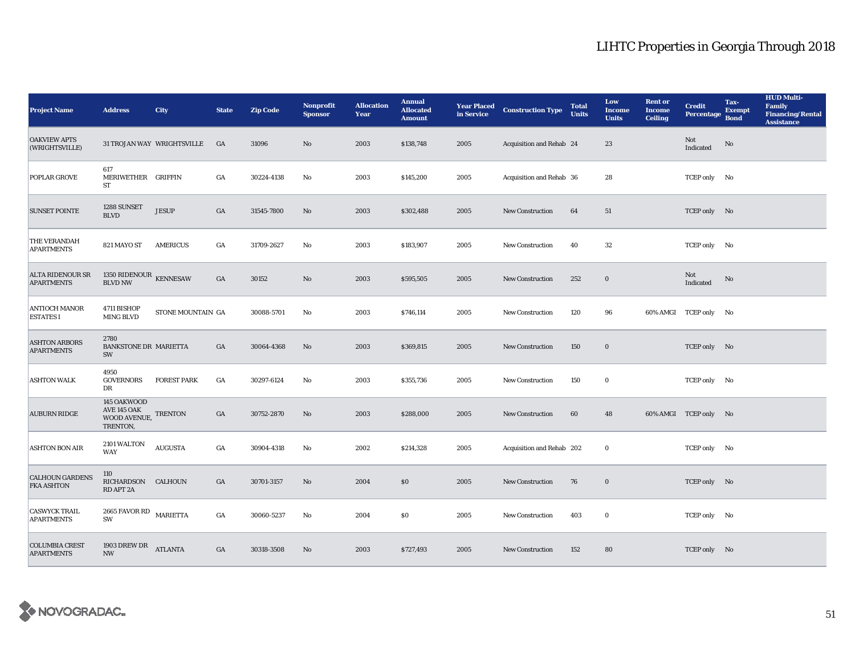| <b>Project Name</b>                          | <b>Address</b>                                         | <b>City</b>                | <b>State</b> | <b>Zip Code</b> | Nonprofit<br><b>Sponsor</b> | <b>Allocation</b><br>Year | <b>Annual</b><br><b>Allocated</b><br><b>Amount</b> | <b>Year Placed</b><br>in Service | <b>Construction Type</b>  | <b>Total</b><br><b>Units</b> | Low<br><b>Income</b><br><b>Units</b> | <b>Rent or</b><br><b>Income</b><br><b>Ceiling</b> | <b>Credit</b><br><b>Percentage</b> | Tax-<br><b>Exempt</b><br><b>Bond</b> | <b>HUD Multi-</b><br><b>Family</b><br><b>Financing/Rental</b><br><b>Assistance</b> |
|----------------------------------------------|--------------------------------------------------------|----------------------------|--------------|-----------------|-----------------------------|---------------------------|----------------------------------------------------|----------------------------------|---------------------------|------------------------------|--------------------------------------|---------------------------------------------------|------------------------------------|--------------------------------------|------------------------------------------------------------------------------------|
| <b>OAKVIEW APTS</b><br>(WRIGHTSVILLE)        |                                                        | 31 TROJAN WAY WRIGHTSVILLE | GA           | 31096           | No                          | 2003                      | \$138,748                                          | 2005                             | Acquisition and Rehab 24  |                              | 23                                   |                                                   | Not<br>Indicated                   | No                                   |                                                                                    |
| POPLAR GROVE                                 | 617<br>MERIWETHER GRIFFIN<br>ST                        |                            | GA           | 30224-4138      | No                          | 2003                      | \$145,200                                          | 2005                             | Acquisition and Rehab 36  |                              | 28                                   |                                                   | TCEP only No                       |                                      |                                                                                    |
| <b>SUNSET POINTE</b>                         | 1288 SUNSET<br><b>BLVD</b>                             | <b>JESUP</b>               | GA           | 31545-7800      | No                          | 2003                      | \$302,488                                          | 2005                             | <b>New Construction</b>   | 64                           | 51                                   |                                                   | TCEP only No                       |                                      |                                                                                    |
| THE VERANDAH<br><b>APARTMENTS</b>            | 821 MAYO ST                                            | <b>AMERICUS</b>            | GA           | 31709-2627      | No                          | 2003                      | \$183,907                                          | 2005                             | <b>New Construction</b>   | 40                           | 32                                   |                                                   | TCEP only No                       |                                      |                                                                                    |
| <b>ALTA RIDENOUR SR</b><br><b>APARTMENTS</b> | 1350 RIDENOUR KENNESAW<br><b>BLVD NW</b>               |                            | GA           | 30152           | No                          | 2003                      | \$595,505                                          | 2005                             | <b>New Construction</b>   | 252                          | $\bf{0}$                             |                                                   | Not<br>Indicated                   | No                                   |                                                                                    |
| <b>ANTIOCH MANOR</b><br><b>ESTATES I</b>     | 4711 BISHOP<br>MING BLVD                               | STONE MOUNTAIN GA          |              | 30088-5701      | No                          | 2003                      | \$746,114                                          | 2005                             | <b>New Construction</b>   | 120                          | 96                                   |                                                   | 60% AMGI TCEP only No              |                                      |                                                                                    |
| <b>ASHTON ARBORS</b><br><b>APARTMENTS</b>    | 2780<br><b>BANKSTONE DR MARIETTA</b><br>SW             |                            | GA           | 30064-4368      | No                          | 2003                      | \$369,815                                          | 2005                             | New Construction          | 150                          | $\bf{0}$                             |                                                   | TCEP only No                       |                                      |                                                                                    |
| <b>ASHTON WALK</b>                           | 4950<br><b>GOVERNORS</b><br>DR                         | <b>FOREST PARK</b>         | GA           | 30297-6124      | No                          | 2003                      | \$355,736                                          | 2005                             | <b>New Construction</b>   | 150                          | $\bf{0}$                             |                                                   | TCEP only No                       |                                      |                                                                                    |
| <b>AUBURN RIDGE</b>                          | 145 OAKWOOD<br>AVE 145 OAK<br>WOOD AVENUE,<br>TRENTON, | <b>TRENTON</b>             | GA           | 30752-2870      | No                          | 2003                      | \$288,000                                          | 2005                             | <b>New Construction</b>   | 60                           | 48                                   |                                                   | 60% AMGI TCEP only No              |                                      |                                                                                    |
| <b>ASHTON BON AIR</b>                        | 2101 WALTON<br><b>WAY</b>                              | <b>AUGUSTA</b>             | GA           | 30904-4318      | No                          | 2002                      | \$214,328                                          | 2005                             | Acquisition and Rehab 202 |                              | $\bf{0}$                             |                                                   | TCEP only No                       |                                      |                                                                                    |
| <b>CALHOUN GARDENS</b><br><b>FKA ASHTON</b>  | 110<br>RICHARDSON CALHOUN<br>RD APT 2A                 |                            | GA           | 30701-3157      | No                          | 2004                      | \$0                                                | 2005                             | <b>New Construction</b>   | 76                           | $\bf{0}$                             |                                                   | TCEP only No                       |                                      |                                                                                    |
| <b>CASWYCK TRAIL</b><br><b>APARTMENTS</b>    | 2665 FAVOR RD MARIETTA<br>SW                           |                            | GA           | 30060-5237      | No                          | 2004                      | <b>SO</b>                                          | 2005                             | New Construction          | 403                          | $\bf{0}$                             |                                                   | TCEP only No                       |                                      |                                                                                    |
| <b>COLUMBIA CREST</b><br><b>APARTMENTS</b>   | 1903 DREW DR<br>$\ensuremath{\text{NW}}$               | <b>ATLANTA</b>             | GA           | 30318-3508      | No                          | 2003                      | \$727,493                                          | 2005                             | <b>New Construction</b>   | 152                          | 80                                   |                                                   | TCEP only No                       |                                      |                                                                                    |

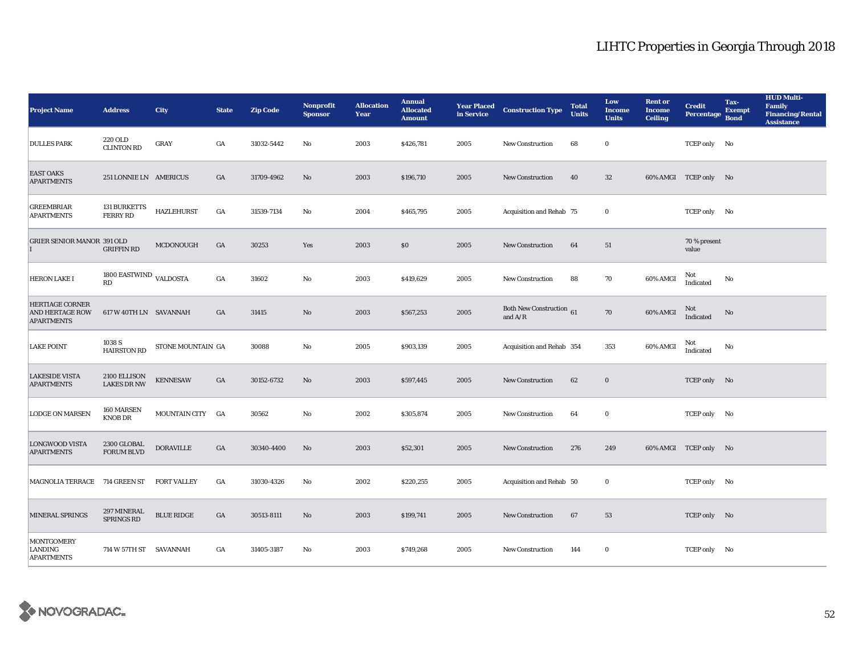| <b>Project Name</b>                                            | <b>Address</b>                         | <b>City</b>        | <b>State</b>     | <b>Zip Code</b> | Nonprofit<br><b>Sponsor</b> | <b>Allocation</b><br>Year | <b>Annual</b><br><b>Allocated</b><br><b>Amount</b> | in Service | <b>Year Placed Construction Type</b>         | <b>Total</b><br><b>Units</b> | Low<br><b>Income</b><br><b>Units</b> | <b>Rent or</b><br>Income<br><b>Ceiling</b> | <b>Credit</b><br><b>Percentage</b> | Tax-<br><b>Exempt</b><br><b>Bond</b> | <b>HUD Multi-</b><br><b>Family</b><br><b>Financing/Rental</b><br><b>Assistance</b> |
|----------------------------------------------------------------|----------------------------------------|--------------------|------------------|-----------------|-----------------------------|---------------------------|----------------------------------------------------|------------|----------------------------------------------|------------------------------|--------------------------------------|--------------------------------------------|------------------------------------|--------------------------------------|------------------------------------------------------------------------------------|
| <b>DULLES PARK</b>                                             | 220 OLD<br><b>CLINTON RD</b>           | GRAY               | GA               | 31032-5442      | No                          | 2003                      | \$426,781                                          | 2005       | New Construction                             | 68                           | $\bf{0}$                             |                                            | TCEP only No                       |                                      |                                                                                    |
| <b>EAST OAKS</b><br><b>APARTMENTS</b>                          | 251 LONNIE LN AMERICUS                 |                    | GA               | 31709-4962      | No                          | 2003                      | \$196,710                                          | 2005       | <b>New Construction</b>                      | 40                           | $32\,$                               |                                            | 60% AMGI TCEP only No              |                                      |                                                                                    |
| GREEMBRIAR<br><b>APARTMENTS</b>                                | <b>131 BURKETTS</b><br><b>FERRY RD</b> | <b>HAZLEHURST</b>  | $_{\mathrm{GA}}$ | 31539-7134      | No                          | 2004                      | \$465,795                                          | 2005       | Acquisition and Rehab 75                     |                              | $\bf{0}$                             |                                            | TCEP only No                       |                                      |                                                                                    |
| <b>GRIER SENIOR MANOR 391 OLD</b>                              | <b>GRIFFIN RD</b>                      | MCDONOUGH          | GA               | 30253           | Yes                         | 2003                      | \$0\$                                              | 2005       | <b>New Construction</b>                      | 64                           | 51                                   |                                            | 70 % present<br>value              |                                      |                                                                                    |
| <b>HERON LAKE I</b>                                            | 1800 EASTWIND VALDOSTA<br>RD           |                    | $_{\mathrm{GA}}$ | 31602           | No                          | 2003                      | \$419,629                                          | 2005       | New Construction                             | 88                           | 70                                   | 60% AMGI                                   | Not<br>Indicated                   | No                                   |                                                                                    |
| <b>HERTIAGE CORNER</b><br>AND HERTAGE ROW<br><b>APARTMENTS</b> | 617 W 40TH LN SAVANNAH                 |                    | GA               | 31415           | $\rm No$                    | 2003                      | \$567,253                                          | 2005       | <b>Both New Construction</b> 61<br>and $A/R$ |                              | 70                                   | 60% AMGI                                   | Not<br>Indicated                   | No                                   |                                                                                    |
| <b>LAKE POINT</b>                                              | 1038 S<br><b>HAIRSTON RD</b>           | STONE MOUNTAIN GA  |                  | 30088           | $\mathbf{No}$               | 2005                      | \$903,139                                          | 2005       | Acquisition and Rehab 354                    |                              | 353                                  | 60% AMGI                                   | Not<br>Indicated                   | No                                   |                                                                                    |
| <b>LAKESIDE VISTA</b><br><b>APARTMENTS</b>                     | 2100 ELLISON<br><b>LAKES DR NW</b>     | <b>KENNESAW</b>    | GA               | 30152-6732      | No                          | 2003                      | \$597,445                                          | 2005       | New Construction                             | 62                           | $\bf{0}$                             |                                            | TCEP only No                       |                                      |                                                                                    |
| <b>LODGE ON MARSEN</b>                                         | 160 MARSEN<br><b>KNOB DR</b>           | MOUNTAIN CITY GA   |                  | 30562           | $\mathbf{N}\mathbf{o}$      | 2002                      | \$305,874                                          | 2005       | <b>New Construction</b>                      | 64                           | $\bf{0}$                             |                                            | TCEP only No                       |                                      |                                                                                    |
| <b>LONGWOOD VISTA</b><br><b>APARTMENTS</b>                     | 2300 GLOBAL<br><b>FORUM BLVD</b>       | <b>DORAVILLE</b>   | $_{\mathrm{GA}}$ | 30340-4400      | No                          | 2003                      | \$52,301                                           | 2005       | New Construction                             | 276                          | 249                                  |                                            | 60% AMGI TCEP only No              |                                      |                                                                                    |
| MAGNOLIA TERRACE 714 GREEN ST                                  |                                        | <b>FORT VALLEY</b> | GA               | 31030-4326      | No                          | 2002                      | \$220,255                                          | 2005       | Acquisition and Rehab 50                     |                              | $\bf{0}$                             |                                            | TCEP only No                       |                                      |                                                                                    |
| <b>MINERAL SPRINGS</b>                                         | 297 MINERAL<br>SPRINGS RD              | <b>BLUE RIDGE</b>  | $_{\mathrm{GA}}$ | 30513-8111      | $\rm No$                    | 2003                      | \$199,741                                          | 2005       | New Construction                             | 67                           | 53                                   |                                            | TCEP only No                       |                                      |                                                                                    |
| <b>MONTGOMERY</b><br>LANDING<br><b>APARTMENTS</b>              | 714 W 57TH ST SAVANNAH                 |                    | GA               | 31405-3187      | No                          | 2003                      | \$749,268                                          | 2005       | <b>New Construction</b>                      | 144                          | $\bf{0}$                             |                                            | TCEP only No                       |                                      |                                                                                    |

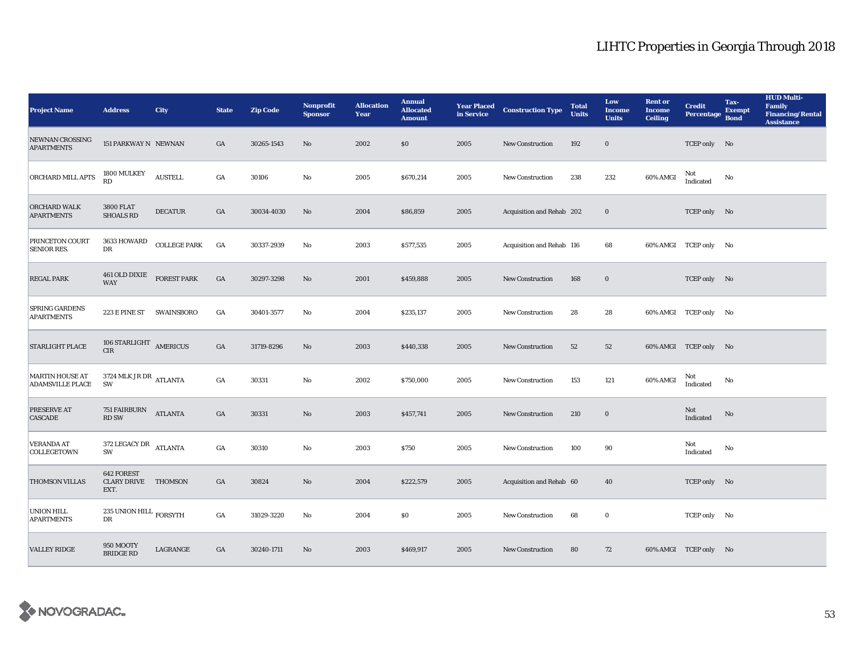| <b>Project Name</b>                               | <b>Address</b>                                          | <b>City</b>         | <b>State</b>     | <b>Zip Code</b> | <b>Nonprofit</b><br><b>Sponsor</b> | <b>Allocation</b><br>Year | <b>Annual</b><br><b>Allocated</b><br><b>Amount</b> | <b>Year Placed<br/>in Service</b> | <b>Construction Type</b>  | <b>Total</b><br><b>Units</b> | Low<br><b>Income</b><br><b>Units</b> | <b>Rent or</b><br><b>Income</b><br><b>Ceiling</b> | <b>Credit</b><br><b>Percentage</b> | Tax-<br><b>Exempt</b><br><b>Bond</b> | <b>HUD Multi-</b><br>Family<br><b>Financing/Rental</b><br><b>Assistance</b> |
|---------------------------------------------------|---------------------------------------------------------|---------------------|------------------|-----------------|------------------------------------|---------------------------|----------------------------------------------------|-----------------------------------|---------------------------|------------------------------|--------------------------------------|---------------------------------------------------|------------------------------------|--------------------------------------|-----------------------------------------------------------------------------|
| <b>NEWNAN CROSSING</b><br><b>APARTMENTS</b>       | 151 PARKWAY N NEWNAN                                    |                     | GA               | 30265-1543      | $\mathbf{No}$                      | 2002                      | \$0                                                | 2005                              | New Construction          | 192                          | $\mathbf 0$                          |                                                   | TCEP only No                       |                                      |                                                                             |
| ORCHARD MILL APTS                                 | 1800 MULKEY<br>RD                                       | <b>AUSTELL</b>      | $_{\mathrm{GA}}$ | 30106           | No                                 | 2005                      | \$670,214                                          | 2005                              | New Construction          | 238                          | 232                                  | 60% AMGI                                          | Not<br>Indicated                   | No                                   |                                                                             |
| <b>ORCHARD WALK</b><br><b>APARTMENTS</b>          | <b>3800 FLAT</b><br><b>SHOALS RD</b>                    | <b>DECATUR</b>      | GA               | 30034-4030      | No                                 | 2004                      | \$86,859                                           | 2005                              | Acquisition and Rehab 202 |                              | $\mathbf 0$                          |                                                   | TCEP only No                       |                                      |                                                                             |
| PRINCETON COURT<br><b>SENIOR RES.</b>             | 3633 HOWARD<br>DR                                       | <b>COLLEGE PARK</b> | GA               | 30337-2939      | No                                 | 2003                      | \$577,535                                          | 2005                              | Acquisition and Rehab 116 |                              | 68                                   |                                                   | 60% AMGI TCEP only No              |                                      |                                                                             |
| <b>REGAL PARK</b>                                 | 461 OLD DIXIE FOREST PARK<br><b>WAY</b>                 |                     | $_{\mathrm{GA}}$ | 30297-3298      | $\mathbf{N}\mathbf{o}$             | 2001                      | \$459,888                                          | 2005                              | New Construction          | 168                          | $\bf{0}$                             |                                                   | TCEP only No                       |                                      |                                                                             |
| <b>SPRING GARDENS</b><br><b>APARTMENTS</b>        | 223 E PINE ST SWAINSBORO                                |                     | GA               | 30401-3577      | No                                 | 2004                      | \$235,137                                          | 2005                              | <b>New Construction</b>   | 28                           | 28                                   |                                                   | 60% AMGI TCEP only No              |                                      |                                                                             |
| <b>STARLIGHT PLACE</b>                            | 106 STARLIGHT AMERICUS<br><b>CIR</b>                    |                     | GA               | 31719-8296      | No                                 | 2003                      | \$440,338                                          | 2005                              | <b>New Construction</b>   | 52                           | 52                                   |                                                   | 60% AMGI TCEP only No              |                                      |                                                                             |
| <b>MARTIN HOUSE AT</b><br><b>ADAMSVILLE PLACE</b> | 3724 MLK JR DR $\,$ ATLANTA<br>SW                       |                     | $_{\mathrm{GA}}$ | 30331           | No                                 | 2002                      | \$750,000                                          | 2005                              | New Construction          | 153                          | 121                                  | 60% AMGI                                          | Not<br>Indicated                   | No                                   |                                                                             |
| PRESERVE AT<br><b>CASCADE</b>                     | <b>751 FAIRBURN</b><br><b>RD SW</b>                     | <b>ATLANTA</b>      | GA               | 30331           | $\mathbf{No}$                      | 2003                      | \$457,741                                          | 2005                              | <b>New Construction</b>   | 210                          | $\bf{0}$                             |                                                   | Not<br>Indicated                   | No                                   |                                                                             |
| <b>VERANDA AT</b><br>COLLEGETOWN                  | 372 LEGACY DR ATLANTA<br>SW                             |                     | GA               | 30310           | No                                 | 2003                      | \$750                                              | 2005                              | <b>New Construction</b>   | 100                          | 90                                   |                                                   | Not<br>Indicated                   | No                                   |                                                                             |
| THOMSON VILLAS                                    | <b>642 FOREST</b><br><b>CLARY DRIVE THOMSON</b><br>EXT. |                     | $_{\mathrm{GA}}$ | 30824           | $\mathbf{No}$                      | 2004                      | \$222,579                                          | 2005                              | Acquisition and Rehab 60  |                              | 40                                   |                                                   | TCEP only No                       |                                      |                                                                             |
| <b>UNION HILL</b><br><b>APARTMENTS</b>            | 235 UNION HILL $_{\rm FORSYTH}$<br>DR                   |                     | GA               | 31029-3220      | No                                 | 2004                      | \$0                                                | 2005                              | New Construction          | 68                           | $\bf{0}$                             |                                                   | TCEP only No                       |                                      |                                                                             |
| <b>VALLEY RIDGE</b>                               | 950 MOOTY<br><b>BRIDGE RD</b>                           | LAGRANGE            | GA               | 30240-1711      | No                                 | 2003                      | \$469,917                                          | 2005                              | <b>New Construction</b>   | 80                           | 72                                   |                                                   | 60% AMGI TCEP only No              |                                      |                                                                             |

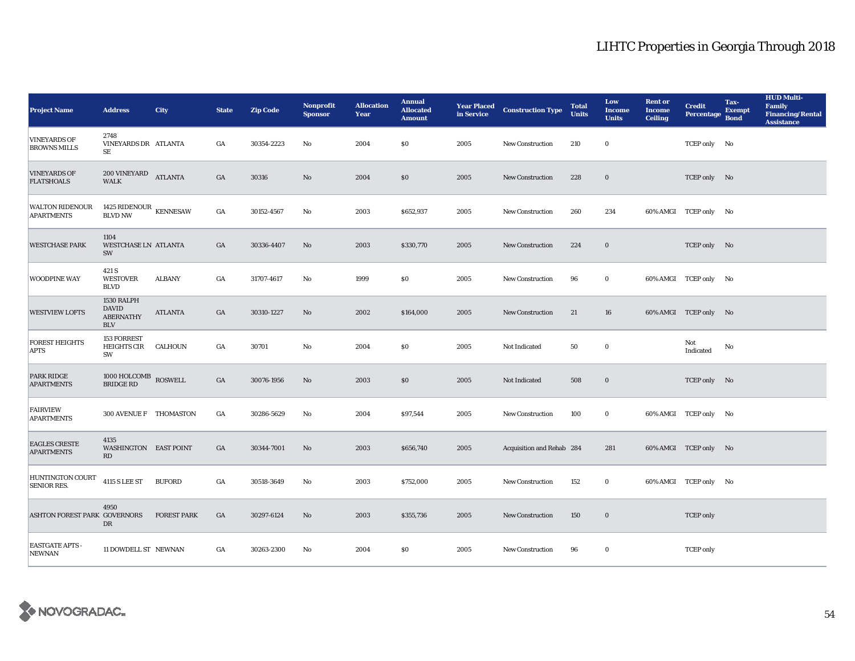| <b>Project Name</b>                         | <b>Address</b>                                               | <b>City</b>        | <b>State</b>     | <b>Zip Code</b> | <b>Nonprofit</b><br><b>Sponsor</b> | <b>Allocation</b><br>Year | <b>Annual</b><br><b>Allocated</b><br><b>Amount</b> | <b>Year Placed</b><br>in Service | <b>Construction Type</b>  | <b>Total</b><br><b>Units</b> | Low<br><b>Income</b><br><b>Units</b> | <b>Rent or</b><br><b>Income</b><br><b>Ceiling</b> | <b>Credit</b><br><b>Percentage</b> | Tax-<br><b>Exempt</b><br><b>Bond</b> | <b>HUD Multi-</b><br><b>Family</b><br><b>Financing/Rental</b><br><b>Assistance</b> |
|---------------------------------------------|--------------------------------------------------------------|--------------------|------------------|-----------------|------------------------------------|---------------------------|----------------------------------------------------|----------------------------------|---------------------------|------------------------------|--------------------------------------|---------------------------------------------------|------------------------------------|--------------------------------------|------------------------------------------------------------------------------------|
| <b>VINEYARDS OF</b><br><b>BROWNS MILLS</b>  | 2748<br>VINEYARDS DR ATLANTA<br>SE                           |                    | GA               | 30354-2223      | No                                 | 2004                      | \$0                                                | 2005                             | <b>New Construction</b>   | 210                          | $\bf{0}$                             |                                                   | TCEP only No                       |                                      |                                                                                    |
| <b>VINEYARDS OF</b><br><b>FLATSHOALS</b>    | <b>200 VINEYARD</b><br><b>WALK</b>                           | <b>ATLANTA</b>     | GA               | 30316           | No                                 | 2004                      | $\$0$                                              | 2005                             | <b>New Construction</b>   | 228                          | $\bf{0}$                             |                                                   | TCEP only No                       |                                      |                                                                                    |
| <b>WALTON RIDENOUR</b><br><b>APARTMENTS</b> | 1425 RIDENOUR KENNESAW<br><b>BLVD NW</b>                     |                    | $_{\mathrm{GA}}$ | 30152-4567      | No                                 | 2003                      | \$652,937                                          | 2005                             | New Construction          | 260                          | 234                                  |                                                   | 60% AMGI TCEP only No              |                                      |                                                                                    |
| <b>WESTCHASE PARK</b>                       | 1104<br><b>WESTCHASE LN ATLANTA</b><br>SW                    |                    | $_{\mathrm{GA}}$ | 30336-4407      | $\mathbf{No}$                      | 2003                      | \$330,770                                          | 2005                             | <b>New Construction</b>   | 224                          | $\mathbf 0$                          |                                                   | TCEP only No                       |                                      |                                                                                    |
| <b>WOODPINE WAY</b>                         | 421 S<br><b>WESTOVER</b><br><b>BLVD</b>                      | <b>ALBANY</b>      | GA               | 31707-4617      | No                                 | 1999                      | \$0\$                                              | 2005                             | New Construction          | 96                           | $\bf{0}$                             |                                                   | 60% AMGI TCEP only No              |                                      |                                                                                    |
| <b>WESTVIEW LOFTS</b>                       | 1530 RALPH<br><b>DAVID</b><br><b>ABERNATHY</b><br><b>BLV</b> | <b>ATLANTA</b>     | GA               | 30310-1227      | No                                 | 2002                      | \$164,000                                          | 2005                             | <b>New Construction</b>   | 21                           | 16                                   |                                                   | 60% AMGI TCEP only No              |                                      |                                                                                    |
| <b>FOREST HEIGHTS</b><br><b>APTS</b>        | 153 FORREST<br><b>HEIGHTS CIR</b><br>SW                      | CALHOUN            | GA               | 30701           | No                                 | 2004                      | \$0\$                                              | 2005                             | Not Indicated             | 50                           | $\bf{0}$                             |                                                   | Not<br>Indicated                   | No                                   |                                                                                    |
| <b>PARK RIDGE</b><br><b>APARTMENTS</b>      | 1000 HOLCOMB ROSWELL<br><b>BRIDGE RD</b>                     |                    | GA               | 30076-1956      | $\mathbf{N}\mathbf{o}$             | 2003                      | \$0                                                | 2005                             | Not Indicated             | 508                          | $\mathbf 0$                          |                                                   | TCEP only No                       |                                      |                                                                                    |
| <b>FAIRVIEW</b><br><b>APARTMENTS</b>        | 300 AVENUE F THOMASTON                                       |                    | GA               | 30286-5629      | No                                 | 2004                      | \$97,544                                           | 2005                             | <b>New Construction</b>   | 100                          | $\mathbf 0$                          |                                                   | 60% AMGI TCEP only No              |                                      |                                                                                    |
| <b>EAGLES CRESTE</b><br><b>APARTMENTS</b>   | 4135<br><b>WASHINGTON EAST POINT</b><br>RD                   |                    | $_{\mathrm{GA}}$ | 30344-7001      | No                                 | 2003                      | \$656,740                                          | 2005                             | Acquisition and Rehab 284 |                              | 281                                  |                                                   | 60% AMGI TCEP only No              |                                      |                                                                                    |
| HUNTINGTON COURT<br><b>SENIOR RES.</b>      | <b>4115 S LEE ST</b>                                         | <b>BUFORD</b>      | GA               | 30518-3649      | No                                 | 2003                      | \$752,000                                          | 2005                             | <b>New Construction</b>   | 152                          | $\bf{0}$                             |                                                   | 60% AMGI TCEP only No              |                                      |                                                                                    |
| <b>ASHTON FOREST PARK GOVERNORS</b>         | 4950<br>DR                                                   | <b>FOREST PARK</b> | GA               | 30297-6124      | No                                 | 2003                      | \$355,736                                          | 2005                             | <b>New Construction</b>   | 150                          | $\bf{0}$                             |                                                   | <b>TCEP</b> only                   |                                      |                                                                                    |
| <b>EASTGATE APTS -</b><br><b>NEWNAN</b>     | 11 DOWDELL ST NEWNAN                                         |                    | GA               | 30263-2300      | No                                 | 2004                      | \$0                                                | 2005                             | <b>New Construction</b>   | 96                           | $\bf{0}$                             |                                                   | <b>TCEP</b> only                   |                                      |                                                                                    |

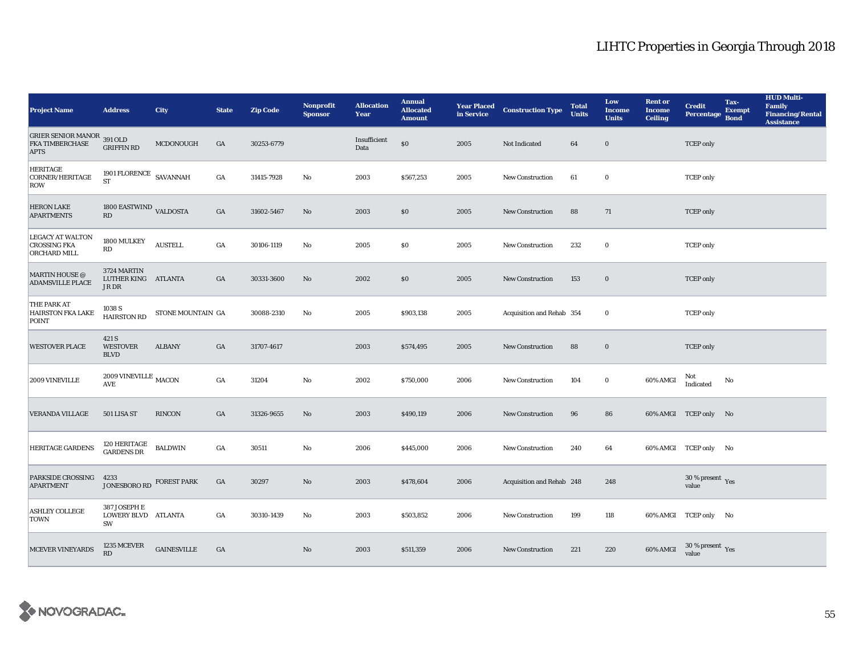| <b>Project Name</b>                                                 | <b>Address</b>                                                    | <b>City</b>        | <b>State</b>     | <b>Zip Code</b> | <b>Nonprofit</b><br><b>Sponsor</b> | <b>Allocation</b><br>Year | <b>Annual</b><br><b>Allocated</b><br><b>Amount</b> |      | <b>Year Placed Construction Type</b><br>in Service | <b>Total</b><br><b>Units</b> | Low<br><b>Income</b><br><b>Units</b> | <b>Rent or</b><br><b>Income</b><br><b>Ceiling</b> | <b>Credit</b><br><b>Percentage</b>          | Tax-<br><b>Exempt</b><br><b>Bond</b> | <b>HUD Multi-</b><br>Family<br><b>Financing/Rental</b><br><b>Assistance</b> |
|---------------------------------------------------------------------|-------------------------------------------------------------------|--------------------|------------------|-----------------|------------------------------------|---------------------------|----------------------------------------------------|------|----------------------------------------------------|------------------------------|--------------------------------------|---------------------------------------------------|---------------------------------------------|--------------------------------------|-----------------------------------------------------------------------------|
| GRIER SENIOR MANOR 391 OLD<br><b>FKA TIMBERCHASE</b><br><b>APTS</b> | <b>GRIFFIN RD</b>                                                 | MCDONOUGH          | GA               | 30253-6779      |                                    | Insufficient<br>Data      | $\$0$                                              | 2005 | Not Indicated                                      | 64                           | $\boldsymbol{0}$                     |                                                   | <b>TCEP</b> only                            |                                      |                                                                             |
| <b>HERITAGE</b><br>CORNER/HERITAGE<br>ROW                           | 1901 FLORENCE $\,$ SAVANNAH<br><b>ST</b>                          |                    | $_{\mathrm{GA}}$ | 31415-7928      | No                                 | 2003                      | \$567,253                                          | 2005 | New Construction                                   | 61                           | $\bf{0}$                             |                                                   | <b>TCEP</b> only                            |                                      |                                                                             |
| <b>HERON LAKE</b><br><b>APARTMENTS</b>                              | 1800 EASTWIND VALDOSTA<br>RD                                      |                    | GA               | 31602-5467      | No                                 | 2003                      | \$0                                                | 2005 | <b>New Construction</b>                            | 88                           | 71                                   |                                                   | <b>TCEP</b> only                            |                                      |                                                                             |
| LEGACY AT WALTON<br><b>CROSSING FKA</b><br>ORCHARD MILL             | 1800 MULKEY<br>RD                                                 | <b>AUSTELL</b>     | GA               | 30106-1119      | No                                 | 2005                      | \$0                                                | 2005 | <b>New Construction</b>                            | 232                          | $\bf{0}$                             |                                                   | <b>TCEP</b> only                            |                                      |                                                                             |
| MARTIN HOUSE @<br><b>ADAMSVILLE PLACE</b>                           | 3724 MARTIN<br>LUTHER KING ATLANTA<br>JR DR                       |                    | GA               | 30331-3600      | No                                 | 2002                      | \$0                                                | 2005 | <b>New Construction</b>                            | 153                          | $\boldsymbol{0}$                     |                                                   | <b>TCEP</b> only                            |                                      |                                                                             |
| THE PARK AT<br><b>HAIRSTON FKA LAKE</b><br>POINT                    | 1038 S<br><b>HAIRSTON RD</b>                                      | STONE MOUNTAIN GA  |                  | 30088-2310      | No                                 | 2005                      | \$903,138                                          | 2005 | Acquisition and Rehab 354                          |                              | $\bf{0}$                             |                                                   | <b>TCEP</b> only                            |                                      |                                                                             |
| <b>WESTOVER PLACE</b>                                               | 421 S<br><b>WESTOVER</b><br><b>BLVD</b>                           | <b>ALBANY</b>      | GA               | 31707-4617      |                                    | 2003                      | \$574,495                                          | 2005 | <b>New Construction</b>                            | 88                           | $\bf{0}$                             |                                                   | <b>TCEP</b> only                            |                                      |                                                                             |
| 2009 VINEVILLE                                                      | 2009 VINEVILLE $_{\rm MACON}$<br>$\mathbf{A}\mathbf{V}\mathbf{E}$ |                    | $_{\mathrm{GA}}$ | 31204           | $\mathbf {No}$                     | 2002                      | \$750,000                                          | 2006 | <b>New Construction</b>                            | 104                          | $\mathbf 0$                          | 60% AMGI                                          | Not<br>Indicated                            | No                                   |                                                                             |
| <b>VERANDA VILLAGE</b>                                              | 501 LISA ST                                                       | <b>RINCON</b>      | GA               | 31326-9655      | No                                 | 2003                      | \$490,119                                          | 2006 | New Construction                                   | 96                           | 86                                   |                                                   | 60% AMGI TCEP only No                       |                                      |                                                                             |
| <b>HERITAGE GARDENS</b>                                             | 120 HERITAGE<br><b>GARDENS DR</b>                                 | <b>BALDWIN</b>     | GA               | 30511           | No                                 | 2006                      | \$445,000                                          | 2006 | <b>New Construction</b>                            | 240                          | 64                                   |                                                   | 60% AMGI TCEP only No                       |                                      |                                                                             |
| <b>PARKSIDE CROSSING</b><br><b>APARTMENT</b>                        | 4233<br>JONESBORO RD FOREST PARK                                  |                    | GA               | 30297           | $\mathbf{N}\mathbf{o}$             | 2003                      | \$478,604                                          | 2006 | Acquisition and Rehab 248                          |                              | 248                                  |                                                   | 30 % present $\gamma_{\rm{es}}$<br>value    |                                      |                                                                             |
| <b>ASHLEY COLLEGE</b><br><b>TOWN</b>                                | 387 JOSEPH E<br>LOWERY BLVD ATLANTA<br>SW                         |                    | GA               | 30310-1439      | No                                 | 2003                      | \$503,852                                          | 2006 | <b>New Construction</b>                            | 199                          | 118                                  |                                                   | 60% AMGI TCEP only No                       |                                      |                                                                             |
| <b>MCEVER VINEYARDS</b>                                             | 1235 MCEVER<br>RD                                                 | <b>GAINESVILLE</b> | GA               |                 | No                                 | 2003                      | \$511,359                                          | 2006 | <b>New Construction</b>                            | 221                          | 220                                  | 60% AMGI                                          | $30\,\%$ present $\,$ $_{\rm Yes}$<br>value |                                      |                                                                             |

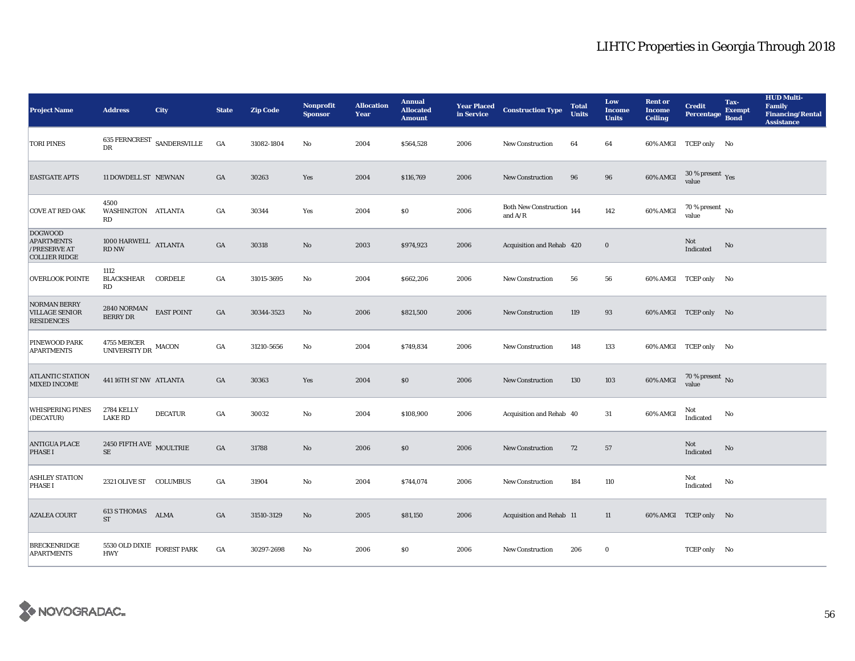| <b>Project Name</b>                                                         | <b>Address</b>                                | <b>City</b>                | <b>State</b>     | <b>Zip Code</b> | <b>Nonprofit</b><br><b>Sponsor</b> | <b>Allocation</b><br>Year | <b>Annual</b><br><b>Allocated</b><br><b>Amount</b> | in Service | <b>Year Placed Construction Type</b>   | <b>Total</b><br><b>Units</b> | Low<br><b>Income</b><br><b>Units</b> | <b>Rent or</b><br><b>Income</b><br><b>Ceiling</b> | <b>Credit</b><br><b>Percentage</b>   | Tax-<br><b>Exempt</b><br><b>Bond</b> | <b>HUD Multi-</b><br><b>Family</b><br><b>Financing/Rental</b><br><b>Assistance</b> |
|-----------------------------------------------------------------------------|-----------------------------------------------|----------------------------|------------------|-----------------|------------------------------------|---------------------------|----------------------------------------------------|------------|----------------------------------------|------------------------------|--------------------------------------|---------------------------------------------------|--------------------------------------|--------------------------------------|------------------------------------------------------------------------------------|
| <b>TORI PINES</b>                                                           | <b>DR</b>                                     | 635 FERNCREST SANDERSVILLE | GA               | 31082-1804      | No                                 | 2004                      | \$564,528                                          | 2006       | <b>New Construction</b>                | 64                           | 64                                   |                                                   | 60% AMGI TCEP only No                |                                      |                                                                                    |
| <b>EASTGATE APTS</b>                                                        | 11 DOWDELL ST NEWNAN                          |                            | GA               | 30263           | Yes                                | 2004                      | \$116,769                                          | 2006       | <b>New Construction</b>                | 96                           | 96                                   | 60% AMGI                                          | $30\,\%$ present $\,$ Yes value      |                                      |                                                                                    |
| <b>COVE AT RED OAK</b>                                                      | 4500<br>WASHINGTON ATLANTA<br>RD              |                            | GA               | 30344           | Yes                                | 2004                      | \$0\$                                              | 2006       | Both New Construction 144<br>and $A/R$ |                              | 142                                  | 60% AMGI                                          | $70$ % present $\,$ No $\,$<br>value |                                      |                                                                                    |
| <b>DOGWOOD</b><br><b>APARTMENTS</b><br>/PRESERVE AT<br><b>COLLIER RIDGE</b> | $1000$ HARWELL $\quad$ ATLANTA<br>RD NW       |                            | $_{\mathrm{GA}}$ | 30318           | $\mathbf{N}\mathbf{o}$             | 2003                      | \$974,923                                          | 2006       | Acquisition and Rehab 420              |                              | $\mathbf 0$                          |                                                   | Not<br>Indicated                     | $\rm No$                             |                                                                                    |
| <b>OVERLOOK POINTE</b>                                                      | 1112<br>BLACKSHEAR CORDELE<br>RD              |                            | GA               | 31015-3695      | $\mathbf{No}$                      | 2004                      | \$662,206                                          | 2006       | New Construction                       | 56                           | 56                                   |                                                   | 60% AMGI TCEP only No                |                                      |                                                                                    |
| NORMAN BERRY<br><b>VILLAGE SENIOR</b><br><b>RESIDENCES</b>                  | $2840$ NORMAN $$\sf EAST~POINT$$ BERRY DR     |                            | GA               | 30344-3523      | No                                 | 2006                      | \$821,500                                          | 2006       | <b>New Construction</b>                | 119                          | 93                                   |                                                   | 60% AMGI TCEP only No                |                                      |                                                                                    |
| PINEWOOD PARK<br><b>APARTMENTS</b>                                          | $4755\rm\, MERCER$ MACON UNIVERSITY DR        |                            | GA               | 31210-5656      | No                                 | 2004                      | \$749,834                                          | 2006       | <b>New Construction</b>                | 148                          | 133                                  |                                                   | 60% AMGI TCEP only No                |                                      |                                                                                    |
| <b>ATLANTIC STATION</b><br>MIXED INCOME                                     | 441 16TH ST NW ATLANTA                        |                            | GA               | 30363           | Yes                                | 2004                      | \$0                                                | 2006       | New Construction                       | 130                          | 103                                  | 60% AMGI                                          | $70$ % present $\,$ No value         |                                      |                                                                                    |
| <b>WHISPERING PINES</b><br>(DECATUR)                                        | <b>2784 KELLY</b><br><b>LAKE RD</b>           | <b>DECATUR</b>             | GA               | 30032           | $\mathbf {No}$                     | 2004                      | \$108,900                                          | 2006       | Acquisition and Rehab 40               |                              | 31                                   | 60% AMGI                                          | Not<br>Indicated                     | No                                   |                                                                                    |
| <b>ANTIGUA PLACE</b><br><b>PHASE I</b>                                      | 2450 FIFTH AVE $\,$ MOULTRIE<br><b>SE</b>     |                            | GA               | 31788           | $\rm No$                           | 2006                      | \$0\$                                              | 2006       | New Construction                       | 72                           | 57                                   |                                                   | Not<br>Indicated                     | No                                   |                                                                                    |
| <b>ASHLEY STATION</b><br><b>PHASE I</b>                                     | 2321 OLIVE ST COLUMBUS                        |                            | GA               | 31904           | No                                 | 2004                      | \$744,074                                          | 2006       | New Construction                       | 184                          | 110                                  |                                                   | Not<br>Indicated                     | No                                   |                                                                                    |
| <b>AZALEA COURT</b>                                                         | 613 S THOMAS<br><b>ST</b>                     | <b>ALMA</b>                | GA               | 31510-3129      | No                                 | 2005                      | \$81,150                                           | 2006       | Acquisition and Rehab 11               |                              | 11                                   |                                                   | 60% AMGI TCEP only No                |                                      |                                                                                    |
| <b>BRECKENRIDGE</b><br><b>APARTMENTS</b>                                    | 5530 OLD DIXIE $\,$ FOREST PARK<br><b>HWY</b> |                            | GA               | 30297-2698      | No                                 | 2006                      | \$0                                                | 2006       | <b>New Construction</b>                | 206                          | $\bf{0}$                             |                                                   | TCEP only No                         |                                      |                                                                                    |

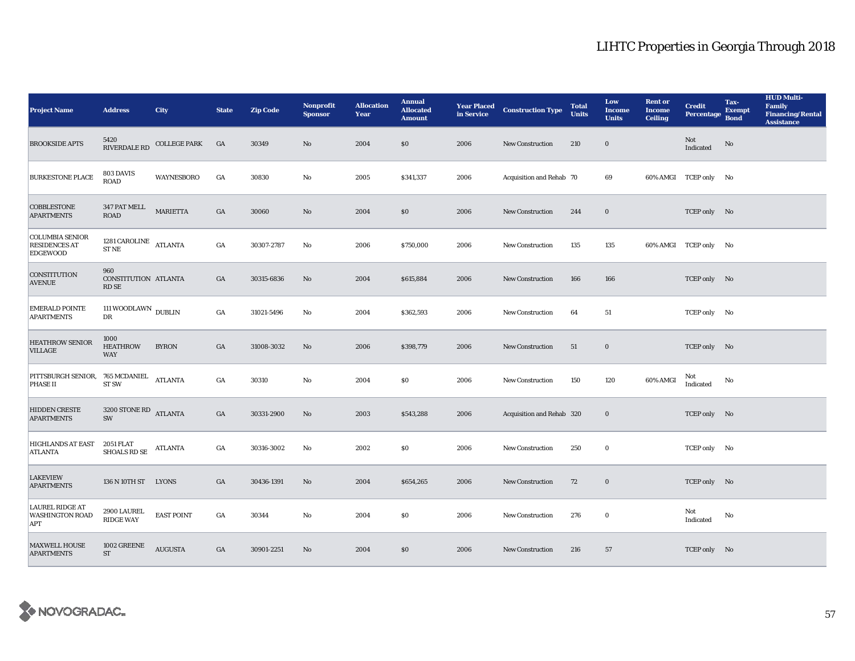| <b>Project Name</b>                                               | <b>Address</b>                          | <b>City</b>         | <b>State</b> | <b>Zip Code</b> | <b>Nonprofit</b><br><b>Sponsor</b> | <b>Allocation</b><br>Year | <b>Annual</b><br><b>Allocated</b><br><b>Amount</b> | <b>Year Placed<br/>in Service</b> | <b>Construction Type</b>  | <b>Total</b><br><b>Units</b> | Low<br><b>Income</b><br><b>Units</b> | <b>Rent or</b><br><b>Income</b><br><b>Ceiling</b> | <b>Credit</b><br><b>Percentage</b> | Tax-<br><b>Exempt</b><br><b>Bond</b> | <b>HUD Multi-</b><br>Family<br><b>Financing/Rental</b><br><b>Assistance</b> |
|-------------------------------------------------------------------|-----------------------------------------|---------------------|--------------|-----------------|------------------------------------|---------------------------|----------------------------------------------------|-----------------------------------|---------------------------|------------------------------|--------------------------------------|---------------------------------------------------|------------------------------------|--------------------------------------|-----------------------------------------------------------------------------|
| <b>BROOKSIDE APTS</b>                                             | 5420<br>RIVERDALE RD                    | <b>COLLEGE PARK</b> | GA           | 30349           | $\mathbf{No}$                      | 2004                      | \$0                                                | 2006                              | New Construction          | 210                          | $\bf{0}$                             |                                                   | Not<br>$\operatorname{Indicated}$  | No                                   |                                                                             |
| <b>BURKESTONE PLACE</b>                                           | 803 DAVIS<br>ROAD                       | WAYNESBORO          | GA           | 30830           | $\mathbf {No}$                     | 2005                      | \$341,337                                          | 2006                              | Acquisition and Rehab 70  |                              | 69                                   |                                                   | 60% AMGI TCEP only No              |                                      |                                                                             |
| COBBLESTONE<br><b>APARTMENTS</b>                                  | 347 PAT MELL<br><b>ROAD</b>             | <b>MARIETTA</b>     | GA           | 30060           | $\rm\thinspace No$                 | 2004                      | \$0                                                | 2006                              | <b>New Construction</b>   | 244                          | $\bf{0}$                             |                                                   | TCEP only No                       |                                      |                                                                             |
| <b>COLUMBIA SENIOR</b><br><b>RESIDENCES AT</b><br><b>EDGEWOOD</b> | 1281 CAROLINE ATLANTA<br><b>STNE</b>    |                     | GA           | 30307-2787      | No                                 | 2006                      | \$750,000                                          | 2006                              | <b>New Construction</b>   | 135                          | 135                                  |                                                   | 60% AMGI TCEP only No              |                                      |                                                                             |
| <b>CONSTITUTION</b><br><b>AVENUE</b>                              | 960<br>CONSTITUTION ATLANTA<br>RD SE    |                     | GA           | 30315-6836      | No                                 | 2004                      | \$615,884                                          | 2006                              | <b>New Construction</b>   | 166                          | 166                                  |                                                   | TCEP only No                       |                                      |                                                                             |
| <b>EMERALD POINTE</b><br><b>APARTMENTS</b>                        | 111 WOODLAWN $\,$ DUBLIN<br>$_{\rm DR}$ |                     | GA           | 31021-5496      | $_{\rm No}$                        | 2004                      | \$362,593                                          | 2006                              | <b>New Construction</b>   | 64                           | 51                                   |                                                   | TCEP only No                       |                                      |                                                                             |
| <b>HEATHROW SENIOR</b><br>VILLAGE                                 | 1000<br><b>HEATHROW</b><br><b>WAY</b>   | <b>BYRON</b>        | GA           | 31008-3032      | No                                 | 2006                      | \$398,779                                          | 2006                              | New Construction          | 51                           | $\boldsymbol{0}$                     |                                                   | TCEP only No                       |                                      |                                                                             |
| PITTSBURGH SENIOR, 765 MCDANIEL<br>PHASE II                       | ST <sub>SW</sub>                        | <b>ATLANTA</b>      | GA           | 30310           | $\mathbf {No}$                     | 2004                      | <b>SO</b>                                          | 2006                              | <b>New Construction</b>   | 150                          | 120                                  | 60% AMGI                                          | Not<br>Indicated                   | No                                   |                                                                             |
| HIDDEN CRESTE<br><b>APARTMENTS</b>                                | $3200$ STONE RD $\quad$ ATLANTA<br>SW   |                     | GA           | 30331-2900      | No                                 | 2003                      | \$543,288                                          | 2006                              | Acquisition and Rehab 320 |                              | $\bf{0}$                             |                                                   | TCEP only No                       |                                      |                                                                             |
| <b>HIGHLANDS AT EAST</b><br><b>ATLANTA</b>                        | 2051 FLAT<br>SHOALS RD SE               | <b>ATLANTA</b>      | GA           | 30316-3002      | No                                 | 2002                      | <b>SO</b>                                          | 2006                              | New Construction          | 250                          | $\bf{0}$                             |                                                   | TCEP only No                       |                                      |                                                                             |
| <b>LAKEVIEW</b><br><b>APARTMENTS</b>                              | 136 N 10TH ST LYONS                     |                     | GA           | 30436-1391      | No                                 | 2004                      | \$654,265                                          | 2006                              | New Construction          | 72                           | $\bf{0}$                             |                                                   | TCEP only No                       |                                      |                                                                             |
| <b>LAUREL RIDGE AT</b><br>WASHINGTON ROAD<br>APT                  | 2900 LAUREL<br><b>RIDGE WAY</b>         | <b>EAST POINT</b>   | GA           | 30344           | $\mathbf{No}$                      | 2004                      | \$0                                                | 2006                              | New Construction          | 276                          | $\bf{0}$                             |                                                   | Not<br>Indicated                   | No                                   |                                                                             |
| <b>MAXWELL HOUSE</b><br><b>APARTMENTS</b>                         | 1002 GREENE<br><b>ST</b>                | <b>AUGUSTA</b>      | GA           | 30901-2251      | No                                 | 2004                      | \$0                                                | 2006                              | <b>New Construction</b>   | 216                          | 57                                   |                                                   | TCEP only No                       |                                      |                                                                             |

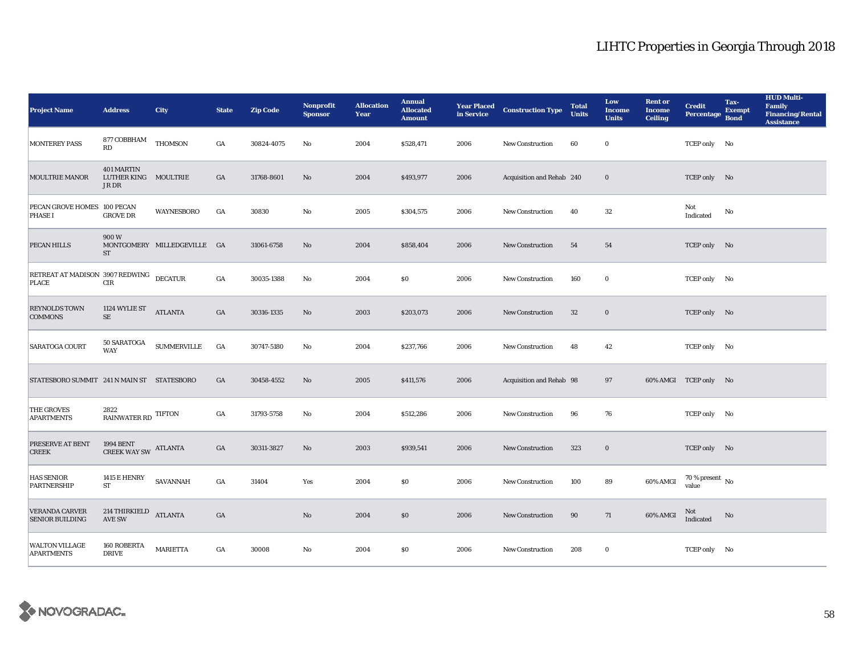| <b>Project Name</b>                              | <b>Address</b>                                            | <b>City</b>                 | <b>State</b>     | <b>Zip Code</b> | <b>Nonprofit</b><br><b>Sponsor</b> | <b>Allocation</b><br>Year | <b>Annual</b><br><b>Allocated</b><br><b>Amount</b> |      | <b>Year Placed Construction Type</b><br>in Service | <b>Total</b><br><b>Units</b> | Low<br><b>Income</b><br><b>Units</b> | <b>Rent or</b><br><b>Income</b><br><b>Ceiling</b> | <b>Credit</b><br><b>Percentage</b>   | Tax-<br><b>Exempt</b><br><b>Bond</b> | <b>HUD Multi-</b><br><b>Family</b><br><b>Financing/Rental</b><br><b>Assistance</b> |
|--------------------------------------------------|-----------------------------------------------------------|-----------------------------|------------------|-----------------|------------------------------------|---------------------------|----------------------------------------------------|------|----------------------------------------------------|------------------------------|--------------------------------------|---------------------------------------------------|--------------------------------------|--------------------------------------|------------------------------------------------------------------------------------|
| <b>MONTEREY PASS</b>                             | $877\,\mbox{CO}BBH\mbox{AM}$<br>RD                        | <b>THOMSON</b>              | GA               | 30824-4075      | No                                 | 2004                      | \$528,471                                          | 2006 | <b>New Construction</b>                            | 60                           | $\bf{0}$                             |                                                   | TCEP only No                         |                                      |                                                                                    |
| <b>MOULTRIE MANOR</b>                            | 401 MARTIN<br>LUTHER KING MOULTRIE<br>JR DR               |                             | GA               | 31768-8601      | No                                 | 2004                      | \$493,977                                          | 2006 | Acquisition and Rehab 240                          |                              | $\bf{0}$                             |                                                   | TCEP only No                         |                                      |                                                                                    |
| PECAN GROVE HOMES 100 PECAN<br><b>PHASE I</b>    | <b>GROVE DR</b>                                           | <b>WAYNESBORO</b>           | GA               | 30830           | $\mathbf{No}$                      | 2005                      | \$304,575                                          | 2006 | <b>New Construction</b>                            | 40                           | $32\,$                               |                                                   | Not<br>Indicated                     | No                                   |                                                                                    |
| PECAN HILLS                                      | 900W<br><b>ST</b>                                         | MONTGOMERY MILLEDGEVILLE GA |                  | 31061-6758      | No                                 | 2004                      | \$858,404                                          | 2006 | <b>New Construction</b>                            | 54                           | 54                                   |                                                   | TCEP only No                         |                                      |                                                                                    |
| RETREAT AT MADISON 3907 REDWING DECATUR<br>PLACE | CIR                                                       |                             | GA               | 30035-1388      | No                                 | 2004                      | S <sub>0</sub>                                     | 2006 | <b>New Construction</b>                            | 160                          | $\bf{0}$                             |                                                   | TCEP only No                         |                                      |                                                                                    |
| <b>REYNOLDS TOWN</b><br><b>COMMONS</b>           | 1124 WYLIE ST<br>$\rm SE$                                 | <b>ATLANTA</b>              | GA               | 30316-1335      | No                                 | 2003                      | \$203,073                                          | 2006 | <b>New Construction</b>                            | 32                           | $\bf{0}$                             |                                                   | TCEP only No                         |                                      |                                                                                    |
| SARATOGA COURT                                   | 50 SARATOGA<br><b>WAY</b>                                 | $\textsc{SUMMERVILLE}$      | GA               | 30747-5180      | $\mathbf{N}\mathbf{o}$             | 2004                      | \$237,766                                          | 2006 | <b>New Construction</b>                            | 48                           | 42                                   |                                                   | TCEP only No                         |                                      |                                                                                    |
| STATESBORO SUMMIT 241 N MAIN ST STATESBORO       |                                                           |                             | GA               | 30458-4552      | No                                 | 2005                      | \$411,576                                          | 2006 | Acquisition and Rehab 98                           |                              | 97                                   |                                                   | 60% AMGI TCEP only No                |                                      |                                                                                    |
| THE GROVES<br><b>APARTMENTS</b>                  | 2822<br>$\mathop{\rm RAINWATER}$ RD $\mathop{\rm TIFTON}$ |                             | GA               | 31793-5758      | No                                 | 2004                      | \$512,286                                          | 2006 | <b>New Construction</b>                            | 96                           | 76                                   |                                                   | TCEP only No                         |                                      |                                                                                    |
| PRESERVE AT BENT<br><b>CREEK</b>                 | <b>1994 BENT</b><br>CREEK WAY SW ATLANTA                  |                             | GA               | 30311-3827      | No                                 | 2003                      | \$939,541                                          | 2006 | <b>New Construction</b>                            | 323                          | $\bf{0}$                             |                                                   | TCEP only No                         |                                      |                                                                                    |
| <b>HAS SENIOR</b><br>PARTNERSHIP                 | <b>1415 E HENRY</b><br>ST                                 | SAVANNAH                    | $_{\mathrm{GA}}$ | 31404           | Yes                                | 2004                      | \$0\$                                              | 2006 | <b>New Construction</b>                            | 100                          | 89                                   | 60% AMGI                                          | $70$ % present $\,$ No $\,$<br>value |                                      |                                                                                    |
| <b>VERANDA CARVER</b><br><b>SENIOR BUILDING</b>  | 214 THIRKIELD<br><b>AVE SW</b>                            | <b>ATLANTA</b>              | GA               |                 | $\mathbf{No}$                      | 2004                      | \$0                                                | 2006 | <b>New Construction</b>                            | 90                           | 71                                   | 60% AMGI                                          | Not<br>Indicated                     | No                                   |                                                                                    |
| <b>WALTON VILLAGE</b><br><b>APARTMENTS</b>       | 160 ROBERTA<br><b>DRIVE</b>                               | <b>MARIETTA</b>             | GA               | 30008           | No                                 | 2004                      | \$0                                                | 2006 | <b>New Construction</b>                            | 208                          | $\bf{0}$                             |                                                   | TCEP only No                         |                                      |                                                                                    |

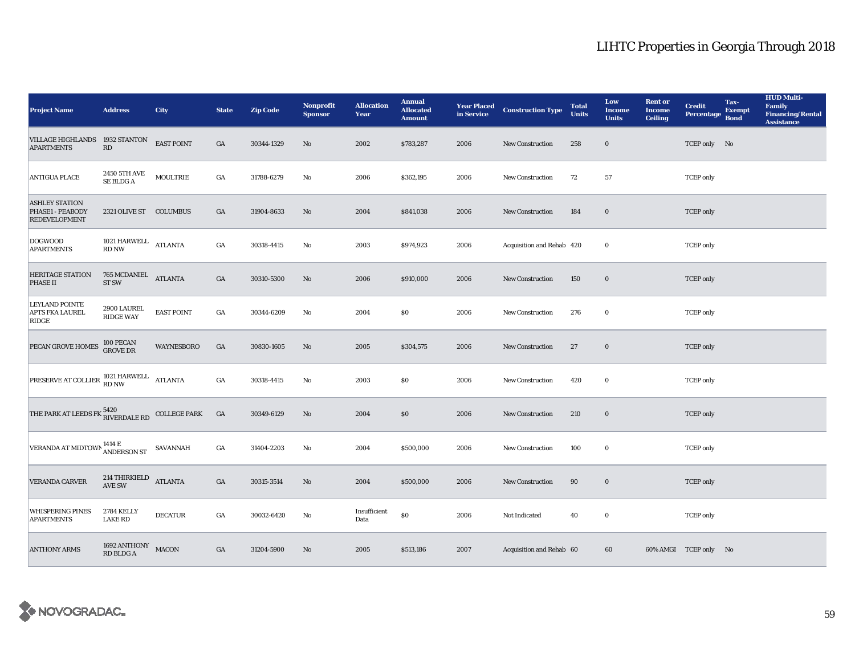| <b>Project Name</b>                                                                   | <b>Address</b>                                     | <b>City</b>         | <b>State</b>     | <b>Zip Code</b> | <b>Nonprofit</b><br><b>Sponsor</b> | <b>Allocation</b><br>Year | <b>Annual</b><br><b>Allocated</b><br><b>Amount</b> |      | <b>Year Placed Construction Type</b><br>in Service | <b>Total</b><br><b>Units</b> | Low<br><b>Income</b><br><b>Units</b> | <b>Rent or</b><br><b>Income</b><br><b>Ceiling</b> | <b>Credit</b><br><b>Percentage</b> | Tax-<br><b>Exempt</b><br><b>Bond</b> | <b>HUD Multi-</b><br><b>Family</b><br><b>Financing/Rental</b><br><b>Assistance</b> |
|---------------------------------------------------------------------------------------|----------------------------------------------------|---------------------|------------------|-----------------|------------------------------------|---------------------------|----------------------------------------------------|------|----------------------------------------------------|------------------------------|--------------------------------------|---------------------------------------------------|------------------------------------|--------------------------------------|------------------------------------------------------------------------------------|
| VILLAGE HIGHLANDS 1932 STANTON<br><b>APARTMENTS</b>                                   | RD                                                 | EAST POINT          | GA               | 30344-1329      | $\rm No$                           | 2002                      | \$783,287                                          | 2006 | New Construction                                   | 258                          | $\mathbf 0$                          |                                                   | TCEP only No                       |                                      |                                                                                    |
| <b>ANTIGUA PLACE</b>                                                                  | 2450 5TH AVE<br>SE BLDG A                          | <b>MOULTRIE</b>     | $_{\mathrm{GA}}$ | 31788-6279      | No                                 | 2006                      | \$362,195                                          | 2006 | New Construction                                   | 72                           | 57                                   |                                                   | <b>TCEP</b> only                   |                                      |                                                                                    |
| <b>ASHLEY STATION</b><br>PHASE1 - PEABODY<br><b>REDEVELOPMENT</b>                     | 2321 OLIVE ST COLUMBUS                             |                     | GA               | 31904-8633      | No                                 | 2004                      | \$841,038                                          | 2006 | <b>New Construction</b>                            | 184                          | $\mathbf 0$                          |                                                   | <b>TCEP</b> only                   |                                      |                                                                                    |
| <b>DOGWOOD</b><br><b>APARTMENTS</b>                                                   | 1021 HARWELL ATLANTA<br><b>RD NW</b>               |                     | $_{\mathrm{GA}}$ | 30318-4415      | $\mathbf{N}\mathbf{o}$             | 2003                      | \$974,923                                          | 2006 | Acquisition and Rehab 420                          |                              | $\bf{0}$                             |                                                   | <b>TCEP</b> only                   |                                      |                                                                                    |
| <b>HERITAGE STATION</b><br>PHASE II                                                   | $765$ MCDANIEL $\quad$ ATLANTA<br>ST <sub>SW</sub> |                     | $_{\mathrm{GA}}$ | 30310-5300      | No                                 | 2006                      | \$910,000                                          | 2006 | New Construction                                   | 150                          | $\bf{0}$                             |                                                   | <b>TCEP</b> only                   |                                      |                                                                                    |
| <b>LEYLAND POINTE</b><br><b>APTS FKA LAUREL</b><br>RIDGE                              | 2900 LAUREL<br><b>RIDGE WAY</b>                    | <b>EAST POINT</b>   | $_{\mathrm{GA}}$ | 30344-6209      | No                                 | 2004                      | \$0\$                                              | 2006 | <b>New Construction</b>                            | 276                          | $\bf{0}$                             |                                                   | <b>TCEP</b> only                   |                                      |                                                                                    |
| PECAN GROVE HOMES                                                                     | 100 PECAN<br><b>GROVE DR</b>                       | <b>WAYNESBORO</b>   | GA               | 30830-1605      | No                                 | 2005                      | \$304,575                                          | 2006 | <b>New Construction</b>                            | 27                           | $\bf{0}$                             |                                                   | <b>TCEP</b> only                   |                                      |                                                                                    |
| $\begin{tabular}{ll} \bf PRESERVE AT\ COLLER & 1021\ HARWELL & ATLANTA \end{tabular}$ |                                                    |                     | $_{\mathrm{GA}}$ | 30318-4415      | No                                 | 2003                      | \$0\$                                              | 2006 | <b>New Construction</b>                            | 420                          | $\bf{0}$                             |                                                   | <b>TCEP</b> only                   |                                      |                                                                                    |
| THE PARK AT LEEDS FK $_{\rm RIVERDALE}^{5420}$                                        |                                                    | <b>COLLEGE PARK</b> | $_{\mathrm{GA}}$ | 30349-6129      | No                                 | 2004                      | \$0                                                | 2006 | New Construction                                   | 210                          | $\bf{0}$                             |                                                   | <b>TCEP</b> only                   |                                      |                                                                                    |
| VERANDA AT MIDTOWN ANDERSON ST                                                        |                                                    | SAVANNAH            | $_{\mathrm{GA}}$ | 31404-2203      | No                                 | 2004                      | \$500,000                                          | 2006 | New Construction                                   | 100                          | $\bf{0}$                             |                                                   | <b>TCEP</b> only                   |                                      |                                                                                    |
| <b>VERANDA CARVER</b>                                                                 | 214 THIRKIELD<br>AVE SW                            | <b>ATLANTA</b>      | $_{\mathrm{GA}}$ | 30315-3514      | No                                 | 2004                      | \$500,000                                          | 2006 | New Construction                                   | 90                           | $\bf{0}$                             |                                                   | <b>TCEP</b> only                   |                                      |                                                                                    |
| WHISPERING PINES<br><b>APARTMENTS</b>                                                 | <b>2784 KELLY</b><br><b>LAKE RD</b>                | <b>DECATUR</b>      | GA               | 30032-6420      | No                                 | Insufficient<br>Data      | $\$0$                                              | 2006 | Not Indicated                                      | 40                           | $\bf{0}$                             |                                                   | <b>TCEP</b> only                   |                                      |                                                                                    |
| <b>ANTHONY ARMS</b>                                                                   | 1692 ANTHONY<br>RD BLDG A                          | <b>MACON</b>        | $_{\mathrm{GA}}$ | 31204-5900      | No                                 | 2005                      | \$513,186                                          | 2007 | Acquisition and Rehab 60                           |                              | 60                                   |                                                   | 60% AMGI TCEP only No              |                                      |                                                                                    |

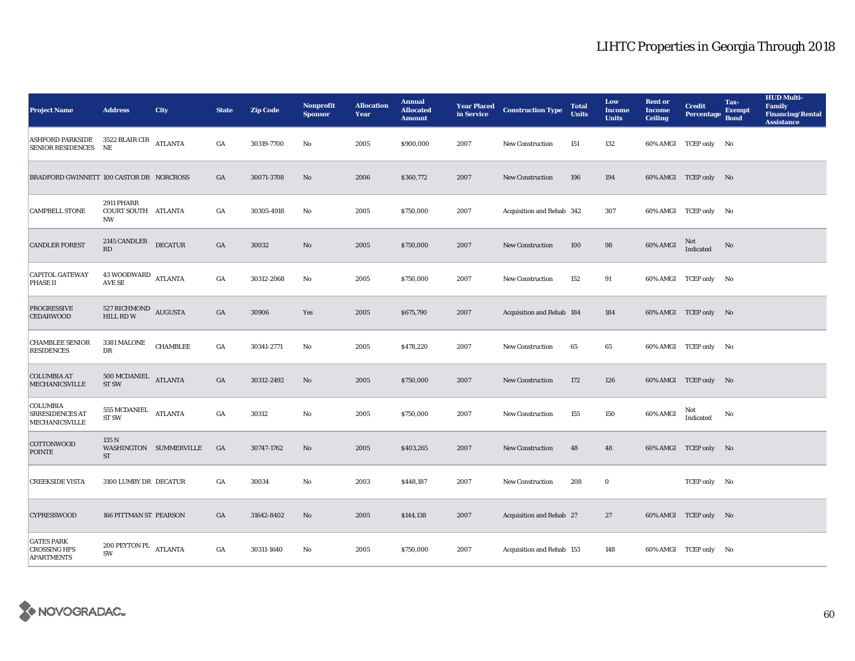| <b>Project Name</b>                                                    | <b>Address</b>                                 | <b>City</b>            | <b>State</b>     | <b>Zip Code</b> | <b>Nonprofit</b><br><b>Sponsor</b> | <b>Allocation</b><br>Year | <b>Annual</b><br><b>Allocated</b><br><b>Amount</b> | <b>Year Placed</b><br>in Service | <b>Construction Type</b>  | <b>Total</b><br><b>Units</b> | Low<br><b>Income</b><br><b>Units</b> | <b>Rent or</b><br><b>Income</b><br><b>Ceiling</b> | <b>Credit</b><br><b>Percentage</b> | Tax-<br><b>Exempt</b><br><b>Bond</b> | <b>HUD Multi-</b><br><b>Family</b><br><b>Financing/Rental</b><br><b>Assistance</b> |
|------------------------------------------------------------------------|------------------------------------------------|------------------------|------------------|-----------------|------------------------------------|---------------------------|----------------------------------------------------|----------------------------------|---------------------------|------------------------------|--------------------------------------|---------------------------------------------------|------------------------------------|--------------------------------------|------------------------------------------------------------------------------------|
| ASHFORD PARKSIDE 3522 BLAIR CIR<br>ATLANTA<br><b>SENIOR RESIDENCES</b> | NE.                                            |                        | GA               | 30319-7700      | No                                 | 2005                      | \$900,000                                          | 2007                             | <b>New Construction</b>   | 151                          | 132                                  |                                                   | 60% AMGI TCEP only No              |                                      |                                                                                    |
| BRADFORD GWINNETT 100 CASTOR DR NORCROSS                               |                                                |                        | $_{\mathrm{GA}}$ | 30071-3708      | No                                 | 2006                      | \$360,772                                          | 2007                             | <b>New Construction</b>   | 196                          | 194                                  |                                                   | 60% AMGI TCEP only No              |                                      |                                                                                    |
| <b>CAMPBELL STONE</b>                                                  | <b>2911 PHARR</b><br>COURT SOUTH ATLANTA<br>NW |                        | GA               | 30305-4918      | $\mathbf{No}$                      | 2005                      | \$750,000                                          | 2007                             | Acquisition and Rehab 342 |                              | 307                                  |                                                   | 60% AMGI TCEP only No              |                                      |                                                                                    |
| <b>CANDLER FOREST</b>                                                  | 2145 CANDLER DECATUR<br>RD                     |                        | $_{\mathrm{GA}}$ | 30032           | No                                 | 2005                      | \$750,000                                          | 2007                             | New Construction          | 100                          | 98                                   | 60% AMGI                                          | Not<br>Indicated                   | No                                   |                                                                                    |
| <b>CAPITOL GATEWAY</b><br>PHASE II                                     | 43 WOODWARD ATLANTA<br>AVE SE                  |                        | $_{\mathrm{GA}}$ | 30312-2068      | No                                 | 2005                      | \$750,000                                          | 2007                             | <b>New Construction</b>   | 152                          | 91                                   |                                                   | 60% AMGI TCEP only No              |                                      |                                                                                    |
| <b>PROGRESSIVE</b><br><b>CEDARWOOD</b>                                 | 527 RICHMOND AUGUSTA<br>HILL RD W              |                        | $_{\mathrm{GA}}$ | 30906           | Yes                                | 2005                      | \$675,790                                          | 2007                             | Acquisition and Rehab 184 |                              | 184                                  |                                                   | 60% AMGI TCEP only No              |                                      |                                                                                    |
| <b>CHAMBLEE SENIOR</b><br><b>RESIDENCES</b>                            | 3381 MALONE<br>DR                              | <b>CHAMBLEE</b>        | $_{\mathrm{GA}}$ | 30341-2771      | No                                 | 2005                      | \$478,220                                          | 2007                             | <b>New Construction</b>   | 65                           | 65                                   |                                                   | 60% AMGI TCEP only No              |                                      |                                                                                    |
| <b>COLUMBIA AT</b><br><b>MECHANICSVILLE</b>                            | 500 MCDANIEL ATLANTA<br>ST <sub>SW</sub>       |                        | $_{\mathrm{GA}}$ | 30312-2492      | $\rm No$                           | 2005                      | \$750,000                                          | 2007                             | New Construction          | 172                          | 126                                  |                                                   | 60% AMGI TCEP only No              |                                      |                                                                                    |
| <b>COLUMBIA</b><br><b>SRRESIDENCES AT</b><br>MECHANICSVILLE            | 555 MCDANIEL<br>ST <sub>SW</sub>               | <b>ATLANTA</b>         | $_{\mathrm{GA}}$ | 30312           | $_{\rm No}$                        | 2005                      | \$750,000                                          | 2007                             | New Construction          | 155                          | 150                                  | 60% AMGI                                          | Not<br>Indicated                   | No                                   |                                                                                    |
| <b>COTTONWOOD</b><br><b>POINTE</b>                                     | 135 N<br><b>ST</b>                             | WASHINGTON SUMMERVILLE | GA               | 30747-1762      | No                                 | 2005                      | \$403,265                                          | 2007                             | <b>New Construction</b>   | 48                           | 48                                   |                                                   | 60% AMGI TCEP only No              |                                      |                                                                                    |
| <b>CREEKSIDE VISTA</b>                                                 | 3100 LUMBY DR DECATUR                          |                        | GA               | 30034           | No                                 | 2003                      | \$448,187                                          | 2007                             | <b>New Construction</b>   | 208                          | $\bf{0}$                             |                                                   | TCEP only No                       |                                      |                                                                                    |
| <b>CYPRESSWOOD</b>                                                     | <b>166 PITTMAN ST PEARSON</b>                  |                        | GA               | 31642-8402      | No                                 | 2005                      | \$144,138                                          | 2007                             | Acquisition and Rehab 27  |                              | 27                                   |                                                   | 60% AMGI TCEP only No              |                                      |                                                                                    |
| <b>GATES PARK</b><br><b>CROSSING HFS</b><br><b>APARTMENTS</b>          | 200 PEYTON PL $\quad$ ATLANTA<br>SW            |                        | GA               | 30311-1640      | No                                 | 2005                      | \$750,000                                          | 2007                             | Acquisition and Rehab 153 |                              | 148                                  |                                                   | 60% AMGI TCEP only No              |                                      |                                                                                    |

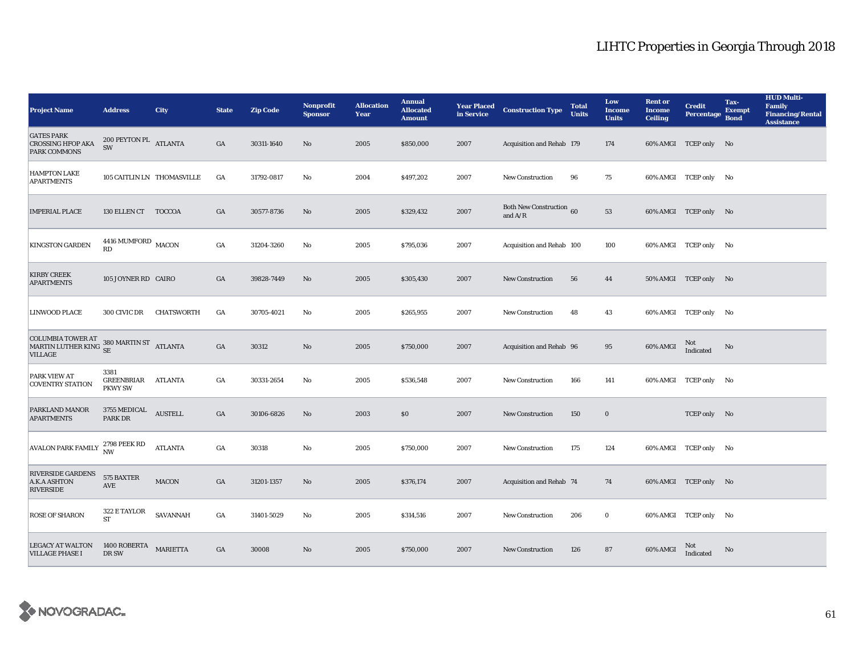| <b>Project Name</b>                                                                                  | <b>Address</b>                               | <b>City</b>       | <b>State</b>     | <b>Zip Code</b> | <b>Nonprofit</b><br><b>Sponsor</b> | <b>Allocation</b><br>Year | <b>Annual</b><br><b>Allocated</b><br><b>Amount</b> | <b>Year Placed</b><br>in Service | <b>Construction Type</b>                     | <b>Total</b><br><b>Units</b> | Low<br><b>Income</b><br><b>Units</b> | <b>Rent or</b><br>Income<br><b>Ceiling</b> | <b>Credit</b><br><b>Percentage</b> | Tax-<br><b>Exempt</b><br><b>Bond</b> | <b>HUD Multi-</b><br><b>Family</b><br><b>Financing/Rental</b><br><b>Assistance</b> |
|------------------------------------------------------------------------------------------------------|----------------------------------------------|-------------------|------------------|-----------------|------------------------------------|---------------------------|----------------------------------------------------|----------------------------------|----------------------------------------------|------------------------------|--------------------------------------|--------------------------------------------|------------------------------------|--------------------------------------|------------------------------------------------------------------------------------|
| <b>GATES PARK</b><br><b>CROSSING HFOP AKA</b><br><b>PARK COMMONS</b>                                 | 200 PEYTON PL $\quad$ ATLANTA<br>SW          |                   | GA               | 30311-1640      | No                                 | 2005                      | \$850,000                                          | 2007                             | Acquisition and Rehab 179                    |                              | 174                                  |                                            | 60% AMGI TCEP only No              |                                      |                                                                                    |
| <b>HAMPTON LAKE</b><br><b>APARTMENTS</b>                                                             | 105 CAITLIN LN THOMASVILLE                   |                   | GA               | 31792-0817      | No                                 | 2004                      | \$497,202                                          | 2007                             | New Construction                             | 96                           | 75                                   |                                            | 60% AMGI TCEP only No              |                                      |                                                                                    |
| <b>IMPERIAL PLACE</b>                                                                                | 130 ELLEN CT TOCCOA                          |                   | GA               | 30577-8736      | No                                 | 2005                      | \$329,432                                          | 2007                             | <b>Both New Construction</b> 60<br>and $A/R$ |                              | 53                                   |                                            | 60% AMGI TCEP only No              |                                      |                                                                                    |
| <b>KINGSTON GARDEN</b>                                                                               | $4416$ MUMFORD $\,$ MACON<br><b>RD</b>       |                   | $_{\mathrm{GA}}$ | 31204-3260      | $\mathbf{No}$                      | 2005                      | \$795,036                                          | 2007                             | Acquisition and Rehab 100                    |                              | 100                                  |                                            | 60% AMGI TCEP only No              |                                      |                                                                                    |
| <b>KIRBY CREEK</b><br><b>APARTMENTS</b>                                                              | 105 JOYNER RD CAIRO                          |                   | GA               | 39828-7449      | No                                 | 2005                      | \$305,430                                          | 2007                             | New Construction                             | 56                           | 44                                   |                                            | 50% AMGI TCEP only No              |                                      |                                                                                    |
| <b>LINWOOD PLACE</b>                                                                                 | 300 CIVIC DR                                 | <b>CHATSWORTH</b> | GA               | 30705-4021      | $\mathbf{N}\mathbf{o}$             | 2005                      | \$265,955                                          | 2007                             | <b>New Construction</b>                      | 48                           | 43                                   |                                            | 60% AMGI TCEP only No              |                                      |                                                                                    |
| COLUMBIA TOWER AT $$380$ MARTIN ST $$\rm{ATLANTA}$$ MARTIN LUTHER KING $$\rm{SE}$$<br><b>VILLAGE</b> |                                              |                   | GA               | 30312           | No                                 | 2005                      | \$750,000                                          | 2007                             | Acquisition and Rehab 96                     |                              | 95                                   | 60% AMGI                                   | Not<br>Indicated                   | No                                   |                                                                                    |
| PARK VIEW AT<br><b>COVENTRY STATION</b>                                                              | 3381<br>GREENBRIAR ATLANTA<br><b>PKWY SW</b> |                   | GA               | 30331-2654      | $\mathbf{N}\mathbf{o}$             | 2005                      | \$536,548                                          | 2007                             | <b>New Construction</b>                      | 166                          | 141                                  |                                            | 60% AMGI TCEP only No              |                                      |                                                                                    |
| <b>PARKLAND MANOR</b><br><b>APARTMENTS</b>                                                           | <b>3755 MEDICAL</b><br>PARK DR               | ${\bf AUSTELL}$   | $_{\mathrm{GA}}$ | 30106-6826      | No                                 | 2003                      | \$0                                                | 2007                             | New Construction                             | 150                          | $\bf{0}$                             |                                            | TCEP only No                       |                                      |                                                                                    |
| <b>AVALON PARK FAMILY</b>                                                                            | 2798 PEEK RD<br><b>NW</b>                    | <b>ATLANTA</b>    | GA               | 30318           | No                                 | 2005                      | \$750,000                                          | 2007                             | <b>New Construction</b>                      | 175                          | 124                                  |                                            | 60% AMGI TCEP only No              |                                      |                                                                                    |
| <b>RIVERSIDE GARDENS</b><br><b>A.K.A ASHTON</b><br><b>RIVERSIDE</b>                                  | 575 BAXTER<br>AVE                            | MACON             | GA               | 31201-1357      | $\mathbf{No}$                      | 2005                      | \$376,174                                          | 2007                             | Acquisition and Rehab 74                     |                              | 74                                   |                                            | 60% AMGI TCEP only No              |                                      |                                                                                    |
| <b>ROSE OF SHARON</b>                                                                                | 322 E TAYLOR<br>ST                           | SAVANNAH          | GA               | 31401-5029      | No                                 | 2005                      | \$314,516                                          | 2007                             | New Construction                             | 206                          | $\bf{0}$                             |                                            | 60% AMGI TCEP only No              |                                      |                                                                                    |
| <b>LEGACY AT WALTON</b><br><b>VILLAGE PHASE I</b>                                                    | 1400 ROBERTA<br>DR SW                        | <b>MARIETTA</b>   | GA               | 30008           | No                                 | 2005                      | \$750,000                                          | 2007                             | <b>New Construction</b>                      | 126                          | 87                                   | 60% AMGI                                   | Not<br>Indicated                   | No                                   |                                                                                    |

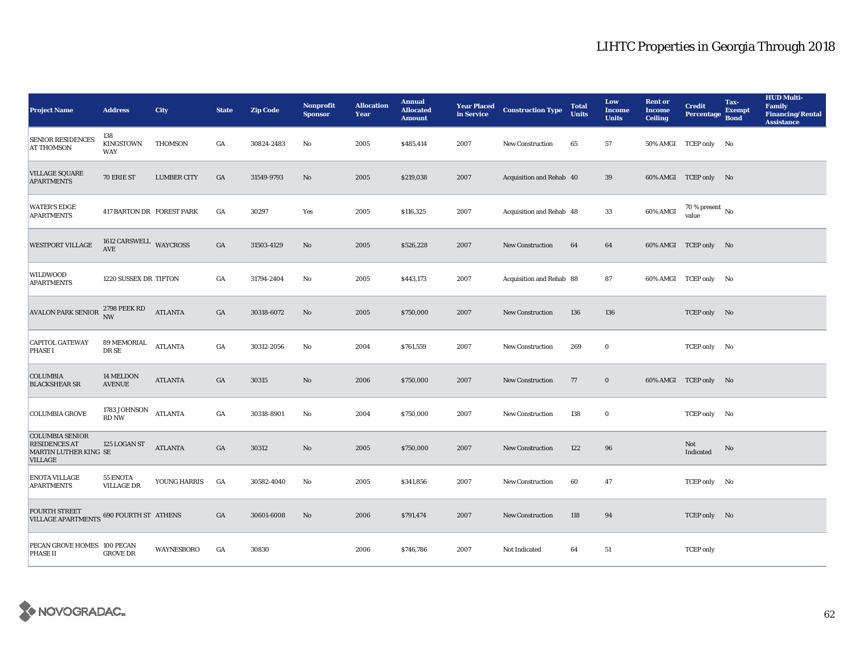| <b>Project Name</b>                                                                       | <b>Address</b>                        | <b>City</b>        | <b>State</b> | <b>Zip Code</b> | <b>Nonprofit</b><br><b>Sponsor</b> | <b>Allocation</b><br>Year | <b>Annual</b><br><b>Allocated</b><br><b>Amount</b> | <b>Year Placed</b><br>in Service | <b>Construction Type</b> | <b>Total</b><br><b>Units</b> | Low<br><b>Income</b><br><b>Units</b> | <b>Rent or</b><br><b>Income</b><br><b>Ceiling</b> | <b>Credit</b><br><b>Percentage</b> | Tax-<br><b>Exempt</b><br><b>Bond</b> | <b>HUD Multi-</b><br><b>Family</b><br><b>Financing/Rental</b><br><b>Assistance</b> |
|-------------------------------------------------------------------------------------------|---------------------------------------|--------------------|--------------|-----------------|------------------------------------|---------------------------|----------------------------------------------------|----------------------------------|--------------------------|------------------------------|--------------------------------------|---------------------------------------------------|------------------------------------|--------------------------------------|------------------------------------------------------------------------------------|
| <b>SENIOR RESIDENCES</b><br><b>AT THOMSON</b>                                             | 138<br><b>KINGSTOWN</b><br><b>WAY</b> | <b>THOMSON</b>     | GA           | 30824-2483      | No                                 | 2005                      | \$485,414                                          | 2007                             | <b>New Construction</b>  | 65                           | 57                                   |                                                   | 50% AMGI TCEP only No              |                                      |                                                                                    |
| <b>VILLAGE SQUARE</b><br><b>APARTMENTS</b>                                                | 70 ERIE ST                            | <b>LUMBER CITY</b> | GA           | 31549-9793      | No                                 | 2005                      | \$219,038                                          | 2007                             | Acquisition and Rehab 40 |                              | 39                                   |                                                   | 60% AMGI TCEP only No              |                                      |                                                                                    |
| <b>WATER'S EDGE</b><br><b>APARTMENTS</b>                                                  | 417 BARTON DR FOREST PARK             |                    | GA           | 30297           | Yes                                | 2005                      | \$116,325                                          | 2007                             | Acquisition and Rehab 48 |                              | 33                                   | 60% AMGI                                          | $70$ % present $\,$ No $\,$ value  |                                      |                                                                                    |
| <b>WESTPORT VILLAGE</b>                                                                   | 1612 CARSWELL WAYCROSS<br>AVE         |                    | GA           | 31503-4129      | No                                 | 2005                      | \$526,228                                          | 2007                             | <b>New Construction</b>  | 64                           | 64                                   |                                                   | 60% AMGI TCEP only No              |                                      |                                                                                    |
| WILDWOOD<br><b>APARTMENTS</b>                                                             | 1220 SUSSEX DR TIFTON                 |                    | GA           | 31794-2404      | No                                 | 2005                      | \$443,173                                          | 2007                             | Acquisition and Rehab 88 |                              | 87                                   |                                                   | 60% AMGI TCEP only No              |                                      |                                                                                    |
| <b>AVALON PARK SENIOR</b>                                                                 | 2798 PEEK RD<br>NW                    | <b>ATLANTA</b>     | GA           | 30318-6072      | No                                 | 2005                      | \$750,000                                          | 2007                             | <b>New Construction</b>  | 136                          | 136                                  |                                                   | TCEP only No                       |                                      |                                                                                    |
| <b>CAPITOL GATEWAY</b><br><b>PHASE I</b>                                                  | 89 MEMORIAL<br>DR SE                  | <b>ATLANTA</b>     | GA           | 30312-2056      | No                                 | 2004                      | \$761,559                                          | 2007                             | <b>New Construction</b>  | 269                          | $\bf{0}$                             |                                                   | TCEP only No                       |                                      |                                                                                    |
| <b>COLUMBIA</b><br><b>BLACKSHEAR SR</b>                                                   | 14 MELDON<br><b>AVENUE</b>            | <b>ATLANTA</b>     | GA           | 30315           | No                                 | 2006                      | \$750,000                                          | 2007                             | New Construction         | 77                           | $\bf{0}$                             |                                                   | 60% AMGI TCEP only No              |                                      |                                                                                    |
| <b>COLUMBIA GROVE</b>                                                                     | 1783 JOHNSON<br><b>RD NW</b>          | <b>ATLANTA</b>     | GA           | 30318-8901      | No                                 | 2004                      | \$750,000                                          | 2007                             | <b>New Construction</b>  | 138                          | $\bf{0}$                             |                                                   | TCEP only No                       |                                      |                                                                                    |
| <b>COLUMBIA SENIOR</b><br><b>RESIDENCES AT</b><br>MARTIN LUTHER KING SE<br><b>VILLAGE</b> | 125 LOGAN ST                          | <b>ATLANTA</b>     | GA           | 30312           | No                                 | 2005                      | \$750,000                                          | 2007                             | <b>New Construction</b>  | 122                          | 96                                   |                                                   | Not<br>Indicated                   | No                                   |                                                                                    |
| <b>ENOTA VILLAGE</b><br><b>APARTMENTS</b>                                                 | 55 ENOTA<br><b>VILLAGE DR</b>         | YOUNG HARRIS       | GA           | 30582-4040      | No                                 | 2005                      | \$341,856                                          | 2007                             | <b>New Construction</b>  | 60                           | 47                                   |                                                   | TCEP only No                       |                                      |                                                                                    |
| <b>FOURTH STREET</b><br><b>VILLAGE APARTMENTS</b>                                         | <b>690 FOURTH ST ATHENS</b>           |                    | GA           | 30601-6008      | No                                 | 2006                      | \$791,474                                          | 2007                             | <b>New Construction</b>  | 118                          | 94                                   |                                                   | TCEP only No                       |                                      |                                                                                    |
| PECAN GROVE HOMES 100 PECAN<br><b>PHASE II</b>                                            | <b>GROVE DR</b>                       | <b>WAYNESBORO</b>  | GA           | 30830           |                                    | 2006                      | \$746,786                                          | 2007                             | Not Indicated            | 64                           | 51                                   |                                                   | <b>TCEP</b> only                   |                                      |                                                                                    |

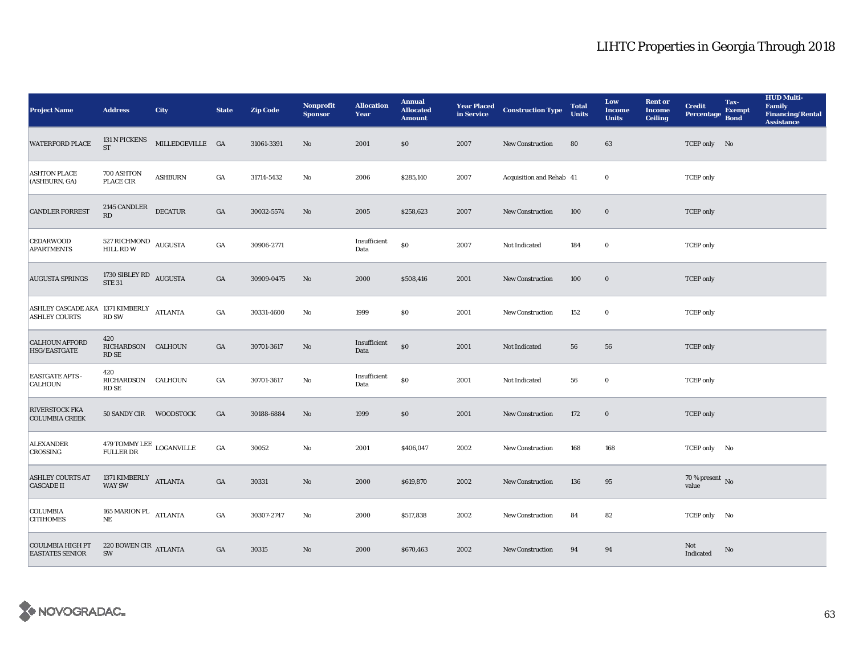| <b>Project Name</b>                                              | <b>Address</b>                                 | <b>City</b>      | <b>State</b>     | <b>Zip Code</b> | <b>Nonprofit</b><br><b>Sponsor</b> | <b>Allocation</b><br>Year | <b>Annual</b><br><b>Allocated</b><br><b>Amount</b> |      | <b>Year Placed Construction Type</b><br>in Service | <b>Total</b><br><b>Units</b> | Low<br><b>Income</b><br><b>Units</b> | <b>Rent or</b><br><b>Income</b><br><b>Ceiling</b> | <b>Credit</b><br><b>Percentage</b> | Tax-<br><b>Exempt</b><br><b>Bond</b> | <b>HUD Multi-</b><br>Family<br><b>Financing/Rental</b><br><b>Assistance</b> |
|------------------------------------------------------------------|------------------------------------------------|------------------|------------------|-----------------|------------------------------------|---------------------------|----------------------------------------------------|------|----------------------------------------------------|------------------------------|--------------------------------------|---------------------------------------------------|------------------------------------|--------------------------------------|-----------------------------------------------------------------------------|
| <b>WATERFORD PLACE</b>                                           | 131 N PICKENS<br><b>ST</b>                     | MILLEDGEVILLE GA |                  | 31061-3391      | No                                 | 2001                      | $\$0$                                              | 2007 | <b>New Construction</b>                            | 80                           | 63                                   |                                                   | TCEP only No                       |                                      |                                                                             |
| <b>ASHTON PLACE</b><br>(ASHBURN, GA)                             | 700 ASHTON<br>PLACE CIR                        | <b>ASHBURN</b>   | $_{\mathrm{GA}}$ | 31714-5432      | No                                 | 2006                      | \$285,140                                          | 2007 | Acquisition and Rehab 41                           |                              | $\bf{0}$                             |                                                   | <b>TCEP</b> only                   |                                      |                                                                             |
| <b>CANDLER FORREST</b>                                           | $2145$ CANDLER $\,$<br>RD                      | <b>DECATUR</b>   | $_{\mathrm{GA}}$ | 30032-5574      | $\rm No$                           | 2005                      | \$258,623                                          | 2007 | <b>New Construction</b>                            | 100                          | $\mathbf 0$                          |                                                   | <b>TCEP</b> only                   |                                      |                                                                             |
| <b>CEDARWOOD</b><br><b>APARTMENTS</b>                            | $527$ RICHMOND $\,$ AUGUSTA HILL RD W          |                  | $_{\mathrm{GA}}$ | 30906-2771      |                                    | Insufficient<br>Data      | $\$0$                                              | 2007 | Not Indicated                                      | 184                          | $\bf{0}$                             |                                                   | <b>TCEP</b> only                   |                                      |                                                                             |
| <b>AUGUSTA SPRINGS</b>                                           | 1730 SIBLEY RD $_{\rm AUGUSTA}$ STE 31         |                  | $_{\mathrm{GA}}$ | 30909-0475      | No                                 | 2000                      | \$508,416                                          | 2001 | New Construction                                   | 100                          | $\bf{0}$                             |                                                   | <b>TCEP</b> only                   |                                      |                                                                             |
| ASHLEY CASCADE AKA 1371 KIMBERLY ATLANTA<br><b>ASHLEY COURTS</b> | <b>RD SW</b>                                   |                  | $_{\mathrm{GA}}$ | 30331-4600      | No                                 | 1999                      | $\$0$                                              | 2001 | <b>New Construction</b>                            | 152                          | $\mathbf 0$                          |                                                   | <b>TCEP</b> only                   |                                      |                                                                             |
| <b>CALHOUN AFFORD</b><br>HSG/EASTGATE                            | 420<br>RICHARDSON CALHOUN<br><b>RD SE</b>      |                  | $_{\mathrm{GA}}$ | 30701-3617      | $\rm No$                           | Insufficient<br>Data      | $\$0$                                              | 2001 | Not Indicated                                      | 56                           | 56                                   |                                                   | <b>TCEP</b> only                   |                                      |                                                                             |
| <b>EASTGATE APTS -</b><br>CALHOUN                                | 420<br>RICHARDSON CALHOUN<br><b>RD SE</b>      |                  | $_{\mathrm{GA}}$ | 30701-3617      | No                                 | Insufficient<br>Data      | $\$0$                                              | 2001 | Not Indicated                                      | 56                           | $\mathbf 0$                          |                                                   | <b>TCEP</b> only                   |                                      |                                                                             |
| RIVERSTOCK FKA<br><b>COLUMBIA CREEK</b>                          | 50 SANDY CIR WOODSTOCK                         |                  | GA               | 30188-6884      | No                                 | 1999                      | \$0                                                | 2001 | <b>New Construction</b>                            | 172                          | $\mathbf 0$                          |                                                   | <b>TCEP</b> only                   |                                      |                                                                             |
| <b>ALEXANDER</b><br>CROSSING                                     | $479$ TOMMY LEE $\,$ LOGANVILLE FULLER DR      |                  | $_{\mathrm{GA}}$ | 30052           | No                                 | 2001                      | \$406,047                                          | 2002 | New Construction                                   | 168                          | 168                                  |                                                   | TCEP only No                       |                                      |                                                                             |
| <b>ASHLEY COURTS AT</b><br><b>CASCADE II</b>                     | 1371 $\texttt{KIMBERLY}\xspace$ ATLANTA WAY SW |                  | $_{\mathrm{GA}}$ | 30331           | No                                 | 2000                      | \$619,870                                          | 2002 | New Construction                                   | 136                          | 95                                   |                                                   | 70 % present $\,$ No $\,$<br>value |                                      |                                                                             |
| <b>COLUMBIA</b><br><b>CITIHOMES</b>                              | 165 MARION PL $\quad$ ATLANTA<br>NE            |                  | GA               | 30307-2747      | $\mathbf{No}$                      | 2000                      | \$517,838                                          | 2002 | <b>New Construction</b>                            | 84                           | 82                                   |                                                   | TCEP only No                       |                                      |                                                                             |
| <b>COULMBIA HIGH PT</b><br><b>EASTATES SENIOR</b>                | 220 BOWEN CIR $_{\rm ATLANTA}$<br>SW           |                  | $_{\mathrm{GA}}$ | 30315           | $\rm No$                           | 2000                      | \$670,463                                          | 2002 | <b>New Construction</b>                            | 94                           | 94                                   |                                                   | Not<br>Indicated                   | No                                   |                                                                             |

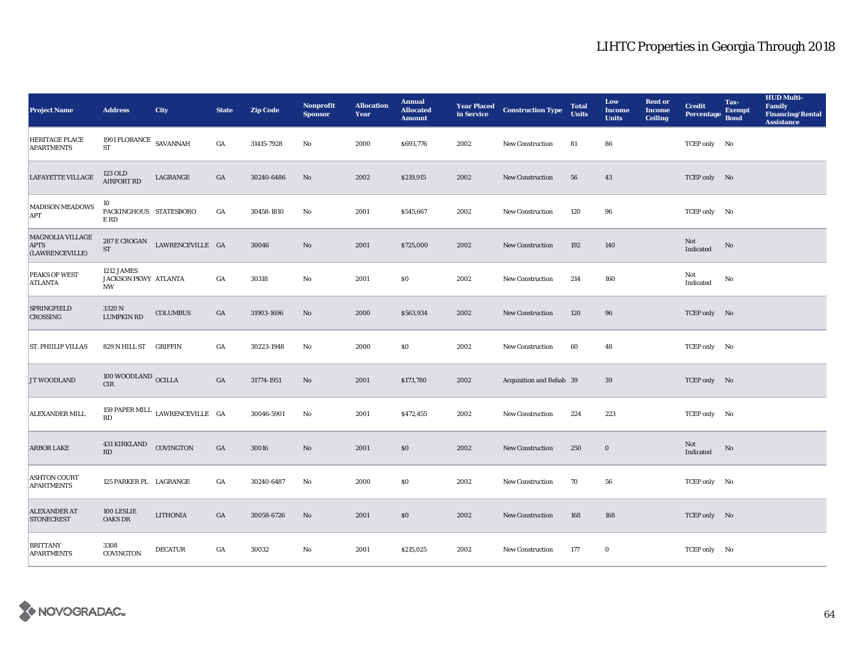| <b>Project Name</b>                                       | <b>Address</b>                                   | <b>City</b>                     | <b>State</b>     | <b>Zip Code</b> | <b>Nonprofit</b><br><b>Sponsor</b> | <b>Allocation</b><br>Year | <b>Annual</b><br><b>Allocated</b><br><b>Amount</b> |      | <b>Year Placed Construction Type</b><br>in Service | <b>Total</b><br><b>Units</b> | Low<br><b>Income</b><br><b>Units</b> | <b>Rent or</b><br><b>Income</b><br><b>Ceiling</b> | <b>Credit</b><br>Percentage | Tax-<br><b>Exempt</b><br><b>Bond</b> | <b>HUD Multi-</b><br>Family<br><b>Financing/Rental</b><br><b>Assistance</b> |
|-----------------------------------------------------------|--------------------------------------------------|---------------------------------|------------------|-----------------|------------------------------------|---------------------------|----------------------------------------------------|------|----------------------------------------------------|------------------------------|--------------------------------------|---------------------------------------------------|-----------------------------|--------------------------------------|-----------------------------------------------------------------------------|
| <b>HERITAGE PLACE</b><br><b>APARTMENTS</b>                | 1901 FLORANCE $\,$ SAVANNAH<br><b>ST</b>         |                                 | GA               | 31415-7928      | No                                 | 2000                      | \$693,776                                          | 2002 | <b>New Construction</b>                            | 81                           | 86                                   |                                                   | TCEP only No                |                                      |                                                                             |
| <b>LAFAYETTE VILLAGE</b>                                  | 123 OLD<br><b>AIRPORT RD</b>                     | LAGRANGE                        | GA               | 30240-6486      | No                                 | 2002                      | \$219,915                                          | 2002 | New Construction                                   | 56                           | 43                                   |                                                   | TCEP only No                |                                      |                                                                             |
| <b>MADISON MEADOWS</b><br>APT                             | 10<br>PACKINGHOUS STATESBORO<br>E RD             |                                 | $_{\mathrm{GA}}$ | 30458-1810      | $\rm No$                           | 2001                      | \$545,667                                          | 2002 | <b>New Construction</b>                            | 120                          | 96                                   |                                                   | TCEP only No                |                                      |                                                                             |
| <b>MAGNOLIA VILLAGE</b><br><b>APTS</b><br>(LAWRENCEVILLE) | $287\,\mathrm{E}\,\mathrm{CROGAN}$<br>${\rm ST}$ | LAWRENCEVILLE GA                |                  | 30046           | $\mathbf{No}$                      | 2001                      | \$725,000                                          | 2002 | New Construction                                   | 192                          | 140                                  |                                                   | Not<br>Indicated            | $\rm No$                             |                                                                             |
| PEAKS OF WEST<br><b>ATLANTA</b>                           | 1212 JAMES<br>JACKSON PKWY ATLANTA<br><b>NW</b>  |                                 | $_{\mathrm{GA}}$ | 30318           | No                                 | 2001                      | $\$0$                                              | 2002 | New Construction                                   | 214                          | 160                                  |                                                   | Not<br>Indicated            | No                                   |                                                                             |
| <b>SPRINGFIELD</b><br>CROSSING                            | 3320 N<br><b>LUMPKIN RD</b>                      | <b>COLUMBUS</b>                 | GA               | 31903-1696      | $\mathbf{No}$                      | 2000                      | \$563,934                                          | 2002 | <b>New Construction</b>                            | 120                          | 96                                   |                                                   | TCEP only No                |                                      |                                                                             |
| <b>ST. PHIILIP VILLAS</b>                                 | 829 N HILL ST GRIFFIN                            |                                 | GA               | 30223-1948      | $\mathbf{No}$                      | 2000                      | \$0                                                | 2002 | New Construction                                   | 60                           | 48                                   |                                                   | TCEP only No                |                                      |                                                                             |
| JT WOODLAND                                               | $100\ \mbox{WOODLAND}$ OCILLA CIR                |                                 | GA               | 31774-1951      | No                                 | 2001                      | \$173,780                                          | 2002 | Acquisition and Rehab 39                           |                              | 39                                   |                                                   | TCEP only No                |                                      |                                                                             |
| ALEXANDER MILL                                            | RD                                               | 159 PAPER MILL LAWRENCEVILLE GA |                  | 30046-5901      | No                                 | 2001                      | \$472,455                                          | 2002 | <b>New Construction</b>                            | 224                          | 223                                  |                                                   | TCEP only No                |                                      |                                                                             |
| <b>ARBOR LAKE</b>                                         | <b>431 KIRKLAND</b><br><b>RD</b>                 | COVINGTON                       | GA               | 30016           | $\rm No$                           | 2001                      | \$0                                                | 2002 | New Construction                                   | 250                          | $\mathbf 0$                          |                                                   | Not<br>Indicated            | No                                   |                                                                             |
| <b>ASHTON COURT</b><br><b>APARTMENTS</b>                  | 125 PARKER PL LAGRANGE                           |                                 | GA               | 30240-6487      | No                                 | 2000                      | \$0\$                                              | 2002 | New Construction                                   | 70                           | 56                                   |                                                   | TCEP only No                |                                      |                                                                             |
| <b>ALEXANDER AT</b><br><b>STONECREST</b>                  | 100 LESLIE<br><b>OAKS DR</b>                     | <b>LITHONIA</b>                 | GA               | 30058-6726      | No                                 | 2001                      | \$0                                                | 2002 | <b>New Construction</b>                            | 168                          | 168                                  |                                                   | TCEP only No                |                                      |                                                                             |
| <b>BRITTANY</b><br><b>APARTMENTS</b>                      | 3308<br>COVINGTON                                | <b>DECATUR</b>                  | GA               | 30032           | No                                 | 2001                      | \$215,025                                          | 2002 | <b>New Construction</b>                            | 177                          | $\bf{0}$                             |                                                   | TCEP only No                |                                      |                                                                             |

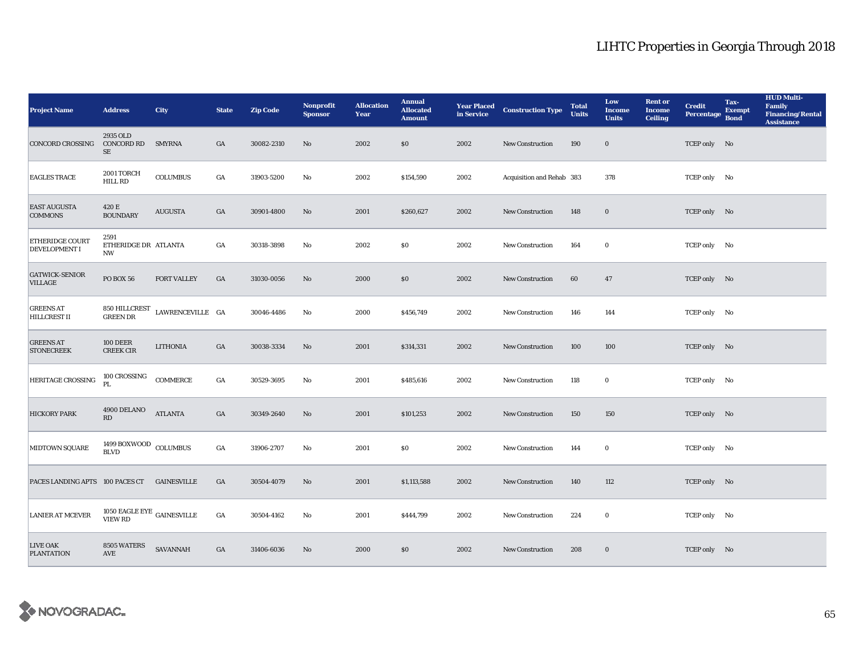| <b>Project Name</b>                         | <b>Address</b>                            | <b>City</b>      | <b>State</b>     | <b>Zip Code</b> | <b>Nonprofit</b><br><b>Sponsor</b> | <b>Allocation</b><br>Year | <b>Annual</b><br><b>Allocated</b><br><b>Amount</b> | <b>Year Placed<br/>in Service</b> | <b>Construction Type</b>  | <b>Total</b><br><b>Units</b> | Low<br><b>Income</b><br><b>Units</b> | <b>Rent or</b><br><b>Income</b><br><b>Ceiling</b> | <b>Credit</b><br><b>Percentage</b> | Tax-<br><b>Exempt</b><br><b>Bond</b> | <b>HUD Multi-</b><br><b>Family</b><br><b>Financing/Rental</b><br><b>Assistance</b> |
|---------------------------------------------|-------------------------------------------|------------------|------------------|-----------------|------------------------------------|---------------------------|----------------------------------------------------|-----------------------------------|---------------------------|------------------------------|--------------------------------------|---------------------------------------------------|------------------------------------|--------------------------------------|------------------------------------------------------------------------------------|
| <b>CONCORD CROSSING</b>                     | 2935 OLD<br><b>CONCORD RD</b><br>SE       | <b>SMYRNA</b>    | GA               | 30082-2310      | $\mathbf{No}$                      | 2002                      | \$0                                                | 2002                              | New Construction          | 190                          | $\mathbf 0$                          |                                                   | TCEP only No                       |                                      |                                                                                    |
| <b>EAGLES TRACE</b>                         | 2001 TORCH<br>HILL RD                     | <b>COLUMBUS</b>  | GA               | 31903-5200      | No                                 | 2002                      | \$154,590                                          | 2002                              | Acquisition and Rehab 383 |                              | 378                                  |                                                   | TCEP only No                       |                                      |                                                                                    |
| <b>EAST AUGUSTA</b><br><b>COMMONS</b>       | 420 E<br><b>BOUNDARY</b>                  | <b>AUGUSTA</b>   | $_{\mathrm{GA}}$ | 30901-4800      | No                                 | 2001                      | \$260,627                                          | 2002                              | New Construction          | 148                          | $\mathbf 0$                          |                                                   | TCEP only No                       |                                      |                                                                                    |
| ETHERIDGE COURT<br><b>DEVELOPMENT I</b>     | 2591<br>ETHERIDGE DR ATLANTA<br>NW        |                  | GA               | 30318-3898      | No                                 | 2002                      | \$0\$                                              | 2002                              | <b>New Construction</b>   | 164                          | $\bf{0}$                             |                                                   | TCEP only No                       |                                      |                                                                                    |
| <b>GATWICK-SENIOR</b><br>VILLAGE            | PO BOX 56                                 | FORT VALLEY      | GA               | 31030-0056      | No                                 | 2000                      | \$0                                                | 2002                              | New Construction          | 60                           | 47                                   |                                                   | TCEP only No                       |                                      |                                                                                    |
| <b>GREENS AT</b><br><b>HILLCREST II</b>     | 850 HILLCREST<br>GREEN DR                 | LAWRENCEVILLE GA |                  | 30046-4486      | No                                 | 2000                      | \$456,749                                          | 2002                              | <b>New Construction</b>   | 146                          | 144                                  |                                                   | TCEP only No                       |                                      |                                                                                    |
| <b>GREENS AT</b><br><b>STONECREEK</b>       | <b>100 DEER</b><br><b>CREEK CIR</b>       | <b>LITHONIA</b>  | $_{\mathrm{GA}}$ | 30038-3334      | $\mathbf{N}\mathbf{o}$             | 2001                      | \$314,331                                          | 2002                              | New Construction          | 100                          | 100                                  |                                                   | TCEP only No                       |                                      |                                                                                    |
| HERITAGE CROSSING                           | 100 CROSSING<br>PL.                       | <b>COMMERCE</b>  | GA               | 30529-3695      | No                                 | 2001                      | \$485,616                                          | 2002                              | New Construction          | 118                          | $\bf{0}$                             |                                                   | TCEP only No                       |                                      |                                                                                    |
| <b>HICKORY PARK</b>                         | 4900 DELANO<br>RD                         | <b>ATLANTA</b>   | GA               | 30349-2640      | No                                 | 2001                      | \$101,253                                          | 2002                              | <b>New Construction</b>   | 150                          | 150                                  |                                                   | TCEP only No                       |                                      |                                                                                    |
| MIDTOWN SQUARE                              | 1499 BOXWOOD COLUMBUS<br><b>BLVD</b>      |                  | GA               | 31906-2707      | No                                 | 2001                      | \$0                                                | 2002                              | <b>New Construction</b>   | 144                          | $\bf{0}$                             |                                                   | TCEP only No                       |                                      |                                                                                    |
| PACES LANDING APTS 100 PACES CT GAINESVILLE |                                           |                  | GA               | 30504-4079      | $\mathbf{No}$                      | 2001                      | \$1,113,588                                        | 2002                              | <b>New Construction</b>   | 140                          | 112                                  |                                                   | TCEP only No                       |                                      |                                                                                    |
| <b>LANIER AT MCEVER</b>                     | $1050$ EAGLE EYE $\,$ GAINESVILLE VIEW RD |                  | GA               | 30504-4162      | No                                 | 2001                      | \$444,799                                          | 2002                              | New Construction          | 224                          | $\bf{0}$                             |                                                   | TCEP only No                       |                                      |                                                                                    |
| <b>LIVE OAK</b><br><b>PLANTATION</b>        | 8505 WATERS<br><b>AVE</b>                 | <b>SAVANNAH</b>  | GA               | 31406-6036      | No                                 | 2000                      | \$0\$                                              | 2002                              | <b>New Construction</b>   | 208                          | $\bf{0}$                             |                                                   | TCEP only No                       |                                      |                                                                                    |

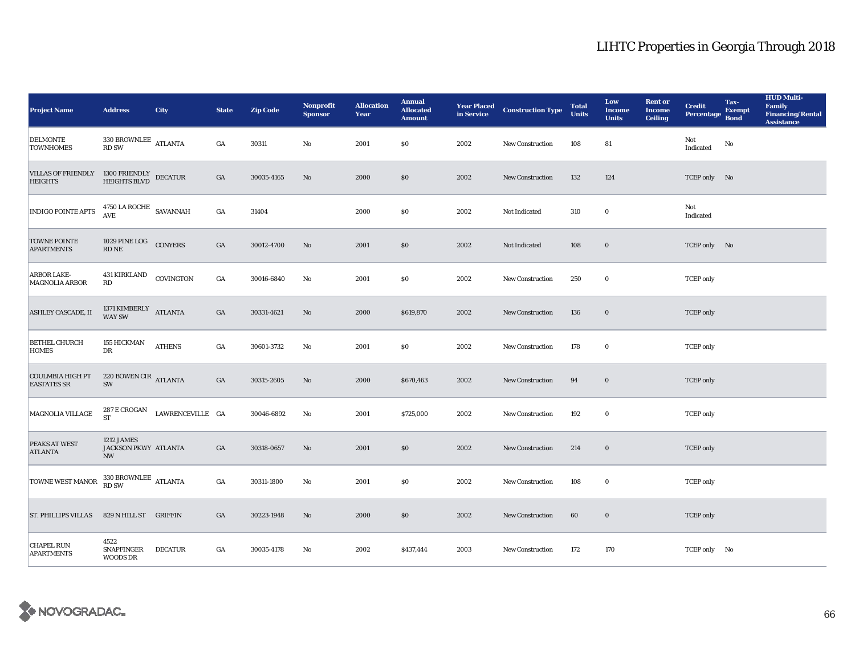| <b>Project Name</b>                           | <b>Address</b>                                  | <b>City</b>      | <b>State</b>     | <b>Zip Code</b> | Nonprofit<br><b>Sponsor</b> | <b>Allocation</b><br>Year | <b>Annual</b><br><b>Allocated</b><br><b>Amount</b> | <b>Year Placed<br/>in Service</b> | <b>Construction Type</b> | <b>Total</b><br><b>Units</b> | Low<br><b>Income</b><br><b>Units</b> | <b>Rent or</b><br><b>Income</b><br><b>Ceiling</b> | <b>Credit</b><br><b>Percentage</b> | Tax-<br><b>Exempt</b><br><b>Bond</b> | <b>HUD Multi-</b><br>Family<br>Financing/Rental<br><b>Assistance</b> |
|-----------------------------------------------|-------------------------------------------------|------------------|------------------|-----------------|-----------------------------|---------------------------|----------------------------------------------------|-----------------------------------|--------------------------|------------------------------|--------------------------------------|---------------------------------------------------|------------------------------------|--------------------------------------|----------------------------------------------------------------------|
| <b>DELMONTE</b><br><b>TOWNHOMES</b>           | $330$ BROWNLEE $\quad$ ATLANTA<br><b>RD SW</b>  |                  | GA               | 30311           | No                          | 2001                      | \$0                                                | 2002                              | <b>New Construction</b>  | 108                          | 81                                   |                                                   | Not<br>Indicated                   | $\mathbf{No}$                        |                                                                      |
| <b>VILLAS OF FRIENDLY</b><br><b>HEIGHTS</b>   | 1300 FRIENDLY DECATUR<br>HEIGHTS BLVD           |                  | $_{\mathrm{GA}}$ | 30035-4165      | No                          | 2000                      | \$0                                                | 2002                              | <b>New Construction</b>  | 132                          | 124                                  |                                                   | TCEP only No                       |                                      |                                                                      |
| <b>INDIGO POINTE APTS</b>                     | $4750$ LA ROCHE $\,$ SAVANNAH AVE               |                  | GA               | 31404           |                             | 2000                      | \$0                                                | 2002                              | Not Indicated            | 310                          | $\bf{0}$                             |                                                   | Not<br>Indicated                   |                                      |                                                                      |
| <b>TOWNE POINTE</b><br><b>APARTMENTS</b>      | 1029 PINE LOG CONYERS<br><b>RD NE</b>           |                  | $_{\mathrm{GA}}$ | 30012-4700      | No                          | 2001                      | \$0                                                | 2002                              | Not Indicated            | 108                          | $\mathbf 0$                          |                                                   | TCEP only No                       |                                      |                                                                      |
| ARBOR LAKE-<br><b>MAGNOLIA ARBOR</b>          | <b>431 KIRKLAND</b><br>RD                       | COVINGTON        | $_{\mathrm{GA}}$ | 30016-6840      | No                          | 2001                      | \$0                                                | 2002                              | New Construction         | 250                          | $\bf{0}$                             |                                                   | <b>TCEP</b> only                   |                                      |                                                                      |
| ASHLEY CASCADE, II                            | 1371 $\textmd{KIMBERLY}\xspace$ ATLANTA WAY SW  |                  | GA               | 30331-4621      | No                          | 2000                      | \$619,870                                          | 2002                              | <b>New Construction</b>  | 136                          | $\mathbf{0}$                         |                                                   | <b>TCEP</b> only                   |                                      |                                                                      |
| <b>BETHEL CHURCH</b><br><b>HOMES</b>          | <b>155 HICKMAN</b><br>DR                        | <b>ATHENS</b>    | $_{\mathrm{GA}}$ | 30601-3732      | No                          | 2001                      | \$0                                                | 2002                              | <b>New Construction</b>  | 178                          | $\bf{0}$                             |                                                   | <b>TCEP</b> only                   |                                      |                                                                      |
| <b>COULMBIA HIGH PT</b><br><b>EASTATES SR</b> | 220 BOWEN CIR ATLANTA<br>SW                     |                  | GA               | 30315-2605      | $\rm No$                    | 2000                      | \$670,463                                          | 2002                              | New Construction         | 94                           | $\bf{0}$                             |                                                   | <b>TCEP</b> only                   |                                      |                                                                      |
| <b>MAGNOLIA VILLAGE</b>                       | 287 E CROGAN<br><b>ST</b>                       | LAWRENCEVILLE GA |                  | 30046-6892      | No                          | 2001                      | \$725,000                                          | 2002                              | <b>New Construction</b>  | 192                          | $\bf{0}$                             |                                                   | <b>TCEP</b> only                   |                                      |                                                                      |
| PEAKS AT WEST<br><b>ATLANTA</b>               | 1212 JAMES<br>JACKSON PKWY ATLANTA<br><b>NW</b> |                  | GA               | 30318-0657      | No                          | 2001                      | \$0                                                | 2002                              | <b>New Construction</b>  | 214                          | $\bf{0}$                             |                                                   | <b>TCEP</b> only                   |                                      |                                                                      |
| <b>TOWNE WEST MANOR</b>                       | $330\text{ BROWNLEE} \ \ \text{ATLANTA}$ RD SW  |                  | $_{\mathrm{GA}}$ | 30311-1800      | No                          | 2001                      | \$0                                                | 2002                              | <b>New Construction</b>  | 108                          | $\bf{0}$                             |                                                   | <b>TCEP</b> only                   |                                      |                                                                      |
| <b>ST. PHILLIPS VILLAS</b>                    | 829 N HILL ST GRIFFIN                           |                  | GA               | 30223-1948      | No                          | 2000                      | \$0                                                | 2002                              | <b>New Construction</b>  | 60                           | $\boldsymbol{0}$                     |                                                   | <b>TCEP</b> only                   |                                      |                                                                      |
| <b>CHAPEL RUN</b><br><b>APARTMENTS</b>        | 4522<br>SNAPFINGER<br><b>WOODS DR</b>           | <b>DECATUR</b>   | GA               | 30035-4178      | No                          | 2002                      | \$437,444                                          | 2003                              | <b>New Construction</b>  | 172                          | 170                                  |                                                   | TCEP only No                       |                                      |                                                                      |

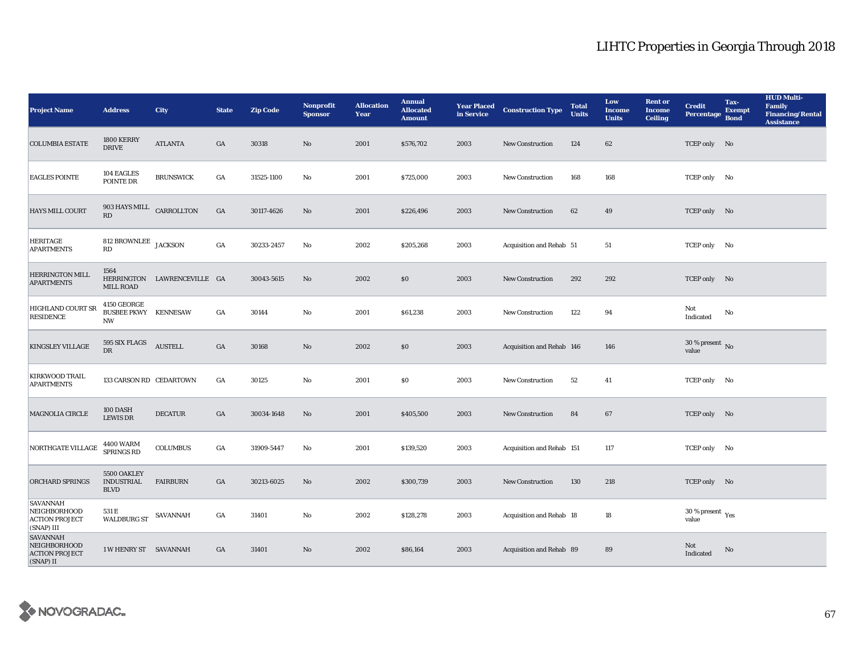| <b>Project Name</b>                                                           | <b>Address</b>                                          | <b>City</b>                 | <b>State</b>     | <b>Zip Code</b> | <b>Nonprofit</b><br><b>Sponsor</b> | <b>Allocation</b><br>Year | <b>Annual</b><br><b>Allocated</b><br><b>Amount</b> |      | <b>Year Placed Construction Type</b><br>in Service <b>Construction</b> Type | <b>Total</b><br><b>Units</b> | Low<br><b>Income</b><br><b>Units</b> | <b>Rent or</b><br><b>Income</b><br><b>Ceiling</b> | <b>Credit</b><br><b>Percentage</b>          | Tax-<br><b>Exempt</b><br><b>Bond</b> | <b>HUD Multi-</b><br><b>Family</b><br><b>Financing/Rental</b><br><b>Assistance</b> |
|-------------------------------------------------------------------------------|---------------------------------------------------------|-----------------------------|------------------|-----------------|------------------------------------|---------------------------|----------------------------------------------------|------|-----------------------------------------------------------------------------|------------------------------|--------------------------------------|---------------------------------------------------|---------------------------------------------|--------------------------------------|------------------------------------------------------------------------------------|
| <b>COLUMBIA ESTATE</b>                                                        | <b>1800 KERRY</b><br><b>DRIVE</b>                       | <b>ATLANTA</b>              | GA               | 30318           | No                                 | 2001                      | \$576,702                                          | 2003 | New Construction                                                            | 124                          | 62                                   |                                                   | TCEP only No                                |                                      |                                                                                    |
| <b>EAGLES POINTE</b>                                                          | 104 EAGLES<br>POINTE DR                                 | <b>BRUNSWICK</b>            | $_{\mathrm{GA}}$ | 31525-1100      | $\mathbf {No}$                     | 2001                      | \$725,000                                          | 2003 | New Construction                                                            | 168                          | 168                                  |                                                   | TCEP only No                                |                                      |                                                                                    |
| HAYS MILL COURT                                                               | 903 HAYS MILL<br>$\mathbf{R}\mathbf{D}$                 | CARROLLTON                  | GA               | 30117-4626      | $\rm No$                           | 2001                      | \$226,496                                          | 2003 | New Construction                                                            | 62                           | 49                                   |                                                   | TCEP only No                                |                                      |                                                                                    |
| <b>HERITAGE</b><br><b>APARTMENTS</b>                                          | 812 BROWNLEE $_{\rm JACKSON}$<br>RD                     |                             | GA               | 30233-2457      | No                                 | 2002                      | \$205,268                                          | 2003 | Acquisition and Rehab 51                                                    |                              | 51                                   |                                                   | TCEP only No                                |                                      |                                                                                    |
| <b>HERRINGTON MILL</b><br><b>APARTMENTS</b>                                   | 1564<br><b>MILL ROAD</b>                                | HERRINGTON LAWRENCEVILLE GA |                  | 30043-5615      | $\mathbf{N}\mathbf{o}$             | 2002                      | \$0                                                | 2003 | New Construction                                                            | 292                          | 292                                  |                                                   | TCEP only No                                |                                      |                                                                                    |
| HIGHLAND COURT SR<br><b>RESIDENCE</b>                                         | 4150 GEORGE<br><b>BUSBEE PKWY KENNESAW</b><br><b>NW</b> |                             | $_{\mathrm{GA}}$ | 30144           | $\mathbf {No}$                     | 2001                      | \$61,238                                           | 2003 | <b>New Construction</b>                                                     | 122                          | 94                                   |                                                   | Not<br>Indicated                            | No                                   |                                                                                    |
| KINGSLEY VILLAGE                                                              | 595 SIX FLAGS<br><b>DR</b>                              | <b>AUSTELL</b>              | GA               | 30168           | $\rm No$                           | 2002                      | \$0                                                | 2003 | Acquisition and Rehab 146                                                   |                              | 146                                  |                                                   | $30$ % present $\,$ No $\,$<br>value        |                                      |                                                                                    |
| KIRKWOOD TRAIL<br><b>APARTMENTS</b>                                           | 133 CARSON RD CEDARTOWN                                 |                             | GA               | 30125           | $\mathbf{No}$                      | 2001                      | \$0                                                | 2003 | <b>New Construction</b>                                                     | 52                           | 41                                   |                                                   | TCEP only No                                |                                      |                                                                                    |
| MAGNOLIA CIRCLE                                                               | 100 DASH<br><b>LEWIS DR</b>                             | <b>DECATUR</b>              | GA               | 30034-1648      | No                                 | 2001                      | \$405,500                                          | 2003 | New Construction                                                            | 84                           | 67                                   |                                                   | TCEP only No                                |                                      |                                                                                    |
| NORTHGATE VILLAGE                                                             | <b>4400 WARM</b><br>SPRINGS RD                          | <b>COLUMBUS</b>             | GA               | 31909-5447      | No                                 | 2001                      | \$139,520                                          | 2003 | Acquisition and Rehab 151                                                   |                              | 117                                  |                                                   | TCEP only No                                |                                      |                                                                                    |
| ORCHARD SPRINGS                                                               | 5500 OAKLEY<br><b>INDUSTRIAL</b><br><b>BLVD</b>         | <b>FAIRBURN</b>             | GA               | 30213-6025      | $\rm No$                           | 2002                      | \$300,739                                          | 2003 | <b>New Construction</b>                                                     | 130                          | 218                                  |                                                   | TCEP only No                                |                                      |                                                                                    |
| <b>SAVANNAH</b><br><b>NEIGHBORHOOD</b><br><b>ACTION PROJECT</b><br>(SNAP) III | 531 E<br><b>WALDBURG ST</b>                             | SAVANNAH                    | GA               | 31401           | No                                 | 2002                      | \$128,278                                          | 2003 | Acquisition and Rehab 18                                                    |                              | 18                                   |                                                   | $30\,\%$ present $\,$ $_{\rm Yes}$<br>value |                                      |                                                                                    |
| <b>SAVANNAH</b><br>NEIGHBORHOOD<br><b>ACTION PROJECT</b><br>(SNAP) II         | 1 W HENRY ST SAVANNAH                                   |                             | GA               | 31401           | No                                 | 2002                      | \$86,164                                           | 2003 | Acquisition and Rehab 89                                                    |                              | 89                                   |                                                   | Not<br>Indicated                            | No                                   |                                                                                    |

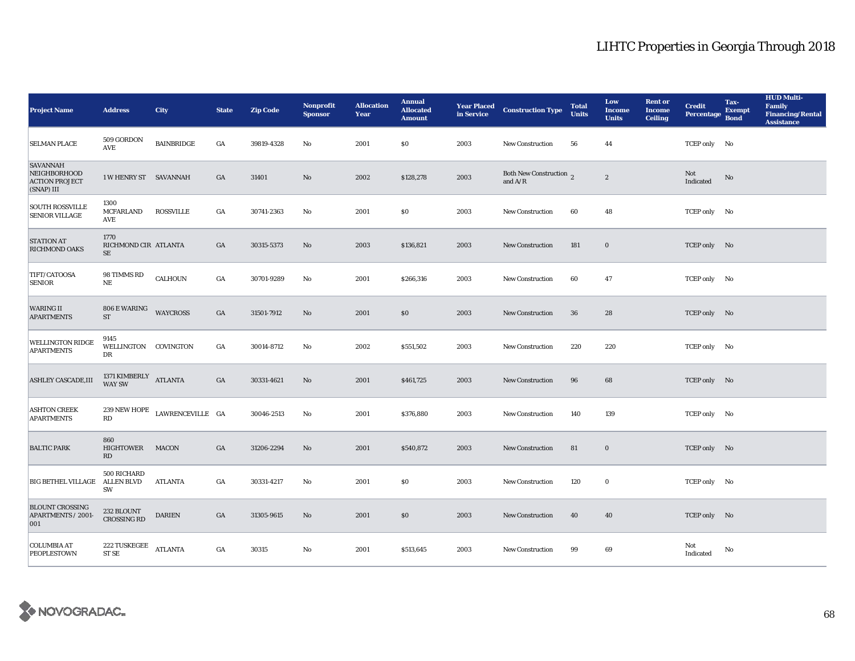| <b>Project Name</b>                                                    | <b>Address</b>                         | <b>City</b>       | <b>State</b>     | <b>Zip Code</b> | Nonprofit<br><b>Sponsor</b> | <b>Allocation</b><br>Year | <b>Annual</b><br><b>Allocated</b><br><b>Amount</b> | in Service | <b>Year Placed Construction Type</b> | <b>Total</b><br><b>Units</b> | Low<br><b>Income</b><br><b>Units</b> | <b>Rent</b> or<br><b>Income</b><br><b>Ceiling</b> | <b>Credit</b><br><b>Percentage</b> | Tax-<br><b>Exempt</b><br><b>Bond</b> | <b>HUD Multi-</b><br>Family<br><b>Financing/Rental</b><br><b>Assistance</b> |
|------------------------------------------------------------------------|----------------------------------------|-------------------|------------------|-----------------|-----------------------------|---------------------------|----------------------------------------------------|------------|--------------------------------------|------------------------------|--------------------------------------|---------------------------------------------------|------------------------------------|--------------------------------------|-----------------------------------------------------------------------------|
| <b>SELMAN PLACE</b>                                                    | 509 GORDON<br><b>AVE</b>               | <b>BAINBRIDGE</b> | GA               | 39819-4328      | No                          | 2001                      | \$0                                                | 2003       | <b>New Construction</b>              | 56                           | 44                                   |                                                   | TCEP only No                       |                                      |                                                                             |
| <b>SAVANNAH</b><br>NEIGHBORHOOD<br><b>ACTION PROJECT</b><br>(SNAP) III | 1 W HENRY ST SAVANNAH                  |                   | GA               | 31401           | $\rm No$                    | 2002                      | \$128,278                                          | 2003       | Both New Construction 2<br>and $A/R$ |                              | $\boldsymbol{2}$                     |                                                   | Not<br>Indicated                   | No                                   |                                                                             |
| <b>SOUTH ROSSVILLE</b><br><b>SENIOR VILLAGE</b>                        | 1300<br><b>MCFARLAND</b><br>AVE        | ROSSVILLE         | $_{\mathrm{GA}}$ | 30741-2363      | No                          | 2001                      | \$0\$                                              | 2003       | New Construction                     | 60                           | 48                                   |                                                   | TCEP only No                       |                                      |                                                                             |
| <b>STATION AT</b><br><b>RICHMOND OAKS</b>                              | 1770<br>RICHMOND CIR ATLANTA<br>SE     |                   | GA               | 30315-5373      | No                          | 2003                      | \$136,821                                          | 2003       | New Construction                     | 181                          | $\bf{0}$                             |                                                   | TCEP only No                       |                                      |                                                                             |
| TIFT/CATOOSA<br><b>SENIOR</b>                                          | 98 TIMMS RD<br>NE                      | CALHOUN           | GA               | 30701-9289      | No                          | 2001                      | \$266,316                                          | 2003       | New Construction                     | 60                           | 47                                   |                                                   | TCEP only No                       |                                      |                                                                             |
| <b>WARING II</b><br><b>APARTMENTS</b>                                  | 806 E WARING<br>ST                     | <b>WAYCROSS</b>   | GA               | 31501-7912      | No                          | 2001                      | \$0                                                | 2003       | <b>New Construction</b>              | 36                           | 28                                   |                                                   | TCEP only No                       |                                      |                                                                             |
| <b>WELLINGTON RIDGE</b><br><b>APARTMENTS</b>                           | 9145<br>WELLINGTON COVINGTON<br>DR     |                   | GA               | 30014-8712      | No                          | 2002                      | \$551,502                                          | 2003       | <b>New Construction</b>              | 220                          | 220                                  |                                                   | TCEP only No                       |                                      |                                                                             |
| <b>ASHLEY CASCADE, III</b>                                             | 1371 KIMBERLY ATLANTA<br><b>WAY SW</b> |                   | GA               | 30331-4621      | No                          | 2001                      | \$461,725                                          | 2003       | New Construction                     | 96                           | 68                                   |                                                   | TCEP only No                       |                                      |                                                                             |
| <b>ASHTON CREEK</b><br><b>APARTMENTS</b>                               | $239$ NEW HOPE<br>RD                   | LAWRENCEVILLE GA  |                  | 30046-2513      | No                          | 2001                      | \$376,880                                          | 2003       | <b>New Construction</b>              | 140                          | 139                                  |                                                   | TCEP only No                       |                                      |                                                                             |
| <b>BALTIC PARK</b>                                                     | 860<br>HIGHTOWER<br>RD                 | <b>MACON</b>      | GA               | 31206-2294      | No                          | 2001                      | \$540,872                                          | 2003       | New Construction                     | 81                           | $\mathbf 0$                          |                                                   | TCEP only No                       |                                      |                                                                             |
| BIG BETHEL VILLAGE ALLEN BLVD                                          | 500 RICHARD<br>SW                      | ATLANTA           | GA               | 30331-4217      | No                          | 2001                      | \$0                                                | 2003       | <b>New Construction</b>              | 120                          | $\bf{0}$                             |                                                   | TCEP only No                       |                                      |                                                                             |
| <b>BLOUNT CROSSING</b><br>APARTMENTS / 2001-<br>001                    | 232 BLOUNT<br><b>CROSSING RD</b>       | <b>DARIEN</b>     | GA               | 31305-9615      | No                          | 2001                      | \$0                                                | 2003       | <b>New Construction</b>              | 40                           | 40                                   |                                                   | TCEP only No                       |                                      |                                                                             |
| <b>COLUMBIA AT</b><br><b>PEOPLESTOWN</b>                               | 222 TUSKEGEE<br>ST <sub>SE</sub>       | <b>ATLANTA</b>    | GA               | 30315           | No                          | 2001                      | \$513,645                                          | 2003       | <b>New Construction</b>              | 99                           | 69                                   |                                                   | Not<br>Indicated                   | No                                   |                                                                             |

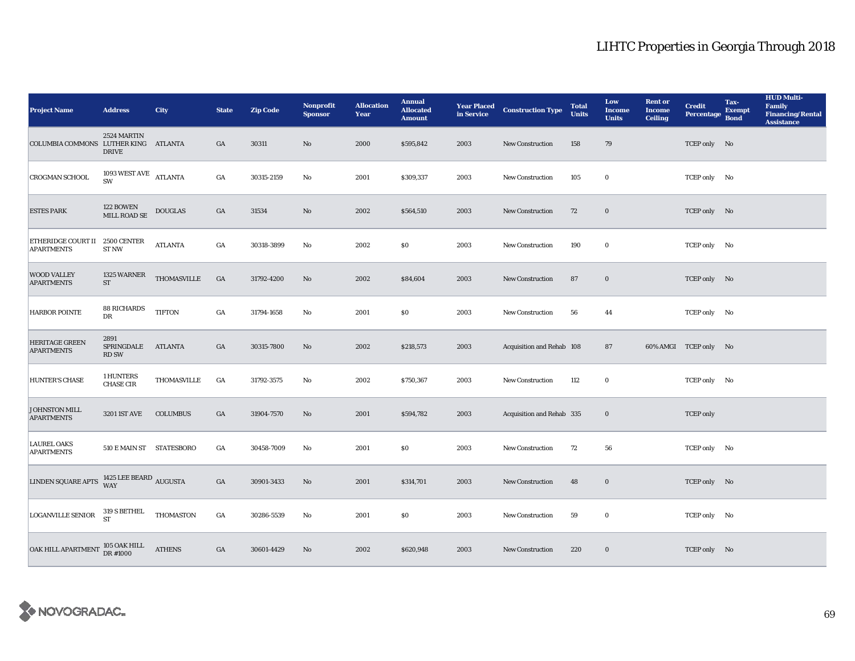| <b>Project Name</b>                                     | <b>Address</b>                     | <b>City</b>      | <b>State</b>     | <b>Zip Code</b> | <b>Nonprofit</b><br><b>Sponsor</b> | <b>Allocation</b><br>Year | <b>Annual</b><br><b>Allocated</b><br><b>Amount</b> |      | <b>Year Placed Construction Type</b><br>in Service <b>Construction</b> Type | <b>Total</b><br><b>Units</b> | Low<br><b>Income</b><br><b>Units</b> | <b>Rent or</b><br><b>Income</b><br><b>Ceiling</b> | <b>Credit</b><br><b>Percentage</b> | Tax-<br><b>Exempt</b><br><b>Bond</b> | <b>HUD Multi-</b><br>Family<br><b>Financing/Rental</b><br><b>Assistance</b> |
|---------------------------------------------------------|------------------------------------|------------------|------------------|-----------------|------------------------------------|---------------------------|----------------------------------------------------|------|-----------------------------------------------------------------------------|------------------------------|--------------------------------------|---------------------------------------------------|------------------------------------|--------------------------------------|-----------------------------------------------------------------------------|
| COLUMBIA COMMONS LUTHER KING ATLANTA                    | 2524 MARTIN<br><b>DRIVE</b>        |                  | $_{\mathrm{GA}}$ | 30311           | No                                 | 2000                      | \$595,842                                          | 2003 | New Construction                                                            | 158                          | 79                                   |                                                   | TCEP only No                       |                                      |                                                                             |
| <b>CROGMAN SCHOOL</b>                                   | 1093 WEST AVE ATLANTA<br>SW        |                  | $_{\mathrm{GA}}$ | 30315-2159      | No                                 | 2001                      | \$309,337                                          | 2003 | <b>New Construction</b>                                                     | 105                          | $\bf{0}$                             |                                                   | TCEP only No                       |                                      |                                                                             |
| <b>ESTES PARK</b>                                       | 122 BOWEN<br>MILL ROAD SE          | <b>DOUGLAS</b>   | $_{\mathrm{GA}}$ | 31534           | $\rm No$                           | 2002                      | \$564,510                                          | 2003 | <b>New Construction</b>                                                     | 72                           | $\mathbf 0$                          |                                                   | TCEP only No                       |                                      |                                                                             |
| ETHERIDGE COURT II 2500 CENTER<br><b>APARTMENTS</b>     | ST <sub>NW</sub>                   | <b>ATLANTA</b>   | $_{\mathrm{GA}}$ | 30318-3899      | No                                 | 2002                      | \$0                                                | 2003 | New Construction                                                            | 190                          | $\bf{0}$                             |                                                   | TCEP only No                       |                                      |                                                                             |
| <b>WOOD VALLEY</b><br><b>APARTMENTS</b>                 | 1325 WARNER<br>$\operatorname{ST}$ | THOMASVILLE      | GA               | 31792-4200      | No                                 | 2002                      | \$84,604                                           | 2003 | <b>New Construction</b>                                                     | 87                           | $\bf{0}$                             |                                                   | TCEP only No                       |                                      |                                                                             |
| <b>HARBOR POINTE</b>                                    | 88 RICHARDS<br>DR                  | <b>TIFTON</b>    | $_{\mathrm{GA}}$ | 31794-1658      | $\mathbf{N}\mathbf{o}$             | 2001                      | \$0                                                | 2003 | New Construction                                                            | 56                           | 44                                   |                                                   | TCEP only No                       |                                      |                                                                             |
| <b>HERITAGE GREEN</b><br><b>APARTMENTS</b>              | 2891<br>SPRINGDALE<br><b>RD SW</b> | <b>ATLANTA</b>   | $_{\mathrm{GA}}$ | 30315-7800      | No                                 | 2002                      | \$218,573                                          | 2003 | Acquisition and Rehab 108                                                   |                              | 87                                   |                                                   | 60% AMGI TCEP only No              |                                      |                                                                             |
| HUNTER'S CHASE                                          | 1 HUNTERS<br><b>CHASE CIR</b>      | THOMASVILLE      | GA               | 31792-3575      | No                                 | 2002                      | \$750,367                                          | 2003 | <b>New Construction</b>                                                     | 112                          | 0                                    |                                                   | TCEP only No                       |                                      |                                                                             |
| <b>JOHNSTON MILL</b><br><b>APARTMENTS</b>               | <b>3201 IST AVE</b>                | <b>COLUMBUS</b>  | GA               | 31904-7570      | $\rm No$                           | 2001                      | \$594,782                                          | 2003 | Acquisition and Rehab 335                                                   |                              | $\bf{0}$                             |                                                   | <b>TCEP</b> only                   |                                      |                                                                             |
| <b>LAUREL OAKS</b><br><b>APARTMENTS</b>                 | 510 E MAIN ST STATESBORO           |                  | GA               | 30458-7009      | No                                 | 2001                      | \$0                                                | 2003 | New Construction                                                            | 72                           | 56                                   |                                                   | TCEP only No                       |                                      |                                                                             |
| LINDEN SQUARE APTS $\frac{1425}{WAY}$ LEE BEARD AUGUSTA |                                    |                  | $_{\mathrm{GA}}$ | 30901-3433      | No                                 | 2001                      | \$314,701                                          | 2003 | New Construction                                                            | 48                           | $\bf{0}$                             |                                                   | TCEP only No                       |                                      |                                                                             |
| <b>LOGANVILLE SENIOR</b>                                | $319$ S BETHEL<br><b>ST</b>        | <b>THOMASTON</b> | $_{\mathrm{GA}}$ | 30286-5539      | $\mathbf{N}\mathbf{o}$             | 2001                      | \$0                                                | 2003 | New Construction                                                            | 59                           | $\bf{0}$                             |                                                   | TCEP only No                       |                                      |                                                                             |
| <b>OAK HILL APARTMENT</b>                               | 105 OAK HILL<br>DR #1000           | <b>ATHENS</b>    | GA               | 30601-4429      | No                                 | 2002                      | \$620,948                                          | 2003 | <b>New Construction</b>                                                     | 220                          | $\bf{0}$                             |                                                   | TCEP only No                       |                                      |                                                                             |

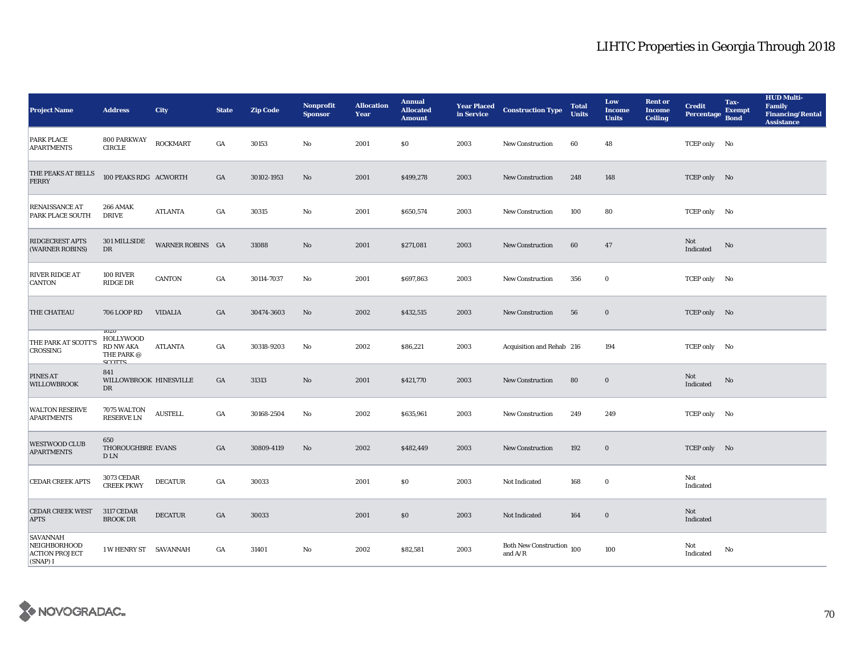| <b>Project Name</b>                                                  | <b>Address</b>                                                                              | <b>City</b>      | <b>State</b> | <b>Zip Code</b> | Nonprofit<br><b>Sponsor</b> | <b>Allocation</b><br>Year | <b>Annual</b><br><b>Allocated</b><br><b>Amount</b> | <b>Year Placed</b><br>in Service | <b>Construction Type</b>                    | <b>Total</b><br><b>Units</b> | Low<br><b>Income</b><br><b>Units</b> | <b>Rent or</b><br><b>Income</b><br><b>Ceiling</b> | <b>Credit</b><br><b>Percentage</b> | Tax-<br><b>Exempt</b><br><b>Bond</b> | <b>HUD Multi-</b><br><b>Family</b><br><b>Financing/Rental</b><br><b>Assistance</b> |
|----------------------------------------------------------------------|---------------------------------------------------------------------------------------------|------------------|--------------|-----------------|-----------------------------|---------------------------|----------------------------------------------------|----------------------------------|---------------------------------------------|------------------------------|--------------------------------------|---------------------------------------------------|------------------------------------|--------------------------------------|------------------------------------------------------------------------------------|
| PARK PLACE<br><b>APARTMENTS</b>                                      | 800 PARKWAY<br><b>CIRCLE</b>                                                                | $\sf{ROCKMART}$  | GA           | 30153           | No                          | 2001                      | \$0                                                | 2003                             | New Construction                            | 60                           | 48                                   |                                                   | TCEP only No                       |                                      |                                                                                    |
| THE PEAKS AT BELLS<br>FERRY                                          | 100 PEAKS RDG ACWORTH                                                                       |                  | GA           | 30102-1953      | No                          | 2001                      | \$499,278                                          | 2003                             | <b>New Construction</b>                     | 248                          | 148                                  |                                                   | TCEP only No                       |                                      |                                                                                    |
| RENAISSANCE AT<br>PARK PLACE SOUTH                                   | <b>266 AMAK</b><br><b>DRIVE</b>                                                             | ATLANTA          | GA           | 30315           | No                          | 2001                      | \$650,574                                          | 2003                             | <b>New Construction</b>                     | 100                          | 80                                   |                                                   | TCEP only No                       |                                      |                                                                                    |
| <b>RIDGECREST APTS</b><br>(WARNER ROBINS)                            | 301 MILLSIDE<br>DR                                                                          | WARNER ROBINS GA |              | 31088           | No                          | 2001                      | \$271,081                                          | 2003                             | <b>New Construction</b>                     | 60                           | $\bf 47$                             |                                                   | Not<br>Indicated                   | No                                   |                                                                                    |
| <b>RIVER RIDGE AT</b><br>CANTON                                      | <b>100 RIVER</b><br>RIDGE DR                                                                | <b>CANTON</b>    | GA           | 30114-7037      | No                          | 2001                      | \$697,863                                          | 2003                             | <b>New Construction</b>                     | 356                          | $\bf{0}$                             |                                                   | TCEP only No                       |                                      |                                                                                    |
| <b>THE CHATEAU</b>                                                   | 706 LOOP RD                                                                                 | <b>VIDALIA</b>   | GA           | 30474-3603      | No                          | 2002                      | \$432,515                                          | 2003                             | <b>New Construction</b>                     | 56                           | $\bf{0}$                             |                                                   | TCEP only No                       |                                      |                                                                                    |
| THE PARK AT SCOTT'S<br>CROSSING                                      | $10\angle U$<br><b>HOLLYWOOD</b><br><b>RD NW AKA</b><br>THE PARK $\oslash$<br><b>SCOTTS</b> | ATLANTA          | GA           | 30318-9203      | No                          | 2002                      | \$86,221                                           | 2003                             | Acquisition and Rehab 216                   |                              | 194                                  |                                                   | TCEP only No                       |                                      |                                                                                    |
| PINES AT<br><b>WILLOWBROOK</b>                                       | 841<br>WILLOWBROOK HINESVILLE<br>DR                                                         |                  | GA           | 31313           | $\rm No$                    | 2001                      | \$421,770                                          | 2003                             | <b>New Construction</b>                     | 80                           | $\mathbf 0$                          |                                                   | Not<br>Indicated                   | No                                   |                                                                                    |
| <b>WALTON RESERVE</b><br><b>APARTMENTS</b>                           | 7075 WALTON<br>RESERVE LN                                                                   | <b>AUSTELL</b>   | GA           | 30168-2504      | No                          | 2002                      | \$635,961                                          | 2003                             | <b>New Construction</b>                     | 249                          | 249                                  |                                                   | TCEP only No                       |                                      |                                                                                    |
| <b>WESTWOOD CLUB</b><br><b>APARTMENTS</b>                            | 650<br>THOROUGHBRE EVANS<br>$D$ LN                                                          |                  | GA           | 30809-4119      | No                          | 2002                      | \$482,449                                          | 2003                             | <b>New Construction</b>                     | 192                          | $\mathbf 0$                          |                                                   | TCEP only No                       |                                      |                                                                                    |
| <b>CEDAR CREEK APTS</b>                                              | 3073 CEDAR<br><b>CREEK PKWY</b>                                                             | <b>DECATUR</b>   | GA           | 30033           |                             | 2001                      | \$0                                                | 2003                             | Not Indicated                               | 168                          | $\bf{0}$                             |                                                   | Not<br>Indicated                   |                                      |                                                                                    |
| <b>CEDAR CREEK WEST</b><br><b>APTS</b>                               | <b>3117 CEDAR</b><br><b>BROOK DR</b>                                                        | <b>DECATUR</b>   | GA           | 30033           |                             | 2001                      | $\$0$                                              | 2003                             | Not Indicated                               | 164                          | $\mathbf 0$                          |                                                   | Not<br>Indicated                   |                                      |                                                                                    |
| <b>SAVANNAH</b><br>NEIGHBORHOOD<br><b>ACTION PROJECT</b><br>(SNAP) I | 1 W HENRY ST SAVANNAH                                                                       |                  | GA           | 31401           | No                          | 2002                      | \$82,581                                           | 2003                             | Both New Construction 100<br>and $\rm{A/R}$ |                              | 100                                  |                                                   | Not<br>Indicated                   | No                                   |                                                                                    |

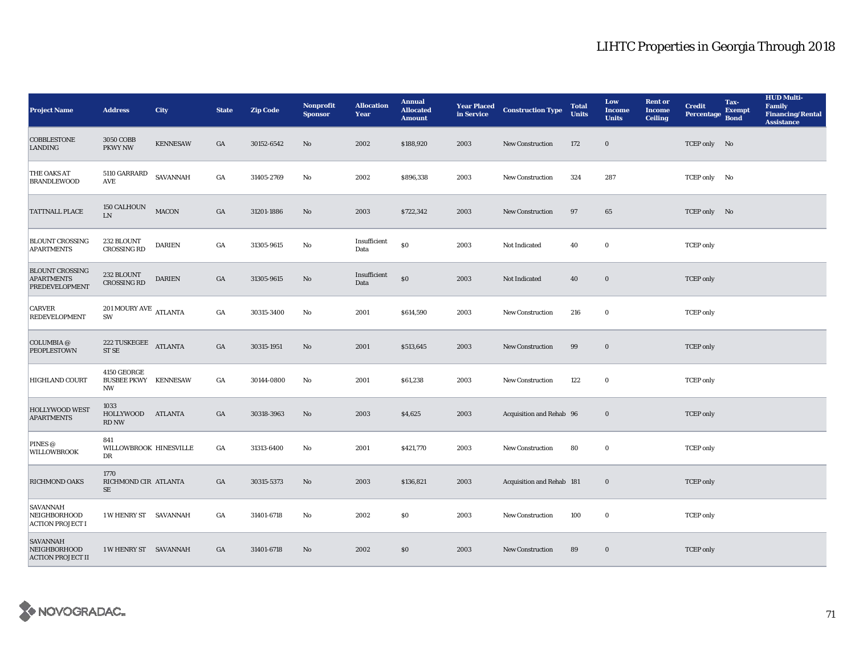| <b>Project Name</b>                                                  | <b>Address</b>                                          | <b>City</b>     | <b>State</b>     | <b>Zip Code</b> | <b>Nonprofit</b><br><b>Sponsor</b> | <b>Allocation</b><br>Year | <b>Annual</b><br><b>Allocated</b><br><b>Amount</b> |      | <b>Year Placed Construction Type</b><br>in Service | <b>Total</b><br><b>Units</b> | Low<br><b>Income</b><br><b>Units</b> | <b>Rent or</b><br><b>Income</b><br><b>Ceiling</b> | <b>Credit</b><br><b>Percentage</b> | Tax-<br><b>Exempt</b><br><b>Bond</b> | <b>HUD Multi-</b><br><b>Family</b><br><b>Financing/Rental</b><br><b>Assistance</b> |
|----------------------------------------------------------------------|---------------------------------------------------------|-----------------|------------------|-----------------|------------------------------------|---------------------------|----------------------------------------------------|------|----------------------------------------------------|------------------------------|--------------------------------------|---------------------------------------------------|------------------------------------|--------------------------------------|------------------------------------------------------------------------------------|
| <b>COBBLESTONE</b><br>LANDING                                        | 3050 COBB<br>PKWY NW                                    | <b>KENNESAW</b> | GA               | 30152-6542      | No                                 | 2002                      | \$188,920                                          | 2003 | <b>New Construction</b>                            | 172                          | $\bf{0}$                             |                                                   | TCEP only No                       |                                      |                                                                                    |
| THE OAKS AT<br><b>BRANDLEWOOD</b>                                    | 5110 GARRARD<br>AVE                                     | SAVANNAH        | GA               | 31405-2769      | No                                 | 2002                      | \$896,338                                          | 2003 | <b>New Construction</b>                            | 324                          | 287                                  |                                                   | TCEP only No                       |                                      |                                                                                    |
| <b>TATTNALL PLACE</b>                                                | 150 CALHOUN<br>${\rm LN}$                               | <b>MACON</b>    | GA               | 31201-1886      | $\rm No$                           | 2003                      | \$722,342                                          | 2003 | <b>New Construction</b>                            | 97                           | $\bf 65$                             |                                                   | TCEP only No                       |                                      |                                                                                    |
| <b>BLOUNT CROSSING</b><br><b>APARTMENTS</b>                          | 232 BLOUNT<br><b>CROSSING RD</b>                        | <b>DARIEN</b>   | GA               | 31305-9615      | $\mathbf {No}$                     | Insufficient<br>Data      | $\$0$                                              | 2003 | Not Indicated                                      | 40                           | $\bf{0}$                             |                                                   | <b>TCEP</b> only                   |                                      |                                                                                    |
| <b>BLOUNT CROSSING</b><br><b>APARTMENTS</b><br><b>PREDEVELOPMENT</b> | 232 BLOUNT<br><b>CROSSING RD</b>                        | <b>DARIEN</b>   | GA               | 31305-9615      | $\rm\thinspace No$                 | Insufficient<br>Data      | $\$0$                                              | 2003 | Not Indicated                                      | 40                           | $\bf{0}$                             |                                                   | <b>TCEP</b> only                   |                                      |                                                                                    |
| <b>CARVER</b><br><b>REDEVELOPMENT</b>                                | $201\,\mbox{MOURY\,AVE}$ ATLANTA<br>SW                  |                 | $_{\mathrm{GA}}$ | 30315-3400      | No                                 | 2001                      | \$614,590                                          | 2003 | <b>New Construction</b>                            | 216                          | $\bf{0}$                             |                                                   | <b>TCEP</b> only                   |                                      |                                                                                    |
| COLUMBIA $\oslash$<br><b>PEOPLESTOWN</b>                             | <b>222 TUSKEGEE</b><br><b>ST SE</b>                     | <b>ATLANTA</b>  | GA               | 30315-1951      | $\mathbf{N}\mathbf{o}$             | 2001                      | \$513,645                                          | 2003 | New Construction                                   | 99                           | $\bf{0}$                             |                                                   | <b>TCEP</b> only                   |                                      |                                                                                    |
| HIGHLAND COURT                                                       | 4150 GEORGE<br><b>BUSBEE PKWY KENNESAW</b><br><b>NW</b> |                 | $_{\mathrm{GA}}$ | 30144-0800      | No                                 | 2001                      | \$61,238                                           | 2003 | <b>New Construction</b>                            | 122                          | $\bf{0}$                             |                                                   | <b>TCEP</b> only                   |                                      |                                                                                    |
| <b>HOLLYWOOD WEST</b><br><b>APARTMENTS</b>                           | 1033<br>HOLLYWOOD<br><b>RD NW</b>                       | ATLANTA         | GA               | 30318-3963      | No                                 | 2003                      | \$4,625                                            | 2003 | Acquisition and Rehab 96                           |                              | $\bf{0}$                             |                                                   | <b>TCEP</b> only                   |                                      |                                                                                    |
| PINES @<br><b>WILLOWBROOK</b>                                        | 841<br>WILLOWBROOK HINESVILLE<br>DR                     |                 | GA               | 31313-6400      | No                                 | 2001                      | \$421,770                                          | 2003 | New Construction                                   | 80                           | $\bf{0}$                             |                                                   | <b>TCEP</b> only                   |                                      |                                                                                    |
| RICHMOND OAKS                                                        | 1770<br>RICHMOND CIR ATLANTA<br>$\rm SE$                |                 | GA               | 30315-5373      | No                                 | 2003                      | \$136,821                                          | 2003 | Acquisition and Rehab 181                          |                              | $\bf{0}$                             |                                                   | <b>TCEP</b> only                   |                                      |                                                                                    |
| <b>SAVANNAH</b><br><b>NEIGHBORHOOD</b><br><b>ACTION PROJECT I</b>    | 1 W HENRY ST SAVANNAH                                   |                 | GA               | 31401-6718      | No                                 | 2002                      | \$0                                                | 2003 | <b>New Construction</b>                            | 100                          | $\bf{0}$                             |                                                   | <b>TCEP</b> only                   |                                      |                                                                                    |
| <b>SAVANNAH</b><br><b>NEIGHBORHOOD</b><br><b>ACTION PROJECT II</b>   | 1 W HENRY ST SAVANNAH                                   |                 | GA               | 31401-6718      | No                                 | 2002                      | \$0                                                | 2003 | <b>New Construction</b>                            | 89                           | $\bf{0}$                             |                                                   | <b>TCEP</b> only                   |                                      |                                                                                    |

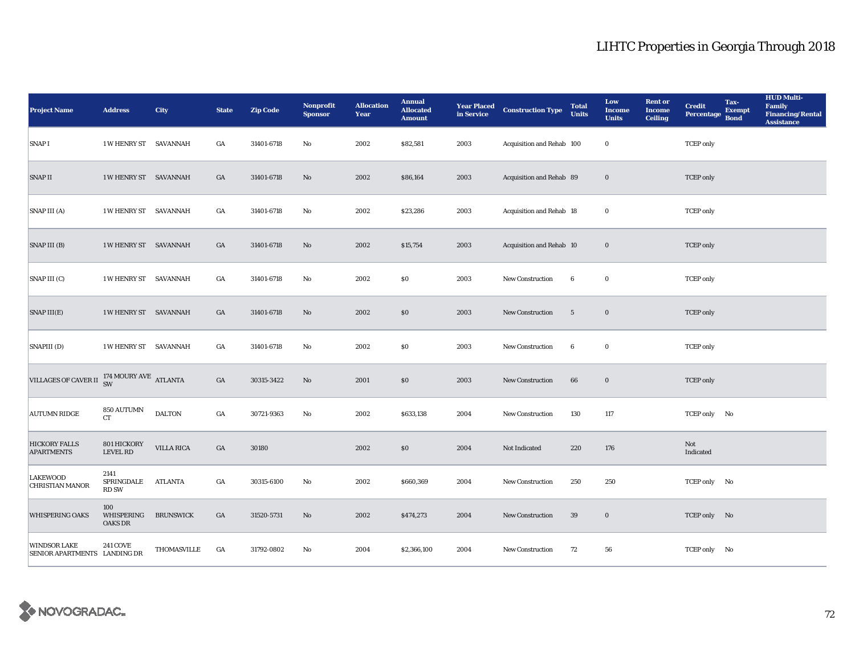| <b>Project Name</b>                                             | <b>Address</b>                      | <b>City</b>       | <b>State</b>     | <b>Zip Code</b> | <b>Nonprofit</b><br><b>Sponsor</b> | <b>Allocation</b><br>Year | <b>Annual</b><br><b>Allocated</b><br><b>Amount</b> |      | <b>Year Placed Construction Type</b><br>in Service | <b>Total</b><br><b>Units</b> | Low<br><b>Income</b><br><b>Units</b> | <b>Rent or</b><br><b>Income</b><br><b>Ceiling</b> | <b>Credit</b><br><b>Percentage</b> | Tax-<br><b>Exempt</b><br><b>Bond</b> | <b>HUD Multi-</b><br>Family<br><b>Financing/Rental</b><br><b>Assistance</b> |
|-----------------------------------------------------------------|-------------------------------------|-------------------|------------------|-----------------|------------------------------------|---------------------------|----------------------------------------------------|------|----------------------------------------------------|------------------------------|--------------------------------------|---------------------------------------------------|------------------------------------|--------------------------------------|-----------------------------------------------------------------------------|
| SNAP I                                                          | <b>1 W HENRY ST SAVANNAH</b>        |                   | GA               | 31401-6718      | $\mathbf{No}$                      | 2002                      | \$82,581                                           | 2003 | Acquisition and Rehab 100                          |                              | $\bf{0}$                             |                                                   | <b>TCEP</b> only                   |                                      |                                                                             |
| <b>SNAP II</b>                                                  | 1 W HENRY ST SAVANNAH               |                   | $_{\mathrm{GA}}$ | 31401-6718      | No                                 | 2002                      | \$86,164                                           | 2003 | Acquisition and Rehab 89                           |                              | $\bf{0}$                             |                                                   | <b>TCEP</b> only                   |                                      |                                                                             |
| SNAP III (A)                                                    | 1 W HENRY ST SAVANNAH               |                   | GA               | 31401-6718      | $\mathbf{No}$                      | 2002                      | \$23,286                                           | 2003 | Acquisition and Rehab 18                           |                              | $\bf{0}$                             |                                                   | <b>TCEP</b> only                   |                                      |                                                                             |
| SNAP III (B)                                                    | <b>1 W HENRY ST SAVANNAH</b>        |                   | GA               | 31401-6718      | No                                 | 2002                      | \$15,754                                           | 2003 | Acquisition and Rehab 10                           |                              | $\bf{0}$                             |                                                   | <b>TCEP</b> only                   |                                      |                                                                             |
| SNAP III (C)                                                    | 1 W HENRY ST SAVANNAH               |                   | GA               | 31401-6718      | No                                 | 2002                      | \$0\$                                              | 2003 | New Construction                                   | 6                            | $\bf{0}$                             |                                                   | <b>TCEP</b> only                   |                                      |                                                                             |
| SNAP III(E)                                                     | 1 W HENRY ST SAVANNAH               |                   | GA               | 31401-6718      | $\rm No$                           | 2002                      | \$0                                                | 2003 | New Construction                                   | $5\phantom{.0}$              | $\bf{0}$                             |                                                   | <b>TCEP</b> only                   |                                      |                                                                             |
| SNAPIII (D)                                                     | 1 W HENRY ST SAVANNAH               |                   | $_{\mathrm{GA}}$ | 31401-6718      | No                                 | 2002                      | $\$0$                                              | 2003 | New Construction                                   | $\boldsymbol{6}$             | $\bf{0}$                             |                                                   | <b>TCEP</b> only                   |                                      |                                                                             |
| VILLAGES OF CAVER II $_{\rm SW}^{174\text{ MOURY AVE}}$ ATLANTA |                                     |                   | $_{\mathrm{GA}}$ | 30315-3422      | $\rm No$                           | 2001                      | \$0\$                                              | 2003 | <b>New Construction</b>                            | 66                           | $\bf{0}$                             |                                                   | <b>TCEP</b> only                   |                                      |                                                                             |
| <b>AUTUMN RIDGE</b>                                             | 850 AUTUMN<br><b>CT</b>             | <b>DALTON</b>     | GA               | 30721-9363      | No                                 | 2002                      | \$633,138                                          | 2004 | New Construction                                   | 130                          | 117                                  |                                                   | TCEP only No                       |                                      |                                                                             |
| <b>HICKORY FALLS</b><br><b>APARTMENTS</b>                       | 801 HICKORY<br><b>LEVEL RD</b>      | <b>VILLA RICA</b> | $_{\mathrm{GA}}$ | 30180           |                                    | 2002                      | \$0\$                                              | 2004 | Not Indicated                                      | 220                          | 176                                  |                                                   | Not<br>Indicated                   |                                      |                                                                             |
| <b>LAKEWOOD</b><br><b>CHRISTIAN MANOR</b>                       | 2141<br>SPRINGDALE<br><b>RD SW</b>  | <b>ATLANTA</b>    | $_{\mathrm{GA}}$ | 30315-6100      | No                                 | 2002                      | \$660,369                                          | 2004 | New Construction                                   | 250                          | 250                                  |                                                   | TCEP only No                       |                                      |                                                                             |
| <b>WHISPERING OAKS</b>                                          | 100<br>WHISPERING<br><b>OAKS DR</b> | <b>BRUNSWICK</b>  | $_{\mathrm{GA}}$ | 31520-5731      | No                                 | 2002                      | \$474,273                                          | 2004 | New Construction                                   | 39                           | $\mathbf 0$                          |                                                   | TCEP only No                       |                                      |                                                                             |
| <b>WINDSOR LAKE</b><br>SENIOR APARTMENTS LANDING DR             | <b>241 COVE</b>                     | THOMASVILLE       | GA               | 31792-0802      | No                                 | 2004                      | \$2,366,100                                        | 2004 | <b>New Construction</b>                            | 72                           | 56                                   |                                                   | TCEP only No                       |                                      |                                                                             |

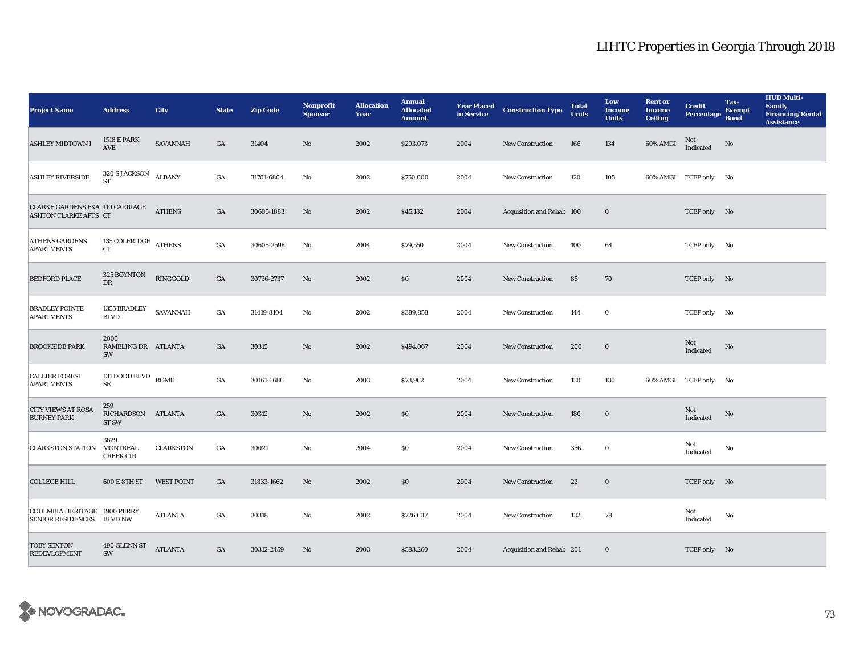| <b>Project Name</b>                                       | <b>Address</b>                                | <b>City</b>       | <b>State</b>     | <b>Zip Code</b> | Nonprofit<br><b>Sponsor</b> | <b>Allocation</b><br>Year | <b>Annual</b><br><b>Allocated</b><br><b>Amount</b> | <b>Year Placed<br/>in Service</b> | <b>Construction Type</b>  | <b>Total</b><br><b>Units</b> | Low<br><b>Income</b><br><b>Units</b> | <b>Rent or</b><br><b>Income</b><br><b>Ceiling</b> | <b>Credit</b><br><b>Percentage</b>                | Tax-<br><b>Exempt</b><br><b>Bond</b> | <b>HUD Multi-</b><br>Family<br><b>Financing/Rental</b><br><b>Assistance</b> |
|-----------------------------------------------------------|-----------------------------------------------|-------------------|------------------|-----------------|-----------------------------|---------------------------|----------------------------------------------------|-----------------------------------|---------------------------|------------------------------|--------------------------------------|---------------------------------------------------|---------------------------------------------------|--------------------------------------|-----------------------------------------------------------------------------|
| <b>ASHLEY MIDTOWN I</b>                                   | <b>1518 E PARK</b><br>AVE                     | SAVANNAH          | GA               | 31404           | $\mathbf{No}$               | 2002                      | \$293,073                                          | 2004                              | <b>New Construction</b>   | 166                          | 134                                  | 60% AMGI                                          | Not<br>$\label{thm:indicated} \textbf{Indicated}$ | $\rm No$                             |                                                                             |
| <b>ASHLEY RIVERSIDE</b>                                   | 320 S JACKSON<br>ST                           | <b>ALBANY</b>     | $_{\mathrm{GA}}$ | 31701-6804      | $\rm No$                    | 2002                      | \$750,000                                          | 2004                              | <b>New Construction</b>   | 120                          | 105                                  |                                                   | 60% AMGI TCEP only No                             |                                      |                                                                             |
| CLARKE GARDENS FKA 110 CARRIAGE<br>ASHTON CLARKE APTS CT  |                                               | <b>ATHENS</b>     | $_{\mathrm{GA}}$ | 30605-1883      | $\mathbf{No}$               | 2002                      | \$45,182                                           | 2004                              | Acquisition and Rehab 100 |                              | $\mathbf 0$                          |                                                   | TCEP only No                                      |                                      |                                                                             |
| <b>ATHENS GARDENS</b><br><b>APARTMENTS</b>                | 135 COLERIDGE ATHENS $\,$                     |                   | $_{\mathrm{GA}}$ | 30605-2598      | No                          | 2004                      | \$79,550                                           | 2004                              | <b>New Construction</b>   | 100                          | 64                                   |                                                   | TCEP only No                                      |                                      |                                                                             |
| <b>BEDFORD PLACE</b>                                      | 325 BOYNTON<br>${\rm DR}$                     | RINGGOLD          | GA               | 30736-2737      | No                          | 2002                      | \$0\$                                              | 2004                              | New Construction          | 88                           | 70                                   |                                                   | TCEP only No                                      |                                      |                                                                             |
| <b>BRADLEY POINTE</b><br><b>APARTMENTS</b>                | 1355 BRADLEY<br><b>BLVD</b>                   | SAVANNAH          | GA               | 31419-8104      | No                          | 2002                      | \$389,858                                          | 2004                              | <b>New Construction</b>   | 144                          | $\mathbf 0$                          |                                                   | TCEP only No                                      |                                      |                                                                             |
| <b>BROOKSIDE PARK</b>                                     | 2000<br>RAMBLING DR ATLANTA<br>SW             |                   | $_{\mathrm{GA}}$ | 30315           | $\mathbf{No}$               | 2002                      | \$494,067                                          | 2004                              | New Construction          | 200                          | $\mathbf 0$                          |                                                   | Not<br>Indicated                                  | No                                   |                                                                             |
| <b>CALLIER FOREST</b><br><b>APARTMENTS</b>                | 131 DODD BLVD ROME<br>$\rm SE$                |                   | $_{\mathrm{GA}}$ | 30161-6686      | No                          | 2003                      | \$73,962                                           | 2004                              | <b>New Construction</b>   | 130                          | 130                                  |                                                   | 60% AMGI TCEP only No                             |                                      |                                                                             |
| <b>CITY VIEWS AT ROSA</b><br><b>BURNEY PARK</b>           | 259<br>RICHARDSON ATLANTA<br>ST <sub>SW</sub> |                   | GA               | 30312           | No                          | 2002                      | \$0                                                | 2004                              | <b>New Construction</b>   | 180                          | $\bf{0}$                             |                                                   | Not<br>Indicated                                  | No                                   |                                                                             |
| <b>CLARKSTON STATION</b>                                  | 3629<br><b>MONTREAL</b><br><b>CREEK CIR</b>   | <b>CLARKSTON</b>  | $_{\mathrm{GA}}$ | 30021           | $\mathbf{No}$               | 2004                      | \$0                                                | 2004                              | <b>New Construction</b>   | 356                          | $\bf{0}$                             |                                                   | Not<br>Indicated                                  | No                                   |                                                                             |
| COLLEGE HILL                                              | 600 E 8TH ST                                  | <b>WEST POINT</b> | $_{\mathrm{GA}}$ | 31833-1662      | $\mathbf{No}$               | 2002                      | \$0\$                                              | 2004                              | <b>New Construction</b>   | 22                           | $\mathbf 0$                          |                                                   | TCEP only No                                      |                                      |                                                                             |
| COULMBIA HERITAGE 1900 PERRY<br>SENIOR RESIDENCES BLVD NW |                                               | <b>ATLANTA</b>    | GA               | 30318           | No                          | 2002                      | \$726,607                                          | 2004                              | <b>New Construction</b>   | 132                          | 78                                   |                                                   | Not<br>Indicated                                  | No                                   |                                                                             |
| <b>TOBY SEXTON</b><br><b>REDEVLOPMENT</b>                 | 490 GLENN ST<br>SW                            | <b>ATLANTA</b>    | GA               | 30312-2459      | No                          | 2003                      | \$583,260                                          | 2004                              | Acquisition and Rehab 201 |                              | $\bf{0}$                             |                                                   | TCEP only No                                      |                                      |                                                                             |

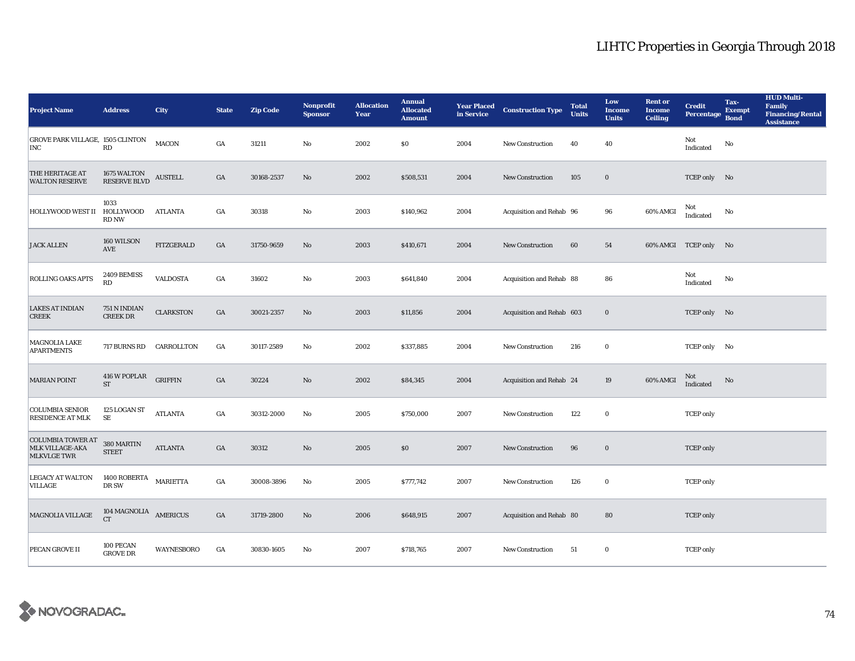| <b>Project Name</b>                                        | <b>Address</b>                               | <b>City</b>       | <b>State</b>     | <b>Zip Code</b> | <b>Nonprofit</b><br><b>Sponsor</b> | <b>Allocation</b><br>Year | <b>Annual</b><br><b>Allocated</b><br><b>Amount</b> | <b>Year Placed<br/>in Service</b> | <b>Construction Type</b>  | <b>Total</b><br><b>Units</b> | Low<br><b>Income</b><br><b>Units</b> | <b>Rent or</b><br><b>Income</b><br><b>Ceiling</b> | <b>Credit</b><br><b>Percentage</b> | Tax-<br><b>Exempt</b><br><b>Bond</b> | <b>HUD Multi-</b><br>Family<br><b>Financing/Rental</b><br><b>Assistance</b> |
|------------------------------------------------------------|----------------------------------------------|-------------------|------------------|-----------------|------------------------------------|---------------------------|----------------------------------------------------|-----------------------------------|---------------------------|------------------------------|--------------------------------------|---------------------------------------------------|------------------------------------|--------------------------------------|-----------------------------------------------------------------------------|
| GROVE PARK VILLAGE, 1505 CLINTON<br><b>INC</b>             | RD                                           | <b>MACON</b>      | GA               | 31211           | $\mathbf{No}$                      | 2002                      | \$0                                                | 2004                              | New Construction          | 40                           | 40                                   |                                                   | Not<br>$\operatorname{Indicated}$  | $\rm No$                             |                                                                             |
| THE HERITAGE AT<br><b>WALTON RESERVE</b>                   | 1675 WALTON<br>RESERVE BLVD                  | <b>AUSTELL</b>    | GA               | 30168-2537      | $\rm No$                           | 2002                      | \$508,531                                          | 2004                              | <b>New Construction</b>   | 105                          | $\mathbf 0$                          |                                                   | TCEP only No                       |                                      |                                                                             |
| <b>HOLLYWOOD WEST II</b>                                   | 1033<br>HOLLYWOOD<br>RD NW                   | ATLANTA           | GA               | 30318           | $\mathbf{N}\mathbf{o}$             | 2003                      | \$140,962                                          | 2004                              | Acquisition and Rehab 96  |                              | 96                                   | 60% AMGI                                          | Not<br>Indicated                   | No                                   |                                                                             |
| <b>JACK ALLEN</b>                                          | 160 WILSON<br>AVE                            | <b>FITZGERALD</b> | GA               | 31750-9659      | No                                 | 2003                      | \$410,671                                          | 2004                              | <b>New Construction</b>   | 60                           | ${\bf 54}$                           |                                                   | 60% AMGI TCEP only No              |                                      |                                                                             |
| <b>ROLLING OAKS APTS</b>                                   | 2409 BEMISS<br>RD                            | <b>VALDOSTA</b>   | GA               | 31602           | $\mathbf{No}$                      | 2003                      | \$641,840                                          | 2004                              | Acquisition and Rehab 88  |                              | 86                                   |                                                   | Not<br>Indicated                   | No                                   |                                                                             |
| <b>LAKES AT INDIAN</b><br><b>CREEK</b>                     | 751 N INDIAN<br><b>CREEK DR</b>              | <b>CLARKSTON</b>  | $_{\mathrm{GA}}$ | 30021-2357      | $\rm No$                           | 2003                      | \$11,856                                           | 2004                              | Acquisition and Rehab 603 |                              | $\mathbf 0$                          |                                                   | TCEP only No                       |                                      |                                                                             |
| <b>MAGNOLIA LAKE</b><br><b>APARTMENTS</b>                  | 717 BURNS RD                                 | CARROLLTON        | GA               | 30117-2589      | $\mathbf{No}$                      | 2002                      | \$337,885                                          | 2004                              | New Construction          | 216                          | $\bf{0}$                             |                                                   | TCEP only No                       |                                      |                                                                             |
| <b>MARIAN POINT</b>                                        | 416 W POPLAR<br>$\operatorname{ST}$          | <b>GRIFFIN</b>    | $_{\mathrm{GA}}$ | 30224           | No                                 | 2002                      | \$84,345                                           | 2004                              | Acquisition and Rehab 24  |                              | 19                                   | 60% AMGI                                          | Not<br>Indicated                   | No                                   |                                                                             |
| <b>COLUMBIA SENIOR</b><br><b>RESIDENCE AT MLK</b>          | 125 LOGAN ST<br>SE                           | <b>ATLANTA</b>    | GA               | 30312-2000      | No                                 | 2005                      | \$750,000                                          | 2007                              | New Construction          | 122                          | $\mathbf 0$                          |                                                   | <b>TCEP</b> only                   |                                      |                                                                             |
| <b>COLUMBIA TOWER AT</b><br>MLK VILLAGE-AKA<br>MLKVLGE TWR | $380\,$ MARTIN<br><b>STEET</b>               | <b>ATLANTA</b>    | $_{\mathrm{GA}}$ | 30312           | $\rm No$                           | 2005                      | $\$0$                                              | 2007                              | New Construction          | 96                           | $\mathbf 0$                          |                                                   | <b>TCEP</b> only                   |                                      |                                                                             |
| <b>LEGACY AT WALTON</b><br>VILLAGE                         | $1400$ ROBERTA<br>DR SW                      | <b>MARIETTA</b>   | GA               | 30008-3896      | No                                 | 2005                      | \$777,742                                          | 2007                              | New Construction          | 126                          | $\bf{0}$                             |                                                   | <b>TCEP</b> only                   |                                      |                                                                             |
| <b>MAGNOLIA VILLAGE</b>                                    | $104$ MAGNOLIA $\quad$ AMERICUS<br><b>CT</b> |                   | GA               | 31719-2800      | $\rm No$                           | 2006                      | \$648,915                                          | 2007                              | Acquisition and Rehab 80  |                              | 80                                   |                                                   | <b>TCEP</b> only                   |                                      |                                                                             |
| PECAN GROVE II                                             | 100 PECAN<br><b>GROVE DR</b>                 | WAYNESBORO        | GA               | 30830-1605      | No                                 | 2007                      | \$718,765                                          | 2007                              | <b>New Construction</b>   | 51                           | $\bf{0}$                             |                                                   | <b>TCEP</b> only                   |                                      |                                                                             |

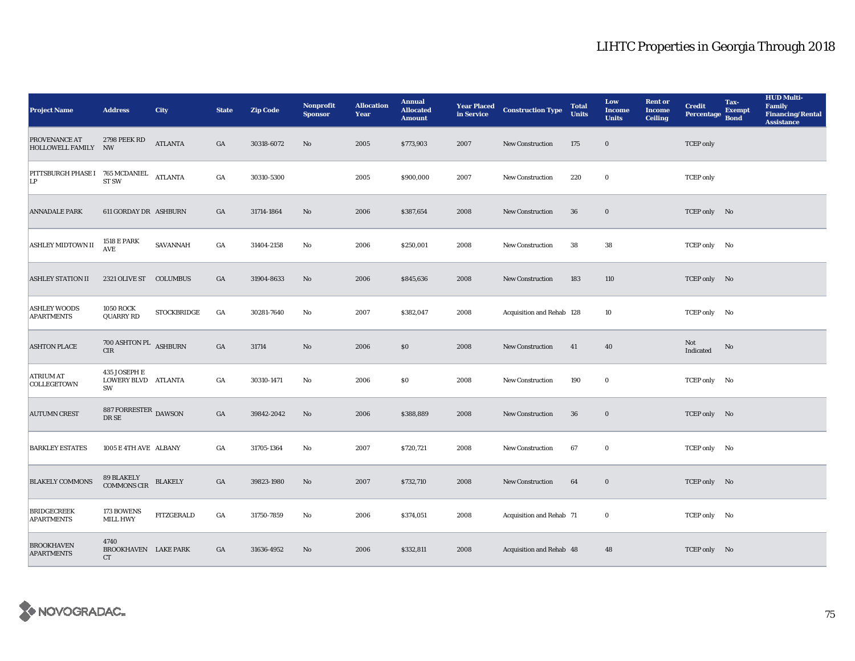| <b>Project Name</b>                           | <b>Address</b>                                   | City                     | <b>State</b>     | <b>Zip Code</b> | <b>Nonprofit</b><br><b>Sponsor</b> | <b>Allocation</b><br>Year | <b>Annual</b><br><b>Allocated</b><br><b>Amount</b> |      | <b>Year Placed Construction Type</b><br>in Service | <b>Total</b><br><b>Units</b> | Low<br><b>Income</b><br><b>Units</b> | <b>Rent or</b><br><b>Income</b><br><b>Ceiling</b> | <b>Credit</b><br>Percentage | Tax-<br><b>Exempt</b><br><b>Bond</b> | <b>HUD Multi-</b><br><b>Family</b><br><b>Financing/Rental</b><br><b>Assistance</b> |
|-----------------------------------------------|--------------------------------------------------|--------------------------|------------------|-----------------|------------------------------------|---------------------------|----------------------------------------------------|------|----------------------------------------------------|------------------------------|--------------------------------------|---------------------------------------------------|-----------------------------|--------------------------------------|------------------------------------------------------------------------------------|
| PROVENANCE AT<br>HOLLOWELL FAMILY NW          | 2798 PEEK RD                                     | <b>ATLANTA</b>           | GA               | 30318-6072      | No                                 | 2005                      | \$773,903                                          | 2007 | <b>New Construction</b>                            | 175                          | $\bf{0}$                             |                                                   | <b>TCEP</b> only            |                                      |                                                                                    |
| PITTSBURGH PHASE I 765 MCDANIEL ATLANTA<br>LP | ST <sub>SW</sub>                                 |                          | GA               | 30310-5300      |                                    | 2005                      | \$900,000                                          | 2007 | <b>New Construction</b>                            | 220                          | $\bf{0}$                             |                                                   | <b>TCEP</b> only            |                                      |                                                                                    |
| <b>ANNADALE PARK</b>                          | 611 GORDAY DR ASHBURN                            |                          | $_{\mathrm{GA}}$ | 31714-1864      | No                                 | 2006                      | \$387,654                                          | 2008 | <b>New Construction</b>                            | ${\bf 36}$                   | $\boldsymbol{0}$                     |                                                   | TCEP only No                |                                      |                                                                                    |
| ASHLEY MIDTOWN II                             | <b>1518 E PARK</b><br><b>AVE</b>                 | SAVANNAH                 | GA               | 31404-2158      | No                                 | 2006                      | \$250,001                                          | 2008 | New Construction                                   | 38                           | 38                                   |                                                   | TCEP only No                |                                      |                                                                                    |
| <b>ASHLEY STATION II</b>                      | 2321 OLIVE ST COLUMBUS                           |                          | GA               | 31904-8633      | $\mathbf{N}\mathbf{o}$             | 2006                      | \$845,636                                          | 2008 | New Construction                                   | 183                          | 110                                  |                                                   | TCEP only No                |                                      |                                                                                    |
| <b>ASHLEY WOODS</b><br><b>APARTMENTS</b>      | <b>1050 ROCK</b><br><b>QUARRY RD</b>             | <b>STOCKBRIDGE</b>       | GA               | 30281-7640      | No                                 | 2007                      | \$382,047                                          | 2008 | Acquisition and Rehab 128                          |                              | 10                                   |                                                   | TCEP only No                |                                      |                                                                                    |
| <b>ASHTON PLACE</b>                           | 700 ASHTON PL ASHBURN<br>CIR                     |                          | $_{\mathrm{GA}}$ | 31714           | $\mathbf{No}$                      | 2006                      | \$0\$                                              | 2008 | New Construction                                   | 41                           | 40                                   |                                                   | Not<br>Indicated            | $\rm No$                             |                                                                                    |
| <b>ATRIUM AT</b><br>COLLEGETOWN               | 435 JOSEPH E<br>LOWERY BLVD ATLANTA<br><b>SW</b> |                          | GA               | 30310-1471      | No                                 | 2006                      | \$0\$                                              | 2008 | <b>New Construction</b>                            | 190                          | $\bf{0}$                             |                                                   | TCEP only No                |                                      |                                                                                    |
| <b>AUTUMN CREST</b>                           | 887 FORRESTER DAWSON<br>DR SE                    |                          | GA               | 39842-2042      | $\mathbf{N}\mathbf{o}$             | 2006                      | \$388,889                                          | 2008 | New Construction                                   | 36                           | $\bf{0}$                             |                                                   | TCEP only No                |                                      |                                                                                    |
| <b>BARKLEY ESTATES</b>                        | 1005 E 4TH AVE ALBANY                            |                          | GA               | 31705-1364      | $\mathbf{N}\mathbf{o}$             | 2007                      | \$720,721                                          | 2008 | New Construction                                   | 67                           | $\bf{0}$                             |                                                   | TCEP only No                |                                      |                                                                                    |
| <b>BLAKELY COMMONS</b>                        | 89 BLAKELY<br>COMMONS CIR                        | $\operatorname{BLAKELY}$ | GA               | 39823-1980      | No                                 | 2007                      | \$732,710                                          | 2008 | New Construction                                   | 64                           | $\bf{0}$                             |                                                   | TCEP only No                |                                      |                                                                                    |
| <b>BRIDGECREEK</b><br><b>APARTMENTS</b>       | 173 BOWENS<br><b>MILL HWY</b>                    | FITZGERALD               | GA               | 31750-7859      | No                                 | 2006                      | \$374,051                                          | 2008 | Acquisition and Rehab 71                           |                              | $\bf{0}$                             |                                                   | TCEP only No                |                                      |                                                                                    |
| <b>BROOKHAVEN</b><br><b>APARTMENTS</b>        | 4740<br>BROOKHAVEN LAKE PARK<br>CT               |                          | GA               | 31636-4952      | No                                 | 2006                      | \$332,811                                          | 2008 | Acquisition and Rehab 48                           |                              | 48                                   |                                                   | TCEP only No                |                                      |                                                                                    |

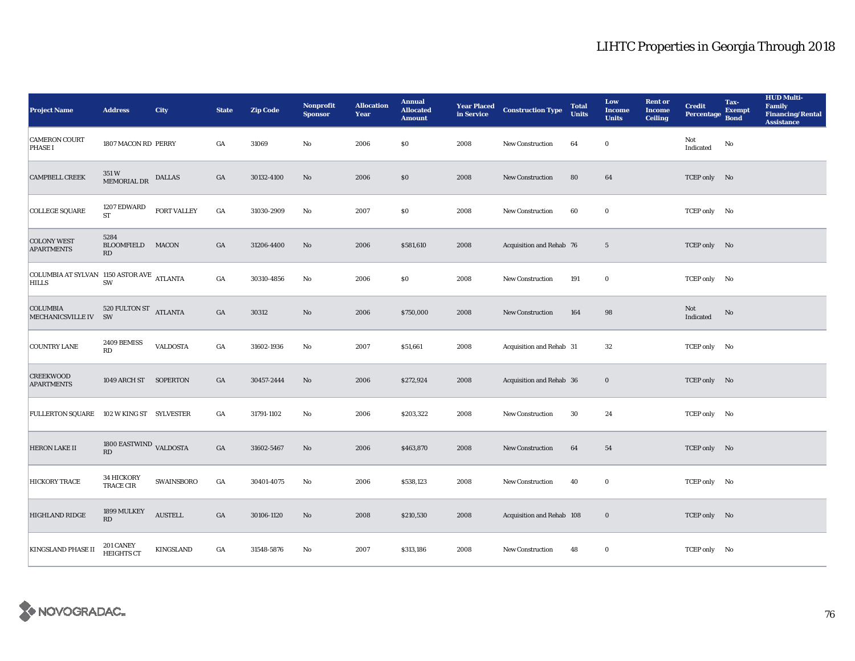| <b>Project Name</b>                                       | <b>Address</b>                                   | <b>City</b>        | <b>State</b>     | <b>Zip Code</b> | <b>Nonprofit</b><br><b>Sponsor</b> | <b>Allocation</b><br>Year | <b>Annual</b><br><b>Allocated</b><br><b>Amount</b> | <b>Year Placed<br/>in Service</b> | <b>Construction Type</b>  | <b>Total</b><br><b>Units</b> | Low<br><b>Income</b><br><b>Units</b> | <b>Rent or</b><br><b>Income</b><br><b>Ceiling</b> | <b>Credit</b><br><b>Percentage</b> | Tax-<br><b>Exempt</b><br><b>Bond</b> | <b>HUD Multi-</b><br>Family<br><b>Financing/Rental</b><br><b>Assistance</b> |
|-----------------------------------------------------------|--------------------------------------------------|--------------------|------------------|-----------------|------------------------------------|---------------------------|----------------------------------------------------|-----------------------------------|---------------------------|------------------------------|--------------------------------------|---------------------------------------------------|------------------------------------|--------------------------------------|-----------------------------------------------------------------------------|
| <b>CAMERON COURT</b><br><b>PHASE I</b>                    | 1807 MACON RD PERRY                              |                    | GA               | 31069           | No                                 | 2006                      | \$0\$                                              | 2008                              | New Construction          | 64                           | $\bf{0}$                             |                                                   | Not<br>Indicated                   | No                                   |                                                                             |
| <b>CAMPBELL CREEK</b>                                     | 351 W<br>MEMORIAL DR                             | <b>DALLAS</b>      | GA               | 30132-4100      | No                                 | 2006                      | \$0                                                | 2008                              | New Construction          | 80                           | 64                                   |                                                   | TCEP only No                       |                                      |                                                                             |
| <b>COLLEGE SQUARE</b>                                     | 1207 EDWARD<br><b>ST</b>                         | <b>FORT VALLEY</b> | GA               | 31030-2909      | No                                 | 2007                      | $\boldsymbol{\mathsf{S}}\boldsymbol{\mathsf{0}}$   | 2008                              | New Construction          | 60                           | $\mathbf 0$                          |                                                   | TCEP only No                       |                                      |                                                                             |
| <b>COLONY WEST</b><br><b>APARTMENTS</b>                   | 5284<br><b>BLOOMFIELD</b><br>RD                  | <b>MACON</b>       | GA               | 31206-4400      | No                                 | 2006                      | \$581,610                                          | 2008                              | Acquisition and Rehab 76  |                              | $\sqrt{5}$                           |                                                   | TCEP only No                       |                                      |                                                                             |
| COLUMBIA AT SYLVAN 1150 ASTOR AVE ATLANTA<br><b>HILLS</b> | SW                                               |                    | $_{\mathrm{GA}}$ | 30310-4856      | No                                 | 2006                      | $\$0$                                              | 2008                              | New Construction          | 191                          | $\bf{0}$                             |                                                   | TCEP only No                       |                                      |                                                                             |
| <b>COLUMBIA</b><br>MECHANICSVILLE IV SW                   | 520 FULTON ST ATLANTA                            |                    | GA               | 30312           | No                                 | 2006                      | \$750,000                                          | 2008                              | <b>New Construction</b>   | 164                          | 98                                   |                                                   | Not<br>Indicated                   | No                                   |                                                                             |
| <b>COUNTRY LANE</b>                                       | 2409 BEMISS<br>RD                                | <b>VALDOSTA</b>    | GA               | 31602-1936      | No                                 | 2007                      | \$51,661                                           | 2008                              | Acquisition and Rehab 31  |                              | 32                                   |                                                   | TCEP only No                       |                                      |                                                                             |
| <b>CREEKWOOD</b><br><b>APARTMENTS</b>                     | 1049 ARCH ST SOPERTON                            |                    | GA               | 30457-2444      | No                                 | 2006                      | \$272,924                                          | 2008                              | Acquisition and Rehab 36  |                              | $\mathbf 0$                          |                                                   | TCEP only No                       |                                      |                                                                             |
| <b>FULLERTON SQUARE</b>                                   | 102 W KING ST SYLVESTER                          |                    | GA               | 31791-1102      | $\mathbf{N}\mathbf{o}$             | 2006                      | \$203,322                                          | 2008                              | <b>New Construction</b>   | 30                           | 24                                   |                                                   | TCEP only No                       |                                      |                                                                             |
| <b>HERON LAKE II</b>                                      | 1800 EASTWIND VALDOSTA<br>$\mathbf{R}\mathbf{D}$ |                    | GA               | 31602-5467      | $\rm No$                           | 2006                      | \$463,870                                          | 2008                              | New Construction          | 64                           | 54                                   |                                                   | TCEP only No                       |                                      |                                                                             |
| HICKORY TRACE                                             | 34 HICKORY<br>TRACE CIR                          | SWAINSBORO         | $_{\mathrm{GA}}$ | 30401-4075      | No                                 | 2006                      | \$538,123                                          | 2008                              | New Construction          | 40                           | $\mathbf 0$                          |                                                   | TCEP only No                       |                                      |                                                                             |
| <b>HIGHLAND RIDGE</b>                                     | 1899 MULKEY<br>RD                                | <b>AUSTELL</b>     | GA               | 30106-1120      | No                                 | 2008                      | \$210,530                                          | 2008                              | Acquisition and Rehab 108 |                              | $\mathbf 0$                          |                                                   | TCEP only No                       |                                      |                                                                             |
| KINGSLAND PHASE II                                        | 201 CANEY<br><b>HEIGHTS CT</b>                   | <b>KINGSLAND</b>   | GA               | 31548-5876      | No                                 | 2007                      | \$313,186                                          | 2008                              | <b>New Construction</b>   | 48                           | $\bf{0}$                             |                                                   | TCEP only No                       |                                      |                                                                             |

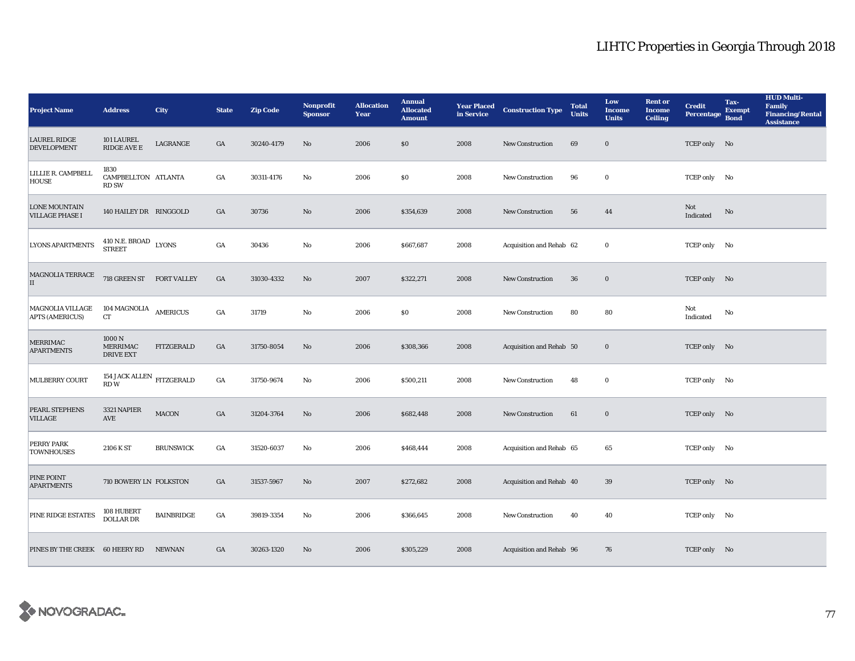| <b>Project Name</b>                            | <b>Address</b>                               | <b>City</b>       | <b>State</b>     | <b>Zip Code</b> | <b>Nonprofit</b><br><b>Sponsor</b> | <b>Allocation</b><br>Year | <b>Annual</b><br><b>Allocated</b><br><b>Amount</b> | <b>Year Placed<br/>in Service</b> | <b>Construction Type</b> | <b>Total</b><br><b>Units</b> | Low<br><b>Income</b><br><b>Units</b> | <b>Rent or</b><br><b>Income</b><br><b>Ceiling</b> | <b>Credit</b><br><b>Percentage</b> | Tax-<br><b>Exempt</b><br><b>Bond</b> | <b>HUD Multi-</b><br><b>Family</b><br><b>Financing/Rental</b><br><b>Assistance</b> |
|------------------------------------------------|----------------------------------------------|-------------------|------------------|-----------------|------------------------------------|---------------------------|----------------------------------------------------|-----------------------------------|--------------------------|------------------------------|--------------------------------------|---------------------------------------------------|------------------------------------|--------------------------------------|------------------------------------------------------------------------------------|
| <b>LAUREL RIDGE</b><br><b>DEVELOPMENT</b>      | 101 LAUREL<br>RIDGE AVE E                    | LAGRANGE          | $_{\mathrm{GA}}$ | 30240-4179      | No                                 | 2006                      | \$0                                                | 2008                              | New Construction         | 69                           | $\mathbf 0$                          |                                                   | TCEP only No                       |                                      |                                                                                    |
| LILLIE R. CAMPBELL<br><b>HOUSE</b>             | 1830<br>CAMPBELLTON ATLANTA<br><b>RD SW</b>  |                   | GA               | 30311-4176      | No                                 | 2006                      | \$0                                                | 2008                              | <b>New Construction</b>  | 96                           | $\bf{0}$                             |                                                   | TCEP only No                       |                                      |                                                                                    |
| <b>LONE MOUNTAIN</b><br><b>VILLAGE PHASE I</b> | 140 HAILEY DR RINGGOLD                       |                   | $_{\mathrm{GA}}$ | 30736           | $\rm No$                           | 2006                      | \$354,639                                          | 2008                              | <b>New Construction</b>  | 56                           | 44                                   |                                                   | Not<br>Indicated                   | $\rm No$                             |                                                                                    |
| <b>LYONS APARTMENTS</b>                        | 410 N.E. BROAD LYONS<br><b>STREET</b>        |                   | $_{\mathrm{GA}}$ | 30436           | No                                 | 2006                      | \$667,687                                          | 2008                              | Acquisition and Rehab 62 |                              | $\bf{0}$                             |                                                   | TCEP only No                       |                                      |                                                                                    |
| MAGNOLIA TERRACE<br>II                         | 718 GREEN ST FORT VALLEY                     |                   | $_{\mathrm{GA}}$ | 31030-4332      | No                                 | 2007                      | \$322,271                                          | 2008                              | <b>New Construction</b>  | 36                           | $\mathbf 0$                          |                                                   | TCEP only No                       |                                      |                                                                                    |
| MAGNOLIA VILLAGE<br><b>APTS (AMERICUS)</b>     | 104 MAGNOLIA<br>CT                           | AMERICUS          | $_{\mathrm{GA}}$ | 31719           | $\mathbf{N}\mathbf{o}$             | 2006                      | \$0                                                | 2008                              | New Construction         | 80                           | 80                                   |                                                   | Not<br>Indicated                   | No                                   |                                                                                    |
| MERRIMAC<br><b>APARTMENTS</b>                  | 1000N<br><b>MERRIMAC</b><br><b>DRIVE EXT</b> | <b>FITZGERALD</b> | $_{\mathrm{GA}}$ | 31750-8054      | No                                 | 2006                      | \$308,366                                          | 2008                              | Acquisition and Rehab 50 |                              | $\mathbf 0$                          |                                                   | TCEP only No                       |                                      |                                                                                    |
| MULBERRY COURT                                 | 154 JACK ALLEN $$\tt FITZGERALD$$<br>RDW     |                   | $_{\mathrm{GA}}$ | 31750-9674      | No                                 | 2006                      | \$500,211                                          | 2008                              | <b>New Construction</b>  | 48                           | $\bf{0}$                             |                                                   | TCEP only No                       |                                      |                                                                                    |
| <b>PEARL STEPHENS</b><br><b>VILLAGE</b>        | 3321 NAPIER<br><b>AVE</b>                    | MACON             | $_{\mathrm{GA}}$ | 31204-3764      | $\rm No$                           | 2006                      | \$682,448                                          | 2008                              | New Construction         | 61                           | $\mathbf 0$                          |                                                   | TCEP only No                       |                                      |                                                                                    |
| PERRY PARK<br><b>TOWNHOUSES</b>                | 2106 K ST                                    | <b>BRUNSWICK</b>  | GA               | 31520-6037      | No                                 | 2006                      | \$468,444                                          | 2008                              | Acquisition and Rehab 65 |                              | 65                                   |                                                   | TCEP only No                       |                                      |                                                                                    |
| PINE POINT<br><b>APARTMENTS</b>                | 710 BOWERY LN FOLKSTON                       |                   | $_{\mathrm{GA}}$ | 31537-5967      | No                                 | 2007                      | \$272,682                                          | 2008                              | Acquisition and Rehab 40 |                              | 39                                   |                                                   | TCEP only No                       |                                      |                                                                                    |
| PINE RIDGE ESTATES                             | 108 HUBERT<br>DOLLAR DR                      | <b>BAINBRIDGE</b> | $_{\mathrm{GA}}$ | 39819-3354      | $\mathbf{N}\mathbf{o}$             | 2006                      | \$366,645                                          | 2008                              | New Construction         | 40                           | 40                                   |                                                   | TCEP only No                       |                                      |                                                                                    |
| PINES BY THE CREEK                             | 60 HEERY RD                                  | <b>NEWNAN</b>     | $_{\mathrm{GA}}$ | 30263-1320      | No                                 | 2006                      | \$305,229                                          | 2008                              | Acquisition and Rehab 96 |                              | 76                                   |                                                   | TCEP only No                       |                                      |                                                                                    |

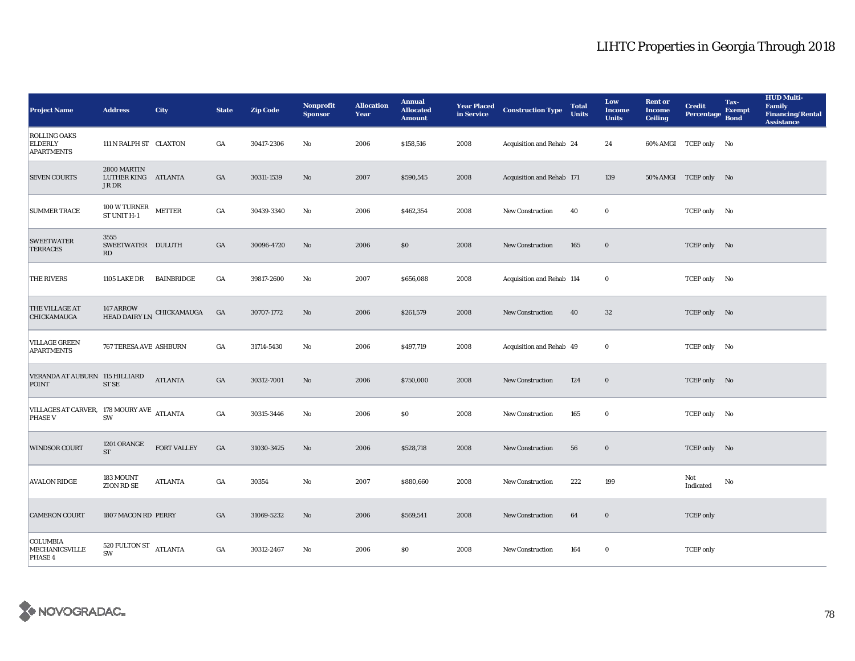| <b>Project Name</b>                                         | <b>Address</b>                                                     | <b>City</b>               | <b>State</b>     | <b>Zip Code</b> | Nonprofit<br><b>Sponsor</b> | <b>Allocation</b><br>Year | <b>Annual</b><br><b>Allocated</b><br><b>Amount</b> | <b>Year Placed</b><br>in Service | <b>Construction Type</b>  | <b>Total</b><br><b>Units</b> | Low<br><b>Income</b><br><b>Units</b> | <b>Rent or</b><br><b>Income</b><br><b>Ceiling</b> | <b>Credit</b><br><b>Percentage</b> | Tax-<br><b>Exempt</b><br><b>Bond</b> | <b>HUD Multi-</b><br><b>Family</b><br><b>Financing/Rental</b><br><b>Assistance</b> |
|-------------------------------------------------------------|--------------------------------------------------------------------|---------------------------|------------------|-----------------|-----------------------------|---------------------------|----------------------------------------------------|----------------------------------|---------------------------|------------------------------|--------------------------------------|---------------------------------------------------|------------------------------------|--------------------------------------|------------------------------------------------------------------------------------|
| <b>ROLLING OAKS</b><br><b>ELDERLY</b><br><b>APARTMENTS</b>  | 111 N RALPH ST CLAXTON                                             |                           | GA               | 30417-2306      | No                          | 2006                      | \$158,516                                          | 2008                             | Acquisition and Rehab 24  |                              | 24                                   |                                                   | 60% AMGI TCEP only No              |                                      |                                                                                    |
| <b>SEVEN COURTS</b>                                         | 2800 MARTIN<br>LUTHER KING ATLANTA<br>JR DR                        |                           | GA               | 30311-1539      | $\rm No$                    | 2007                      | \$590,545                                          | 2008                             | Acquisition and Rehab 171 |                              | 139                                  |                                                   | 50% AMGI TCEP only No              |                                      |                                                                                    |
| <b>SUMMER TRACE</b>                                         | $100\,\mathrm{W}\,\mathrm{U}\mathrm{RN}\mathrm{ER}$<br>ST UNIT H-1 | <b>METTER</b>             | GA               | 30439-3340      | No                          | 2006                      | \$462,354                                          | 2008                             | New Construction          | 40                           | $\bf{0}$                             |                                                   | TCEP only No                       |                                      |                                                                                    |
| <b>SWEETWATER</b><br><b>TERRACES</b>                        | 3555<br>SWEETWATER DULUTH<br>RD                                    |                           | GA               | 30096-4720      | No                          | 2006                      | \$0                                                | 2008                             | New Construction          | 165                          | $\mathbf 0$                          |                                                   | TCEP only No                       |                                      |                                                                                    |
| <b>THE RIVERS</b>                                           | 1105 LAKE DR                                                       | BAINBRIDGE                | GA               | 39817-2600      | No                          | 2007                      | \$656,088                                          | 2008                             | Acquisition and Rehab 114 |                              | $\bf{0}$                             |                                                   | TCEP only No                       |                                      |                                                                                    |
| THE VILLAGE AT<br>CHICKAMAUGA                               | 147 ARROW                                                          | HEAD DAIRY LN CHICKAMAUGA | GA               | 30707-1772      | $\rm No$                    | 2006                      | \$261,579                                          | 2008                             | New Construction          | 40                           | $32\,$                               |                                                   | TCEP only No                       |                                      |                                                                                    |
| <b>VILLAGE GREEN</b><br><b>APARTMENTS</b>                   | 767 TERESA AVE ASHBURN                                             |                           | GA               | 31714-5430      | No                          | 2006                      | \$497,719                                          | 2008                             | Acquisition and Rehab 49  |                              | $\bf{0}$                             |                                                   | TCEP only No                       |                                      |                                                                                    |
| VERANDA AT AUBURN 115 HILLIARD<br><b>POINT</b>              | ST <sub>SE</sub>                                                   | <b>ATLANTA</b>            | GA               | 30312-7001      | No                          | 2006                      | \$750,000                                          | 2008                             | New Construction          | 124                          | $\mathbf 0$                          |                                                   | TCEP only No                       |                                      |                                                                                    |
| VILLAGES AT CARVER, 178 MOURY AVE ATLANTA<br><b>PHASE V</b> | SW                                                                 |                           | $_{\mathrm{GA}}$ | 30315-3446      | No                          | 2006                      | $\$0$                                              | 2008                             | New Construction          | 165                          | $\bf{0}$                             |                                                   | TCEP only No                       |                                      |                                                                                    |
| <b>WINDSOR COURT</b>                                        | 1201 ORANGE<br>$\operatorname{ST}$                                 | <b>FORT VALLEY</b>        | GA               | 31030-3425      | $\mathbf{N}\mathbf{o}$      | 2006                      | \$528,718                                          | 2008                             | <b>New Construction</b>   | 56                           | $\mathbf 0$                          |                                                   | TCEP only No                       |                                      |                                                                                    |
| <b>AVALON RIDGE</b>                                         | 183 MOUNT<br>ZION RD SE                                            | ATLANTA                   | GA               | 30354           | No                          | 2007                      | \$880,660                                          | 2008                             | <b>New Construction</b>   | 222                          | 199                                  |                                                   | Not<br>Indicated                   | No                                   |                                                                                    |
| <b>CAMERON COURT</b>                                        | 1807 MACON RD PERRY                                                |                           | GA               | 31069-5232      | No                          | 2006                      | \$569,541                                          | 2008                             | <b>New Construction</b>   | 64                           | $\bf{0}$                             |                                                   | <b>TCEP</b> only                   |                                      |                                                                                    |
| COLUMBIA<br>MECHANICSVILLE<br>PHASE 4                       | 520 FULTON ST<br><b>SW</b>                                         | <b>ATLANTA</b>            | GA               | 30312-2467      | No                          | 2006                      | \$0                                                | 2008                             | <b>New Construction</b>   | 164                          | $\bf{0}$                             |                                                   | <b>TCEP</b> only                   |                                      |                                                                                    |

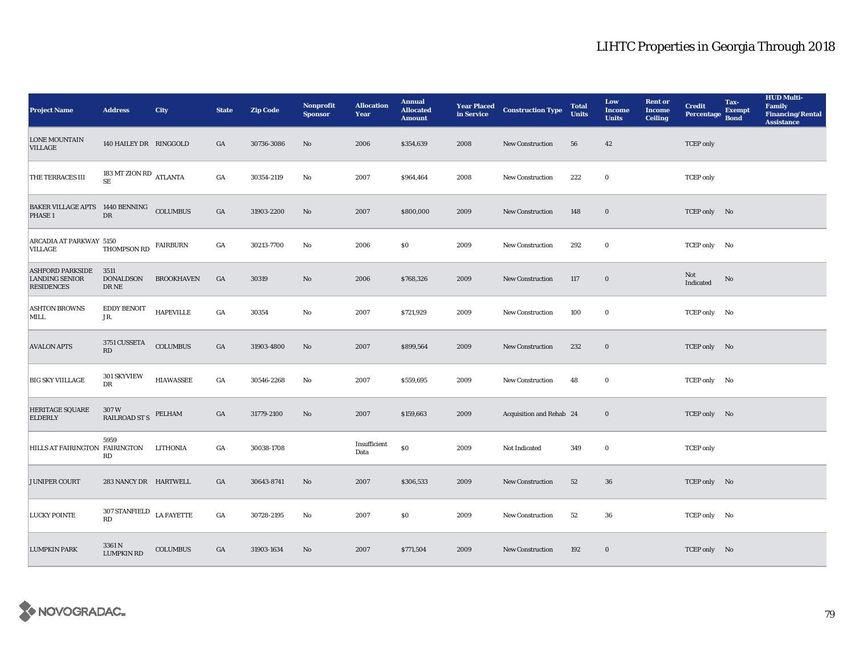| <b>Project Name</b>                                                   | <b>Address</b>                             | <b>City</b>       | <b>State</b>     | <b>Zip Code</b> | <b>Nonprofit</b><br><b>Sponsor</b> | <b>Allocation</b><br>Year | <b>Annual</b><br><b>Allocated</b><br><b>Amount</b> |      | <b>Year Placed Construction Type</b><br>in Service | <b>Total</b><br><b>Units</b> | Low<br><b>Income</b><br><b>Units</b> | <b>Rent or</b><br>Income<br><b>Ceiling</b> | <b>Credit</b><br><b>Percentage</b> | Tax-<br><b>Exempt</b><br><b>Bond</b> | <b>HUD Multi-</b><br><b>Family</b><br><b>Financing/Rental</b><br><b>Assistance</b> |
|-----------------------------------------------------------------------|--------------------------------------------|-------------------|------------------|-----------------|------------------------------------|---------------------------|----------------------------------------------------|------|----------------------------------------------------|------------------------------|--------------------------------------|--------------------------------------------|------------------------------------|--------------------------------------|------------------------------------------------------------------------------------|
| <b>LONE MOUNTAIN</b><br>VILLAGE                                       | 140 HAILEY DR RINGGOLD                     |                   | GA               | 30736-3086      | No                                 | 2006                      | \$354,639                                          | 2008 | New Construction                                   | 56                           | 42                                   |                                            | <b>TCEP</b> only                   |                                      |                                                                                    |
| THE TERRACES III                                                      | 183 MT ZION RD ATLANTA<br>$\rm SE$         |                   | $_{\mathrm{GA}}$ | 30354-2119      | No                                 | 2007                      | \$964,464                                          | 2008 | New Construction                                   | 222                          | $\bf{0}$                             |                                            | <b>TCEP</b> only                   |                                      |                                                                                    |
| BAKER VILLAGE APTS 1440 BENNING<br>PHASE <sub>1</sub>                 | DR                                         | <b>COLUMBUS</b>   | $_{\mathrm{GA}}$ | 31903-2200      | No                                 | 2007                      | \$800,000                                          | 2009 | <b>New Construction</b>                            | 148                          | $\bf{0}$                             |                                            | TCEP only No                       |                                      |                                                                                    |
| ARCADIA AT PARKWAY 5150<br>VILLAGE                                    | THOMPSON RD                                | <b>FAIRBURN</b>   | GA               | 30213-7700      | No                                 | 2006                      | <b>SO</b>                                          | 2009 | <b>New Construction</b>                            | 292                          | $\bf{0}$                             |                                            | TCEP only No                       |                                      |                                                                                    |
| <b>ASHFORD PARKSIDE</b><br><b>LANDING SENIOR</b><br><b>RESIDENCES</b> | 3511<br><b>DONALDSON</b><br>${\rm DR\,NE}$ | <b>BROOKHAVEN</b> | GA               | 30319           | No                                 | 2006                      | \$768,326                                          | 2009 | New Construction                                   | 117                          | $\bf{0}$                             |                                            | Not<br>Indicated                   | No                                   |                                                                                    |
| <b>ASHTON BROWNS</b><br><b>MILL</b>                                   | <b>EDDY BENOIT</b><br>JR.                  | <b>HAPEVILLE</b>  | GA               | 30354           | No                                 | 2007                      | \$721,929                                          | 2009 | New Construction                                   | 100                          | $\bf{0}$                             |                                            | TCEP only No                       |                                      |                                                                                    |
| <b>AVALON APTS</b>                                                    | 3751 CUSSETA<br>RD                         | <b>COLUMBUS</b>   | GA               | 31903-4800      | No                                 | 2007                      | \$899,564                                          | 2009 | New Construction                                   | 232                          | $\bf{0}$                             |                                            | TCEP only No                       |                                      |                                                                                    |
| <b>BIG SKY VIILLAGE</b>                                               | 301 SKYVIEW<br>DR                          | <b>HIAWASSEE</b>  | GA               | 30546-2268      | No                                 | 2007                      | \$559,695                                          | 2009 | <b>New Construction</b>                            | 48                           | $\bf{0}$                             |                                            | TCEP only No                       |                                      |                                                                                    |
| <b>HERITAGE SQUARE</b><br><b>ELDERLY</b>                              | 307W<br><b>RAILROAD ST S</b>               | PELHAM            | GA               | 31779-2100      | No                                 | 2007                      | \$159,663                                          | 2009 | Acquisition and Rehab 24                           |                              | $\bf{0}$                             |                                            | TCEP only No                       |                                      |                                                                                    |
| HILLS AT FAIRINGTON FAIRINGTON                                        | 5959<br>RD                                 | <b>LITHONIA</b>   | GA               | 30038-1708      |                                    | Insufficient<br>Data      | $\$0$                                              | 2009 | Not Indicated                                      | 349                          | $\bf{0}$                             |                                            | <b>TCEP</b> only                   |                                      |                                                                                    |
| JUNIPER COURT                                                         | 283 NANCY DR HARTWELL                      |                   | GA               | 30643-8741      | No                                 | 2007                      | \$306,533                                          | 2009 | New Construction                                   | 52                           | 36                                   |                                            | TCEP only No                       |                                      |                                                                                    |
| <b>LUCKY POINTE</b>                                                   | 307 STANFIELD $$\rm{LA}\,FAYETTE$$<br>RD   |                   | $_{\mathrm{GA}}$ | 30728-2195      | No                                 | 2007                      | \$0                                                | 2009 | New Construction                                   | 52                           | 36                                   |                                            | TCEP only No                       |                                      |                                                                                    |
| <b>LUMPKIN PARK</b>                                                   | 3361 N<br><b>LUMPKIN RD</b>                | <b>COLUMBUS</b>   | GA               | 31903-1634      | No                                 | 2007                      | \$771,504                                          | 2009 | <b>New Construction</b>                            | 192                          | $\bf{0}$                             |                                            | TCEP only No                       |                                      |                                                                                    |

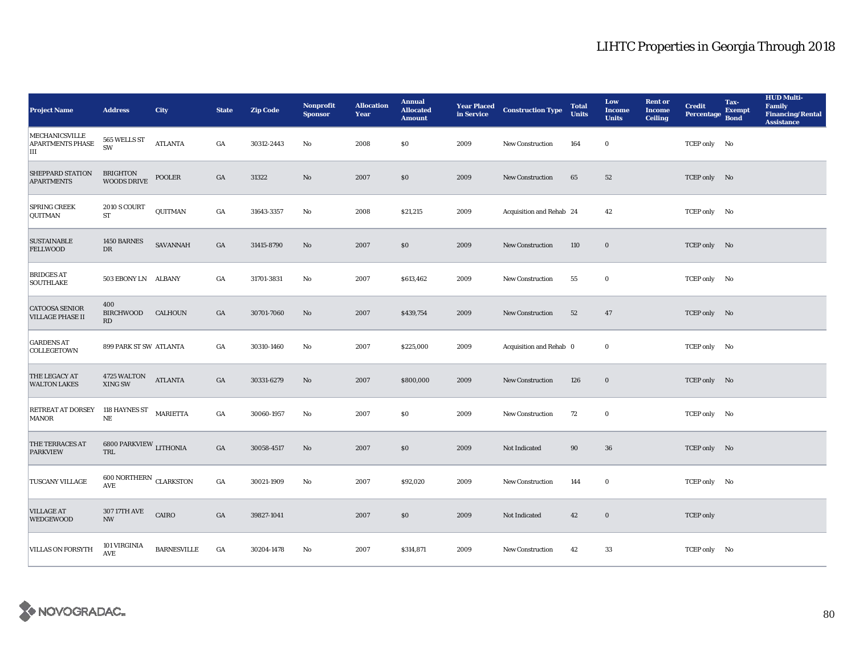| <b>Project Name</b>                                   | <b>Address</b>                                                 | <b>City</b>        | <b>State</b>     | <b>Zip Code</b> | <b>Nonprofit</b><br><b>Sponsor</b> | <b>Allocation</b><br>Year | <b>Annual</b><br><b>Allocated</b><br><b>Amount</b> |      | <b>Year Placed Construction Type</b><br>in Service | <b>Total</b><br><b>Units</b> | Low<br><b>Income</b><br><b>Units</b> | <b>Rent or</b><br>Income<br><b>Ceiling</b> | <b>Credit</b><br><b>Percentage</b> | Tax-<br><b>Exempt</b><br><b>Bond</b> | <b>HUD Multi-</b><br><b>Family</b><br><b>Financing/Rental</b><br><b>Assistance</b> |
|-------------------------------------------------------|----------------------------------------------------------------|--------------------|------------------|-----------------|------------------------------------|---------------------------|----------------------------------------------------|------|----------------------------------------------------|------------------------------|--------------------------------------|--------------------------------------------|------------------------------------|--------------------------------------|------------------------------------------------------------------------------------|
| <b>MECHANICSVILLE</b><br><b>APARTMENTS PHASE</b><br>Ш | 565 WELLS ST<br>SW                                             | <b>ATLANTA</b>     | GA               | 30312-2443      | No                                 | 2008                      | \$0                                                | 2009 | New Construction                                   | 164                          | $\bf{0}$                             |                                            | TCEP only No                       |                                      |                                                                                    |
| SHEPPARD STATION<br><b>APARTMENTS</b>                 | <b>BRIGHTON</b><br><b>WOODS DRIVE</b>                          | <b>POOLER</b>      | GA               | 31322           | No                                 | 2007                      | \$0                                                | 2009 | New Construction                                   | 65                           | 52                                   |                                            | TCEP only No                       |                                      |                                                                                    |
| <b>SPRING CREEK</b><br>QUITMAN                        | <b>2010 S COURT</b><br>${\cal ST}$                             | QUITMAN            | GA               | 31643-3357      | No                                 | 2008                      | \$21,215                                           | 2009 | Acquisition and Rehab 24                           |                              | 42                                   |                                            | TCEP only No                       |                                      |                                                                                    |
| <b>SUSTAINABLE</b><br><b>FELLWOOD</b>                 | 1450 BARNES<br>$_{\rm DR}$                                     | <b>SAVANNAH</b>    | GA               | 31415-8790      | $\mathbf{N}\mathbf{o}$             | 2007                      | \$0\$                                              | 2009 | New Construction                                   | 110                          | $\mathbf 0$                          |                                            | TCEP only No                       |                                      |                                                                                    |
| <b>BRIDGES AT</b><br>SOUTHLAKE                        | 503 EBONY LN ALBANY                                            |                    | GA               | 31701-3831      | $\mathbf {No}$                     | 2007                      | \$613,462                                          | 2009 | New Construction                                   | 55                           | $\bf{0}$                             |                                            | TCEP only No                       |                                      |                                                                                    |
| <b>CATOOSA SENIOR</b><br><b>VILLAGE PHASE II</b>      | 400<br>BIRCHWOOD<br>RD                                         | <b>CALHOUN</b>     | GA               | 30701-7060      | No                                 | 2007                      | \$439,754                                          | 2009 | <b>New Construction</b>                            | 52                           | 47                                   |                                            | TCEP only No                       |                                      |                                                                                    |
| <b>GARDENS AT</b><br>COLLEGETOWN                      | 899 PARK ST SW ATLANTA                                         |                    | GA               | 30310-1460      | No                                 | 2007                      | \$225,000                                          | 2009 | Acquisition and Rehab 0                            |                              | $\bf{0}$                             |                                            | TCEP only No                       |                                      |                                                                                    |
| THE LEGACY AT<br><b>WALTON LAKES</b>                  | 4725 WALTON<br>XING SW                                         | <b>ATLANTA</b>     | GA               | 30331-6279      | No                                 | 2007                      | \$800,000                                          | 2009 | New Construction                                   | 126                          | $\mathbf 0$                          |                                            | TCEP only No                       |                                      |                                                                                    |
| RETREAT AT DORSEY<br>MANOR                            | 118 HAYNES ST<br>$\rm NE$                                      | MARIETTA           | GA               | 30060-1957      | No                                 | 2007                      | \$0                                                | 2009 | New Construction                                   | 72                           | $\bf{0}$                             |                                            | TCEP only No                       |                                      |                                                                                    |
| <b>THE TERRACES AT</b><br><b>PARKVIEW</b>             | 6800 PARKVIEW LITHONIA<br>$\operatorname{{\bf TRL}}$           |                    | GA               | 30058-4517      | $\mathbf{N}\mathbf{o}$             | 2007                      | $\$0$                                              | 2009 | Not Indicated                                      | $90\,$                       | 36                                   |                                            | TCEP only No                       |                                      |                                                                                    |
| TUSCANY VILLAGE                                       | $600$ NORTHERN $\,$ CLARKSTON<br>$\operatorname{\mathsf{AVE}}$ |                    | $_{\mathrm{GA}}$ | 30021-1909      | No                                 | 2007                      | \$92,020                                           | 2009 | New Construction                                   | 144                          | $\bf{0}$                             |                                            | TCEP only No                       |                                      |                                                                                    |
| <b>VILLAGE AT</b><br><b>WEDGEWOOD</b>                 | 307 17TH AVE<br>$\ensuremath{\text{NW}}$                       | CAIRO              | GA               | 39827-1041      |                                    | 2007                      | \$0                                                | 2009 | Not Indicated                                      | 42                           | $\bf{0}$                             |                                            | <b>TCEP</b> only                   |                                      |                                                                                    |
| <b>VILLAS ON FORSYTH</b>                              | 101 VIRGINIA<br><b>AVE</b>                                     | <b>BARNESVILLE</b> | GA               | 30204-1478      | No                                 | 2007                      | \$314,871                                          | 2009 | New Construction                                   | 42                           | 33                                   |                                            | TCEP only No                       |                                      |                                                                                    |

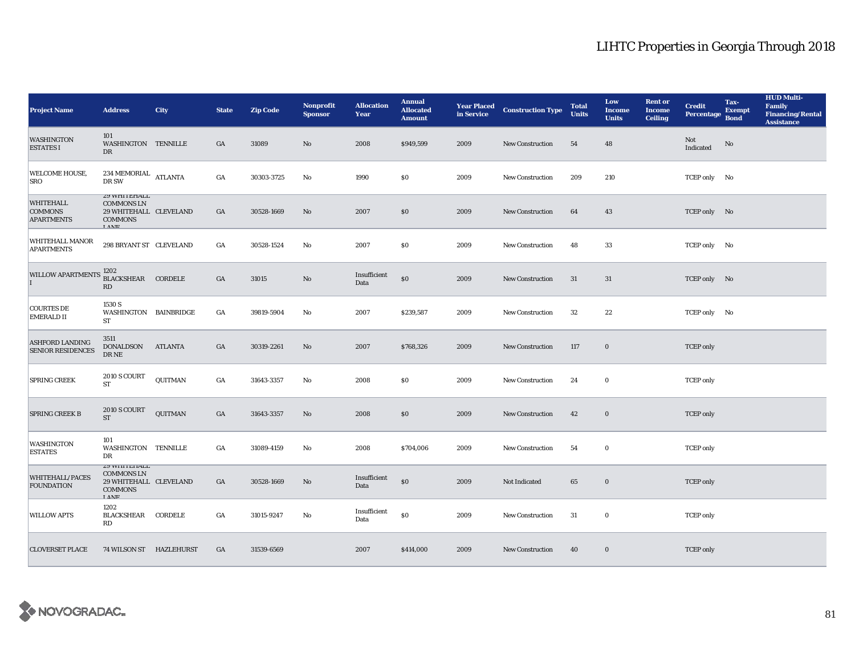| <b>Project Name</b>                                     | <b>Address</b>                                                                                             | <b>City</b>    | <b>State</b>     | <b>Zip Code</b> | <b>Nonprofit</b><br><b>Sponsor</b> | <b>Allocation</b><br>Year | <b>Annual</b><br><b>Allocated</b><br><b>Amount</b> | <b>Year Placed</b><br>in Service | <b>Construction Type</b> | <b>Total</b><br><b>Units</b> | Low<br><b>Income</b><br><b>Units</b> | <b>Rent or</b><br><b>Income</b><br><b>Ceiling</b> | <b>Credit</b><br><b>Percentage</b> | Tax-<br><b>Exempt</b><br><b>Bond</b> | <b>HUD Multi-</b><br><b>Family</b><br><b>Financing/Rental</b><br><b>Assistance</b> |
|---------------------------------------------------------|------------------------------------------------------------------------------------------------------------|----------------|------------------|-----------------|------------------------------------|---------------------------|----------------------------------------------------|----------------------------------|--------------------------|------------------------------|--------------------------------------|---------------------------------------------------|------------------------------------|--------------------------------------|------------------------------------------------------------------------------------|
| <b>WASHINGTON</b><br><b>ESTATES I</b>                   | 101<br>WASHINGTON TENNILLE<br>DR                                                                           |                | GA               | 31089           | No                                 | 2008                      | \$949,599                                          | 2009                             | New Construction         | 54                           | 48                                   |                                                   | Not<br>Indicated                   | $\rm No$                             |                                                                                    |
| WELCOME HOUSE,<br><b>SRO</b>                            | $234\ \mathrm{MEMORIAL}$ ATLANTA<br>DR SW                                                                  |                | GA               | 30303-3725      | No                                 | 1990                      | \$0\$                                              | 2009                             | <b>New Construction</b>  | 209                          | 210                                  |                                                   | TCEP only No                       |                                      |                                                                                    |
| <b>WHITEHALL</b><br><b>COMMONS</b><br><b>APARTMENTS</b> | <b><i>L</i>Y WHITEHALL</b><br><b>COMMONS LN</b><br>29 WHITEHALL CLEVELAND<br><b>COMMONS</b><br><b>LAME</b> |                | $_{\mathrm{GA}}$ | 30528-1669      | No                                 | 2007                      | \$0                                                | 2009                             | <b>New Construction</b>  | 64                           | 43                                   |                                                   | TCEP only No                       |                                      |                                                                                    |
| WHITEHALL MANOR<br><b>APARTMENTS</b>                    | 298 BRYANT ST CLEVELAND                                                                                    |                | GA               | 30528-1524      | No                                 | 2007                      | $\$0$                                              | 2009                             | New Construction         | 48                           | 33                                   |                                                   | TCEP only No                       |                                      |                                                                                    |
| <b>WILLOW APARTMENTS</b>                                | 1202<br>BLACKSHEAR CORDELE<br>RD                                                                           |                | GA               | 31015           | No                                 | Insufficient<br>Data      | \$0                                                | 2009                             | <b>New Construction</b>  | 31                           | 31                                   |                                                   | TCEP only No                       |                                      |                                                                                    |
| <b>COURTES DE</b><br><b>EMERALD II</b>                  | 1530 S<br>WASHINGTON BAINBRIDGE<br>ST                                                                      |                | GA               | 39819-5904      | No                                 | 2007                      | \$239,587                                          | 2009                             | New Construction         | $32\,$                       | 22                                   |                                                   | TCEP only No                       |                                      |                                                                                    |
| <b>ASHFORD LANDING</b><br><b>SENIOR RESIDENCES</b>      | 3511<br>DONALDSON<br>$\rm DR\,NE$                                                                          | <b>ATLANTA</b> | $_{\mathrm{GA}}$ | 30319-2261      | No                                 | 2007                      | \$768,326                                          | 2009                             | New Construction         | 117                          | $\bf{0}$                             |                                                   | <b>TCEP</b> only                   |                                      |                                                                                    |
| SPRING CREEK                                            | 2010 S COURT<br>ST                                                                                         | QUITMAN        | GA               | 31643-3357      | No                                 | 2008                      | \$0                                                | 2009                             | New Construction         | 24                           | $\bf{0}$                             |                                                   | <b>TCEP</b> only                   |                                      |                                                                                    |
| <b>SPRING CREEK B</b>                                   | 2010 S COURT<br><b>ST</b>                                                                                  | QUITMAN        | GA               | 31643-3357      | $\rm No$                           | 2008                      | \$0                                                | 2009                             | New Construction         | 42                           | $\bf{0}$                             |                                                   | <b>TCEP</b> only                   |                                      |                                                                                    |
| <b>WASHINGTON</b><br><b>ESTATES</b>                     | 101<br>WASHINGTON TENNILLE<br>DR                                                                           |                | GA               | 31089-4159      | No                                 | 2008                      | \$704,006                                          | 2009                             | New Construction         | 54                           | $\bf{0}$                             |                                                   | <b>TCEP</b> only                   |                                      |                                                                                    |
| <b>WHITEHALL/PACES</b><br><b>FOUNDATION</b>             | <b><i>L</i>Y WHITEHALL</b><br><b>COMMONS LN</b><br>29 WHITEHALL CLEVELAND<br><b>COMMONS</b><br><b>LANE</b> |                | $_{\mathrm{GA}}$ | 30528-1669      | No                                 | Insufficient<br>Data      | $\$0$                                              | 2009                             | Not Indicated            | 65                           | $\bf{0}$                             |                                                   | <b>TCEP</b> only                   |                                      |                                                                                    |
| <b>WILLOW APTS</b>                                      | 1202<br>BLACKSHEAR<br>RD                                                                                   | CORDELE        | GA               | 31015-9247      | No                                 | Insufficient<br>Data      | $\$0$                                              | 2009                             | <b>New Construction</b>  | 31                           | $\bf{0}$                             |                                                   | <b>TCEP</b> only                   |                                      |                                                                                    |
| <b>CLOVERSET PLACE</b>                                  | 74 WILSON ST HAZLEHURST                                                                                    |                | GA               | 31539-6569      |                                    | 2007                      | \$414,000                                          | 2009                             | <b>New Construction</b>  | 40                           | $\bf{0}$                             |                                                   | <b>TCEP</b> only                   |                                      |                                                                                    |

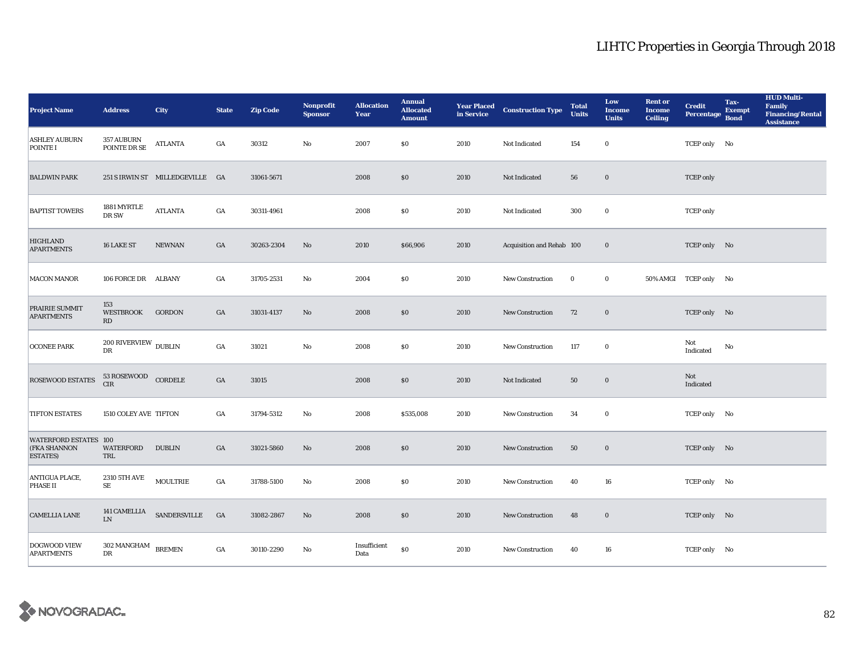| <b>Project Name</b>                                              | <b>Address</b>                        | <b>City</b>                     | <b>State</b>     | <b>Zip Code</b> | Nonprofit<br><b>Sponsor</b> | <b>Allocation</b><br>Year | <b>Annual</b><br><b>Allocated</b><br><b>Amount</b> |      | <b>Year Placed Construction Type</b><br>in Service | <b>Total</b><br><b>Units</b> | Low<br><b>Income</b><br><b>Units</b> | <b>Rent or</b><br><b>Income</b><br><b>Ceiling</b> | <b>Credit</b><br><b>Percentage</b> | Tax-<br><b>Exempt</b><br><b>Bond</b> | <b>HUD Multi-</b><br>Family<br>Financing/Rental<br><b>Assistance</b> |
|------------------------------------------------------------------|---------------------------------------|---------------------------------|------------------|-----------------|-----------------------------|---------------------------|----------------------------------------------------|------|----------------------------------------------------|------------------------------|--------------------------------------|---------------------------------------------------|------------------------------------|--------------------------------------|----------------------------------------------------------------------|
| <b>ASHLEY AUBURN</b><br>POINTE I                                 | <b>357 AUBURN</b><br>POINTE DR SE     | <b>ATLANTA</b>                  | $_{\mathrm{GA}}$ | 30312           | $\mathbf{No}$               | 2007                      | \$0\$                                              | 2010 | Not Indicated                                      | 154                          | $\bf{0}$                             |                                                   | TCEP only No                       |                                      |                                                                      |
| <b>BALDWIN PARK</b>                                              |                                       | 251 S IRWIN ST MILLEDGEVILLE GA |                  | 31061-5671      |                             | 2008                      | \$0                                                | 2010 | Not Indicated                                      | 56                           | $\bf{0}$                             |                                                   | <b>TCEP</b> only                   |                                      |                                                                      |
| <b>BAPTIST TOWERS</b>                                            | 1881 MYRTLE<br>DR SW                  | <b>ATLANTA</b>                  | $_{\mathrm{GA}}$ | 30311-4961      |                             | 2008                      | \$0                                                | 2010 | Not Indicated                                      | 300                          | $\bf{0}$                             |                                                   | <b>TCEP</b> only                   |                                      |                                                                      |
| <b>HIGHLAND</b><br><b>APARTMENTS</b>                             | 16 LAKE ST                            | <b>NEWNAN</b>                   | GA               | 30263-2304      | No                          | 2010                      | \$66,906                                           | 2010 | Acquisition and Rehab 100                          |                              | $\bf{0}$                             |                                                   | TCEP only No                       |                                      |                                                                      |
| <b>MACON MANOR</b>                                               | 106 FORCE DR ALBANY                   |                                 | GA               | 31705-2531      | No                          | 2004                      | $\$0$                                              | 2010 | New Construction                                   | $\bf{0}$                     | $\bf{0}$                             |                                                   | 50% AMGI TCEP only No              |                                      |                                                                      |
| PRAIRIE SUMMIT<br><b>APARTMENTS</b>                              | 153<br>WESTBROOK<br>RD                | GORDON                          | GA               | 31031-4137      | No                          | 2008                      | \$0                                                | 2010 | New Construction                                   | 72                           | $\bf{0}$                             |                                                   | TCEP only No                       |                                      |                                                                      |
| <b>OCONEE PARK</b>                                               | $200$ RIVERVIEW $_{\rm DUBLIN}$<br>DR |                                 | $_{\mathrm{GA}}$ | 31021           | $\mathbf{N}\mathbf{o}$      | 2008                      | \$0                                                | 2010 | <b>New Construction</b>                            | 117                          | $\bf{0}$                             |                                                   | Not<br>Indicated                   | No                                   |                                                                      |
| ROSEWOOD ESTATES                                                 | 53 ROSEWOOD CORDELE<br><b>CIR</b>     |                                 | $_{\mathrm{GA}}$ | 31015           |                             | 2008                      | \$0                                                | 2010 | Not Indicated                                      | 50                           | $\bf{0}$                             |                                                   | Not<br>Indicated                   |                                      |                                                                      |
| <b>TIFTON ESTATES</b>                                            | 1510 COLEY AVE TIFTON                 |                                 | GA               | 31794-5312      | $\mathbf{N}\mathbf{o}$      | 2008                      | \$535,008                                          | 2010 | New Construction                                   | 34                           | $\bf{0}$                             |                                                   | TCEP only No                       |                                      |                                                                      |
| <b>WATERFORD ESTATES 100</b><br>(FKA SHANNON<br><b>ESTATES</b> ) | WATERFORD<br>TRL                      | <b>DUBLIN</b>                   | GA               | 31021-5860      | No                          | 2008                      | \$0                                                | 2010 | <b>New Construction</b>                            | 50                           | $\bf{0}$                             |                                                   | TCEP only No                       |                                      |                                                                      |
| ANTIGUA PLACE,<br>PHASE II                                       | 2310 5TH AVE<br><b>SE</b>             | MOULTRIE                        | $_{\mathrm{GA}}$ | 31788-5100      | $\mathbf{N}\mathbf{o}$      | 2008                      | $\$0$                                              | 2010 | New Construction                                   | 40                           | 16                                   |                                                   | TCEP only No                       |                                      |                                                                      |
| <b>CAMELLIA LANE</b>                                             | <b>141 CAMELLIA</b><br><b>LN</b>      | SANDERSVILLE                    | GA               | 31082-2867      | No                          | 2008                      | \$0                                                | 2010 | New Construction                                   | 48                           | $\bf{0}$                             |                                                   | TCEP only No                       |                                      |                                                                      |
| DOGWOOD VIEW<br><b>APARTMENTS</b>                                | 302 MANGHAM<br>DR                     | <b>BREMEN</b>                   | GA               | 30110-2290      | No                          | Insufficient<br>Data      | $\$0$                                              | 2010 | <b>New Construction</b>                            | 40                           | 16                                   |                                                   | TCEP only No                       |                                      |                                                                      |

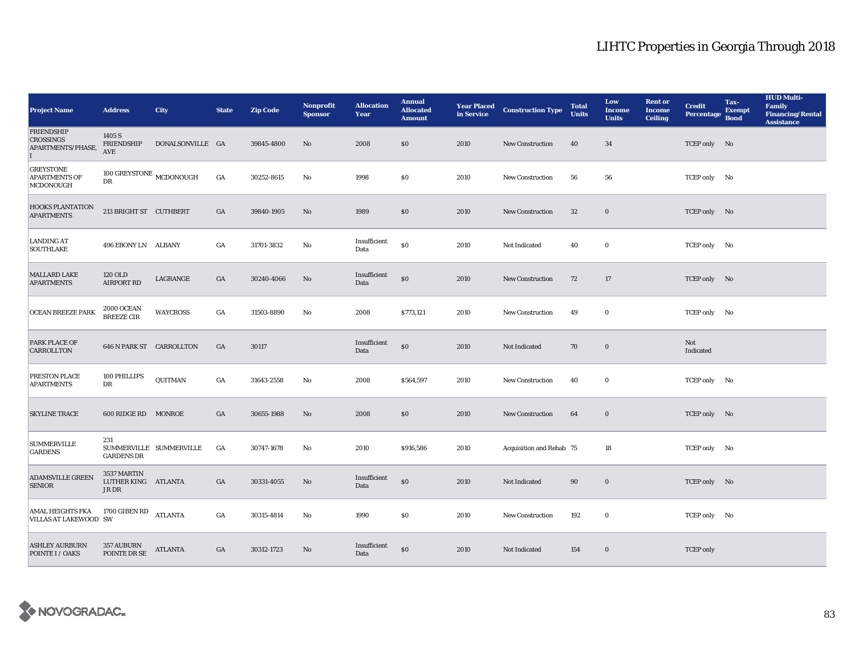| <b>Project Name</b>                                        | <b>Address</b>                              | <b>City</b>             | <b>State</b>     | <b>Zip Code</b> | <b>Nonprofit</b><br><b>Sponsor</b> | <b>Allocation</b><br>Year | <b>Annual</b><br><b>Allocated</b><br><b>Amount</b> |      | <b>Year Placed Construction Type</b><br>in Service | <b>Total</b><br><b>Units</b> | Low<br><b>Income</b><br><b>Units</b> | <b>Rent or</b><br><b>Income</b><br><b>Ceiling</b> | <b>Credit</b><br><b>Percentage</b> | Tax-<br><b>Exempt</b><br><b>Bond</b> | <b>HUD Multi-</b><br>Family<br><b>Financing/Rental</b><br><b>Assistance</b> |
|------------------------------------------------------------|---------------------------------------------|-------------------------|------------------|-----------------|------------------------------------|---------------------------|----------------------------------------------------|------|----------------------------------------------------|------------------------------|--------------------------------------|---------------------------------------------------|------------------------------------|--------------------------------------|-----------------------------------------------------------------------------|
| <b>FRIENDSHIP</b><br><b>CROSSINGS</b><br>APARTMENTS/PHASE, | 1405 S<br><b>FRIENDSHIP</b><br><b>AVE</b>   | DONALSONVILLE GA        |                  | 39845-4800      | No                                 | 2008                      | \$0                                                | 2010 | New Construction                                   | 40                           | 34                                   |                                                   | TCEP only No                       |                                      |                                                                             |
| <b>GREYSTONE</b><br><b>APARTMENTS OF</b><br>MCDONOUGH      | $100$ GREYSTONE $_{\rm MCDONOUGH}$<br>DR    |                         | $_{\mathrm{GA}}$ | 30252-8615      | No                                 | 1998                      | \$0                                                | 2010 | New Construction                                   | 56                           | 56                                   |                                                   | TCEP only No                       |                                      |                                                                             |
| HOOKS PLANTATION<br><b>APARTMENTS</b>                      | 213 BRIGHT ST CUTHBERT                      |                         | GA               | 39840-1905      | No                                 | 1989                      | \$0                                                | 2010 | <b>New Construction</b>                            | 32                           | $\bf{0}$                             |                                                   | TCEP only No                       |                                      |                                                                             |
| <b>LANDING AT</b><br><b>SOUTHLAKE</b>                      | 496 EBONY LN ALBANY                         |                         | GA               | 31701-3832      | No                                 | Insufficient<br>Data      | \$0                                                | 2010 | Not Indicated                                      | 40                           | $\bf{0}$                             |                                                   | TCEP only No                       |                                      |                                                                             |
| MALLARD LAKE<br><b>APARTMENTS</b>                          | 120 OLD<br><b>AIRPORT RD</b>                | LAGRANGE                | GA               | 30240-4066      | No                                 | Insufficient<br>Data      | $\$0$                                              | 2010 | New Construction                                   | 72                           | 17                                   |                                                   | TCEP only No                       |                                      |                                                                             |
| <b>OCEAN BREEZE PARK</b>                                   | $2000$ OCEAN BREEZE CIR                     | <b>WAYCROSS</b>         | GA               | 31503-8890      | No                                 | 2008                      | \$773,121                                          | 2010 | <b>New Construction</b>                            | 49                           | $\bf{0}$                             |                                                   | TCEP only No                       |                                      |                                                                             |
| <b>PARK PLACE OF</b><br>CARROLLTON                         | 646 N PARK ST CARROLLTON                    |                         | GA               | 30117           |                                    | Insufficient<br>Data      | $\$0$                                              | 2010 | Not Indicated                                      | 70                           | $\bf{0}$                             |                                                   | Not<br>Indicated                   |                                      |                                                                             |
| PRESTON PLACE<br><b>APARTMENTS</b>                         | 100 PHILLIPS<br>DR                          | QUITMAN                 | GA               | 31643-2558      | No                                 | 2008                      | \$564,597                                          | 2010 | <b>New Construction</b>                            | 40                           | $\bf{0}$                             |                                                   | TCEP only No                       |                                      |                                                                             |
| <b>SKYLINE TRACE</b>                                       | 600 RIDGE RD MONROE                         |                         | GA               | 30655-1988      | No                                 | 2008                      | \$0\$                                              | 2010 | New Construction                                   | 64                           | $\bf{0}$                             |                                                   | TCEP only No                       |                                      |                                                                             |
| <b>SUMMERVILLE</b><br><b>GARDENS</b>                       | 231<br><b>GARDENS DR</b>                    | SUMMERVILLE SUMMERVILLE | GA               | 30747-1678      | No                                 | 2010                      | \$916,586                                          | 2010 | Acquisition and Rehab 75                           |                              | 18                                   |                                                   | TCEP only No                       |                                      |                                                                             |
| <b>ADAMSVILLE GREEN</b><br><b>SENIOR</b>                   | 3537 MARTIN<br>LUTHER KING ATLANTA<br>JR DR |                         | GA               | 30331-4055      | No                                 | Insufficient<br>Data      | $\$0$                                              | 2010 | Not Indicated                                      | 90                           | $\boldsymbol{0}$                     |                                                   | TCEP only No                       |                                      |                                                                             |
| AMAL HEIGHTS FKA<br>VILLAS AT LAKEWOOD SW                  | $1700$ GIBEN RD                             | ATLANTA                 | GA               | 30315-4814      | No                                 | 1990                      | \$0                                                | 2010 | New Construction                                   | 192                          | $\bf{0}$                             |                                                   | TCEP only No                       |                                      |                                                                             |
| <b>ASHLEY AURBURN</b><br>POINTE I / OAKS                   | <b>357 AUBURN</b><br>POINTE DR SE           | <b>ATLANTA</b>          | GA               | 30312-1723      | No                                 | Insufficient<br>Data      | \$0                                                | 2010 | Not Indicated                                      | 154                          | $\bf{0}$                             |                                                   | <b>TCEP</b> only                   |                                      |                                                                             |

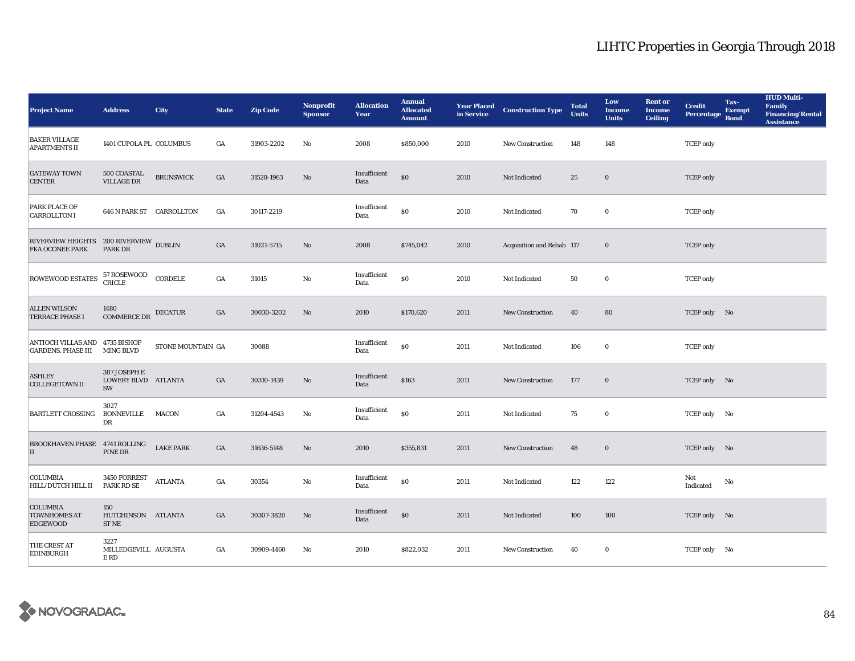| <b>BAKER VILLAGE</b><br>1401 CUPOLA PL COLUMBUS<br>GA<br>31903-2202<br>$\mathbf{No}$<br>2008<br>\$850,000<br>148<br>148<br><b>TCEP</b> only<br>2010<br>New Construction<br><b>APARTMENTS II</b><br><b>GATEWAY TOWN</b><br>$500\, \mbox{COASTAL}$<br>Insufficient<br><b>BRUNSWICK</b><br>$\$0$<br>$_{\mathrm{GA}}$<br>31520-1963<br>No<br>2010<br>Not Indicated<br>25<br>$\bf{0}$<br><b>TCEP</b> only<br><b>VILLAGE DR</b><br><b>CENTER</b><br>Data<br>PARK PLACE OF<br>Insufficient<br>$\$0$<br><b>646 N PARK ST CARROLLTON</b><br>GA<br>30117-2219<br>2010<br>70<br>$\bf{0}$<br>Not Indicated<br><b>TCEP</b> only<br><b>CARROLLTON I</b><br>Data<br>${\small \begin{tabular}{ll} \bf RIVE RVERVIEW HEIGHTS & \bf 200 RIVERVIEW & \textbf{DUBLIN} \\ \bf FKA OCONEE PARK & \textbf{PARK DR} \end{tabular}}$<br>GA<br>31021-5715<br>No<br>2008<br>\$745,042<br>Acquisition and Rehab 117<br>$\bf{0}$<br><b>TCEP</b> only<br>2010<br>Insufficient<br>57 ROSEWOOD<br>CRICLE<br>ROWEWOOD ESTATES<br>CORDELE<br>$\$0$<br>$_{\mathrm{GA}}$<br>31015<br>No<br>2010<br>50<br>$\bf{0}$<br>Not Indicated<br><b>TCEP</b> only<br>Data<br><b>ALLEN WILSON</b><br>1480<br>GA<br><b>DECATUR</b><br>30030-3202<br>No<br>2010<br>\$170,620<br>2011<br>40<br>80<br>TCEP only No<br>New Construction<br><b>COMMERCE DR</b><br><b>TERRACE PHASE I</b><br>ANTIOCH VILLAS AND 4735 BISHOP<br>Insufficient<br>$\$0$<br>STONE MOUNTAIN GA<br>30088<br>$\mathbf 0$<br>2011<br>Not Indicated<br>106<br><b>TCEP</b> only<br><b>GARDENS, PHASE III</b><br><b>MING BLVD</b><br>Data<br>387 JOSEPH E<br><b>ASHLEY</b><br>Insufficient<br>LOWERY BLVD ATLANTA<br>\$163<br>GA<br>30310-1439<br>No<br>2011<br>New Construction<br>177<br>$\bf{0}$<br>TCEP only No<br><b>COLLEGETOWN II</b><br>Data<br>SW<br>3027<br>Insufficient<br>$\$0$<br>GA<br><b>BARTLETT CROSSING</b><br><b>BONNEVILLE</b><br><b>MACON</b><br>31204-4543<br>$\mathbf{N}\mathbf{o}$<br>2011<br>Not Indicated<br>75<br>$\bf{0}$<br>TCEP only No<br>Data<br>DR<br><b>BROOKHAVEN PHASE 4741 ROLLING</b><br><b>LAKE PARK</b><br>GA<br>31636-5148<br>2010<br>\$355,831<br>48<br>$\bf{0}$<br>No<br>2011<br>New Construction<br>TCEP only No<br>PINE DR<br>II<br>COLUMBIA<br>3450 FORREST<br>Insufficient<br>Not<br>$\$0$<br><b>ATLANTA</b><br>GA<br>30354<br>$\mathbf{N}\mathbf{o}$<br>2011<br>122<br>122<br>Not Indicated<br>No<br>PARK RD SE<br>HILL/DUTCH HILL II<br>Data<br>Indicated<br><b>COLUMBIA</b><br>150<br>Insufficient<br>$\$0$<br><b>TOWNHOMES AT</b><br>$_{\mathrm{GA}}$<br>2011<br>HUTCHINSON ATLANTA<br>30307-3820<br>$\rm No$<br>Not Indicated<br>100<br>100<br>TCEP only No<br>Data<br><b>EDGEWOOD</b><br>ST NE<br>3227<br>THE CREST AT<br>MILLEDGEVILL AUGUSTA<br>GA<br>2010<br>\$822,032<br>30909-4460<br>No<br>2011<br>40<br>$\bf{0}$<br>TCEP only No<br><b>New Construction</b><br><b>EDINBURGH</b><br>E RD | <b>Project Name</b> | <b>Address</b> | <b>City</b> | <b>State</b> | <b>Zip Code</b> | Nonprofit<br><b>Sponsor</b> | <b>Allocation</b><br>Year | <b>Annual</b><br><b>Allocated</b><br><b>Amount</b> | <b>Year Placed Construction Type</b><br>in Service <b>Construction</b> Type | <b>Total</b><br><b>Units</b> | Low<br><b>Income</b><br><b>Units</b> | <b>Rent</b> or<br><b>Income</b><br><b>Ceiling</b> | <b>Credit</b><br>Percentage | Tax-<br><b>Exempt</b><br><b>Bond</b> | <b>HUD Multi-</b><br>Family<br><b>Financing/Rental</b><br><b>Assistance</b> |
|-------------------------------------------------------------------------------------------------------------------------------------------------------------------------------------------------------------------------------------------------------------------------------------------------------------------------------------------------------------------------------------------------------------------------------------------------------------------------------------------------------------------------------------------------------------------------------------------------------------------------------------------------------------------------------------------------------------------------------------------------------------------------------------------------------------------------------------------------------------------------------------------------------------------------------------------------------------------------------------------------------------------------------------------------------------------------------------------------------------------------------------------------------------------------------------------------------------------------------------------------------------------------------------------------------------------------------------------------------------------------------------------------------------------------------------------------------------------------------------------------------------------------------------------------------------------------------------------------------------------------------------------------------------------------------------------------------------------------------------------------------------------------------------------------------------------------------------------------------------------------------------------------------------------------------------------------------------------------------------------------------------------------------------------------------------------------------------------------------------------------------------------------------------------------------------------------------------------------------------------------------------------------------------------------------------------------------------------------------------------------------------------------------------------------------------------------------------------------------------------------------------------------------------------------------------------------------------------------------------------------------------------------------------------------------------------------------------------------------------------------------------------------------------------------------------------------------------------------------------------|---------------------|----------------|-------------|--------------|-----------------|-----------------------------|---------------------------|----------------------------------------------------|-----------------------------------------------------------------------------|------------------------------|--------------------------------------|---------------------------------------------------|-----------------------------|--------------------------------------|-----------------------------------------------------------------------------|
|                                                                                                                                                                                                                                                                                                                                                                                                                                                                                                                                                                                                                                                                                                                                                                                                                                                                                                                                                                                                                                                                                                                                                                                                                                                                                                                                                                                                                                                                                                                                                                                                                                                                                                                                                                                                                                                                                                                                                                                                                                                                                                                                                                                                                                                                                                                                                                                                                                                                                                                                                                                                                                                                                                                                                                                                                                                                   |                     |                |             |              |                 |                             |                           |                                                    |                                                                             |                              |                                      |                                                   |                             |                                      |                                                                             |
|                                                                                                                                                                                                                                                                                                                                                                                                                                                                                                                                                                                                                                                                                                                                                                                                                                                                                                                                                                                                                                                                                                                                                                                                                                                                                                                                                                                                                                                                                                                                                                                                                                                                                                                                                                                                                                                                                                                                                                                                                                                                                                                                                                                                                                                                                                                                                                                                                                                                                                                                                                                                                                                                                                                                                                                                                                                                   |                     |                |             |              |                 |                             |                           |                                                    |                                                                             |                              |                                      |                                                   |                             |                                      |                                                                             |
|                                                                                                                                                                                                                                                                                                                                                                                                                                                                                                                                                                                                                                                                                                                                                                                                                                                                                                                                                                                                                                                                                                                                                                                                                                                                                                                                                                                                                                                                                                                                                                                                                                                                                                                                                                                                                                                                                                                                                                                                                                                                                                                                                                                                                                                                                                                                                                                                                                                                                                                                                                                                                                                                                                                                                                                                                                                                   |                     |                |             |              |                 |                             |                           |                                                    |                                                                             |                              |                                      |                                                   |                             |                                      |                                                                             |
|                                                                                                                                                                                                                                                                                                                                                                                                                                                                                                                                                                                                                                                                                                                                                                                                                                                                                                                                                                                                                                                                                                                                                                                                                                                                                                                                                                                                                                                                                                                                                                                                                                                                                                                                                                                                                                                                                                                                                                                                                                                                                                                                                                                                                                                                                                                                                                                                                                                                                                                                                                                                                                                                                                                                                                                                                                                                   |                     |                |             |              |                 |                             |                           |                                                    |                                                                             |                              |                                      |                                                   |                             |                                      |                                                                             |
|                                                                                                                                                                                                                                                                                                                                                                                                                                                                                                                                                                                                                                                                                                                                                                                                                                                                                                                                                                                                                                                                                                                                                                                                                                                                                                                                                                                                                                                                                                                                                                                                                                                                                                                                                                                                                                                                                                                                                                                                                                                                                                                                                                                                                                                                                                                                                                                                                                                                                                                                                                                                                                                                                                                                                                                                                                                                   |                     |                |             |              |                 |                             |                           |                                                    |                                                                             |                              |                                      |                                                   |                             |                                      |                                                                             |
|                                                                                                                                                                                                                                                                                                                                                                                                                                                                                                                                                                                                                                                                                                                                                                                                                                                                                                                                                                                                                                                                                                                                                                                                                                                                                                                                                                                                                                                                                                                                                                                                                                                                                                                                                                                                                                                                                                                                                                                                                                                                                                                                                                                                                                                                                                                                                                                                                                                                                                                                                                                                                                                                                                                                                                                                                                                                   |                     |                |             |              |                 |                             |                           |                                                    |                                                                             |                              |                                      |                                                   |                             |                                      |                                                                             |
|                                                                                                                                                                                                                                                                                                                                                                                                                                                                                                                                                                                                                                                                                                                                                                                                                                                                                                                                                                                                                                                                                                                                                                                                                                                                                                                                                                                                                                                                                                                                                                                                                                                                                                                                                                                                                                                                                                                                                                                                                                                                                                                                                                                                                                                                                                                                                                                                                                                                                                                                                                                                                                                                                                                                                                                                                                                                   |                     |                |             |              |                 |                             |                           |                                                    |                                                                             |                              |                                      |                                                   |                             |                                      |                                                                             |
|                                                                                                                                                                                                                                                                                                                                                                                                                                                                                                                                                                                                                                                                                                                                                                                                                                                                                                                                                                                                                                                                                                                                                                                                                                                                                                                                                                                                                                                                                                                                                                                                                                                                                                                                                                                                                                                                                                                                                                                                                                                                                                                                                                                                                                                                                                                                                                                                                                                                                                                                                                                                                                                                                                                                                                                                                                                                   |                     |                |             |              |                 |                             |                           |                                                    |                                                                             |                              |                                      |                                                   |                             |                                      |                                                                             |
|                                                                                                                                                                                                                                                                                                                                                                                                                                                                                                                                                                                                                                                                                                                                                                                                                                                                                                                                                                                                                                                                                                                                                                                                                                                                                                                                                                                                                                                                                                                                                                                                                                                                                                                                                                                                                                                                                                                                                                                                                                                                                                                                                                                                                                                                                                                                                                                                                                                                                                                                                                                                                                                                                                                                                                                                                                                                   |                     |                |             |              |                 |                             |                           |                                                    |                                                                             |                              |                                      |                                                   |                             |                                      |                                                                             |
|                                                                                                                                                                                                                                                                                                                                                                                                                                                                                                                                                                                                                                                                                                                                                                                                                                                                                                                                                                                                                                                                                                                                                                                                                                                                                                                                                                                                                                                                                                                                                                                                                                                                                                                                                                                                                                                                                                                                                                                                                                                                                                                                                                                                                                                                                                                                                                                                                                                                                                                                                                                                                                                                                                                                                                                                                                                                   |                     |                |             |              |                 |                             |                           |                                                    |                                                                             |                              |                                      |                                                   |                             |                                      |                                                                             |
|                                                                                                                                                                                                                                                                                                                                                                                                                                                                                                                                                                                                                                                                                                                                                                                                                                                                                                                                                                                                                                                                                                                                                                                                                                                                                                                                                                                                                                                                                                                                                                                                                                                                                                                                                                                                                                                                                                                                                                                                                                                                                                                                                                                                                                                                                                                                                                                                                                                                                                                                                                                                                                                                                                                                                                                                                                                                   |                     |                |             |              |                 |                             |                           |                                                    |                                                                             |                              |                                      |                                                   |                             |                                      |                                                                             |
|                                                                                                                                                                                                                                                                                                                                                                                                                                                                                                                                                                                                                                                                                                                                                                                                                                                                                                                                                                                                                                                                                                                                                                                                                                                                                                                                                                                                                                                                                                                                                                                                                                                                                                                                                                                                                                                                                                                                                                                                                                                                                                                                                                                                                                                                                                                                                                                                                                                                                                                                                                                                                                                                                                                                                                                                                                                                   |                     |                |             |              |                 |                             |                           |                                                    |                                                                             |                              |                                      |                                                   |                             |                                      |                                                                             |
|                                                                                                                                                                                                                                                                                                                                                                                                                                                                                                                                                                                                                                                                                                                                                                                                                                                                                                                                                                                                                                                                                                                                                                                                                                                                                                                                                                                                                                                                                                                                                                                                                                                                                                                                                                                                                                                                                                                                                                                                                                                                                                                                                                                                                                                                                                                                                                                                                                                                                                                                                                                                                                                                                                                                                                                                                                                                   |                     |                |             |              |                 |                             |                           |                                                    |                                                                             |                              |                                      |                                                   |                             |                                      |                                                                             |

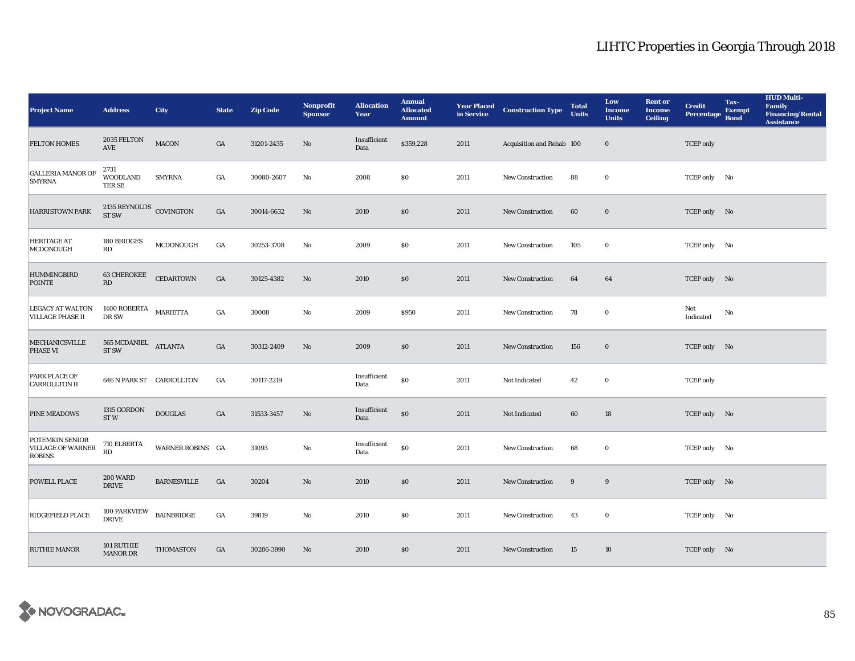| <b>Project Name</b>                                   | <b>Address</b>                               | <b>City</b>        | <b>State</b>     | <b>Zip Code</b> | <b>Nonprofit</b><br><b>Sponsor</b> | <b>Allocation</b><br>Year | <b>Annual</b><br><b>Allocated</b><br><b>Amount</b> |      | <b>Year Placed Construction Type</b><br>in Service | <b>Total</b><br><b>Units</b> | Low<br><b>Income</b><br><b>Units</b> | <b>Rent or</b><br><b>Income</b><br><b>Ceiling</b> | <b>Credit</b><br><b>Percentage</b> | Tax-<br><b>Exempt</b><br><b>Bond</b> | <b>HUD Multi-</b><br>Family<br><b>Financing/Rental</b><br><b>Assistance</b> |
|-------------------------------------------------------|----------------------------------------------|--------------------|------------------|-----------------|------------------------------------|---------------------------|----------------------------------------------------|------|----------------------------------------------------|------------------------------|--------------------------------------|---------------------------------------------------|------------------------------------|--------------------------------------|-----------------------------------------------------------------------------|
| <b>FELTON HOMES</b>                                   | $2035$ FELTON<br><b>AVE</b>                  | MACON              | GA               | 31201-2435      | No                                 | Insufficient<br>Data      | \$359,228                                          | 2011 | Acquisition and Rehab 100                          |                              | $\bf{0}$                             |                                                   | <b>TCEP</b> only                   |                                      |                                                                             |
| <b>GALLERIA MANOR OF</b><br><b>SMYRNA</b>             | 2731<br><b>WOODLAND</b><br>TER SE            | <b>SMYRNA</b>      | GA               | 30080-2607      | No                                 | 2008                      | \$0                                                | 2011 | New Construction                                   | 88                           | $\bf{0}$                             |                                                   | TCEP only No                       |                                      |                                                                             |
| <b>HARRISTOWN PARK</b>                                | 2135 REYNOLDS COVINGTON<br><b>ST SW</b>      |                    | $_{\mathrm{GA}}$ | 30014-6632      | No                                 | 2010                      | $\$0$                                              | 2011 | New Construction                                   | 60                           | $\bf{0}$                             |                                                   | TCEP only No                       |                                      |                                                                             |
| <b>HERITAGE AT</b><br>MCDONOUGH                       | 180 BRIDGES<br>RD                            | MCDONOUGH          | GA               | 30253-3708      | No                                 | 2009                      | \$0\$                                              | 2011 | New Construction                                   | 105                          | $\bf{0}$                             |                                                   | TCEP only No                       |                                      |                                                                             |
| <b>HUMMINGBIRD</b><br><b>POINTE</b>                   | <b>63 CHEROKEE</b><br>$\mathbf{R}\mathbf{D}$ | <b>CEDARTOWN</b>   | $_{\mathrm{GA}}$ | 30125-4382      | $\rm No$                           | 2010                      | $\$0$                                              | 2011 | New Construction                                   | 64                           | 64                                   |                                                   | TCEP only No                       |                                      |                                                                             |
| <b>LEGACY AT WALTON</b><br><b>VILLAGE PHASE II</b>    | 1400 ROBERTA MARIETTA<br>DR SW               |                    | GA               | 30008           | $\mathbf{N}\mathbf{o}$             | 2009                      | \$950                                              | 2011 | New Construction                                   | 78                           | $\bf{0}$                             |                                                   | Not<br>Indicated                   | No                                   |                                                                             |
| <b>MECHANICSVILLE</b><br>PHASE VI                     | 565 MCDANIEL<br>ST <sub>SW</sub>             | <b>ATLANTA</b>     | GA               | 30312-2409      | No                                 | 2009                      | \$0                                                | 2011 | <b>New Construction</b>                            | 156                          | $\bf{0}$                             |                                                   | TCEP only No                       |                                      |                                                                             |
| PARK PLACE OF<br><b>CARROLLTON II</b>                 | <b>646 N PARK ST CARROLLTON</b>              |                    | GA               | 30117-2219      |                                    | Insufficient<br>Data      | $\$0$                                              | 2011 | Not Indicated                                      | 42                           | $\bf{0}$                             |                                                   | <b>TCEP</b> only                   |                                      |                                                                             |
| <b>PINE MEADOWS</b>                                   | 1315 GORDON<br>ST <sub>W</sub>               | <b>DOUGLAS</b>     | GA               | 31533-3457      | No                                 | Insufficient<br>Data      | $\$0$                                              | 2011 | Not Indicated                                      | 60                           | 18                                   |                                                   | TCEP only No                       |                                      |                                                                             |
| POTEMKIN SENIOR<br>VILLAGE OF WARNER<br><b>ROBINS</b> | 710 ELBERTA<br>RD                            | WARNER ROBINS GA   |                  | 31093           | $\mathbf{N}\mathbf{o}$             | Insufficient<br>Data      | $\$0$                                              | 2011 | <b>New Construction</b>                            | 68                           | $\bf{0}$                             |                                                   | TCEP only No                       |                                      |                                                                             |
| POWELL PLACE                                          | <b>200 WARD</b><br><b>DRIVE</b>              | <b>BARNESVILLE</b> | GA               | 30204           | No                                 | 2010                      | \$0                                                | 2011 | New Construction                                   | 9                            | 9                                    |                                                   | TCEP only No                       |                                      |                                                                             |
| RIDGEFIELD PLACE                                      | 100 PARKVIEW<br><b>DRIVE</b>                 | <b>BAINBRIDGE</b>  | GA               | 39819           | $\mathbf{No}$                      | 2010                      | $\$0$                                              | 2011 | <b>New Construction</b>                            | 43                           | $\bf{0}$                             |                                                   | TCEP only No                       |                                      |                                                                             |
| <b>RUTHIE MANOR</b>                                   | 101 RUTHIE<br><b>MANOR DR</b>                | <b>THOMASTON</b>   | GA               | 30286-3990      | No                                 | 2010                      | \$0                                                | 2011 | <b>New Construction</b>                            | 15                           | 10                                   |                                                   | TCEP only No                       |                                      |                                                                             |

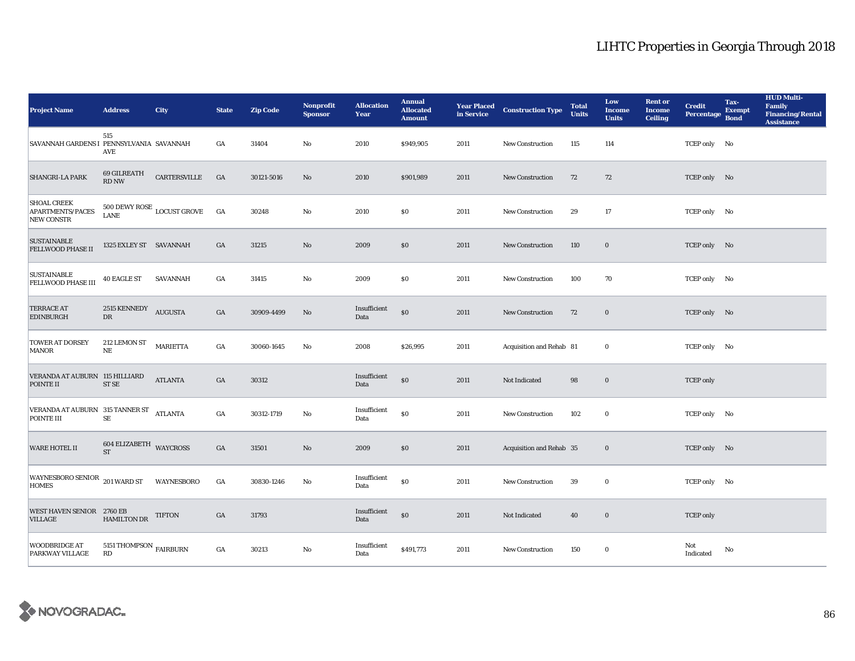| <b>Project Name</b>                                         | <b>Address</b>                        | <b>City</b>                         | <b>State</b>     | <b>Zip Code</b> | <b>Nonprofit</b><br><b>Sponsor</b> | <b>Allocation</b><br>Year | <b>Annual</b><br><b>Allocated</b><br><b>Amount</b> |      | <b>Year Placed Construction Type</b><br>in Service <b>Construction</b> Type | <b>Total</b><br><b>Units</b> | Low<br><b>Income</b><br><b>Units</b> | <b>Rent or</b><br><b>Income</b><br><b>Ceiling</b> | <b>Credit</b><br>Percentage | Tax-<br><b>Exempt</b><br><b>Bond</b> | <b>HUD Multi-</b><br>Family<br><b>Financing/Rental</b><br><b>Assistance</b> |
|-------------------------------------------------------------|---------------------------------------|-------------------------------------|------------------|-----------------|------------------------------------|---------------------------|----------------------------------------------------|------|-----------------------------------------------------------------------------|------------------------------|--------------------------------------|---------------------------------------------------|-----------------------------|--------------------------------------|-----------------------------------------------------------------------------|
| SAVANNAH GARDENS I PENNSYLVANIA SAVANNAH                    | 515<br>AVE                            |                                     | GA               | 31404           | $\mathbf{No}$                      | 2010                      | \$949,905                                          | 2011 | New Construction                                                            | 115                          | 114                                  |                                                   | TCEP only No                |                                      |                                                                             |
| SHANGRI-LA PARK                                             | 69 GILREATH<br>RD NW                  | CARTERSVILLE                        | GA               | 30121-5016      | No                                 | 2010                      | \$901,989                                          | 2011 | New Construction                                                            | 72                           | 72                                   |                                                   | TCEP only No                |                                      |                                                                             |
| <b>SHOAL CREEK</b><br>APARTMENTS/PACES<br><b>NEW CONSTR</b> | <b>LANE</b>                           | 500 DEWY ROSE $_{\rm LOCUST}$ GROVE | GA               | 30248           | $\rm\thinspace No$                 | 2010                      | $\boldsymbol{\mathsf{S}}\boldsymbol{\mathsf{0}}$   | 2011 | <b>New Construction</b>                                                     | 29                           | 17                                   |                                                   | TCEP only No                |                                      |                                                                             |
| <b>SUSTAINABLE</b><br><b>FELLWOOD PHASE II</b>              | 1325 EXLEY ST SAVANNAH                |                                     | GA               | 31215           | $\rm No$                           | 2009                      | $\$0$                                              | 2011 | New Construction                                                            | 110                          | $\bf{0}$                             |                                                   | TCEP only No                |                                      |                                                                             |
| <b>SUSTAINABLE</b><br>FELLWOOD PHASE III                    | <b>40 EAGLE ST</b>                    | SAVANNAH                            | GA               | 31415           | $\mathbf{N}\mathbf{o}$             | 2009                      | $\boldsymbol{\mathsf{S}}\boldsymbol{\mathsf{0}}$   | 2011 | New Construction                                                            | 100                          | 70                                   |                                                   | TCEP only No                |                                      |                                                                             |
| <b>TERRACE AT</b><br><b>EDINBURGH</b>                       | 2515 KENNEDY AUGUSTA<br>DR            |                                     | GA               | 30909-4499      | No                                 | Insufficient<br>Data      | $\$0$                                              | 2011 | <b>New Construction</b>                                                     | 72                           | $\bf{0}$                             |                                                   | TCEP only No                |                                      |                                                                             |
| <b>TOWER AT DORSEY</b><br>MANOR                             | 212 LEMON ST<br>$\rm NE$              | <b>MARIETTA</b>                     | GA               | 30060-1645      | No                                 | 2008                      | \$26,995                                           | 2011 | Acquisition and Rehab 81                                                    |                              | $\bf{0}$                             |                                                   | TCEP only No                |                                      |                                                                             |
| VERANDA AT AUBURN 115 HILLIARD<br>POINTE II                 | $STSE$                                | <b>ATLANTA</b>                      | GA               | 30312           |                                    | Insufficient<br>Data      | $\$0$                                              | 2011 | Not Indicated                                                               | 98                           | $\bf{0}$                             |                                                   | <b>TCEP</b> only            |                                      |                                                                             |
| VERANDA AT AUBURN 315 TANNER ST<br>-<br>POINTE III          | $\rm SE$                              |                                     | $_{\mathrm{GA}}$ | 30312-1719      | No                                 | Insufficient<br>Data      | $\$0$                                              | 2011 | New Construction                                                            | 102                          | $\bf{0}$                             |                                                   | TCEP only No                |                                      |                                                                             |
| WARE HOTEL II                                               | 604 ELIZABETH WAYCROSS<br><b>ST</b>   |                                     | $_{\mathrm{GA}}$ | 31501           | $\rm No$                           | 2009                      | $\$0$                                              | 2011 | Acquisition and Rehab 35                                                    |                              | $\bf{0}$                             |                                                   | TCEP only No                |                                      |                                                                             |
| WAYNESBORO SENIOR 201 WARD ST<br><b>HOMES</b>               |                                       | WAYNESBORO                          | GA               | 30830-1246      | No                                 | Insufficient<br>Data      | $\$0$                                              | 2011 | New Construction                                                            | 39                           | $\bf{0}$                             |                                                   | TCEP only No                |                                      |                                                                             |
| WEST HAVEN SENIOR 2760 EB<br><b>VILLAGE</b>                 | <b>HAMILTON DR</b>                    | TIFTON                              | GA               | 31793           |                                    | Insufficient<br>Data      | $\$0$                                              | 2011 | Not Indicated                                                               | 40                           | $\bf{0}$                             |                                                   | <b>TCEP</b> only            |                                      |                                                                             |
| <b>WOODBRIDGE AT</b><br>PARKWAY VILLAGE                     | 5151 THOMPSON $_{\rm FAIRBURN}$<br>RD |                                     | GA               | 30213           | No                                 | Insufficient<br>Data      | \$491,773                                          | 2011 | <b>New Construction</b>                                                     | 150                          | $\bf{0}$                             |                                                   | Not<br>Indicated            | No                                   |                                                                             |

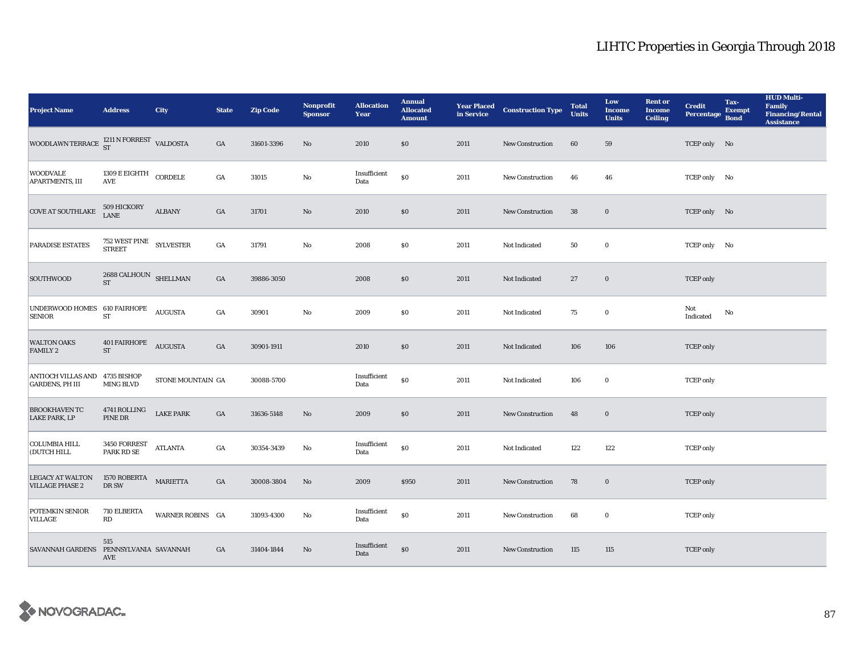| <b>Project Name</b>                                           | <b>Address</b>                                          | <b>City</b>       | <b>State</b>     | <b>Zip Code</b> | Nonprofit<br><b>Sponsor</b> | <b>Allocation</b><br>Year | <b>Annual</b><br><b>Allocated</b><br><b>Amount</b> |      | <b>Year Placed Construction Type</b><br>in Service | <b>Total</b><br><b>Units</b> | Low<br><b>Income</b><br><b>Units</b> | <b>Rent or</b><br><b>Income</b><br><b>Ceiling</b> | <b>Credit</b><br><b>Percentage</b> | Tax-<br><b>Exempt</b><br><b>Bond</b> | <b>HUD Multi-</b><br>Family<br>Financing/Rental<br><b>Assistance</b> |
|---------------------------------------------------------------|---------------------------------------------------------|-------------------|------------------|-----------------|-----------------------------|---------------------------|----------------------------------------------------|------|----------------------------------------------------|------------------------------|--------------------------------------|---------------------------------------------------|------------------------------------|--------------------------------------|----------------------------------------------------------------------|
| WOODLAWN TERRACE $^{1211 \text{ N} \text{ FORREST}}$ VALDOSTA |                                                         |                   | GA               | 31601-3396      | No                          | 2010                      | \$0                                                | 2011 | New Construction                                   | 60                           | 59                                   |                                                   | TCEP only No                       |                                      |                                                                      |
| <b>WOODVALE</b><br>APARTMENTS, III                            | 1309 E EIGHTH CORDELE<br>$\operatorname{AVE}$           |                   | $_{\mathrm{GA}}$ | 31015           | $\mathbf{N}\mathbf{o}$      | Insufficient<br>Data      | $\$0$                                              | 2011 | New Construction                                   | 46                           | 46                                   |                                                   | TCEP only No                       |                                      |                                                                      |
| <b>COVE AT SOUTHLAKE</b>                                      | 509 HICKORY<br>LANE                                     | <b>ALBANY</b>     | $_{\mathrm{GA}}$ | 31701           | $\rm No$                    | 2010                      | $\$0$                                              | 2011 | New Construction                                   | 38                           | $\mathbf 0$                          |                                                   | TCEP only No                       |                                      |                                                                      |
| PARADISE ESTATES                                              | $752\text{ WEST}$ $\text{PINE}\quad$ $\text{SYLVESTER}$ |                   | $_{\mathrm{GA}}$ | 31791           | $\mathbf{N}\mathbf{o}$      | 2008                      | $\boldsymbol{\mathsf{S}}\boldsymbol{\mathsf{0}}$   | 2011 | Not Indicated                                      | 50                           | $\bf{0}$                             |                                                   | TCEP only No                       |                                      |                                                                      |
| SOUTHWOOD                                                     | $2688$ CALHOUN $$\rm SHELLMAN$$ $$\rm ST$$              |                   | $_{\mathrm{GA}}$ | 39886-3050      |                             | 2008                      | \$0                                                | 2011 | Not Indicated                                      | 27                           | $\boldsymbol{0}$                     |                                                   | <b>TCEP</b> only                   |                                      |                                                                      |
| UNDERWOOD HOMES 610 FAIRHOPE<br><b>SENIOR</b>                 | <b>ST</b>                                               | <b>AUGUSTA</b>    | $_{\mathrm{GA}}$ | 30901           | $\rm No$                    | 2009                      | \$0                                                | 2011 | Not Indicated                                      | 75                           | $\bf{0}$                             |                                                   | Not<br>$\operatorname{Indicated}$  | $\mathbf{N}\mathbf{o}$               |                                                                      |
| <b>WALTON OAKS</b><br><b>FAMILY 2</b>                         | <b>401 FAIRHOPE</b><br><b>ST</b>                        | <b>AUGUSTA</b>    | GA               | 30901-1911      |                             | 2010                      | \$0                                                | 2011 | Not Indicated                                      | 106                          | 106                                  |                                                   | <b>TCEP</b> only                   |                                      |                                                                      |
| ANTIOCH VILLAS AND 4735 BISHOP<br><b>GARDENS, PH III</b>      | MING BLVD                                               | STONE MOUNTAIN GA |                  | 30088-5700      |                             | Insufficient<br>Data      | $\$0$                                              | 2011 | Not Indicated                                      | 106                          | $\bf{0}$                             |                                                   | <b>TCEP</b> only                   |                                      |                                                                      |
| <b>BROOKHAVEN TC</b><br><b>LAKE PARK, LP</b>                  | 4741 ROLLING<br>PINE DR                                 | <b>LAKE PARK</b>  | GA               | 31636-5148      | No                          | 2009                      | $\$0$                                              | 2011 | <b>New Construction</b>                            | 48                           | $\bf{0}$                             |                                                   | <b>TCEP</b> only                   |                                      |                                                                      |
| <b>COLUMBIA HILL</b><br>(DUTCH HILL                           | 3450 FORREST<br>PARK RD SE                              | <b>ATLANTA</b>    | GA               | 30354-3439      | No                          | Insufficient<br>Data      | $\$0$                                              | 2011 | Not Indicated                                      | 122                          | 122                                  |                                                   | <b>TCEP</b> only                   |                                      |                                                                      |
| <b>LEGACY AT WALTON</b><br><b>VILLAGE PHASE 2</b>             | 1570 $\sf{ROBERTA}$ MARIETTA<br>DR SW                   |                   | $_{\mathrm{GA}}$ | 30008-3804      | $\rm No$                    | 2009                      | \$950                                              | 2011 | New Construction                                   | 78                           | $\boldsymbol{0}$                     |                                                   | <b>TCEP</b> only                   |                                      |                                                                      |
| POTEMKIN SENIOR<br>VILLAGE                                    | 710 ELBERTA<br>RD                                       | WARNER ROBINS GA  |                  | 31093-4300      | No                          | Insufficient<br>Data      | $\$0$                                              | 2011 | New Construction                                   | 68                           | $\bf{0}$                             |                                                   | <b>TCEP</b> only                   |                                      |                                                                      |
| <b>SAVANNAH GARDENS</b>                                       | $515\,$<br>PENNSYLVANIA SAVANNAH<br>AVE                 |                   | GA               | 31404-1844      | No                          | Insufficient<br>Data      | \$0                                                | 2011 | <b>New Construction</b>                            | 115                          | 115                                  |                                                   | <b>TCEP</b> only                   |                                      |                                                                      |

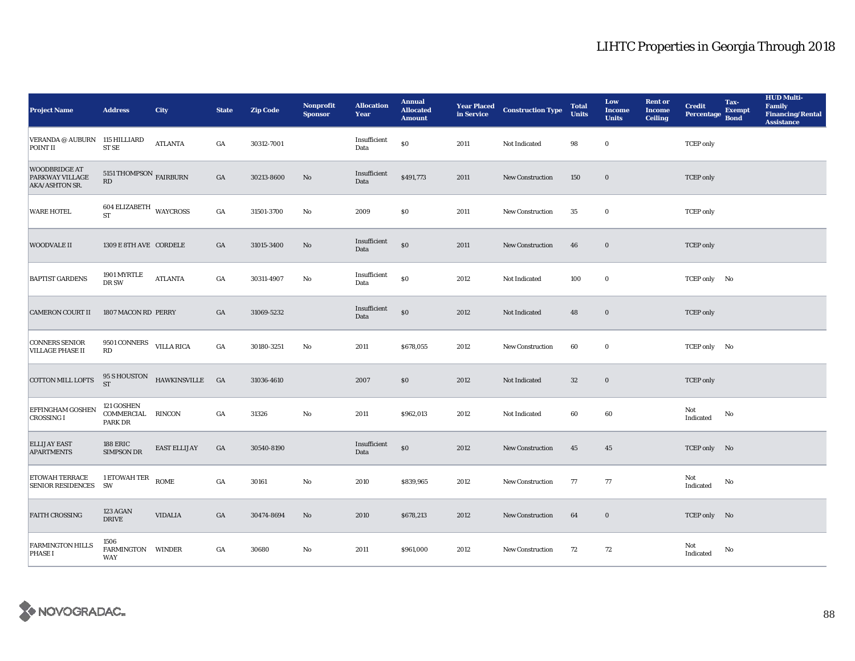| <b>Project Name</b>                                       | <b>Address</b>                             | <b>City</b>                               | <b>State</b>     | <b>Zip Code</b> | Nonprofit<br><b>Sponsor</b> | <b>Allocation</b><br>Year | <b>Annual</b><br><b>Allocated</b><br><b>Amount</b> |      | <b>Year Placed Construction Type</b><br>in Service <b>Construction</b> Type | <b>Total</b><br><b>Units</b> | Low<br><b>Income</b><br><b>Units</b> | <b>Rent</b> or<br><b>Income</b><br><b>Ceiling</b> | <b>Credit</b><br><b>Percentage</b> | Tax-<br><b>Exempt</b><br><b>Bond</b> | <b>HUD Multi-</b><br>Family<br><b>Financing/Rental</b><br><b>Assistance</b> |
|-----------------------------------------------------------|--------------------------------------------|-------------------------------------------|------------------|-----------------|-----------------------------|---------------------------|----------------------------------------------------|------|-----------------------------------------------------------------------------|------------------------------|--------------------------------------|---------------------------------------------------|------------------------------------|--------------------------------------|-----------------------------------------------------------------------------|
| VERANDA @ AUBURN<br>POINT II                              | 115 HILLIARD<br>ST SE                      | <b>ATLANTA</b>                            | GA               | 30312-7001      |                             | Insufficient<br>Data      | $\$0$                                              | 2011 | Not Indicated                                                               | 98                           | $\bf{0}$                             |                                                   | <b>TCEP</b> only                   |                                      |                                                                             |
| <b>WOODBRIDGE AT</b><br>PARKWAY VILLAGE<br>AKA/ASHTON SR. | 5151 THOMPSON $_{\rm FAIRBURN}$<br>RD      |                                           | $_{\mathrm{GA}}$ | 30213-8600      | $\rm No$                    | Insufficient<br>Data      | \$491,773                                          | 2011 | New Construction                                                            | 150                          | $\mathbf 0$                          |                                                   | <b>TCEP</b> only                   |                                      |                                                                             |
| <b>WARE HOTEL</b>                                         | $604$ ELIZABETH $\,$ WAYCROSS<br><b>ST</b> |                                           | $_{\mathrm{GA}}$ | 31501-3700      | $\rm\thinspace No$          | 2009                      | $\$0$                                              | 2011 | New Construction                                                            | 35                           | $\mathbf 0$                          |                                                   | <b>TCEP</b> only                   |                                      |                                                                             |
| <b>WOODVALE II</b>                                        | 1309 E 8TH AVE CORDELE                     |                                           | GA               | 31015-3400      | No                          | Insufficient<br>Data      | $\$0$                                              | 2011 | New Construction                                                            | 46                           | $\mathbf 0$                          |                                                   | <b>TCEP</b> only                   |                                      |                                                                             |
| <b>BAPTIST GARDENS</b>                                    | 1901 MYRTLE<br>$\rm DR~\rm SW$             | <b>ATLANTA</b>                            | $_{\mathrm{GA}}$ | 30311-4907      | $\mathbf{N}\mathbf{o}$      | Insufficient<br>Data      | $\$0$                                              | 2012 | Not Indicated                                                               | 100                          | $\bf{0}$                             |                                                   | TCEP only No                       |                                      |                                                                             |
| <b>CAMERON COURT II</b>                                   | 1807 MACON RD PERRY                        |                                           | $_{\mathrm{GA}}$ | 31069-5232      |                             | Insufficient<br>Data      | $\$0$                                              | 2012 | Not Indicated                                                               | 48                           | $\mathbf 0$                          |                                                   | <b>TCEP</b> only                   |                                      |                                                                             |
| <b>CONNERS SENIOR</b><br><b>VILLAGE PHASE II</b>          | 9501 CONNERS VILLA RICA<br>RD              |                                           | $_{\mathrm{GA}}$ | 30180-3251      | No                          | 2011                      | \$678,055                                          | 2012 | New Construction                                                            | 60                           | $\bf{0}$                             |                                                   | TCEP only No                       |                                      |                                                                             |
| COTTON MILL LOFTS                                         |                                            | $95$ S HOUSTON HAWKINSVILLE $\quad$ GA ST |                  | 31036-4610      |                             | 2007                      | $\$0$                                              | 2012 | Not Indicated                                                               | $32\,$                       | $\boldsymbol{0}$                     |                                                   | <b>TCEP</b> only                   |                                      |                                                                             |
| EFFINGHAM GOSHEN<br><b>CROSSING I</b>                     | 121 GOSHEN<br>COMMERCIAL RINCON<br>PARK DR |                                           | $_{\mathrm{GA}}$ | 31326           | $_{\rm No}$                 | 2011                      | \$962,013                                          | 2012 | Not Indicated                                                               | 60                           | 60                                   |                                                   | Not<br>Indicated                   | No                                   |                                                                             |
| <b>ELLIJAY EAST</b><br><b>APARTMENTS</b>                  | <b>188 ERIC</b><br><b>SIMPSON DR</b>       | <b>EAST ELLIJAY</b>                       | GA               | 30540-8190      |                             | Insufficient<br>Data      | $\$0$                                              | 2012 | New Construction                                                            | 45                           | 45                                   |                                                   | TCEP only No                       |                                      |                                                                             |
| ETOWAH TERRACE<br><b>SENIOR RESIDENCES</b>                | 1 ETOWAH TER<br><b>SW</b>                  | <b>ROME</b>                               | $_{\mathrm{GA}}$ | 30161           | $\mathbf{N}\mathbf{o}$      | 2010                      | \$839,965                                          | 2012 | New Construction                                                            | 77                           | 77                                   |                                                   | Not<br>Indicated                   | No                                   |                                                                             |
| <b>FAITH CROSSING</b>                                     | 123 AGAN<br><b>DRIVE</b>                   | <b>VIDALIA</b>                            | GA               | 30474-8694      | No                          | 2010                      | \$678,213                                          | 2012 | <b>New Construction</b>                                                     | 64                           | $\bf{0}$                             |                                                   | TCEP only No                       |                                      |                                                                             |
| <b>FARMINGTON HILLS</b><br><b>PHASE I</b>                 | 1506<br>FARMINGTON<br>WAY                  | <b>WINDER</b>                             | GA               | 30680           | $\mathbf{No}$               | 2011                      | \$961,000                                          | 2012 | <b>New Construction</b>                                                     | 72                           | 72                                   |                                                   | Not<br>Indicated                   | No                                   |                                                                             |

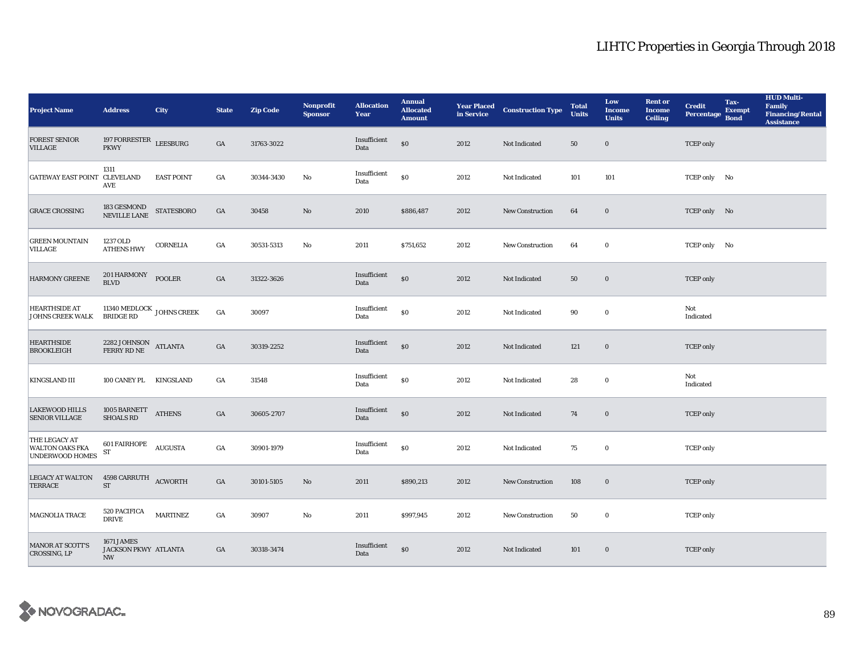| <b>Project Name</b>                                        | <b>Address</b>                                                 | <b>City</b>       | <b>State</b>     | <b>Zip Code</b> | Nonprofit<br><b>Sponsor</b> | <b>Allocation</b><br>Year | <b>Annual</b><br><b>Allocated</b><br><b>Amount</b> |      | <b>Year Placed Construction Type</b><br>in Service | <b>Total</b><br><b>Units</b> | Low<br><b>Income</b><br><b>Units</b> | <b>Rent or</b><br><b>Income</b><br><b>Ceiling</b> | <b>Credit</b><br><b>Percentage</b> | Tax-<br><b>Exempt</b><br><b>Bond</b> | <b>HUD Multi-</b><br>Family<br><b>Financing/Rental</b><br><b>Assistance</b> |
|------------------------------------------------------------|----------------------------------------------------------------|-------------------|------------------|-----------------|-----------------------------|---------------------------|----------------------------------------------------|------|----------------------------------------------------|------------------------------|--------------------------------------|---------------------------------------------------|------------------------------------|--------------------------------------|-----------------------------------------------------------------------------|
| <b>FOREST SENIOR</b><br><b>VILLAGE</b>                     | 197 FORRESTER LEESBURG<br><b>PKWY</b>                          |                   | $_{\mathrm{GA}}$ | 31763-3022      |                             | Insufficient<br>Data      | $\$0$                                              | 2012 | Not Indicated                                      | 50                           | $\bf{0}$                             |                                                   | <b>TCEP</b> only                   |                                      |                                                                             |
| GATEWAY EAST POINT CLEVELAND                               | 1311<br><b>AVE</b>                                             | <b>EAST POINT</b> | $_{\mathrm{GA}}$ | 30344-3430      | No                          | Insufficient<br>Data      | $\$0$                                              | 2012 | Not Indicated                                      | 101                          | 101                                  |                                                   | TCEP only No                       |                                      |                                                                             |
| <b>GRACE CROSSING</b>                                      | 183 GESMOND<br>NEVILLE LANE                                    | <b>STATESBORO</b> | $_{\mathrm{GA}}$ | 30458           | $\rm No$                    | 2010                      | \$886,487                                          | 2012 | New Construction                                   | 64                           | $\bf{0}$                             |                                                   | TCEP only No                       |                                      |                                                                             |
| <b>GREEN MOUNTAIN</b><br>VILLAGE                           | 1237 OLD<br><b>ATHENS HWY</b>                                  | <b>CORNELIA</b>   | GA               | 30531-5313      | No                          | 2011                      | \$751,652                                          | 2012 | <b>New Construction</b>                            | 64                           | $\bf{0}$                             |                                                   | TCEP only No                       |                                      |                                                                             |
| <b>HARMONY GREENE</b>                                      | 201 HARMONY<br><b>BLVD</b>                                     | <b>POOLER</b>     | $_{\mathrm{GA}}$ | 31322-3626      |                             | Insufficient<br>Data      | $\$0$                                              | 2012 | Not Indicated                                      | 50                           | $\bf{0}$                             |                                                   | <b>TCEP</b> only                   |                                      |                                                                             |
| <b>HEARTHSIDE AT</b><br><b>JOHNS CREEK WALK</b>            | 11340 MEDLOCK JOHNS CREEK<br>BRIDGE RD                         |                   | $_{\mathrm{GA}}$ | 30097           |                             | Insufficient<br>Data      | $\$0$                                              | 2012 | Not Indicated                                      | 90                           | $\bf{0}$                             |                                                   | Not<br>Indicated                   |                                      |                                                                             |
| <b>HEARTHSIDE</b><br><b>BROOKLEIGH</b>                     | $2282$ JOHNSON $$\rm{ATLANTA}$$ FERRY RD NE                    |                   | $_{\mathrm{GA}}$ | 30319-2252      |                             | Insufficient<br>Data      | $\$0$                                              | 2012 | Not Indicated                                      | 121                          | $\mathbf 0$                          |                                                   | <b>TCEP</b> only                   |                                      |                                                                             |
| <b>KINGSLAND III</b>                                       | 100 CANEY PL KINGSLAND                                         |                   | GA               | 31548           |                             | Insufficient<br>Data      | $\$0$                                              | 2012 | Not Indicated                                      | 28                           | $\bf{0}$                             |                                                   | Not<br>Indicated                   |                                      |                                                                             |
| <b>LAKEWOOD HILLS</b><br><b>SENIOR VILLAGE</b>             | $1005$ BARNETT ATHENS SHOALS RD                                |                   | GA               | 30605-2707      |                             | Insufficient<br>Data      | $\$0$                                              | 2012 | Not Indicated                                      | 74                           | $\bf{0}$                             |                                                   | <b>TCEP</b> only                   |                                      |                                                                             |
| THE LEGACY AT<br><b>WALTON OAKS FKA</b><br>UNDERWOOD HOMES | 601 FAIRHOPE<br>ST                                             | <b>AUGUSTA</b>    | GA               | 30901-1979      |                             | Insufficient<br>Data      | $\$0$                                              | 2012 | Not Indicated                                      | 75                           | $\bf{0}$                             |                                                   | <b>TCEP</b> only                   |                                      |                                                                             |
| LEGACY AT WALTON 4598 CARRUTH ACWORTH<br><b>TERRACE</b>    | ${\rm ST}$                                                     |                   | $_{\mathrm{GA}}$ | 30101-5105      | $\rm No$                    | 2011                      | \$890,213                                          | 2012 | New Construction                                   | 108                          | $\bf{0}$                             |                                                   | <b>TCEP</b> only                   |                                      |                                                                             |
| MAGNOLIA TRACE                                             | 520 PACIFICA<br><b>DRIVE</b>                                   | $\mbox{MARTINEZ}$ | GA               | 30907           | No                          | 2011                      | \$997,945                                          | 2012 | New Construction                                   | 50                           | $\bf{0}$                             |                                                   | <b>TCEP</b> only                   |                                      |                                                                             |
| <b>MANOR AT SCOTT'S</b><br>CROSSING, LP                    | 1671 JAMES<br>JACKSON PKWY ATLANTA<br>$\ensuremath{\text{NW}}$ |                   | GA               | 30318-3474      |                             | Insufficient<br>Data      | \$0                                                | 2012 | Not Indicated                                      | 101                          | $\bf{0}$                             |                                                   | <b>TCEP</b> only                   |                                      |                                                                             |

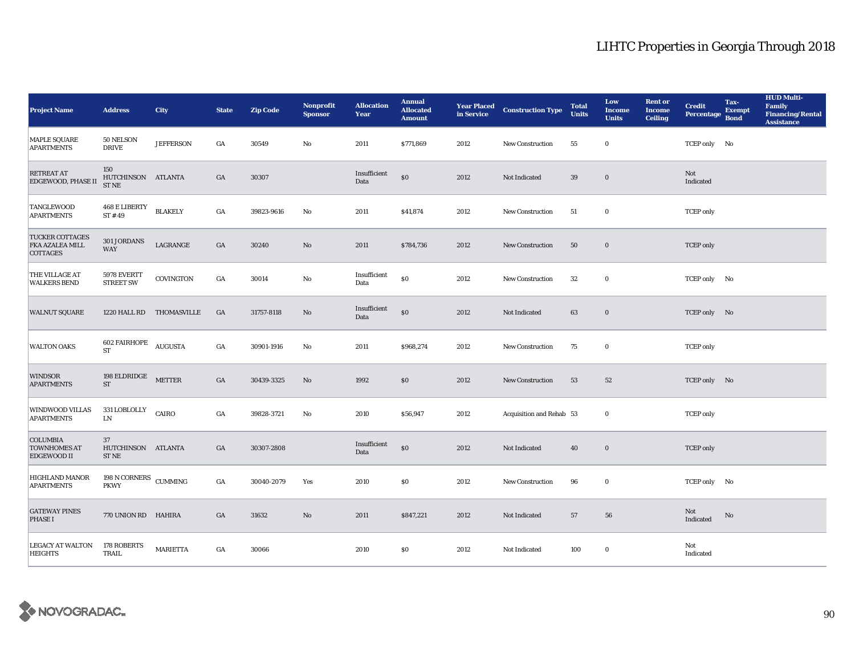| <b>Project Name</b>                                          | <b>Address</b>                                     | City                     | <b>State</b>     | <b>Zip Code</b> | Nonprofit<br><b>Sponsor</b> | <b>Allocation</b><br>Year | <b>Annual</b><br><b>Allocated</b><br><b>Amount</b> |      | <b>Year Placed Construction Type</b><br>in Service | <b>Total</b><br><b>Units</b> | Low<br><b>Income</b><br><b>Units</b> | <b>Rent or</b><br><b>Income</b><br><b>Ceiling</b> | <b>Credit</b><br><b>Percentage</b> | Tax-<br><b>Exempt</b><br><b>Bond</b> | <b>HUD Multi-</b><br><b>Family</b><br><b>Financing/Rental</b><br><b>Assistance</b> |
|--------------------------------------------------------------|----------------------------------------------------|--------------------------|------------------|-----------------|-----------------------------|---------------------------|----------------------------------------------------|------|----------------------------------------------------|------------------------------|--------------------------------------|---------------------------------------------------|------------------------------------|--------------------------------------|------------------------------------------------------------------------------------|
| <b>MAPLE SQUARE</b><br><b>APARTMENTS</b>                     | 50 NELSON<br><b>DRIVE</b>                          | <b>JEFFERSON</b>         | GA               | 30549           | No                          | 2011                      | \$771,869                                          | 2012 | <b>New Construction</b>                            | 55                           | $\bf{0}$                             |                                                   | TCEP only No                       |                                      |                                                                                    |
| RETREAT AT<br><b>EDGEWOOD, PHASE II</b>                      | 150<br>HUTCHINSON ATLANTA<br><b>STNE</b>           |                          | GA               | 30307           |                             | Insufficient<br>Data      | $\$0$                                              | 2012 | Not Indicated                                      | 39                           | $\boldsymbol{0}$                     |                                                   | Not<br>Indicated                   |                                      |                                                                                    |
| <b>TANGLEWOOD</b><br><b>APARTMENTS</b>                       | <b>468 E LIBERTY</b><br>ST#49                      | <b>BLAKELY</b>           | $_{\mathrm{GA}}$ | 39823-9616      | No                          | 2011                      | \$41,874                                           | 2012 | New Construction                                   | 51                           | $\bf{0}$                             |                                                   | <b>TCEP</b> only                   |                                      |                                                                                    |
| <b>TUCKER COTTAGES</b><br>FKA AZALEA MILL<br>COTTAGES        | 301 JORDANS<br><b>WAY</b>                          | LAGRANGE                 | GA               | 30240           | $\rm No$                    | 2011                      | \$784,736                                          | 2012 | New Construction                                   | 50                           | $\boldsymbol{0}$                     |                                                   | <b>TCEP</b> only                   |                                      |                                                                                    |
| THE VILLAGE AT<br><b>WALKERS BEND</b>                        | 5978 EVERTT<br><b>STREET SW</b>                    | COVINGTON                | GA               | 30014           | No                          | Insufficient<br>Data      | $\$0$                                              | 2012 | New Construction                                   | $32\,$                       | $\bf{0}$                             |                                                   | TCEP only No                       |                                      |                                                                                    |
| <b>WALNUT SQUARE</b>                                         |                                                    | 1220 HALL RD THOMASVILLE | GA               | 31757-8118      | No                          | Insufficient<br>Data      | $\$0$                                              | 2012 | Not Indicated                                      | 63                           | $\bf{0}$                             |                                                   | TCEP only No                       |                                      |                                                                                    |
| <b>WALTON OAKS</b>                                           | 602 FAIRHOPE AUGUSTA<br><b>ST</b>                  |                          | $_{\mathrm{GA}}$ | 30901-1916      | No                          | 2011                      | \$968,274                                          | 2012 | New Construction                                   | 75                           | $\bf{0}$                             |                                                   | <b>TCEP</b> only                   |                                      |                                                                                    |
| <b>WINDSOR</b><br><b>APARTMENTS</b>                          | $198$ ELDRIDGE $\,$<br>${\rm ST}$                  | <b>METTER</b>            | GA               | 30439-3325      | No                          | 1992                      | \$0\$                                              | 2012 | New Construction                                   | 53                           | 52                                   |                                                   | TCEP only No                       |                                      |                                                                                    |
| WINDWOOD VILLAS<br><b>APARTMENTS</b>                         | 331 LOBLOLLY<br>${\rm LN}$                         | CAIRO                    | $_{\mathrm{GA}}$ | 39828-3721      | No                          | 2010                      | \$56,947                                           | 2012 | Acquisition and Rehab 53                           |                              | $\bf{0}$                             |                                                   | <b>TCEP</b> only                   |                                      |                                                                                    |
| <b>COLUMBIA</b><br><b>TOWNHOMES AT</b><br><b>EDGEWOOD II</b> | 37<br>HUTCHINSON ATLANTA<br>$\operatorname{ST}$ NE |                          | GA               | 30307-2808      |                             | Insufficient<br>Data      | $\$0$                                              | 2012 | Not Indicated                                      | 40                           | $\boldsymbol{0}$                     |                                                   | <b>TCEP</b> only                   |                                      |                                                                                    |
| <b>HIGHLAND MANOR</b><br><b>APARTMENTS</b>                   | 198 N CORNERS CUMMING<br><b>PKWY</b>               |                          | GA               | 30040-2079      | Yes                         | 2010                      | \$0                                                | 2012 | <b>New Construction</b>                            | 96                           | $\bf{0}$                             |                                                   | TCEP only No                       |                                      |                                                                                    |
| <b>GATEWAY PINES</b><br><b>PHASE I</b>                       | 770 UNION RD HAHIRA                                |                          | GA               | 31632           | No                          | 2011                      | \$847,221                                          | 2012 | Not Indicated                                      | 57                           | 56                                   |                                                   | Not<br>Indicated                   | No                                   |                                                                                    |
| <b>LEGACY AT WALTON</b><br><b>HEIGHTS</b>                    | 178 ROBERTS<br>TRAIL                               | <b>MARIETTA</b>          | GA               | 30066           |                             | 2010                      | \$0                                                | 2012 | Not Indicated                                      | 100                          | $\bf{0}$                             |                                                   | Not<br>Indicated                   |                                      |                                                                                    |

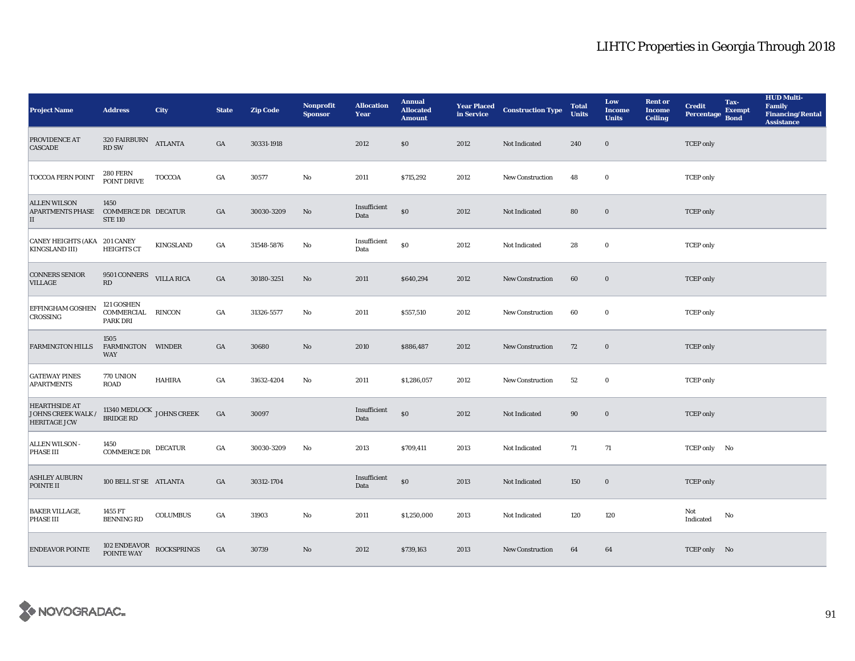| <b>Project Name</b>                                               | <b>Address</b>                                       | <b>City</b>                                                        | <b>State</b>     | <b>Zip Code</b> | <b>Nonprofit</b><br><b>Sponsor</b> | <b>Allocation</b><br>Year | <b>Annual</b><br><b>Allocated</b><br><b>Amount</b> |      | <b>Year Placed Construction Type</b><br>in Service | <b>Total</b><br><b>Units</b> | Low<br><b>Income</b><br><b>Units</b> | <b>Rent or</b><br><b>Income</b><br><b>Ceiling</b> | <b>Credit</b><br><b>Percentage</b> | Tax-<br><b>Exempt</b><br><b>Bond</b> | <b>HUD Multi-</b><br>Family<br><b>Financing/Rental</b><br><b>Assistance</b> |
|-------------------------------------------------------------------|------------------------------------------------------|--------------------------------------------------------------------|------------------|-----------------|------------------------------------|---------------------------|----------------------------------------------------|------|----------------------------------------------------|------------------------------|--------------------------------------|---------------------------------------------------|------------------------------------|--------------------------------------|-----------------------------------------------------------------------------|
| PROVIDENCE AT<br><b>CASCADE</b>                                   | $320\text{ FAIRBURN}$ ATLANTA<br><b>RD SW</b>        |                                                                    | $_{\mathrm{GA}}$ | 30331-1918      |                                    | 2012                      | \$0                                                | 2012 | Not Indicated                                      | 240                          | $\bf{0}$                             |                                                   | <b>TCEP</b> only                   |                                      |                                                                             |
| <b>TOCCOA FERN POINT</b>                                          | <b>280 FERN</b><br>POINT DRIVE                       | <b>TOCCOA</b>                                                      | GA               | 30577           | No                                 | 2011                      | \$715,292                                          | 2012 | <b>New Construction</b>                            | 48                           | $\bf{0}$                             |                                                   | <b>TCEP</b> only                   |                                      |                                                                             |
| <b>ALLEN WILSON</b><br><b>APARTMENTS PHASE</b><br>$\rm _{II}$     | 1450<br><b>COMMERCE DR DECATUR</b><br><b>STE 110</b> |                                                                    | $_{\mathrm{GA}}$ | 30030-3209      | $\rm No$                           | Insufficient<br>Data      | $\$0$                                              | 2012 | Not Indicated                                      | 80                           | $\mathbf 0$                          |                                                   | <b>TCEP</b> only                   |                                      |                                                                             |
| <b>CANEY HEIGHTS (AKA 201 CANEY</b><br><b>KINGSLAND III)</b>      | <b>HEIGHTS CT</b>                                    | KINGSLAND                                                          | GA               | 31548-5876      | No                                 | Insufficient<br>Data      | $\$0$                                              | 2012 | Not Indicated                                      | 28                           | $\bf{0}$                             |                                                   | <b>TCEP</b> only                   |                                      |                                                                             |
| <b>CONNERS SENIOR</b><br>VILLAGE                                  | 9501 CONNERS<br>RD                                   | <b>VILLA RICA</b>                                                  | $_{\mathrm{GA}}$ | 30180-3251      | No                                 | 2011                      | \$640,294                                          | 2012 | New Construction                                   | 60                           | $\bf{0}$                             |                                                   | <b>TCEP</b> only                   |                                      |                                                                             |
| EFFINGHAM GOSHEN<br>CROSSING                                      | 121 GOSHEN<br>COMMERCIAL<br><b>PARK DRI</b>          | RINCON                                                             | $_{\mathrm{GA}}$ | 31326-5577      | $\mathbf{N}\mathbf{o}$             | 2011                      | \$557,510                                          | 2012 | New Construction                                   | 60                           | $\bf{0}$                             |                                                   | <b>TCEP</b> only                   |                                      |                                                                             |
| <b>FARMINGTON HILLS</b>                                           | 1505<br>FARMINGTON WINDER<br><b>WAY</b>              |                                                                    | GA               | 30680           | $\rm No$                           | 2010                      | \$886,487                                          | 2012 | New Construction                                   | 72                           | $\bf{0}$                             |                                                   | <b>TCEP</b> only                   |                                      |                                                                             |
| <b>GATEWAY PINES</b><br><b>APARTMENTS</b>                         | <b>770 UNION</b><br><b>ROAD</b>                      | <b>HAHIRA</b>                                                      | GA               | 31632-4204      | No                                 | 2011                      | \$1,286,057                                        | 2012 | New Construction                                   | 52                           | $\bf{0}$                             |                                                   | <b>TCEP</b> only                   |                                      |                                                                             |
| <b>HEARTHSIDE AT</b><br>JOHNS CREEK WALK /<br><b>HERITAGE JCW</b> |                                                      | $11340\text{ MEDLOCK}\ \text{JOHNS CREEK}\ \text{BRIDGE RD}$       | GA               | 30097           |                                    | Insufficient<br>Data      | $\$0$                                              | 2012 | Not Indicated                                      | 90                           | $\bf{0}$                             |                                                   | <b>TCEP</b> only                   |                                      |                                                                             |
| ALLEN WILSON -<br>PHASE III                                       | 1450<br><b>COMMERCE DR</b>                           | <b>DECATUR</b>                                                     | GA               | 30030-3209      | No                                 | 2013                      | \$709,411                                          | 2013 | Not Indicated                                      | 71                           | 71                                   |                                                   | TCEP only No                       |                                      |                                                                             |
| <b>ASHLEY AUBURN</b><br>POINTE II                                 | 100 BELL ST SE ATLANTA                               |                                                                    | GA               | 30312-1704      |                                    | Insufficient<br>Data      | $\$0$                                              | 2013 | Not Indicated                                      | 150                          | $\bf{0}$                             |                                                   | <b>TCEP</b> only                   |                                      |                                                                             |
| <b>BAKER VILLAGE,</b><br>PHASE III                                | 1455 FT<br><b>BENNING RD</b>                         | <b>COLUMBUS</b>                                                    | GA               | 31903           | No                                 | 2011                      | \$1,250,000                                        | 2013 | Not Indicated                                      | 120                          | 120                                  |                                                   | Not<br>Indicated                   | No                                   |                                                                             |
| <b>ENDEAVOR POINTE</b>                                            |                                                      | $102$ ${\tt ENDEAVOR} \atop {\tt POINTE\,WAY}$ ${\tt ROCKSPRINGS}$ | GA               | 30739           | No                                 | 2012                      | \$739,163                                          | 2013 | <b>New Construction</b>                            | 64                           | 64                                   |                                                   | TCEP only No                       |                                      |                                                                             |

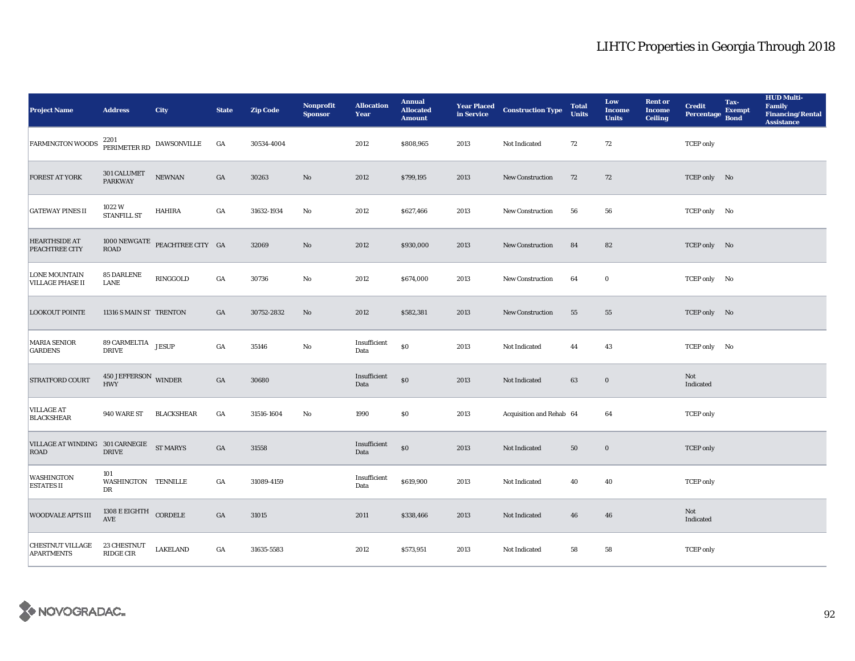| <b>Project Name</b>                              | <b>Address</b>                        | <b>City</b>                                     | <b>State</b>     | <b>Zip Code</b> | <b>Nonprofit</b><br><b>Sponsor</b> | <b>Allocation</b><br>Year | <b>Annual</b><br><b>Allocated</b><br><b>Amount</b> |      | <b>Year Placed Construction Type</b><br>in Service | <b>Total</b><br><b>Units</b> | Low<br><b>Income</b><br><b>Units</b> | <b>Rent or</b><br><b>Income</b><br><b>Ceiling</b> | <b>Credit</b><br><b>Percentage</b> | Tax-<br><b>Exempt</b><br><b>Bond</b> | <b>HUD Multi-</b><br>Family<br><b>Financing/Rental</b><br><b>Assistance</b> |
|--------------------------------------------------|---------------------------------------|-------------------------------------------------|------------------|-----------------|------------------------------------|---------------------------|----------------------------------------------------|------|----------------------------------------------------|------------------------------|--------------------------------------|---------------------------------------------------|------------------------------------|--------------------------------------|-----------------------------------------------------------------------------|
| <b>FARMINGTON WOODS</b>                          |                                       | $2201$ $\,$ PERIMETER RD $\,$ DAWSONVILLE       | GA               | 30534-4004      |                                    | 2012                      | \$808,965                                          | 2013 | Not Indicated                                      | 72                           | 72                                   |                                                   | <b>TCEP</b> only                   |                                      |                                                                             |
| FOREST AT YORK                                   | 301 CALUMET<br>PARKWAY                | ${\bf NEWNAN}$                                  | $_{\mathrm{GA}}$ | 30263           | No                                 | 2012                      | \$799,195                                          | 2013 | New Construction                                   | 72                           | 72                                   |                                                   | TCEP only No                       |                                      |                                                                             |
| <b>GATEWAY PINES II</b>                          | 1022W<br><b>STANFILL ST</b>           | HAHIRA                                          | $_{\mathrm{GA}}$ | 31632-1934      | $\mathbf{N}\mathbf{o}$             | 2012                      | \$627,466                                          | 2013 | New Construction                                   | 56                           | 56                                   |                                                   | TCEP only No                       |                                      |                                                                             |
| <b>HEARTHSIDE AT</b><br>PEACHTREE CITY           | ROAD                                  | $1000\;\mathrm{NEWGATE}$ PEACHTREE CITY $\;$ GA |                  | 32069           | $\rm No$                           | 2012                      | \$930,000                                          | 2013 | New Construction                                   | 84                           | 82                                   |                                                   | TCEP only No                       |                                      |                                                                             |
| <b>LONE MOUNTAIN</b><br><b>VILLAGE PHASE II</b>  | <b>85 DARLENE</b><br><b>LANE</b>      | RINGGOLD                                        | GA               | 30736           | $\mathbf{N}\mathbf{o}$             | 2012                      | \$674,000                                          | 2013 | New Construction                                   | 64                           | $\bf{0}$                             |                                                   | TCEP only No                       |                                      |                                                                             |
| <b>LOOKOUT POINTE</b>                            | 11316 S MAIN ST TRENTON               |                                                 | GA               | 30752-2832      | No                                 | 2012                      | \$582,381                                          | 2013 | <b>New Construction</b>                            | 55                           | 55                                   |                                                   | TCEP only No                       |                                      |                                                                             |
| <b>MARIA SENIOR</b><br><b>GARDENS</b>            | 89 CARMELTIA JESUP<br><b>DRIVE</b>    |                                                 | $_{\mathrm{GA}}$ | 35146           | No                                 | Insufficient<br>Data      | $\$0$                                              | 2013 | Not Indicated                                      | 44                           | 43                                   |                                                   | TCEP only No                       |                                      |                                                                             |
| <b>STRATFORD COURT</b>                           | $450$ JEFFERSON $\,$ WINDER HWY       |                                                 | $_{\mathrm{GA}}$ | 30680           |                                    | Insufficient<br>Data      | $\$0$                                              | 2013 | Not Indicated                                      | 63                           | $\bf{0}$                             |                                                   | Not<br>Indicated                   |                                      |                                                                             |
| <b>VILLAGE AT</b><br><b>BLACKSHEAR</b>           | 940 WARE ST                           | <b>BLACKSHEAR</b>                               | $_{\mathrm{GA}}$ | 31516-1604      | $\mathbf{N}\mathbf{o}$             | 1990                      | $\boldsymbol{\mathsf{S}}\boldsymbol{\mathsf{0}}$   | 2013 | Acquisition and Rehab 64                           |                              | 64                                   |                                                   | <b>TCEP</b> only                   |                                      |                                                                             |
| VILLAGE AT WINDING 301 CARNEGIE ST MARYS<br>ROAD | <b>DRIVE</b>                          |                                                 | $_{\mathrm{GA}}$ | 31558           |                                    | Insufficient<br>Data      | $\$0$                                              | 2013 | Not Indicated                                      | 50                           | $\bf{0}$                             |                                                   | <b>TCEP</b> only                   |                                      |                                                                             |
| WASHINGTON<br><b>ESTATES II</b>                  | 101<br>WASHINGTON TENNILLE<br>DR      |                                                 | GA               | 31089-4159      |                                    | Insufficient<br>Data      | \$619,900                                          | 2013 | Not Indicated                                      | 40                           | 40                                   |                                                   | <b>TCEP</b> only                   |                                      |                                                                             |
| <b>WOODVALE APTS III</b>                         | $1308\to \mathrm{EIGHTH}$ CORDELE AVE |                                                 | GA               | 31015           |                                    | 2011                      | \$338,466                                          | 2013 | Not Indicated                                      | 46                           | 46                                   |                                                   | Not<br>Indicated                   |                                      |                                                                             |
| <b>CHESTNUT VILLAGE</b><br><b>APARTMENTS</b>     | 23 CHESTNUT<br><b>RIDGE CIR</b>       | <b>LAKELAND</b>                                 | GA               | 31635-5583      |                                    | 2012                      | \$573,951                                          | 2013 | Not Indicated                                      | 58                           | 58                                   |                                                   | <b>TCEP</b> only                   |                                      |                                                                             |

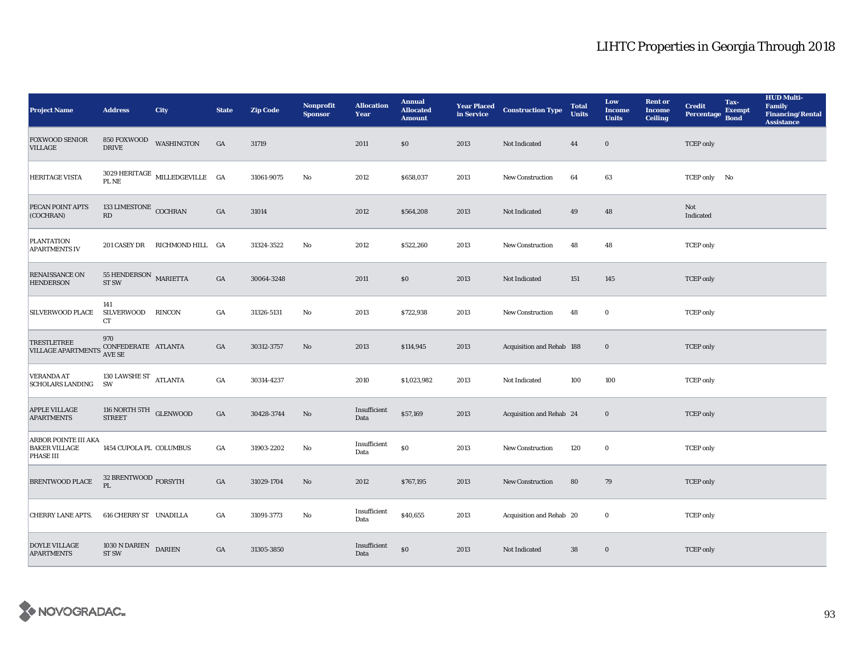| <b>Project Name</b>                                       | <b>Address</b>                                   | <b>City</b>                              | <b>State</b>     | <b>Zip Code</b> | Nonprofit<br><b>Sponsor</b> | <b>Allocation</b><br>Year | <b>Annual</b><br><b>Allocated</b><br><b>Amount</b> |      | <b>Year Placed Construction Type</b><br>in Service | <b>Total</b><br><b>Units</b> | Low<br><b>Income</b><br><b>Units</b> | <b>Rent or</b><br><b>Income</b><br><b>Ceiling</b> | <b>Credit</b><br><b>Percentage</b> | Tax-<br><b>Exempt</b><br><b>Bond</b> | <b>HUD Multi-</b><br>Family<br><b>Financing/Rental</b><br><b>Assistance</b> |
|-----------------------------------------------------------|--------------------------------------------------|------------------------------------------|------------------|-----------------|-----------------------------|---------------------------|----------------------------------------------------|------|----------------------------------------------------|------------------------------|--------------------------------------|---------------------------------------------------|------------------------------------|--------------------------------------|-----------------------------------------------------------------------------|
| <b>FOXWOOD SENIOR</b><br><b>VILLAGE</b>                   | 850 FOXWOOD<br><b>DRIVE</b>                      | WASHINGTON                               | GA               | 31719           |                             | 2011                      | \$0                                                | 2013 | Not Indicated                                      | 44                           | $\mathbf 0$                          |                                                   | <b>TCEP</b> only                   |                                      |                                                                             |
| HERITAGE VISTA                                            |                                                  | $3029\rm~HERTAGE$ MILLEDGEVILLE $\rm~GA$ |                  | 31061-9075      | No                          | 2012                      | \$658,037                                          | 2013 | New Construction                                   | 64                           | 63                                   |                                                   | TCEP only No                       |                                      |                                                                             |
| PECAN POINT APTS<br>(COCHRAN)                             | 133 LIMESTONE COCHRAN<br>$\mathbf{R}\mathbf{D}$  |                                          | $_{\mathrm{GA}}$ | 31014           |                             | 2012                      | \$564,208                                          | 2013 | Not Indicated                                      | 49                           | 48                                   |                                                   | Not<br>Indicated                   |                                      |                                                                             |
| <b>PLANTATION</b><br><b>APARTMENTS IV</b>                 |                                                  | 201 CASEY DR RICHMOND HILL GA            |                  | 31324-3522      | $\mathbf{N}\mathbf{o}$      | 2012                      | \$522,260                                          | 2013 | New Construction                                   | 48                           | 48                                   |                                                   | <b>TCEP</b> only                   |                                      |                                                                             |
| RENAISSANCE ON<br><b>HENDERSON</b>                        | $55$ HENDERSON $\,$ MARIETTA<br>ST <sub>SW</sub> |                                          | $_{\mathrm{GA}}$ | 30064-3248      |                             | 2011                      | \$0                                                | 2013 | Not Indicated                                      | 151                          | 145                                  |                                                   | <b>TCEP</b> only                   |                                      |                                                                             |
| SILVERWOOD PLACE                                          | 141<br><b>SILVERWOOD</b><br>CT                   | RINCON                                   | GA               | 31326-5131      | $\mathbf{N}\mathbf{o}$      | 2013                      | \$722,938                                          | 2013 | <b>New Construction</b>                            | 48                           | $\bf{0}$                             |                                                   | <b>TCEP</b> only                   |                                      |                                                                             |
| <b>TRESTLETREE</b><br>VILLAGE APARTMENTS AVE SE           | 970<br>CONFEDERATE ATLANTA                       |                                          | GA               | 30312-3757      | No                          | 2013                      | \$114,945                                          | 2013 | Acquisition and Rehab 188                          |                              | $\bf{0}$                             |                                                   | <b>TCEP</b> only                   |                                      |                                                                             |
| <b>VERANDA AT</b><br><b>SCHOLARS LANDING</b>              | 130 LAWSHE ST $\rm_{ATLANTA}$<br><b>SW</b>       |                                          | $_{\mathrm{GA}}$ | 30314-4237      |                             | 2010                      | \$1,023,982                                        | 2013 | Not Indicated                                      | 100                          | 100                                  |                                                   | <b>TCEP</b> only                   |                                      |                                                                             |
| APPLE VILLAGE<br><b>APARTMENTS</b>                        | 116 NORTH 5TH GLENWOOD<br><b>STREET</b>          |                                          | $_{\mathrm{GA}}$ | 30428-3744      | No                          | Insufficient<br>Data      | \$57,169                                           | 2013 | Acquisition and Rehab 24                           |                              | $\bf{0}$                             |                                                   | <b>TCEP</b> only                   |                                      |                                                                             |
| ARBOR POINTE III AKA<br><b>BAKER VILLAGE</b><br>PHASE III | 1454 CUPOLA PL COLUMBUS                          |                                          | GA               | 31903-2202      | No                          | Insufficient<br>Data      | $\$0$                                              | 2013 | <b>New Construction</b>                            | 120                          | $\bf{0}$                             |                                                   | <b>TCEP</b> only                   |                                      |                                                                             |
| <b>BRENTWOOD PLACE</b>                                    | 32 BRENTWOOD $_{\rm FORSYTH}$<br>$\mathbf{PL}$   |                                          | $_{\mathrm{GA}}$ | 31029-1704      | $\rm No$                    | 2012                      | \$767,195                                          | 2013 | New Construction                                   | 80                           | 79                                   |                                                   | <b>TCEP</b> only                   |                                      |                                                                             |
| <b>CHERRY LANE APTS.</b>                                  | 616 CHERRY ST UNADILLA                           |                                          | GA               | 31091-3773      | No                          | Insufficient<br>Data      | \$40,655                                           | 2013 | Acquisition and Rehab 20                           |                              | $\bf{0}$                             |                                                   | <b>TCEP</b> only                   |                                      |                                                                             |
| <b>DOYLE VILLAGE</b><br><b>APARTMENTS</b>                 | 1030 N DARIEN<br><b>ST SW</b>                    | <b>DARIEN</b>                            | $_{\mathrm{GA}}$ | 31305-3850      |                             | Insufficient<br>Data      | \$0                                                | 2013 | Not Indicated                                      | 38                           | $\bf{0}$                             |                                                   | <b>TCEP</b> only                   |                                      |                                                                             |

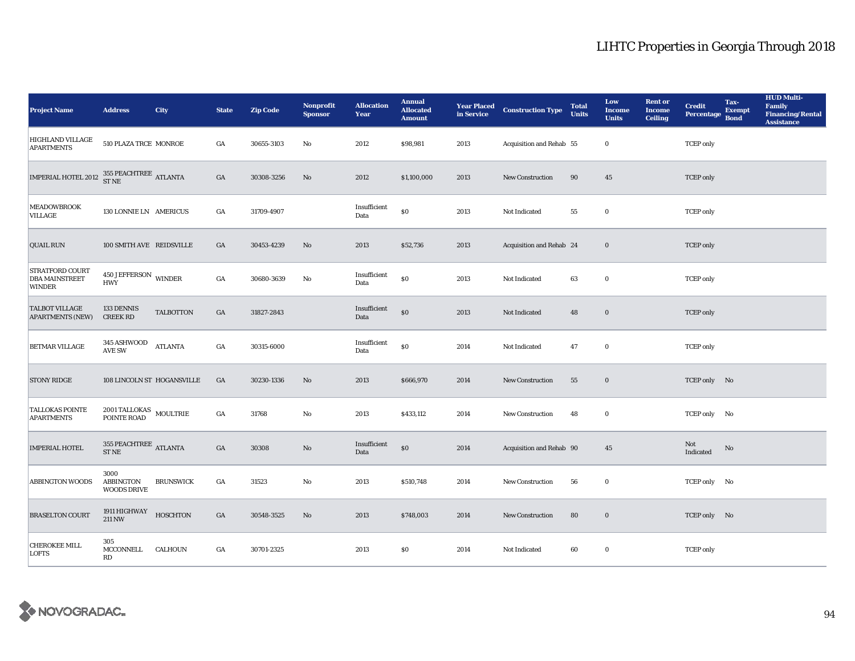| <b>Project Name</b>                                                                                                                                     | <b>Address</b>                                           | <b>City</b>                | <b>State</b>     | <b>Zip Code</b> | Nonprofit<br><b>Sponsor</b> | <b>Allocation</b><br>Year | <b>Annual</b><br><b>Allocated</b><br><b>Amount</b> |      | <b>Year Placed Construction Type</b><br>in Service <b>Construction</b> Type | <b>Total</b><br><b>Units</b> | Low<br><b>Income</b><br><b>Units</b> | <b>Rent or</b><br><b>Income</b><br><b>Ceiling</b> | <b>Credit</b><br><b>Percentage</b> | Tax-<br><b>Exempt</b><br><b>Bond</b> | <b>HUD Multi-</b><br><b>Family</b><br><b>Financing/Rental</b><br><b>Assistance</b> |
|---------------------------------------------------------------------------------------------------------------------------------------------------------|----------------------------------------------------------|----------------------------|------------------|-----------------|-----------------------------|---------------------------|----------------------------------------------------|------|-----------------------------------------------------------------------------|------------------------------|--------------------------------------|---------------------------------------------------|------------------------------------|--------------------------------------|------------------------------------------------------------------------------------|
| HIGHLAND VILLAGE<br><b>APARTMENTS</b>                                                                                                                   | 510 PLAZA TRCE MONROE                                    |                            | GA               | 30655-3103      | No                          | 2012                      | \$98,981                                           | 2013 | Acquisition and Rehab 55                                                    |                              | $\bf{0}$                             |                                                   | <b>TCEP</b> only                   |                                      |                                                                                    |
| $\begin{array}{llll} \textbf{IMPERIAL HOTEL 2012} & \begin{array}{ll} 355 \text{ PEACHTREE} \\ \text{ST NE} \end{array} & \textbf{ATLANTA} \end{array}$ |                                                          |                            | GA               | 30308-3256      | No                          | 2012                      | \$1,100,000                                        | 2013 | New Construction                                                            | 90                           | 45                                   |                                                   | <b>TCEP</b> only                   |                                      |                                                                                    |
| <b>MEADOWBROOK</b><br>VILLAGE                                                                                                                           | 130 LONNIE LN AMERICUS                                   |                            | GA               | 31709-4907      |                             | Insufficient<br>Data      | \$0                                                | 2013 | Not Indicated                                                               | 55                           | $\bf{0}$                             |                                                   | <b>TCEP</b> only                   |                                      |                                                                                    |
| <b>QUAIL RUN</b>                                                                                                                                        | 100 SMITH AVE REIDSVILLE                                 |                            | GA               | 30453-4239      | No                          | 2013                      | \$52,736                                           | 2013 | Acquisition and Rehab 24                                                    |                              | $\bf{0}$                             |                                                   | <b>TCEP</b> only                   |                                      |                                                                                    |
| <b>STRATFORD COURT</b><br><b>DBA MAINSTREET</b><br><b>WINDER</b>                                                                                        | 450 JEFFERSON WINDER<br><b>HWY</b>                       |                            | $_{\mathrm{GA}}$ | 30680-3639      | No                          | Insufficient<br>Data      | $\$0$                                              | 2013 | Not Indicated                                                               | 63                           | $\bf{0}$                             |                                                   | <b>TCEP</b> only                   |                                      |                                                                                    |
| <b>TALBOT VILLAGE</b><br><b>APARTMENTS (NEW)</b>                                                                                                        | 133 DENNIS<br><b>CREEK RD</b>                            | <b>TALBOTTON</b>           | GA               | 31827-2843      |                             | Insufficient<br>Data      | \$0                                                | 2013 | Not Indicated                                                               | 48                           | $\bf{0}$                             |                                                   | <b>TCEP</b> only                   |                                      |                                                                                    |
| BETMAR VILLAGE                                                                                                                                          | $345\,$ ASHWOOD<br><b>AVE SW</b>                         | <b>ATLANTA</b>             | GA               | 30315-6000      |                             | Insufficient<br>Data      | ${\bf S0}$                                         | 2014 | Not Indicated                                                               | 47                           | $\bf{0}$                             |                                                   | <b>TCEP</b> only                   |                                      |                                                                                    |
| <b>STONY RIDGE</b>                                                                                                                                      |                                                          | 108 LINCOLN ST HOGANSVILLE | GA               | 30230-1336      | No                          | 2013                      | \$666,970                                          | 2014 | New Construction                                                            | 55                           | $\bf{0}$                             |                                                   | TCEP only No                       |                                      |                                                                                    |
| <b>TALLOKAS POINTE</b><br><b>APARTMENTS</b>                                                                                                             | $2001\,\mbox{TALLOKAS}$ MOULTRIE POINTE ROAD             |                            | $_{\mathrm{GA}}$ | 31768           | $_{\rm No}$                 | 2013                      | \$433,112                                          | 2014 | New Construction                                                            | 48                           | $\bf{0}$                             |                                                   | TCEP only No                       |                                      |                                                                                    |
| <b>IMPERIAL HOTEL</b>                                                                                                                                   | 355 PEACHTREE $\overline{\text{ATLANTA}}$<br><b>STNE</b> |                            | GA               | 30308           | No                          | Insufficient<br>Data      | $\$0$                                              | 2014 | Acquisition and Rehab 90                                                    |                              | 45                                   |                                                   | Not<br>Indicated                   | No                                   |                                                                                    |
| <b>ABBINGTON WOODS</b>                                                                                                                                  | 3000<br>ABBINGTON<br><b>WOODS DRIVE</b>                  | <b>BRUNSWICK</b>           | GA               | 31523           | No                          | 2013                      | \$510,748                                          | 2014 | New Construction                                                            | 56                           | $\bf{0}$                             |                                                   | TCEP only No                       |                                      |                                                                                    |
| <b>BRASELTON COURT</b>                                                                                                                                  | 1911 HIGHWAY<br><b>211 NW</b>                            | <b>HOSCHTON</b>            | GA               | 30548-3525      | No                          | 2013                      | \$748,003                                          | 2014 | New Construction                                                            | 80                           | $\bf{0}$                             |                                                   | TCEP only No                       |                                      |                                                                                    |
| <b>CHEROKEE MILL</b><br><b>LOFTS</b>                                                                                                                    | 305<br><b>MCCONNELL</b><br>RD                            | <b>CALHOUN</b>             | GA               | 30701-2325      |                             | 2013                      | <b>SO</b>                                          | 2014 | Not Indicated                                                               | 60                           | $\bf{0}$                             |                                                   | <b>TCEP</b> only                   |                                      |                                                                                    |

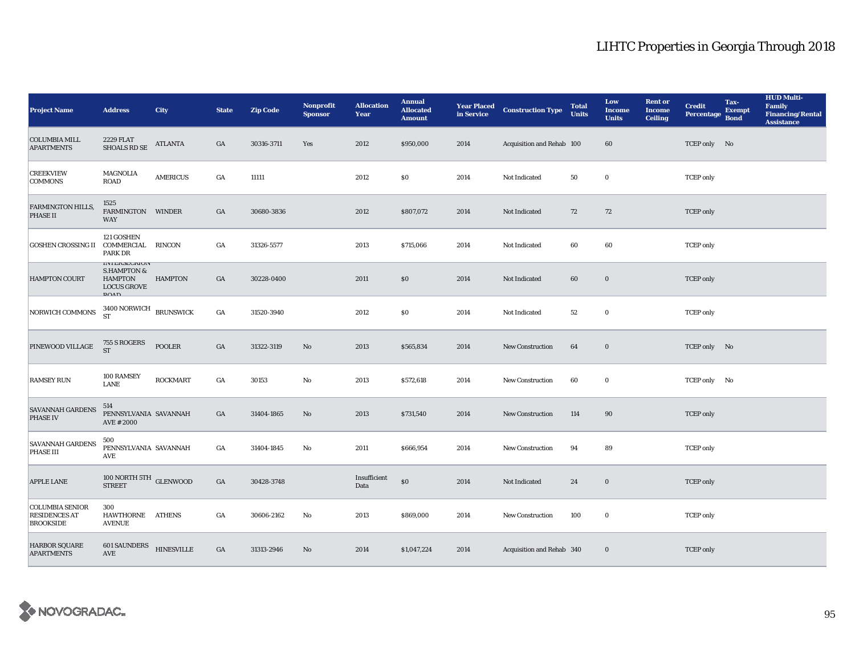| <b>Project Name</b>                                                | <b>Address</b>                                                                                             | <b>City</b>       | <b>State</b>     | <b>Zip Code</b> | <b>Nonprofit</b><br><b>Sponsor</b> | <b>Allocation</b><br>Year | <b>Annual</b><br><b>Allocated</b><br><b>Amount</b> |      | <b>Year Placed Construction Type</b><br>in Service | <b>Total</b><br><b>Units</b> | Low<br><b>Income</b><br><b>Units</b> | <b>Rent or</b><br><b>Income</b><br><b>Ceiling</b> | <b>Credit</b><br><b>Percentage</b> | Tax-<br><b>Exempt</b><br><b>Bond</b> | <b>HUD Multi-</b><br>Family<br><b>Financing/Rental</b><br><b>Assistance</b> |
|--------------------------------------------------------------------|------------------------------------------------------------------------------------------------------------|-------------------|------------------|-----------------|------------------------------------|---------------------------|----------------------------------------------------|------|----------------------------------------------------|------------------------------|--------------------------------------|---------------------------------------------------|------------------------------------|--------------------------------------|-----------------------------------------------------------------------------|
| <b>COLUMBIA MILL</b><br><b>APARTMENTS</b>                          | <b>2229 FLAT</b><br>SHOALS RD SE                                                                           | ATLANTA           | GA               | 30316-3711      | Yes                                | 2012                      | \$950,000                                          | 2014 | Acquisition and Rehab 100                          |                              | 60                                   |                                                   | TCEP only No                       |                                      |                                                                             |
| <b>CREEKVIEW</b><br><b>COMMONS</b>                                 | MAGNOLIA<br>ROAD                                                                                           | <b>AMERICUS</b>   | GA               | 11111           |                                    | 2012                      | \$0                                                | 2014 | Not Indicated                                      | 50                           | $\bf{0}$                             |                                                   | <b>TCEP</b> only                   |                                      |                                                                             |
| <b>FARMINGTON HILLS,</b><br>PHASE II                               | 1525<br>FARMINGTON WINDER<br><b>WAY</b>                                                                    |                   | GA               | 30680-3836      |                                    | 2012                      | \$807,072                                          | 2014 | Not Indicated                                      | 72                           | 72                                   |                                                   | <b>TCEP</b> only                   |                                      |                                                                             |
| <b>GOSHEN CROSSING II</b>                                          | 121 GOSHEN<br>COMMERCIAL RINCON<br>PARK DR                                                                 |                   | GA               | 31326-5577      |                                    | 2013                      | \$715,066                                          | 2014 | Not Indicated                                      | 60                           | 60                                   |                                                   | <b>TCEP</b> only                   |                                      |                                                                             |
| <b>HAMPTON COURT</b>                                               | <b>INTERMEURIUN</b><br><b>S.HAMPTON &amp;</b><br><b>HAMPTON</b><br><b>LOCUS GROVE</b><br>P <sub>0</sub> AD | <b>HAMPTON</b>    | GA               | 30228-0400      |                                    | 2011                      | \$0                                                | 2014 | Not Indicated                                      | 60                           | $\bf{0}$                             |                                                   | <b>TCEP</b> only                   |                                      |                                                                             |
| NORWICH COMMONS                                                    | $3400$ NORWICH BRUNSWICK ${\rm ST}$                                                                        |                   | $_{\mathrm{GA}}$ | 31520-3940      |                                    | 2012                      | \$0\$                                              | 2014 | Not Indicated                                      | $^{\rm 52}$                  | $\mathbf 0$                          |                                                   | <b>TCEP</b> only                   |                                      |                                                                             |
| PINEWOOD VILLAGE                                                   | 755 S ROGERS<br><b>ST</b>                                                                                  | <b>POOLER</b>     | $_{\mathrm{GA}}$ | 31322-3119      | $\rm No$                           | 2013                      | \$565,834                                          | 2014 | New Construction                                   | 64                           | $\bf{0}$                             |                                                   | TCEP only No                       |                                      |                                                                             |
| <b>RAMSEY RUN</b>                                                  | 100 RAMSEY<br>LANE                                                                                         | <b>ROCKMART</b>   | $_{\mathrm{GA}}$ | 30153           | $\mathbf {No}$                     | 2013                      | \$572,618                                          | 2014 | New Construction                                   | 60                           | $\bf{0}$                             |                                                   | TCEP only No                       |                                      |                                                                             |
| <b>SAVANNAH GARDENS</b><br><b>PHASE IV</b>                         | 514<br>PENNSYLVANIA SAVANNAH<br>AVE # 2000                                                                 |                   | GA               | 31404-1865      | $\rm No$                           | 2013                      | \$731,540                                          | 2014 | New Construction                                   | 114                          | 90                                   |                                                   | <b>TCEP</b> only                   |                                      |                                                                             |
| <b>SAVANNAH GARDENS</b><br>PHASE III                               | 500<br>PENNSYLVANIA SAVANNAH<br>AVE                                                                        |                   | GA               | 31404-1845      | No                                 | 2011                      | \$666,954                                          | 2014 | New Construction                                   | 94                           | 89                                   |                                                   | <b>TCEP</b> only                   |                                      |                                                                             |
| APPLE LANE                                                         | $100$ NORTH 5TH $$\sf GLENWOOD$$                                                                           |                   | $_{\mathrm{GA}}$ | 30428-3748      |                                    | Insufficient<br>Data      | $\$0$                                              | 2014 | Not Indicated                                      | 24                           | $\mathbf 0$                          |                                                   | <b>TCEP</b> only                   |                                      |                                                                             |
| <b>COLUMBIA SENIOR</b><br><b>RESIDENCES AT</b><br><b>BROOKSIDE</b> | 300<br>HAWTHORNE ATHENS<br><b>AVENUE</b>                                                                   |                   | GA               | 30606-2162      | No                                 | 2013                      | \$869,000                                          | 2014 | <b>New Construction</b>                            | 100                          | $\bf{0}$                             |                                                   | <b>TCEP</b> only                   |                                      |                                                                             |
| <b>HARBOR SQUARE</b><br><b>APARTMENTS</b>                          | <b>601 SAUNDERS</b><br><b>AVE</b>                                                                          | <b>HINESVILLE</b> | GA               | 31313-2946      | No                                 | 2014                      | \$1,047,224                                        | 2014 | Acquisition and Rehab 340                          |                              | $\bf{0}$                             |                                                   | <b>TCEP</b> only                   |                                      |                                                                             |

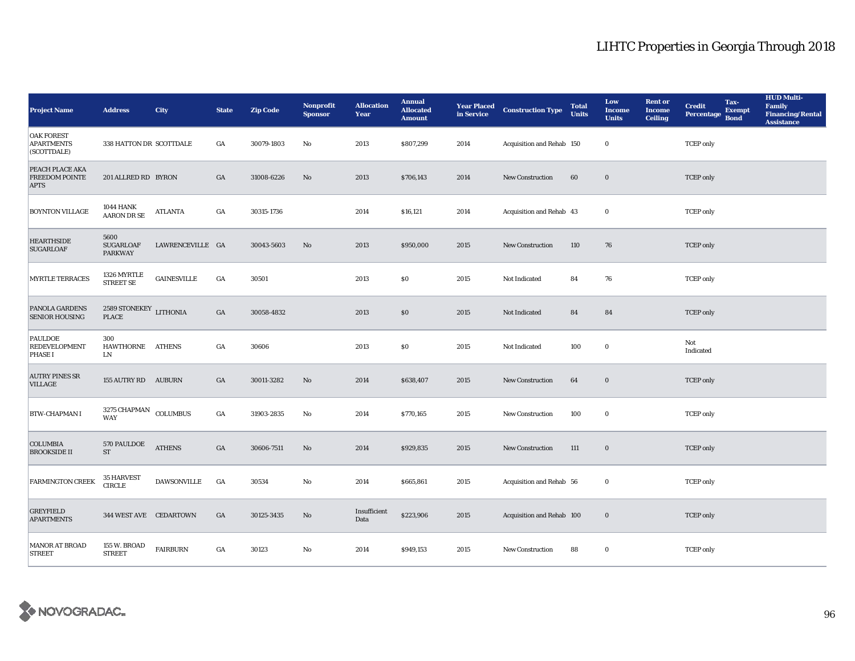| <b>Project Name</b>                                      | <b>Address</b>                                 | City               | <b>State</b>     | <b>Zip Code</b> | <b>Nonprofit</b><br><b>Sponsor</b> | <b>Allocation</b><br>Year | <b>Annual</b><br><b>Allocated</b><br><b>Amount</b> |      | <b>Year Placed Construction Type</b><br>in Service <b>Construction</b> Type | <b>Total</b><br><b>Units</b> | Low<br><b>Income</b><br><b>Units</b> | <b>Rent</b> or<br>Income<br><b>Ceiling</b> | <b>Credit</b><br>Percentage | Tax-<br><b>Exempt</b><br><b>Bond</b> | <b>HUD Multi-</b><br>Family<br><b>Financing/Rental</b><br><b>Assistance</b> |
|----------------------------------------------------------|------------------------------------------------|--------------------|------------------|-----------------|------------------------------------|---------------------------|----------------------------------------------------|------|-----------------------------------------------------------------------------|------------------------------|--------------------------------------|--------------------------------------------|-----------------------------|--------------------------------------|-----------------------------------------------------------------------------|
| <b>OAK FOREST</b><br><b>APARTMENTS</b><br>(SCOTTDALE)    | 338 HATTON DR SCOTTDALE                        |                    | GA               | 30079-1803      | No                                 | 2013                      | \$807,299                                          | 2014 | Acquisition and Rehab 150                                                   |                              | $\bf{0}$                             |                                            | <b>TCEP</b> only            |                                      |                                                                             |
| PEACH PLACE AKA<br><b>FREEDOM POINTE</b><br><b>APTS</b>  | 201 ALLRED RD BYRON                            |                    | GA               | 31008-6226      | No                                 | 2013                      | \$706,143                                          | 2014 | New Construction                                                            | 60                           | $\bf{0}$                             |                                            | <b>TCEP</b> only            |                                      |                                                                             |
| <b>BOYNTON VILLAGE</b>                                   | <b>1044 HANK</b><br>AARON DR SE                | <b>ATLANTA</b>     | $_{\mathrm{GA}}$ | 30315-1736      |                                    | 2014                      | \$16,121                                           | 2014 | Acquisition and Rehab 43                                                    |                              | $\mathbf 0$                          |                                            | <b>TCEP</b> only            |                                      |                                                                             |
| <b>HEARTHSIDE</b><br><b>SUGARLOAF</b>                    | 5600<br><b>SUGARLOAF</b><br><b>PARKWAY</b>     | LAWRENCEVILLE GA   |                  | 30043-5603      | No                                 | 2013                      | \$950,000                                          | 2015 | New Construction                                                            | 110                          | 76                                   |                                            | <b>TCEP</b> only            |                                      |                                                                             |
| <b>MYRTLE TERRACES</b>                                   | 1326 MYRTLE<br><b>STREET SE</b>                | <b>GAINESVILLE</b> | GA               | 30501           |                                    | 2013                      | \$0                                                | 2015 | Not Indicated                                                               | 84                           | 76                                   |                                            | <b>TCEP</b> only            |                                      |                                                                             |
| PANOLA GARDENS<br><b>SENIOR HOUSING</b>                  | 2589 STONEKEY LITHONIA<br>PLACE                |                    | GA               | 30058-4832      |                                    | 2013                      | \$0\$                                              | 2015 | Not Indicated                                                               | 84                           | 84                                   |                                            | <b>TCEP</b> only            |                                      |                                                                             |
| <b>PAULDOE</b><br><b>REDEVELOPMENT</b><br><b>PHASE I</b> | 300<br>HAWTHORNE<br>LN                         | <b>ATHENS</b>      | GA               | 30606           |                                    | 2013                      | $\$0$                                              | 2015 | Not Indicated                                                               | 100                          | $\bf{0}$                             |                                            | Not<br>Indicated            |                                      |                                                                             |
| <b>AUTRY PINES SR</b><br><b>VILLAGE</b>                  | 155 AUTRY RD AUBURN                            |                    | GA               | 30011-3282      | No                                 | 2014                      | \$638,407                                          | 2015 | New Construction                                                            | 64                           | $\mathbf 0$                          |                                            | <b>TCEP</b> only            |                                      |                                                                             |
| <b>BTW-CHAPMAN I</b>                                     | $3275$ CHAPMAN $_{\rm COLUMBUS}$<br><b>WAY</b> |                    | $_{\mathrm{GA}}$ | 31903-2835      | No                                 | 2014                      | \$770,165                                          | 2015 | New Construction                                                            | 100                          | $\bf{0}$                             |                                            | <b>TCEP</b> only            |                                      |                                                                             |
| <b>COLUMBIA</b><br><b>BROOKSIDE II</b>                   | <b>570 PAULDOE</b><br>$\operatorname{ST}$      | <b>ATHENS</b>      | $_{\mathrm{GA}}$ | 30606-7511      | $\rm No$                           | 2014                      | \$929,835                                          | 2015 | New Construction                                                            | 111                          | $\mathbf 0$                          |                                            | <b>TCEP</b> only            |                                      |                                                                             |
| <b>FARMINGTON CREEK</b>                                  | 35 HARVEST<br><b>CIRCLE</b>                    | DAWSONVILLE        | GA               | 30534           | No                                 | 2014                      | \$665,861                                          | 2015 | Acquisition and Rehab 56                                                    |                              | $\bf{0}$                             |                                            | <b>TCEP</b> only            |                                      |                                                                             |
| <b>GREYFIELD</b><br><b>APARTMENTS</b>                    | 344 WEST AVE CEDARTOWN                         |                    | GA               | 30125-3435      | No                                 | Insufficient<br>Data      | \$223,906                                          | 2015 | Acquisition and Rehab 100                                                   |                              | $\bf{0}$                             |                                            | <b>TCEP</b> only            |                                      |                                                                             |
| MANOR AT BROAD<br><b>STREET</b>                          | 155 W. BROAD<br><b>STREET</b>                  | <b>FAIRBURN</b>    | GA               | 30123           | $\mathbf{N}\mathbf{o}$             | 2014                      | \$949,153                                          | 2015 | <b>New Construction</b>                                                     | 88                           | $\bf{0}$                             |                                            | <b>TCEP</b> only            |                                      |                                                                             |

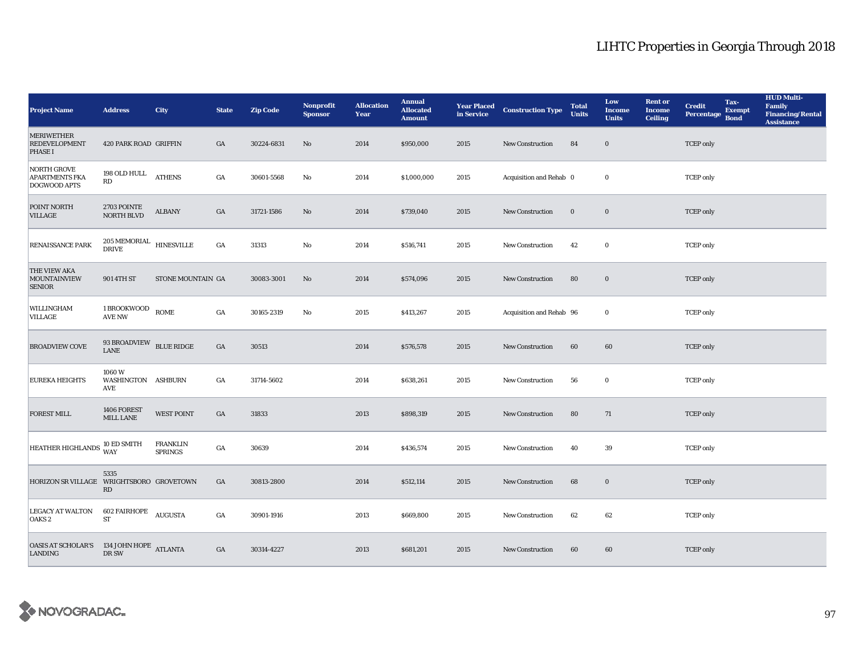| <b>Project Name</b>                                               | <b>Address</b>                            | <b>City</b>                       | <b>State</b>     | <b>Zip Code</b> | Nonprofit<br><b>Sponsor</b> | <b>Allocation</b><br>Year | <b>Annual</b><br><b>Allocated</b><br><b>Amount</b> |      | <b>Year Placed Construction Type</b><br>in Service <b>Construction</b> Type | <b>Total</b><br><b>Units</b> | Low<br><b>Income</b><br><b>Units</b> | <b>Rent or</b><br><b>Income</b><br><b>Ceiling</b> | <b>Credit</b><br><b>Percentage</b> | Tax-<br><b>Exempt</b><br><b>Bond</b> | <b>HUD Multi-</b><br><b>Family</b><br><b>Financing/Rental</b><br><b>Assistance</b> |
|-------------------------------------------------------------------|-------------------------------------------|-----------------------------------|------------------|-----------------|-----------------------------|---------------------------|----------------------------------------------------|------|-----------------------------------------------------------------------------|------------------------------|--------------------------------------|---------------------------------------------------|------------------------------------|--------------------------------------|------------------------------------------------------------------------------------|
| <b>MERIWETHER</b><br><b>REDEVELOPMENT</b><br><b>PHASE I</b>       | 420 PARK ROAD GRIFFIN                     |                                   | GA               | 30224-6831      | No                          | 2014                      | \$950,000                                          | 2015 | <b>New Construction</b>                                                     | 84                           | $\bf{0}$                             |                                                   | <b>TCEP</b> only                   |                                      |                                                                                    |
| NORTH GROVE<br><b>APARTMENTS FKA</b><br><b>DOGWOOD APTS</b>       | 198 OLD HULL<br>RD                        | <b>ATHENS</b>                     | $_{\mathrm{GA}}$ | 30601-5568      | No                          | 2014                      | \$1,000,000                                        | 2015 | Acquisition and Rehab 0                                                     |                              | $\bf{0}$                             |                                                   | <b>TCEP</b> only                   |                                      |                                                                                    |
| POINT NORTH<br><b>VILLAGE</b>                                     | 2703 POINTE<br><b>NORTH BLVD</b>          | <b>ALBANY</b>                     | GA               | 31721-1586      | $\rm No$                    | 2014                      | \$739,040                                          | 2015 | New Construction                                                            | $\bf{0}$                     | $\bf{0}$                             |                                                   | <b>TCEP</b> only                   |                                      |                                                                                    |
| RENAISSANCE PARK                                                  | $205\,\mathrm{MEMORIAL}$ HINESVILLE DRIVE |                                   | GA               | 31313           | No                          | 2014                      | \$516,741                                          | 2015 | New Construction                                                            | 42                           | $\bf{0}$                             |                                                   | <b>TCEP</b> only                   |                                      |                                                                                    |
| <b>THE VIEW AKA</b><br><b>MOUNTAINVIEW</b><br><b>SENIOR</b>       | 901 4TH ST                                | STONE MOUNTAIN GA                 |                  | 30083-3001      | No                          | 2014                      | \$574,096                                          | 2015 | New Construction                                                            | 80                           | $\bf{0}$                             |                                                   | <b>TCEP</b> only                   |                                      |                                                                                    |
| WILLINGHAM<br>VILLAGE                                             | 1 BROOKWOOD<br><b>AVE NW</b>              | <b>ROME</b>                       | GA               | 30165-2319      | No                          | 2015                      | \$413,267                                          | 2015 | Acquisition and Rehab 96                                                    |                              | $\bf{0}$                             |                                                   | <b>TCEP</b> only                   |                                      |                                                                                    |
| <b>BROADVIEW COVE</b>                                             | 93 BROADVIEW BLUE RIDGE<br><b>LANE</b>    |                                   | GA               | 30513           |                             | 2014                      | \$576,578                                          | 2015 | New Construction                                                            | 60                           | 60                                   |                                                   | <b>TCEP</b> only                   |                                      |                                                                                    |
| <b>EUREKA HEIGHTS</b>                                             | 1060W<br>WASHINGTON ASHBURN<br>AVE        |                                   | GA               | 31714-5602      |                             | 2014                      | \$638,261                                          | 2015 | New Construction                                                            | 56                           | $\bf{0}$                             |                                                   | <b>TCEP</b> only                   |                                      |                                                                                    |
| <b>FOREST MILL</b>                                                | 1406 FOREST<br>MILL LANE                  | <b>WEST POINT</b>                 | GA               | 31833           |                             | 2013                      | \$898,319                                          | 2015 | New Construction                                                            | 80                           | 71                                   |                                                   | <b>TCEP</b> only                   |                                      |                                                                                    |
| HEATHER HIGHLANDS IN LA                                           | 10 ED SMITH                               | <b>FRANKLIN</b><br><b>SPRINGS</b> | GA               | 30639           |                             | 2014                      | \$436,574                                          | 2015 | <b>New Construction</b>                                                     | 40                           | 39                                   |                                                   | <b>TCEP</b> only                   |                                      |                                                                                    |
| HORIZON SR VILLAGE WRIGHTSBORO GROVETOWN                          | 5335<br>RD                                |                                   | GA               | 30813-2800      |                             | 2014                      | \$512,114                                          | 2015 | New Construction                                                            | 68                           | $\bf{0}$                             |                                                   | <b>TCEP</b> only                   |                                      |                                                                                    |
| <b>LEGACY AT WALTON</b><br>OAKS <sub>2</sub>                      | 602 FAIRHOPE<br><b>ST</b>                 | <b>AUGUSTA</b>                    | GA               | 30901-1916      |                             | 2013                      | \$669,800                                          | 2015 | <b>New Construction</b>                                                     | 62                           | 62                                   |                                                   | <b>TCEP</b> only                   |                                      |                                                                                    |
| <b>OASIS AT SCHOLAR'S</b> 134 JOHN HOPE ATLANTA<br><b>LANDING</b> | DR SW                                     |                                   | GA               | 30314-4227      |                             | 2013                      | \$681,201                                          | 2015 | <b>New Construction</b>                                                     | 60                           | 60                                   |                                                   | <b>TCEP</b> only                   |                                      |                                                                                    |

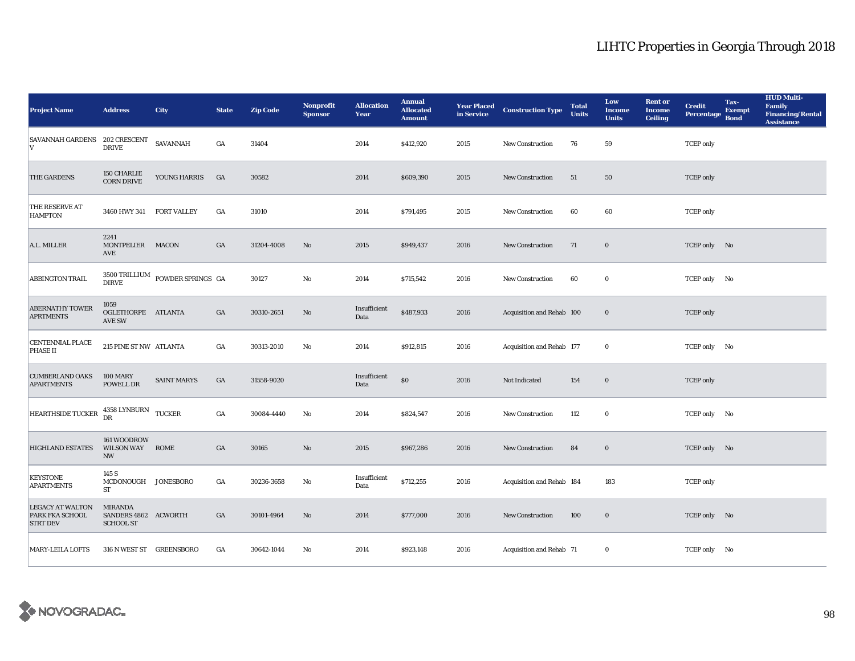| <b>Project Name</b>                                           | <b>Address</b>                                             | City                                                 | <b>State</b>     | <b>Zip Code</b> | <b>Nonprofit</b><br><b>Sponsor</b> | <b>Allocation</b><br>Year | <b>Annual</b><br><b>Allocated</b><br><b>Amount</b> |      | <b>Year Placed Construction Type</b><br>in Service | <b>Total</b><br><b>Units</b> | Low<br><b>Income</b><br><b>Units</b> | <b>Rent or</b><br><b>Income</b><br><b>Ceiling</b> | <b>Credit</b><br><b>Percentage</b> | Tax-<br><b>Exempt</b><br><b>Bond</b> | <b>HUD Multi-</b><br><b>Family</b><br><b>Financing/Rental</b><br><b>Assistance</b> |
|---------------------------------------------------------------|------------------------------------------------------------|------------------------------------------------------|------------------|-----------------|------------------------------------|---------------------------|----------------------------------------------------|------|----------------------------------------------------|------------------------------|--------------------------------------|---------------------------------------------------|------------------------------------|--------------------------------------|------------------------------------------------------------------------------------|
| SAVANNAH GARDENS 202 CRESCENT<br>V                            | <b>DRIVE</b>                                               | SAVANNAH                                             | GA               | 31404           |                                    | 2014                      | \$412,920                                          | 2015 | New Construction                                   | 76                           | 59                                   |                                                   | <b>TCEP</b> only                   |                                      |                                                                                    |
| THE GARDENS                                                   | 150 CHARLIE<br><b>CORN DRIVE</b>                           | YOUNG HARRIS                                         | GA               | 30582           |                                    | 2014                      | \$609,390                                          | 2015 | New Construction                                   | 51                           | 50                                   |                                                   | <b>TCEP</b> only                   |                                      |                                                                                    |
| THE RESERVE AT<br><b>HAMPTON</b>                              | 3460 HWY 341 FORT VALLEY                                   |                                                      | $_{\mathrm{GA}}$ | 31010           |                                    | 2014                      | \$791,495                                          | 2015 | <b>New Construction</b>                            | 60                           | 60                                   |                                                   | <b>TCEP</b> only                   |                                      |                                                                                    |
| A.L. MILLER                                                   | 2241<br>MONTPELIER MACON<br>AVE                            |                                                      | GA               | 31204-4008      | No                                 | 2015                      | \$949,437                                          | 2016 | New Construction                                   | 71                           | $\bf{0}$                             |                                                   | TCEP only No                       |                                      |                                                                                    |
| ABBINGTON TRAIL                                               |                                                            | $3500\,\mbox{TRILLIUM}$ POWDER SPRINGS $\,$ GA DIRVE |                  | 30127           | $\mathbf{N}\mathbf{o}$             | 2014                      | \$715,542                                          | 2016 | New Construction                                   | 60                           | $\bf{0}$                             |                                                   | TCEP only No                       |                                      |                                                                                    |
| <b>ABERNATHY TOWER</b><br><b>APRTMENTS</b>                    | 1059<br>OGLETHORPE ATLANTA<br><b>AVE SW</b>                |                                                      | $_{\mathrm{GA}}$ | 30310-2651      | $\rm No$                           | Insufficient<br>Data      | \$487,933                                          | 2016 | Acquisition and Rehab 100                          |                              | $\bf{0}$                             |                                                   | <b>TCEP</b> only                   |                                      |                                                                                    |
| <b>CENTENNIAL PLACE</b><br>PHASE II                           | 215 PINE ST NW ATLANTA                                     |                                                      | $_{\mathrm{GA}}$ | 30313-2010      | No                                 | 2014                      | \$912,815                                          | 2016 | Acquisition and Rehab 177                          |                              | $\bf{0}$                             |                                                   | TCEP only No                       |                                      |                                                                                    |
| <b>CUMBERLAND OAKS</b><br><b>APARTMENTS</b>                   | <b>100 MARY</b><br>POWELL DR                               | <b>SAINT MARYS</b>                                   | $_{\mathrm{GA}}$ | 31558-9020      |                                    | Insufficient<br>Data      | $\$0$                                              | 2016 | Not Indicated                                      | 154                          | $\boldsymbol{0}$                     |                                                   | <b>TCEP</b> only                   |                                      |                                                                                    |
| <b>HEARTHSIDE TUCKER</b>                                      | $4358$ LYNBURN $$\sf TUCKER$ DR                            |                                                      | $_{\mathrm{GA}}$ | 30084-4440      | No                                 | 2014                      | \$824,547                                          | 2016 | New Construction                                   | 112                          | $\bf{0}$                             |                                                   | TCEP only No                       |                                      |                                                                                    |
| <b>HIGHLAND ESTATES</b>                                       | 161 WOODROW<br>WILSON WAY ROME<br><b>NW</b>                |                                                      | $_{\mathrm{GA}}$ | 30165           | $\rm No$                           | 2015                      | \$967,286                                          | 2016 | New Construction                                   | 84                           | $\bf{0}$                             |                                                   | TCEP only No                       |                                      |                                                                                    |
| <b>KEYSTONE</b><br><b>APARTMENTS</b>                          | 145 S<br>MCDONOUGH JONESBORO<br><b>ST</b>                  |                                                      | GA               | 30236-3658      | No                                 | Insufficient<br>Data      | \$712,255                                          | 2016 | Acquisition and Rehab 184                          |                              | 183                                  |                                                   | <b>TCEP</b> only                   |                                      |                                                                                    |
| <b>LEGACY AT WALTON</b><br>PARK FKA SCHOOL<br><b>STRT DEV</b> | <b>MIRANDA</b><br>SANDERS 4862 ACWORTH<br><b>SCHOOL ST</b> |                                                      | GA               | 30101-4964      | No                                 | 2014                      | \$777,000                                          | 2016 | <b>New Construction</b>                            | 100                          | $\bf{0}$                             |                                                   | TCEP only No                       |                                      |                                                                                    |
| <b>MARY-LEILA LOFTS</b>                                       | 316 N WEST ST GREENSBORO                                   |                                                      | GA               | 30642-1044      | No                                 | 2014                      | \$923,148                                          | 2016 | Acquisition and Rehab 71                           |                              | $\bf{0}$                             |                                                   | TCEP only No                       |                                      |                                                                                    |

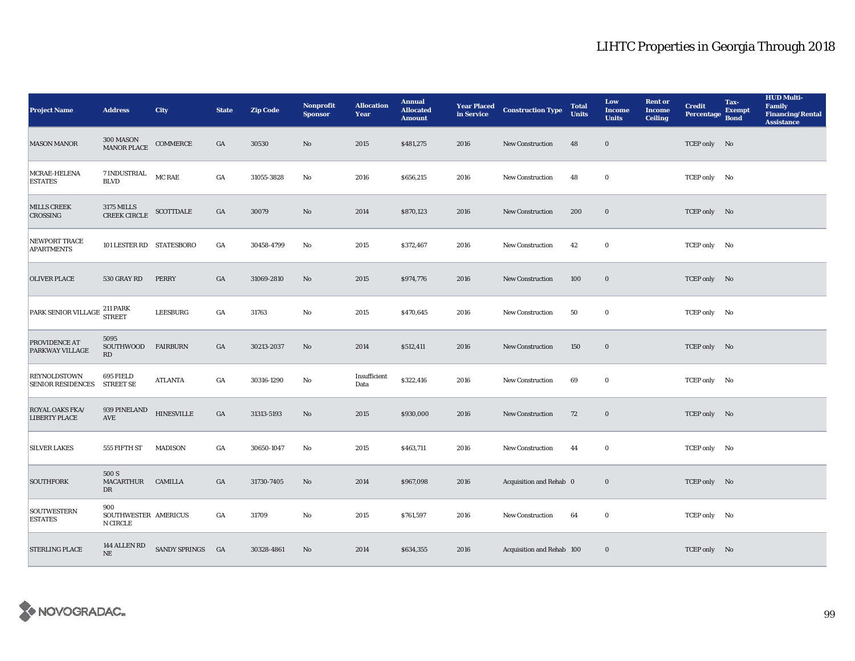| <b>Project Name</b>                               | <b>Address</b>                                 | <b>City</b>       | <b>State</b>     | <b>Zip Code</b> | <b>Nonprofit</b><br><b>Sponsor</b> | <b>Allocation</b><br>Year | <b>Annual</b><br><b>Allocated</b><br><b>Amount</b> |      | <b>Year Placed Construction Type</b><br>in Service | <b>Total</b><br><b>Units</b> | Low<br><b>Income</b><br><b>Units</b> | <b>Rent</b> or<br><b>Income</b><br><b>Ceiling</b> | <b>Credit</b><br><b>Percentage</b> | Tax-<br><b>Exempt</b><br><b>Bond</b> | <b>HUD Multi-</b><br><b>Family</b><br><b>Financing/Rental</b><br><b>Assistance</b> |
|---------------------------------------------------|------------------------------------------------|-------------------|------------------|-----------------|------------------------------------|---------------------------|----------------------------------------------------|------|----------------------------------------------------|------------------------------|--------------------------------------|---------------------------------------------------|------------------------------------|--------------------------------------|------------------------------------------------------------------------------------|
| <b>MASON MANOR</b>                                | 300 MASON<br>MANOR PLACE                       | COMMERCE          | GA               | 30530           | No                                 | 2015                      | \$481,275                                          | 2016 | New Construction                                   | 48                           | $\mathbf 0$                          |                                                   | TCEP only No                       |                                      |                                                                                    |
| MCRAE-HELENA<br><b>ESTATES</b>                    | $7$ INDUSTRIAL $\,$<br><b>BLVD</b>             | <b>MC RAE</b>     | $_{\mathrm{GA}}$ | 31055-3828      | No                                 | 2016                      | \$656,215                                          | 2016 | New Construction                                   | 48                           | $\bf{0}$                             |                                                   | TCEP only No                       |                                      |                                                                                    |
| <b>MILLS CREEK</b><br>CROSSING                    | 3175 MILLS<br>CREEK CIRCLE                     | <b>SCOTTDALE</b>  | GA               | 30079           | No                                 | 2014                      | \$870,123                                          | 2016 | <b>New Construction</b>                            | 200                          | $\bf{0}$                             |                                                   | TCEP only No                       |                                      |                                                                                    |
| NEWPORT TRACE<br><b>APARTMENTS</b>                | 101 LESTER RD STATESBORO                       |                   | $_{\mathrm{GA}}$ | 30458-4799      | No                                 | 2015                      | \$372,467                                          | 2016 | New Construction                                   | 42                           | $\bf{0}$                             |                                                   | TCEP only No                       |                                      |                                                                                    |
| <b>OLIVER PLACE</b>                               | 530 GRAY RD                                    | <b>PERRY</b>      | $_{\mathrm{GA}}$ | 31069-2810      | No                                 | 2015                      | \$974,776                                          | 2016 | New Construction                                   | 100                          | $\mathbf 0$                          |                                                   | TCEP only No                       |                                      |                                                                                    |
| PARK SENIOR VILLAGE <sup>211 PARK</sup><br>STREET |                                                | LEESBURG          | GA               | 31763           | No                                 | 2015                      | \$470,645                                          | 2016 | New Construction                                   | 50                           | $\bf{0}$                             |                                                   | TCEP only No                       |                                      |                                                                                    |
| PROVIDENCE AT<br><b>PARKWAY VILLAGE</b>           | 5095<br>SOUTHWOOD<br>RD                        | <b>FAIRBURN</b>   | GA               | 30213-2037      | No                                 | 2014                      | \$512,411                                          | 2016 | <b>New Construction</b>                            | 150                          | $\bf{0}$                             |                                                   | TCEP only No                       |                                      |                                                                                    |
| <b>REYNOLDSTOWN</b><br><b>SENIOR RESIDENCES</b>   | 695 FIELD<br><b>STREET SE</b>                  | <b>ATLANTA</b>    | GA               | 30316-1290      | $\mathbf{N}\mathbf{o}$             | Insufficient<br>Data      | \$322,416                                          | 2016 | New Construction                                   | 69                           | $\bf{0}$                             |                                                   | TCEP only No                       |                                      |                                                                                    |
| ROYAL OAKS FKA/<br><b>LIBERTY PLACE</b>           | 939 PINELAND<br>AVE                            | <b>HINESVILLE</b> | $_{\mathrm{GA}}$ | 31313-5193      | No                                 | 2015                      | \$930,000                                          | 2016 | <b>New Construction</b>                            | 72                           | $\mathbf 0$                          |                                                   | TCEP only No                       |                                      |                                                                                    |
| <b>SILVER LAKES</b>                               | 555 FIFTH ST                                   | <b>MADISON</b>    | GA               | 30650-1047      | No                                 | 2015                      | \$463,711                                          | 2016 | <b>New Construction</b>                            | 44                           | $\bf{0}$                             |                                                   | TCEP only No                       |                                      |                                                                                    |
| <b>SOUTHFORK</b>                                  | 500 S<br>MACARTHUR CAMILLA<br>DR               |                   | GA               | 31730-7405      | $\mathbf{N}\mathbf{o}$             | 2014                      | \$967,098                                          | 2016 | Acquisition and Rehab 0                            |                              | $\mathbf 0$                          |                                                   | TCEP only No                       |                                      |                                                                                    |
| <b>SOUTWESTERN</b><br><b>ESTATES</b>              | 900<br>SOUTHWESTER AMERICUS<br><b>N CIRCLE</b> |                   | GA               | 31709           | No                                 | 2015                      | \$761,597                                          | 2016 | New Construction                                   | 64                           | $\bf{0}$                             |                                                   | TCEP only No                       |                                      |                                                                                    |
| <b>STERLING PLACE</b>                             | 144 ALLEN RD<br>NE                             | SANDY SPRINGS GA  |                  | 30328-4861      | $\mathbf{N}\mathbf{o}$             | 2014                      | \$634,355                                          | 2016 | Acquisition and Rehab 100                          |                              | $\bf{0}$                             |                                                   | TCEP only No                       |                                      |                                                                                    |

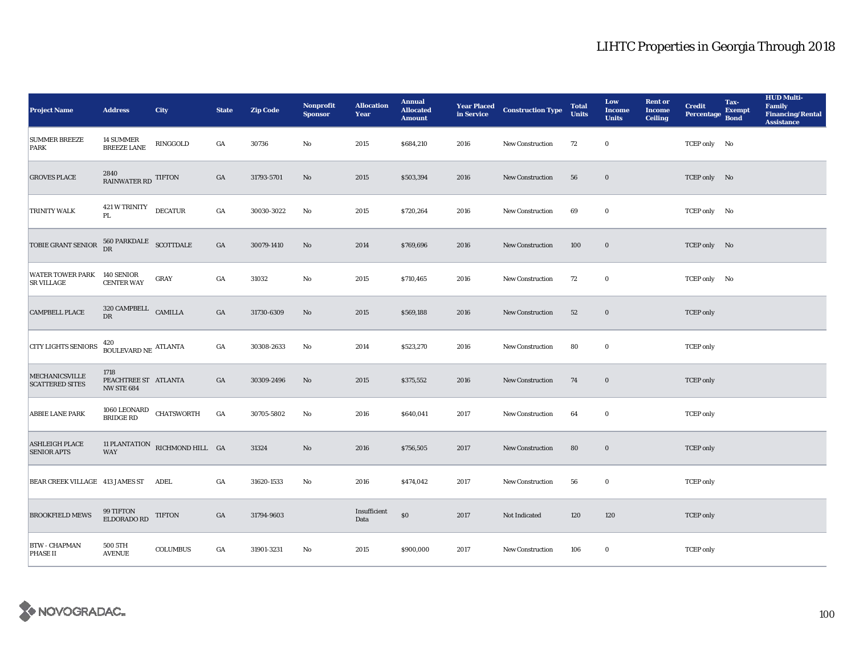| <b>Project Name</b>                             | <b>Address</b>                                    | City                                | <b>State</b>     | <b>Zip Code</b> | Nonprofit<br><b>Sponsor</b> | <b>Allocation</b><br>Year | <b>Annual</b><br><b>Allocated</b><br><b>Amount</b> |      | <b>Year Placed Construction Type</b><br>in Service | <b>Total</b><br><b>Units</b> | Low<br><b>Income</b><br><b>Units</b> | <b>Rent or</b><br><b>Income</b><br><b>Ceiling</b> | <b>Credit</b><br><b>Percentage</b> | Tax-<br><b>Exempt</b><br><b>Bond</b> | <b>HUD Multi-</b><br>Family<br><b>Financing/Rental</b><br><b>Assistance</b> |
|-------------------------------------------------|---------------------------------------------------|-------------------------------------|------------------|-----------------|-----------------------------|---------------------------|----------------------------------------------------|------|----------------------------------------------------|------------------------------|--------------------------------------|---------------------------------------------------|------------------------------------|--------------------------------------|-----------------------------------------------------------------------------|
| <b>SUMMER BREEZE</b><br><b>PARK</b>             | 14 SUMMER<br><b>BREEZE LANE</b>                   | RINGGOLD                            | GA               | 30736           | $\mathbf{No}$               | 2015                      | \$684,210                                          | 2016 | <b>New Construction</b>                            | 72                           | $\bf{0}$                             |                                                   | TCEP only No                       |                                      |                                                                             |
| <b>GROVES PLACE</b>                             | $\underset{\text{RAINWATER RD}}{2840}$ TIFTON     |                                     | $_{\mathrm{GA}}$ | 31793-5701      | No                          | 2015                      | \$503,394                                          | 2016 | New Construction                                   | 56                           | $\boldsymbol{0}$                     |                                                   | TCEP only No                       |                                      |                                                                             |
| TRINITY WALK                                    | 421 W TRINITY<br>PL                               | <b>DECATUR</b>                      | $_{\mathrm{GA}}$ | 30030-3022      | No                          | 2015                      | \$720,264                                          | 2016 | New Construction                                   | 69                           | $\bf{0}$                             |                                                   | TCEP only No                       |                                      |                                                                             |
| TOBIE GRANT SENIOR                              | $560$ PARKDALE $\,$ SCOTTDALE $\,$ DR             |                                     | $_{\mathrm{GA}}$ | 30079-1410      | No                          | 2014                      | \$769,696                                          | 2016 | New Construction                                   | 100                          | $\bf{0}$                             |                                                   | TCEP only No                       |                                      |                                                                             |
| <b>WATER TOWER PARK</b><br><b>SR VILLAGE</b>    | 140 SENIOR<br><b>CENTER WAY</b>                   | GRAY                                | $_{\mathrm{GA}}$ | 31032           | $\mathbf{N}\mathbf{o}$      | 2015                      | \$710,465                                          | 2016 | New Construction                                   | 72                           | $\bf{0}$                             |                                                   | TCEP only No                       |                                      |                                                                             |
| <b>CAMPBELL PLACE</b>                           | $320$ CAMPBELL $\quad$ CAMILLA DR                 |                                     | GA               | 31730-6309      | No                          | 2015                      | \$569,188                                          | 2016 | <b>New Construction</b>                            | 52                           | $\boldsymbol{0}$                     |                                                   | <b>TCEP</b> only                   |                                      |                                                                             |
| <b>CITY LIGHTS SENIORS</b>                      | 420<br>BOULEVARD NE $\,$ ATLANTA                  |                                     | $_{\mathrm{GA}}$ | 30308-2633      | No                          | 2014                      | \$523,270                                          | 2016 | New Construction                                   | 80                           | $\bf{0}$                             |                                                   | <b>TCEP</b> only                   |                                      |                                                                             |
| <b>MECHANICSVILLE</b><br><b>SCATTERED SITES</b> | 1718<br>PEACHTREE ST ATLANTA<br><b>NW STE 684</b> |                                     | GA               | 30309-2496      | No                          | 2015                      | \$375,552                                          | 2016 | New Construction                                   | 74                           | $\bf{0}$                             |                                                   | <b>TCEP</b> only                   |                                      |                                                                             |
| ABBIE LANE PARK                                 |                                                   | $1060$ LEONARD CHATSWORTH BRIDGE RD | $_{\mathrm{GA}}$ | 30705-5802      | No                          | 2016                      | \$640,041                                          | 2017 | <b>New Construction</b>                            | 64                           | $\bf{0}$                             |                                                   | <b>TCEP</b> only                   |                                      |                                                                             |
| <b>ASHLEIGH PLACE</b><br><b>SENIOR APTS</b>     | <b>WAY</b>                                        | 11 PLANTATION RICHMOND HILL GA      |                  | 31324           | $\rm No$                    | 2016                      | \$756,505                                          | 2017 | New Construction                                   | 80                           | $\bf{0}$                             |                                                   | <b>TCEP</b> only                   |                                      |                                                                             |
| BEAR CREEK VILLAGE 413 JAMES ST ADEL            |                                                   |                                     | GA               | 31620-1533      | No                          | 2016                      | \$474,042                                          | 2017 | <b>New Construction</b>                            | 56                           | $\bf{0}$                             |                                                   | <b>TCEP</b> only                   |                                      |                                                                             |
| <b>BROOKFIELD MEWS</b>                          | 99 TIFTON<br>ELDORADO RD                          | <b>TIFTON</b>                       | GA               | 31794-9603      |                             | Insufficient<br>Data      | $\$0$                                              | 2017 | Not Indicated                                      | 120                          | 120                                  |                                                   | <b>TCEP</b> only                   |                                      |                                                                             |
| <b>BTW - CHAPMAN</b><br><b>PHASE II</b>         | 500 5TH<br><b>AVENUE</b>                          | <b>COLUMBUS</b>                     | GA               | 31901-3231      | No                          | 2015                      | \$900,000                                          | 2017 | <b>New Construction</b>                            | 106                          | $\bf{0}$                             |                                                   | <b>TCEP</b> only                   |                                      |                                                                             |

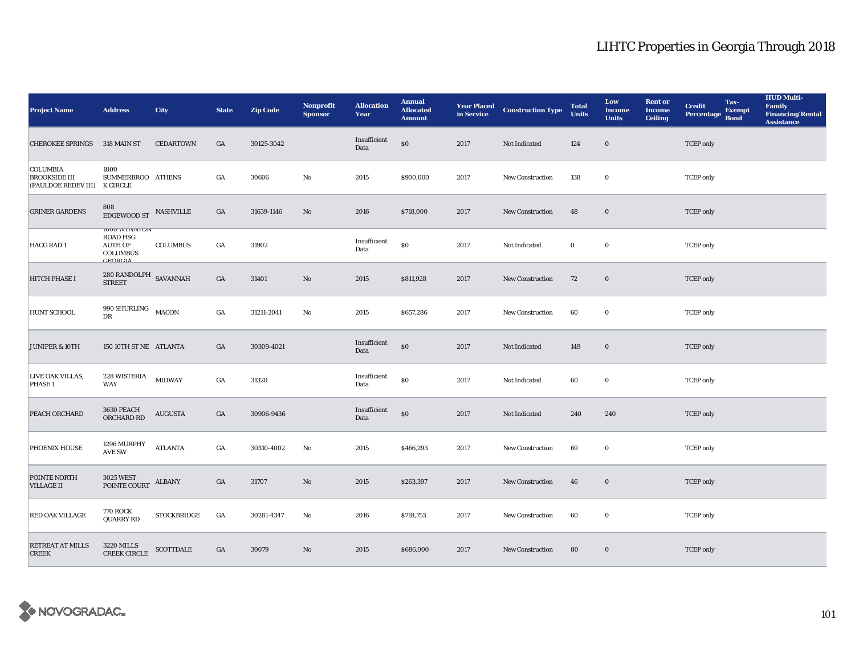| <b>Project Name</b>                                                     | <b>Address</b>                                                                         | <b>City</b>      | <b>State</b>     | <b>Zip Code</b> | Nonprofit<br><b>Sponsor</b> | <b>Allocation</b><br>Year | <b>Annual</b><br><b>Allocated</b><br><b>Amount</b> |      | <b>Year Placed Construction Type</b><br>in Service | <b>Total</b><br><b>Units</b> | Low<br><b>Income</b><br><b>Units</b> | <b>Rent or</b><br><b>Income</b><br><b>Ceiling</b> | <b>Credit</b><br><b>Percentage</b> | Tax-<br><b>Exempt</b><br><b>Bond</b> | <b>HUD Multi-</b><br>Family<br><b>Financing/Rental</b><br><b>Assistance</b> |
|-------------------------------------------------------------------------|----------------------------------------------------------------------------------------|------------------|------------------|-----------------|-----------------------------|---------------------------|----------------------------------------------------|------|----------------------------------------------------|------------------------------|--------------------------------------|---------------------------------------------------|------------------------------------|--------------------------------------|-----------------------------------------------------------------------------|
| <b>CHEROKEE SPRINGS</b>                                                 | 318 MAIN ST                                                                            | <b>CEDARTOWN</b> | GA               | 30125-3042      |                             | Insufficient<br>Data      | $\$0$                                              | 2017 | Not Indicated                                      | 124                          | $\mathbf 0$                          |                                                   | <b>TCEP</b> only                   |                                      |                                                                             |
| <b>COLUMBIA</b><br><b>BROOKSIDE III</b><br>(PAULDOE REDEV III) K CIRCLE | 1000<br>SUMMERBROO ATHENS                                                              |                  | GA               | 30606           | No                          | 2015                      | \$900,000                                          | 2017 | <b>New Construction</b>                            | 138                          | $\bf{0}$                             |                                                   | <b>TCEP</b> only                   |                                      |                                                                             |
| <b>GRINER GARDENS</b>                                                   | 808<br>$\overline{\text{EDGEWOOD}}$ ST $\overline{\text{NASHVILLE}}$                   |                  | GA               | 31639-1146      | No                          | 2016                      | \$718,000                                          | 2017 | <b>New Construction</b>                            | 48                           | $\bf{0}$                             |                                                   | <b>TCEP</b> only                   |                                      |                                                                             |
| HACG RAD 1                                                              | <b>IUUU WINNIUN</b><br><b>ROAD HSG</b><br><b>AUTH OF</b><br><b>COLUMBUS</b><br>CEDDCIA | <b>COLUMBUS</b>  | GA               | 31902           |                             | Insufficient<br>Data      | $\$0$                                              | 2017 | Not Indicated                                      | $\bf{0}$                     | $\mathbf 0$                          |                                                   | <b>TCEP</b> only                   |                                      |                                                                             |
| HITCH PHASE I                                                           | $280$ RANDOLPH $\,$ SAVANNAH $\,$ STREET                                               |                  | $_{\mathrm{GA}}$ | 31401           | No                          | 2015                      | \$811,928                                          | 2017 | New Construction                                   | 72                           | $\boldsymbol{0}$                     |                                                   | <b>TCEP</b> only                   |                                      |                                                                             |
| HUNT SCHOOL                                                             | 990 SHURLING MACON<br>DR                                                               |                  | GA               | 31211-2041      | No                          | 2015                      | \$657,286                                          | 2017 | <b>New Construction</b>                            | 60                           | $\bf{0}$                             |                                                   | <b>TCEP</b> only                   |                                      |                                                                             |
| JUNIPER & 10TH                                                          | 150 10TH ST NE ATLANTA                                                                 |                  | GA               | 30309-4021      |                             | Insufficient<br>Data      | $\$0$                                              | 2017 | Not Indicated                                      | 149                          | $\bf{0}$                             |                                                   | <b>TCEP</b> only                   |                                      |                                                                             |
| LIVE OAK VILLAS,<br>PHASE 1                                             | 228 WISTERIA<br>WAY                                                                    | <b>MIDWAY</b>    | $_{\mathrm{GA}}$ | 31320           |                             | Insufficient<br>Data      | \$0                                                | 2017 | Not Indicated                                      | 60                           | $\bf{0}$                             |                                                   | <b>TCEP</b> only                   |                                      |                                                                             |
| PEACH ORCHARD                                                           | 3630 PEACH<br>ORCHARD RD                                                               | <b>AUGUSTA</b>   | GA               | 30906-9436      |                             | Insufficient<br>Data      | $\$0$                                              | 2017 | Not Indicated                                      | 240                          | 240                                  |                                                   | <b>TCEP</b> only                   |                                      |                                                                             |
| PHOENIX HOUSE                                                           | 1296 MURPHY<br><b>AVE SW</b>                                                           | <b>ATLANTA</b>   | GA               | 30310-4002      | No                          | 2015                      | \$466,293                                          | 2017 | <b>New Construction</b>                            | 69                           | $\bf{0}$                             |                                                   | <b>TCEP</b> only                   |                                      |                                                                             |
| POINTE NORTH<br><b>VILLAGE II</b>                                       | <b>3025 WEST</b><br>POINTE COURT                                                       | ALBANY           | GA               | 31707           | $\mathbf{N}\mathbf{o}$      | 2015                      | \$263,397                                          | 2017 | New Construction                                   | 46                           | $\bf{0}$                             |                                                   | <b>TCEP</b> only                   |                                      |                                                                             |
| RED OAK VILLAGE                                                         | <b>770 ROCK</b><br><b>QUARRY RD</b>                                                    | STOCKBRIDGE      | GA               | 30281-4347      | No                          | 2016                      | \$718,753                                          | 2017 | New Construction                                   | 60                           | $\bf{0}$                             |                                                   | <b>TCEP</b> only                   |                                      |                                                                             |
| RETREAT AT MILLS<br><b>CREEK</b>                                        | <b>3220 MILLS</b><br><b>CREEK CIRCLE</b>                                               | SCOTTDALE        | GA               | 30079           | No                          | 2015                      | \$686,000                                          | 2017 | <b>New Construction</b>                            | 80                           | $\bf{0}$                             |                                                   | <b>TCEP</b> only                   |                                      |                                                                             |

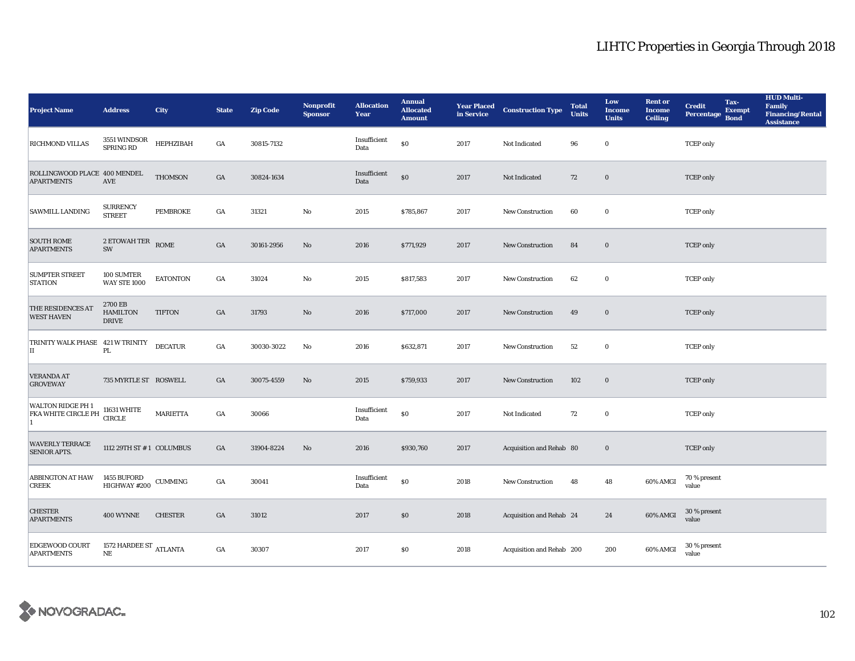| <b>Project Name</b>                                                  | <b>Address</b>                                       | <b>City</b>     | <b>State</b>     | <b>Zip Code</b> | <b>Nonprofit</b><br><b>Sponsor</b> | <b>Allocation</b><br>Year | <b>Annual</b><br><b>Allocated</b><br><b>Amount</b> |      | <b>Year Placed Construction Type</b><br>in Service | <b>Total</b><br><b>Units</b> | Low<br><b>Income</b><br><b>Units</b> | <b>Rent or</b><br><b>Income</b><br><b>Ceiling</b> | Tax-<br><b>Credit</b><br><b>Exempt</b><br><b>Percentage</b><br><b>Bond</b> | <b>HUD Multi-</b><br><b>Family</b><br><b>Financing/Rental</b><br><b>Assistance</b> |
|----------------------------------------------------------------------|------------------------------------------------------|-----------------|------------------|-----------------|------------------------------------|---------------------------|----------------------------------------------------|------|----------------------------------------------------|------------------------------|--------------------------------------|---------------------------------------------------|----------------------------------------------------------------------------|------------------------------------------------------------------------------------|
| RICHMOND VILLAS                                                      | 3551 WINDSOR<br>SPRING RD                            | HEPHZIBAH       | $_{\mathrm{GA}}$ | 30815-7132      |                                    | Insufficient<br>Data      | $\$0$                                              | 2017 | Not Indicated                                      | 96                           | $\bf{0}$                             |                                                   | <b>TCEP</b> only                                                           |                                                                                    |
| ROLLINGWOOD PLACE 400 MENDEL<br><b>APARTMENTS</b>                    | <b>AVE</b>                                           | <b>THOMSON</b>  | $_{\mathrm{GA}}$ | 30824-1634      |                                    | Insufficient<br>Data      | $\$0$                                              | 2017 | Not Indicated                                      | 72                           | $\bf{0}$                             |                                                   | <b>TCEP</b> only                                                           |                                                                                    |
| SAWMILL LANDING                                                      | <b>SURRENCY</b><br><b>STREET</b>                     | <b>PEMBROKE</b> | $_{\mathrm{GA}}$ | 31321           | $\rm\thinspace No$                 | 2015                      | \$785,867                                          | 2017 | <b>New Construction</b>                            | 60                           | $\bf{0}$                             |                                                   | <b>TCEP</b> only                                                           |                                                                                    |
| <b>SOUTH ROME</b><br><b>APARTMENTS</b>                               | $2$ ETOWAH TER $\quad$ ROME<br>SW                    |                 | $_{\mathrm{GA}}$ | 30161-2956      | $\rm No$                           | 2016                      | \$771,929                                          | 2017 | New Construction                                   | 84                           | $\mathbf 0$                          |                                                   | <b>TCEP</b> only                                                           |                                                                                    |
| <b>SUMPTER STREET</b><br><b>STATION</b>                              | 100 SUMTER<br><b>WAY STE 1000</b>                    | <b>EATONTON</b> | GA               | 31024           | $\mathbf{N}\mathbf{o}$             | 2015                      | \$817,583                                          | 2017 | New Construction                                   | 62                           | $\bf{0}$                             |                                                   | <b>TCEP</b> only                                                           |                                                                                    |
| THE RESIDENCES AT<br><b>WEST HAVEN</b>                               | 2700 EB<br><b>HAMILTON</b><br>$\operatorname{DRIVE}$ | <b>TIFTON</b>   | GA               | 31793           | No                                 | 2016                      | \$717,000                                          | 2017 | <b>New Construction</b>                            | 49                           | $\bf{0}$                             |                                                   | <b>TCEP</b> only                                                           |                                                                                    |
| TRINITY WALK PHASE 421 W TRINITY<br>II                               | PL.                                                  | <b>DECATUR</b>  | GA               | 30030-3022      | No                                 | 2016                      | \$632,871                                          | 2017 | <b>New Construction</b>                            | 52                           | $\bf{0}$                             |                                                   | <b>TCEP</b> only                                                           |                                                                                    |
| <b>VERANDA AT</b><br><b>GROVEWAY</b>                                 | 735 MYRTLE ST ROSWELL                                |                 | GA               | 30075-4559      | No                                 | 2015                      | \$759,933                                          | 2017 | New Construction                                   | 102                          | $\bf{0}$                             |                                                   | <b>TCEP</b> only                                                           |                                                                                    |
| WALTON RIDGE PH 1<br>WALTON RIDGE PH 1<br>FKA WHITE CIRCLE PH CIRCLE |                                                      | <b>MARIETTA</b> | GA               | 30066           |                                    | Insufficient<br>Data      | $\$0$                                              | 2017 | Not Indicated                                      | 72                           | $\bf{0}$                             |                                                   | <b>TCEP</b> only                                                           |                                                                                    |
| <b>WAVERLY TERRACE</b><br><b>SENIOR APTS.</b>                        | 1112 29TH ST #1 COLUMBUS                             |                 | GA               | 31904-8224      | $\rm No$                           | 2016                      | \$930,760                                          | 2017 | Acquisition and Rehab 80                           |                              | $\bf{0}$                             |                                                   | <b>TCEP</b> only                                                           |                                                                                    |
| <b>ABBINGTON AT HAW</b><br><b>CREEK</b>                              | 1455 BUFORD<br>HIGHWAY #200                          | <b>CUMMING</b>  | GA               | 30041           |                                    | Insufficient<br>Data      | $\$0$                                              | 2018 | New Construction                                   | 48                           | 48                                   | 60% AMGI                                          | 70 % present<br>value                                                      |                                                                                    |
| <b>CHESTER</b><br><b>APARTMENTS</b>                                  | 400 WYNNE                                            | <b>CHESTER</b>  | GA               | 31012           |                                    | 2017                      | \$0                                                | 2018 | Acquisition and Rehab 24                           |                              | 24                                   | 60% AMGI                                          | 30 % present<br>value                                                      |                                                                                    |
| EDGEWOOD COURT<br><b>APARTMENTS</b>                                  | 1572 HARDEE ST $_{\rm ATLANTA}$<br>NE                |                 | GA               | 30307           |                                    | 2017                      | \$0\$                                              | 2018 | Acquisition and Rehab 200                          |                              | 200                                  | 60% AMGI                                          | 30 % present<br>value                                                      |                                                                                    |

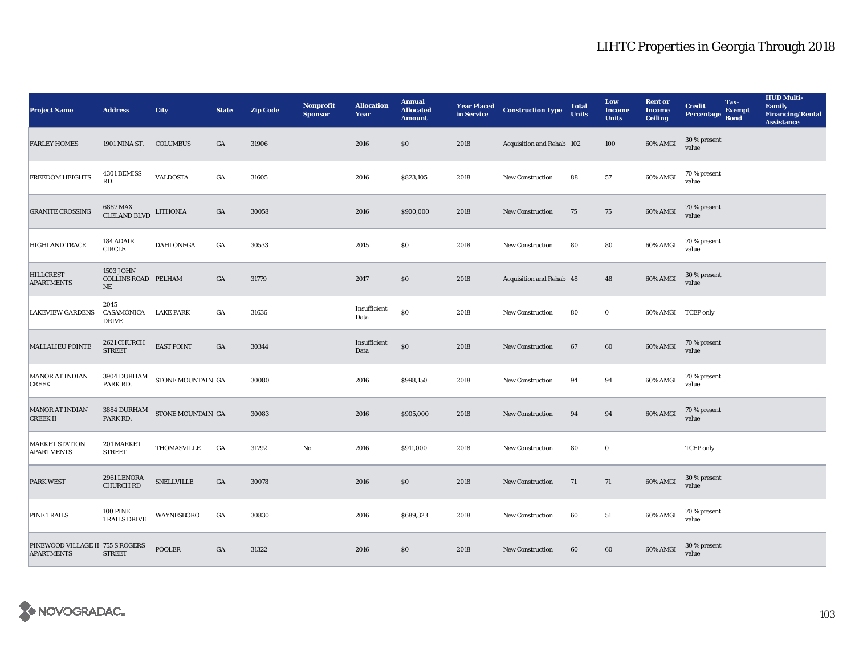| <b>Project Name</b>                                   | <b>Address</b>                                      | <b>City</b>                                       | <b>State</b> | <b>Zip Code</b> | Nonprofit<br><b>Sponsor</b> | <b>Allocation</b><br>Year | <b>Annual</b><br><b>Allocated</b><br><b>Amount</b> | <b>Year Placed<br/>in Service</b> | <b>Construction Type</b>  | <b>Total</b><br><b>Units</b> | Low<br><b>Income</b><br><b>Units</b> | <b>Rent or</b><br><b>Income</b><br><b>Ceiling</b> | <b>Credit</b><br><b>Percentage</b> | Tax-<br>Exempt<br><b>Bond</b> | <b>HUD Multi-</b><br><b>Family</b><br><b>Financing/Rental</b><br><b>Assistance</b> |
|-------------------------------------------------------|-----------------------------------------------------|---------------------------------------------------|--------------|-----------------|-----------------------------|---------------------------|----------------------------------------------------|-----------------------------------|---------------------------|------------------------------|--------------------------------------|---------------------------------------------------|------------------------------------|-------------------------------|------------------------------------------------------------------------------------|
| <b>FARLEY HOMES</b>                                   | 1901 NINA ST.                                       | <b>COLUMBUS</b>                                   | GA           | 31906           |                             | 2016                      | \$0                                                | 2018                              | Acquisition and Rehab 102 |                              | 100                                  | 60% AMGI                                          | 30 % present<br>value              |                               |                                                                                    |
| <b>FREEDOM HEIGHTS</b>                                | 4301 BEMISS<br>RD.                                  | <b>VALDOSTA</b>                                   | GA           | 31605           |                             | 2016                      | \$823,105                                          | 2018                              | <b>New Construction</b>   | 88                           | $57\,$                               | 60% AMGI                                          | 70 % present<br>value              |                               |                                                                                    |
| <b>GRANITE CROSSING</b>                               | 6887 MAX<br><b>CLELAND BLVD</b>                     | <b>LITHONIA</b>                                   | GA           | 30058           |                             | 2016                      | \$900,000                                          | 2018                              | New Construction          | 75                           | 75                                   | 60% AMGI                                          | 70 % present<br>value              |                               |                                                                                    |
| <b>HIGHLAND TRACE</b>                                 | 184 ADAIR<br><b>CIRCLE</b>                          | <b>DAHLONEGA</b>                                  | GA           | 30533           |                             | 2015                      | \$0\$                                              | 2018                              | <b>New Construction</b>   | 80                           | 80                                   | 60% AMGI                                          | 70 % present<br>value              |                               |                                                                                    |
| <b>HILLCREST</b><br><b>APARTMENTS</b>                 | 1503 JOHN<br><b>COLLINS ROAD PELHAM</b><br>$\rm NE$ |                                                   | GA           | 31779           |                             | 2017                      | \$0                                                | 2018                              | Acquisition and Rehab 48  |                              | 48                                   | 60% AMGI                                          | 30 % present<br>value              |                               |                                                                                    |
| <b>LAKEVIEW GARDENS</b>                               | 2045<br>CASAMONICA<br><b>DRIVE</b>                  | <b>LAKE PARK</b>                                  | GA           | 31636           |                             | Insufficient<br>Data      | $\$0$                                              | 2018                              | <b>New Construction</b>   | 80                           | $\mathbf 0$                          | 60% AMGI TCEP only                                |                                    |                               |                                                                                    |
| <b>MALLALIEU POINTE</b>                               | 2621 CHURCH<br><b>STREET</b>                        | <b>EAST POINT</b>                                 | GA           | 30344           |                             | Insufficient<br>Data      | $\$0$                                              | 2018                              | New Construction          | 67                           | 60                                   | 60% AMGI                                          | 70 % present<br>value              |                               |                                                                                    |
| <b>MANOR AT INDIAN</b><br><b>CREEK</b>                | PARK RD.                                            | $3904$ DURHAM $$\sf STONE\,MOLNTAIN\,GA$$         |              | 30080           |                             | 2016                      | \$998,150                                          | 2018                              | <b>New Construction</b>   | 94                           | 94                                   | 60% AMGI                                          | 70 % present<br>value              |                               |                                                                                    |
| MANOR AT INDIAN<br><b>CREEKII</b>                     | PARK RD.                                            | $3884$ DURHAM $\quad$ STONE MOUNTAIN $\,$ GA $\,$ |              | 30083           |                             | 2016                      | \$905,000                                          | 2018                              | <b>New Construction</b>   | 94                           | 94                                   | 60% AMGI                                          | 70 % present<br>value              |                               |                                                                                    |
| <b>MARKET STATION</b><br><b>APARTMENTS</b>            | 201 MARKET<br><b>STREET</b>                         | THOMASVILLE                                       | GA           | 31792           | $\mathbf{N}\mathbf{o}$      | 2016                      | \$911,000                                          | 2018                              | New Construction          | 80                           | $\bf{0}$                             |                                                   | <b>TCEP</b> only                   |                               |                                                                                    |
| PARK WEST                                             | 2961 LENORA<br><b>CHURCH RD</b>                     | <b>SNELLVILLE</b>                                 | GA           | 30078           |                             | 2016                      | $\$0$                                              | 2018                              | New Construction          | 71                           | 71                                   | 60% AMGI                                          | 30 % present<br>value              |                               |                                                                                    |
| PINE TRAILS                                           | <b>100 PINE</b><br><b>TRAILS DRIVE</b>              | WAYNESBORO                                        | GA           | 30830           |                             | 2016                      | \$689,323                                          | 2018                              | New Construction          | 60                           | 51                                   | 60% AMGI                                          | 70 % present<br>value              |                               |                                                                                    |
| PINEWOOD VILLAGE II 755 S ROGERS<br><b>APARTMENTS</b> | <b>STREET</b>                                       | <b>POOLER</b>                                     | GA           | 31322           |                             | 2016                      | \$0                                                | 2018                              | <b>New Construction</b>   | 60                           | 60                                   | 60% AMGI                                          | 30 % present<br>value              |                               |                                                                                    |

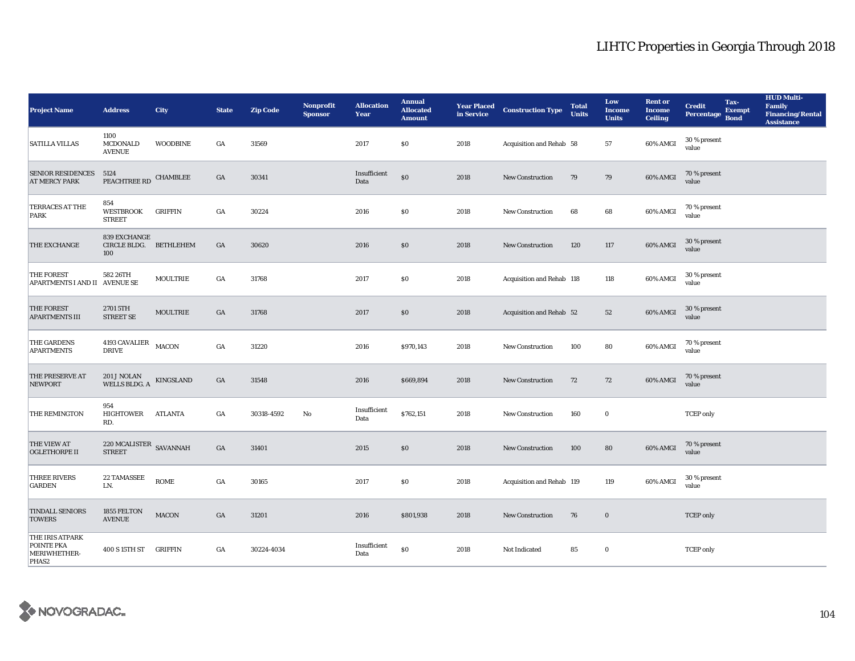| <b>Project Name</b>                                                       | <b>Address</b>                                  | <b>City</b>      | <b>State</b>     | <b>Zip Code</b> | Nonprofit<br><b>Sponsor</b> | <b>Allocation</b><br>Year | <b>Annual</b><br><b>Allocated</b><br><b>Amount</b> | <b>Year Placed</b><br>in Service | <b>Construction Type</b>  | <b>Total</b><br><b>Units</b> | Low<br><b>Income</b><br><b>Units</b> | <b>Rent or</b><br><b>Income</b><br><b>Ceiling</b> | <b>Credit</b><br><b>Percentage</b> | Tax-<br><b>Exempt</b><br><b>Bond</b> | <b>HUD Multi-</b><br><b>Family</b><br><b>Financing/Rental</b><br><b>Assistance</b> |
|---------------------------------------------------------------------------|-------------------------------------------------|------------------|------------------|-----------------|-----------------------------|---------------------------|----------------------------------------------------|----------------------------------|---------------------------|------------------------------|--------------------------------------|---------------------------------------------------|------------------------------------|--------------------------------------|------------------------------------------------------------------------------------|
| <b>SATILLA VILLAS</b>                                                     | 1100<br>MCDONALD<br><b>AVENUE</b>               | <b>WOODBINE</b>  | GA               | 31569           |                             | 2017                      | \$0                                                | 2018                             | Acquisition and Rehab 58  |                              | 57                                   | 60% AMGI                                          | 30 % present<br>value              |                                      |                                                                                    |
| <b>SENIOR RESIDENCES</b><br><b>AT MERCY PARK</b>                          | 5124<br>PEACHTREE RD                            | <b>CHAMBLEE</b>  | GA               | 30341           |                             | Insufficient<br>Data      | $\$0$                                              | 2018                             | <b>New Construction</b>   | 79                           | 79                                   | 60% AMGI                                          | 70 % present<br>value              |                                      |                                                                                    |
| <b>TERRACES AT THE</b><br><b>PARK</b>                                     | 854<br><b>WESTBROOK</b><br><b>STREET</b>        | <b>GRIFFIN</b>   | $_{\mathrm{GA}}$ | 30224           |                             | 2016                      | \$0\$                                              | 2018                             | New Construction          | 68                           | 68                                   | 60% AMGI                                          | 70 % present<br>value              |                                      |                                                                                    |
| THE EXCHANGE                                                              | 839 EXCHANGE<br>CIRCLE BLDG.<br>100             | <b>BETHLEHEM</b> | $_{\mathrm{GA}}$ | 30620           |                             | 2016                      | $\$0$                                              | 2018                             | <b>New Construction</b>   | 120                          | 117                                  | 60% AMGI                                          | 30 % present<br>value              |                                      |                                                                                    |
| <b>THE FOREST</b><br>APARTMENTS I AND II AVENUE SE                        | 582 26TH                                        | MOULTRIE         | GA               | 31768           |                             | 2017                      | \$0                                                | 2018                             | Acquisition and Rehab 118 |                              | 118                                  | 60% AMGI                                          | 30 % present<br>value              |                                      |                                                                                    |
| <b>THE FOREST</b><br><b>APARTMENTS III</b>                                | 2701 5TH<br><b>STREET SE</b>                    | MOULTRIE         | GA               | 31768           |                             | 2017                      | \$0                                                | 2018                             | Acquisition and Rehab 52  |                              | 52                                   | 60% AMGI                                          | 30 % present<br>value              |                                      |                                                                                    |
| <b>THE GARDENS</b><br><b>APARTMENTS</b>                                   | 4193 CAVALIER<br><b>DRIVE</b>                   | MACON            | GA               | 31220           |                             | 2016                      | \$970,143                                          | 2018                             | New Construction          | 100                          | 80                                   | 60% AMGI                                          | 70 % present<br>value              |                                      |                                                                                    |
| <b>THE PRESERVE AT</b><br><b>NEWPORT</b>                                  | 201 J NOLAN<br>WELLS BLDG. A                    | KINGSLAND        | GA               | 31548           |                             | 2016                      | \$669,894                                          | 2018                             | New Construction          | 72                           | 72                                   | 60% AMGI                                          | 70 % present<br>value              |                                      |                                                                                    |
| THE REMINGTON                                                             | 954<br>HIGHTOWER<br>RD.                         | ATLANTA          | GA               | 30318-4592      | No                          | Insufficient<br>Data      | \$762,151                                          | 2018                             | New Construction          | 160                          | $\bf{0}$                             |                                                   | <b>TCEP</b> only                   |                                      |                                                                                    |
| THE VIEW AT<br><b>OGLETHORPE II</b>                                       | $220\ \rm{MCALISTER}$ SAVANNAH<br><b>STREET</b> |                  | GA               | 31401           |                             | 2015                      | \$0                                                | 2018                             | <b>New Construction</b>   | 100                          | 80                                   | 60% AMGI                                          | 70 % present<br>value              |                                      |                                                                                    |
| <b>THREE RIVERS</b><br><b>GARDEN</b>                                      | <b>22 TAMASSEE</b><br>LN.                       | <b>ROME</b>      | GA               | 30165           |                             | 2017                      | \$0                                                | 2018                             | Acquisition and Rehab 119 |                              | 119                                  | 60% AMGI                                          | $30\,\%$ present<br>value          |                                      |                                                                                    |
| <b>TINDALL SENIORS</b><br><b>TOWERS</b>                                   | 1855 FELTON<br><b>AVENUE</b>                    | <b>MACON</b>     | GA               | 31201           |                             | 2016                      | \$801,938                                          | 2018                             | <b>New Construction</b>   | 76                           | $\bf{0}$                             |                                                   | <b>TCEP</b> only                   |                                      |                                                                                    |
| THE IRIS ATPARK<br><b>POINTE PKA</b><br>MERIWHETHER-<br>PHAS <sub>2</sub> | 400 S 15TH ST                                   | <b>GRIFFIN</b>   | GA               | 30224-4034      |                             | Insufficient<br>Data      | $\$0$                                              | 2018                             | Not Indicated             | 85                           | $\bf{0}$                             |                                                   | <b>TCEP</b> only                   |                                      |                                                                                    |